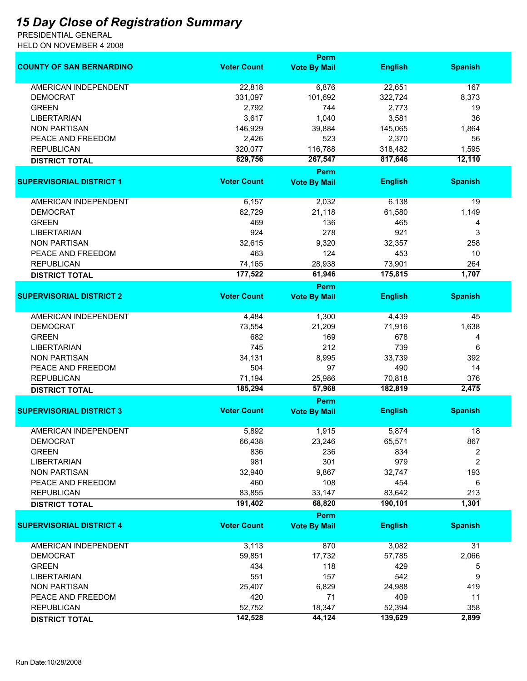## *15 Day Close of Registration Summary*

PRESIDENTIAL GENERAL HELD ON NOVEMBER 4 2008

|                                 |                    | Perm                        |                |                |
|---------------------------------|--------------------|-----------------------------|----------------|----------------|
| <b>COUNTY OF SAN BERNARDINO</b> | <b>Voter Count</b> | <b>Vote By Mail</b>         | <b>English</b> | <b>Spanish</b> |
| <b>AMERICAN INDEPENDENT</b>     | 22,818             | 6,876                       | 22,651         | 167            |
| <b>DEMOCRAT</b>                 | 331,097            | 101,692                     | 322,724        | 8,373          |
| <b>GREEN</b>                    | 2,792              | 744                         | 2,773          | 19             |
| <b>LIBERTARIAN</b>              | 3,617              | 1,040                       | 3,581          | 36             |
| <b>NON PARTISAN</b>             | 146,929            | 39,884                      | 145,065        | 1,864          |
| PEACE AND FREEDOM               | 2,426              | 523                         | 2,370          | 56             |
| <b>REPUBLICAN</b>               | 320,077            | 116,788                     | 318,482        | 1,595          |
| <b>DISTRICT TOTAL</b>           | 829,756            | 267,547                     | 817,646        | 12,110         |
|                                 |                    | Perm                        |                |                |
| <b>SUPERVISORIAL DISTRICT 1</b> | <b>Voter Count</b> | <b>Vote By Mail</b>         | <b>English</b> | <b>Spanish</b> |
|                                 |                    |                             |                |                |
| AMERICAN INDEPENDENT            | 6,157              | 2,032                       | 6,138          | 19             |
| <b>DEMOCRAT</b>                 | 62,729             | 21,118                      | 61,580         | 1,149          |
| <b>GREEN</b>                    | 469                | 136                         | 465            | 4              |
| <b>LIBERTARIAN</b>              | 924                | 278                         | 921            | 3              |
| <b>NON PARTISAN</b>             | 32,615             | 9,320                       | 32,357         | 258            |
| PEACE AND FREEDOM               | 463                | 124                         | 453            | 10             |
| <b>REPUBLICAN</b>               | 74,165             | 28,938                      | 73,901         | 264            |
| <b>DISTRICT TOTAL</b>           | 177,522            | 61,946                      | 175,815        | 1,707          |
|                                 |                    | Perm                        |                |                |
| <b>SUPERVISORIAL DISTRICT 2</b> | <b>Voter Count</b> | <b>Vote By Mail</b>         | <b>English</b> | <b>Spanish</b> |
| AMERICAN INDEPENDENT            | 4,484              | 1,300                       | 4,439          | 45             |
| <b>DEMOCRAT</b>                 | 73,554             | 21,209                      | 71,916         | 1,638          |
| <b>GREEN</b>                    | 682                | 169                         | 678            | 4              |
| <b>LIBERTARIAN</b>              | 745                | 212                         | 739            | 6              |
| <b>NON PARTISAN</b>             | 34,131             | 8,995                       | 33,739         | 392            |
| PEACE AND FREEDOM               | 504                | 97                          | 490            | 14             |
| <b>REPUBLICAN</b>               | 71,194             | 25,986                      | 70,818         | 376            |
| <b>DISTRICT TOTAL</b>           | 185,294            | 57,968                      | 182,819        | 2,475          |
|                                 |                    | Perm                        |                |                |
| <b>SUPERVISORIAL DISTRICT 3</b> | <b>Voter Count</b> | <b>Vote By Mail</b>         | <b>English</b> | <b>Spanish</b> |
| <b>AMERICAN INDEPENDENT</b>     | 5,892              | 1,915                       | 5,874          | 18             |
| <b>DEMOCRAT</b>                 | 66,438             | 23,246                      | 65,571         | 867            |
| <b>GREEN</b>                    | 836                | 236                         | 834            | 2              |
| <b>LIBERTARIAN</b>              | 981                | 301                         | 979            | $\overline{2}$ |
| <b>NON PARTISAN</b>             | 32,940             | 9,867                       | 32,747         | 193            |
| PEACE AND FREEDOM               | 460                | 108                         | 454            | 6              |
| <b>REPUBLICAN</b>               | 83,855             | 33,147                      | 83,642         | 213            |
|                                 | 191,402            | 68,820                      | 190,101        | 1,301          |
| <b>DISTRICT TOTAL</b>           |                    |                             |                |                |
| <b>SUPERVISORIAL DISTRICT 4</b> | <b>Voter Count</b> | Perm<br><b>Vote By Mail</b> | <b>English</b> | <b>Spanish</b> |
| AMERICAN INDEPENDENT            | 3,113              | 870                         | 3,082          | 31             |
| <b>DEMOCRAT</b>                 | 59,851             | 17,732                      | 57,785         | 2,066          |
| <b>GREEN</b>                    | 434                | 118                         | 429            | 5              |
| <b>LIBERTARIAN</b>              | 551                | 157                         | 542            | 9              |
| <b>NON PARTISAN</b>             | 25,407             | 6,829                       | 24,988         | 419            |
| PEACE AND FREEDOM               | 420                | 71                          | 409            | 11             |
| <b>REPUBLICAN</b>               | 52,752             | 18,347                      | 52,394         | 358            |
|                                 | 142,528            | 44,124                      | 139,629        | 2,899          |
| <b>DISTRICT TOTAL</b>           |                    |                             |                |                |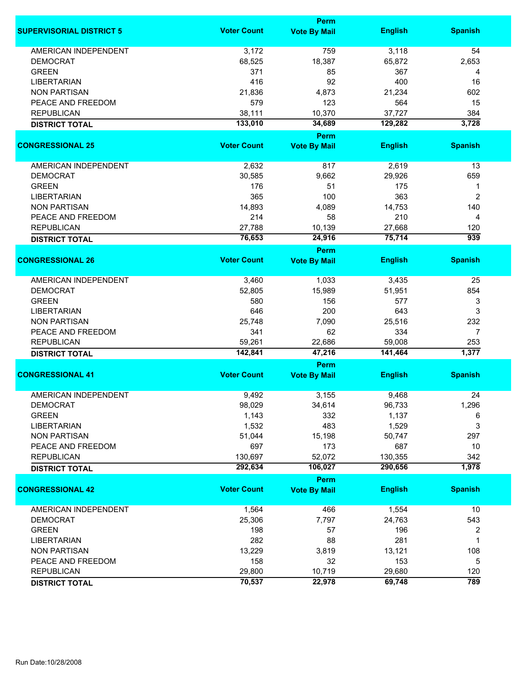|                                 |                    | Perm                |                   |                |
|---------------------------------|--------------------|---------------------|-------------------|----------------|
| <b>SUPERVISORIAL DISTRICT 5</b> | <b>Voter Count</b> | <b>Vote By Mail</b> | <b>English</b>    | <b>Spanish</b> |
| <b>AMERICAN INDEPENDENT</b>     | 3,172              | 759                 | 3,118             | 54             |
| <b>DEMOCRAT</b>                 | 68,525             | 18,387              | 65,872            | 2,653          |
| <b>GREEN</b>                    | 371                | 85                  | 367               | 4              |
| <b>LIBERTARIAN</b>              | 416                | 92                  | 400               | 16             |
| <b>NON PARTISAN</b>             | 21,836             | 4,873               | 21,234            | 602            |
| PEACE AND FREEDOM               | 579                | 123                 | 564               | 15             |
| <b>REPUBLICAN</b>               |                    | 10,370              | 37,727            | 384            |
| <b>DISTRICT TOTAL</b>           | 38,111<br>133,010  | 34,689              | 129,282           | 3,728          |
|                                 |                    | <b>Perm</b>         |                   |                |
| <b>CONGRESSIONAL 25</b>         | <b>Voter Count</b> | <b>Vote By Mail</b> | <b>English</b>    | <b>Spanish</b> |
|                                 |                    |                     |                   |                |
| AMERICAN INDEPENDENT            | 2,632              | 817                 | 2,619             | 13             |
| <b>DEMOCRAT</b>                 | 30,585             | 9,662               | 29,926            | 659            |
| <b>GREEN</b>                    | 176                | 51                  | 175               | 1              |
| <b>LIBERTARIAN</b>              | 365                | 100                 | 363               | 2              |
| <b>NON PARTISAN</b>             | 14,893             | 4,089               | 14,753            | 140            |
| PEACE AND FREEDOM               | 214                | 58                  | 210               | 4              |
| <b>REPUBLICAN</b>               | 27,788             | 10,139              | 27,668            | 120            |
| <b>DISTRICT TOTAL</b>           | 76,653             | 24,916              | 75,714            | 939            |
|                                 |                    | <b>Perm</b>         |                   |                |
| <b>CONGRESSIONAL 26</b>         | <b>Voter Count</b> | <b>Vote By Mail</b> | <b>English</b>    | <b>Spanish</b> |
| <b>AMERICAN INDEPENDENT</b>     | 3,460              | 1,033               | 3,435             | 25             |
| <b>DEMOCRAT</b>                 | 52,805             | 15,989              | 51,951            | 854            |
| <b>GREEN</b>                    | 580                | 156                 | 577               | 3              |
| <b>LIBERTARIAN</b>              | 646                | 200                 | 643               | 3              |
| <b>NON PARTISAN</b>             | 25,748             | 7,090               | 25,516            | 232            |
|                                 |                    |                     |                   |                |
| PEACE AND FREEDOM               | 341                | 62                  | 334               | 7              |
| <b>REPUBLICAN</b>               | 59,261<br>142,841  | 22,686<br>47,216    | 59,008<br>141,464 | 253<br>1,377   |
| <b>DISTRICT TOTAL</b>           |                    | <b>Perm</b>         |                   |                |
| <b>CONGRESSIONAL 41</b>         | <b>Voter Count</b> | <b>Vote By Mail</b> | <b>English</b>    | <b>Spanish</b> |
|                                 |                    |                     |                   |                |
| <b>AMERICAN INDEPENDENT</b>     | 9,492              | 3,155               | 9,468             | 24             |
| <b>DEMOCRAT</b>                 | 98,029             | 34,614              | 96,733            | 1,296          |
| <b>GREEN</b>                    | 1,143              | 332                 | 1,137             | 6              |
| <b>LIBERTARIAN</b>              | 1,532              | 483                 | 1,529             | 3              |
| <b>NON PARTISAN</b>             | 51,044             | 15,198              | 50,747            | 297            |
| PEACE AND FREEDOM               | 697                | 173                 | 687               | 10             |
| <b>REPUBLICAN</b>               | 130,697            | 52,072              | 130,355           | 342            |
| <b>DISTRICT TOTAL</b>           | 292,634            | 106,027             | 290,656           | 1,978          |
|                                 |                    | Perm                |                   |                |
| <b>CONGRESSIONAL 42</b>         | <b>Voter Count</b> | <b>Vote By Mail</b> | <b>English</b>    | <b>Spanish</b> |
| <b>AMERICAN INDEPENDENT</b>     | 1,564              | 466                 | 1,554             | 10             |
| <b>DEMOCRAT</b>                 | 25,306             | 7,797               | 24,763            | 543            |
| <b>GREEN</b>                    | 198                | 57                  | 196               | 2              |
| <b>LIBERTARIAN</b>              | 282                | 88                  | 281               | 1              |
| <b>NON PARTISAN</b>             | 13,229             | 3,819               | 13,121            | 108            |
| PEACE AND FREEDOM               | 158                | 32                  | 153               | 5              |
| <b>REPUBLICAN</b>               | 29,800             | 10,719              | 29,680            | 120            |
|                                 | 70,537             | 22,978              | 69,748            | 789            |
| <b>DISTRICT TOTAL</b>           |                    |                     |                   |                |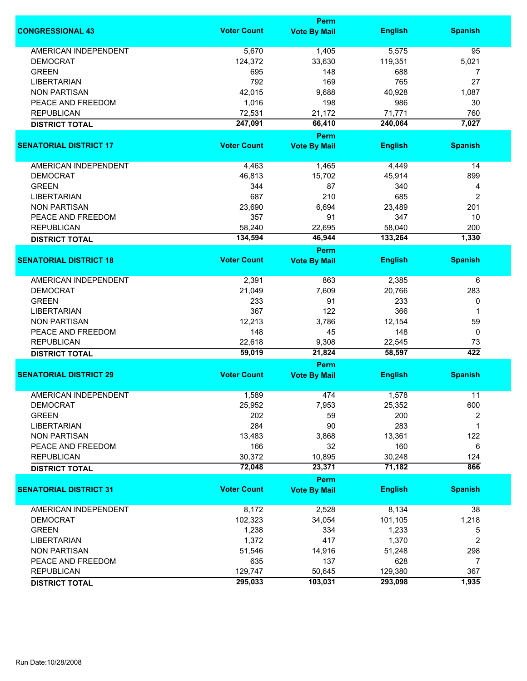|                               |                    | <b>Perm</b>                        |                |                |
|-------------------------------|--------------------|------------------------------------|----------------|----------------|
| <b>CONGRESSIONAL 43</b>       | <b>Voter Count</b> | <b>Vote By Mail</b>                | <b>English</b> | <b>Spanish</b> |
| <b>AMERICAN INDEPENDENT</b>   | 5,670              | 1,405                              | 5,575          | 95             |
| <b>DEMOCRAT</b>               | 124,372            | 33,630                             | 119,351        | 5,021          |
| <b>GREEN</b>                  | 695                | 148                                | 688            | 7              |
| <b>LIBERTARIAN</b>            | 792                | 169                                | 765            | 27             |
| <b>NON PARTISAN</b>           | 42,015             | 9,688                              | 40,928         | 1,087          |
| PEACE AND FREEDOM             |                    |                                    | 986            |                |
|                               | 1,016              | 198                                |                | 30             |
| <b>REPUBLICAN</b>             | 72,531             | 21,172                             | 71,771         | 760            |
| <b>DISTRICT TOTAL</b>         | 247,091            | 66,410                             | 240,064        | 7,027          |
| <b>SENATORIAL DISTRICT 17</b> | <b>Voter Count</b> | <b>Perm</b><br><b>Vote By Mail</b> | <b>English</b> | <b>Spanish</b> |
|                               |                    |                                    |                |                |
| AMERICAN INDEPENDENT          | 4,463              | 1,465                              | 4,449          | 14             |
| <b>DEMOCRAT</b>               | 46,813             | 15,702                             | 45,914         | 899            |
| <b>GREEN</b>                  | 344                | 87                                 | 340            | 4              |
| <b>LIBERTARIAN</b>            | 687                | 210                                | 685            | 2              |
| <b>NON PARTISAN</b>           | 23,690             | 6,694                              | 23,489         | 201            |
| PEACE AND FREEDOM             | 357                | 91                                 | 347            | 10             |
| <b>REPUBLICAN</b>             | 58,240             | 22,695                             | 58,040         | 200            |
| <b>DISTRICT TOTAL</b>         | 134,594            | 46,944                             | 133,264        | 1,330          |
|                               |                    | <b>Perm</b>                        |                |                |
| <b>SENATORIAL DISTRICT 18</b> | <b>Voter Count</b> | <b>Vote By Mail</b>                | <b>English</b> | <b>Spanish</b> |
| <b>AMERICAN INDEPENDENT</b>   | 2,391              | 863                                | 2,385          | 6              |
| <b>DEMOCRAT</b>               | 21,049             | 7,609                              | 20,766         | 283            |
| <b>GREEN</b>                  | 233                | 91                                 | 233            | 0              |
| <b>LIBERTARIAN</b>            | 367                | 122                                | 366            | 1              |
| <b>NON PARTISAN</b>           | 12,213             | 3,786                              | 12,154         | 59             |
| PEACE AND FREEDOM             | 148                | 45                                 | 148            | 0              |
| <b>REPUBLICAN</b>             | 22,618             | 9,308                              | 22,545         | 73             |
| <b>DISTRICT TOTAL</b>         | 59,019             | 21,824                             | 58,597         | 422            |
|                               |                    | Perm                               |                |                |
| <b>SENATORIAL DISTRICT 29</b> | <b>Voter Count</b> | <b>Vote By Mail</b>                | <b>English</b> | <b>Spanish</b> |
| AMERICAN INDEPENDENT          | 1,589              | 474                                | 1,578          | 11             |
| DEMOCRAT                      | 25,952             | 7,953                              | 25,352         | 600            |
| <b>GREEN</b>                  | 202                | 59                                 | 200            | 2              |
| <b>LIBERTARIAN</b>            | 284                | 90                                 | 283            | 1              |
| <b>NON PARTISAN</b>           | 13,483             | 3,868                              | 13,361         | 122            |
|                               |                    |                                    |                |                |
| PEACE AND FREEDOM             | 166                | 32                                 | 160            | 6              |
| <b>REPUBLICAN</b>             | 30,372             | 10,895                             | 30,248         | 124            |
| <b>DISTRICT TOTAL</b>         | 72,048             | 23,371                             | 71,182         | 866            |
| <b>SENATORIAL DISTRICT 31</b> | <b>Voter Count</b> | <b>Perm</b><br><b>Vote By Mail</b> | <b>English</b> | <b>Spanish</b> |
|                               |                    |                                    |                |                |
| <b>AMERICAN INDEPENDENT</b>   | 8,172              | 2,528                              | 8,134          | 38             |
| <b>DEMOCRAT</b>               | 102,323            | 34,054                             | 101,105        | 1,218          |
| <b>GREEN</b>                  | 1,238              | 334                                | 1,233          | 5              |
| <b>LIBERTARIAN</b>            | 1,372              | 417                                | 1,370          | 2              |
| <b>NON PARTISAN</b>           | 51,546             | 14,916                             | 51,248         | 298            |
| PEACE AND FREEDOM             | 635                | 137                                | 628            | 7              |
| <b>REPUBLICAN</b>             | 129,747            | 50,645                             | 129,380        | 367            |
|                               |                    |                                    |                |                |
| <b>DISTRICT TOTAL</b>         | 295,033            | 103,031                            | 293,098        | 1,935          |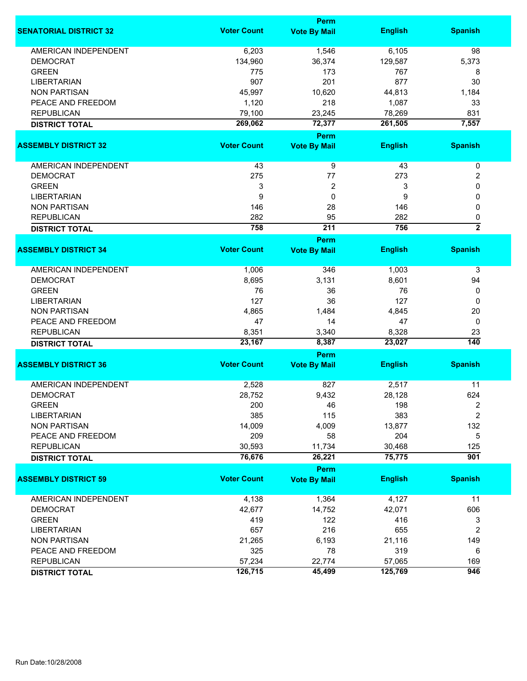|                               |                    | Perm                        |                   |                  |
|-------------------------------|--------------------|-----------------------------|-------------------|------------------|
| <b>SENATORIAL DISTRICT 32</b> | <b>Voter Count</b> | <b>Vote By Mail</b>         | <b>English</b>    | <b>Spanish</b>   |
| <b>AMERICAN INDEPENDENT</b>   | 6,203              | 1,546                       | 6,105             | 98               |
| <b>DEMOCRAT</b>               | 134,960            | 36,374                      | 129,587           | 5,373            |
| <b>GREEN</b>                  | 775                | 173                         | 767               | 8                |
| <b>LIBERTARIAN</b>            | 907                | 201                         | 877               | 30               |
| <b>NON PARTISAN</b>           | 45,997             | 10,620                      | 44,813            | 1,184            |
| PEACE AND FREEDOM             | 1,120              | 218                         | 1,087             | 33               |
|                               |                    |                             |                   |                  |
| <b>REPUBLICAN</b>             | 79,100<br>269,062  | 23,245<br>72,377            | 78,269<br>261,505 | 831<br>7,557     |
| <b>DISTRICT TOTAL</b>         |                    |                             |                   |                  |
| <b>ASSEMBLY DISTRICT 32</b>   | <b>Voter Count</b> | Perm<br><b>Vote By Mail</b> | <b>English</b>    | <b>Spanish</b>   |
|                               |                    |                             |                   |                  |
| AMERICAN INDEPENDENT          | 43                 | 9                           | 43                | $\pmb{0}$        |
| <b>DEMOCRAT</b>               | 275                | 77                          | 273               | 2                |
| <b>GREEN</b>                  | 3                  | 2                           | 3                 | 0                |
| <b>LIBERTARIAN</b>            | 9                  | 0                           | 9                 | 0                |
| <b>NON PARTISAN</b>           | 146                | 28                          | 146               | 0                |
| <b>REPUBLICAN</b>             | 282                | 95                          | 282               | 0                |
| <b>DISTRICT TOTAL</b>         | 758                | 211                         | 756               | $\overline{2}$   |
|                               |                    | Perm                        |                   |                  |
| <b>ASSEMBLY DISTRICT 34</b>   | <b>Voter Count</b> | <b>Vote By Mail</b>         | <b>English</b>    | <b>Spanish</b>   |
|                               |                    |                             |                   |                  |
| <b>AMERICAN INDEPENDENT</b>   | 1,006              | 346                         | 1,003             | 3                |
| <b>DEMOCRAT</b>               | 8,695              | 3,131                       | 8,601             | 94               |
| <b>GREEN</b>                  | 76                 | 36                          | 76                | 0                |
| <b>LIBERTARIAN</b>            | 127                | 36                          | 127               | 0                |
| <b>NON PARTISAN</b>           | 4,865              | 1,484                       | 4,845             | 20               |
| PEACE AND FREEDOM             | 47                 | 14                          | 47                | 0                |
| <b>REPUBLICAN</b>             | 8,351              | 3,340                       | 8,328             | 23               |
| <b>DISTRICT TOTAL</b>         | 23,167             | 8,387                       | 23,027            | $\overline{140}$ |
|                               |                    | <b>Perm</b>                 |                   |                  |
| <b>ASSEMBLY DISTRICT 36</b>   | <b>Voter Count</b> | <b>Vote By Mail</b>         | <b>English</b>    | <b>Spanish</b>   |
| <b>AMERICAN INDEPENDENT</b>   | 2,528              | 827                         | 2,517             | 11               |
| <b>DEMOCRAT</b>               | 28,752             | 9,432                       | 28,128            | 624              |
|                               |                    |                             |                   |                  |
| <b>GREEN</b>                  | 200                | 46                          | 198               | 2                |
| <b>LIBERTARIAN</b>            | 385                | 115                         | 383               | $\overline{c}$   |
| <b>NON PARTISAN</b>           | 14,009             | 4,009                       | 13,877            | 132              |
| PEACE AND FREEDOM             | 209                | 58                          | 204               | 5                |
| <b>REPUBLICAN</b>             | 30,593             | 11,734                      | 30,468            | 125              |
| <b>DISTRICT TOTAL</b>         | 76,676             | 26,221                      | 75,775            | $\overline{901}$ |
|                               |                    | Perm                        |                   |                  |
| <b>ASSEMBLY DISTRICT 59</b>   | <b>Voter Count</b> | <b>Vote By Mail</b>         | <b>English</b>    | <b>Spanish</b>   |
| AMERICAN INDEPENDENT          | 4,138              | 1,364                       | 4,127             | 11               |
| <b>DEMOCRAT</b>               | 42,677             | 14,752                      | 42,071            | 606              |
| <b>GREEN</b>                  | 419                | 122                         | 416               | 3                |
| <b>LIBERTARIAN</b>            | 657                | 216                         | 655               | 2                |
|                               |                    |                             |                   |                  |
| <b>NON PARTISAN</b>           | 21,265             | 6,193                       | 21,116            | 149              |
| PEACE AND FREEDOM             | 325                | 78                          | 319               | 6                |
| <b>REPUBLICAN</b>             | 57,234             | 22,774                      | 57,065            | 169              |
| <b>DISTRICT TOTAL</b>         | 126,715            | 45,499                      | 125,769           | 946              |
|                               |                    |                             |                   |                  |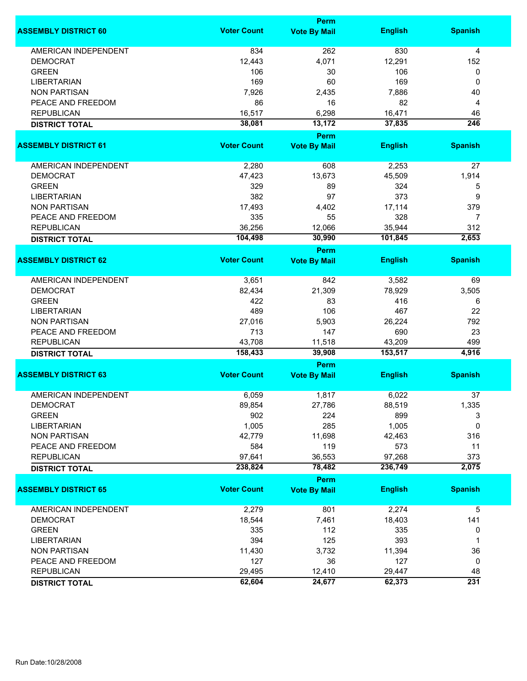|                             |                    | <b>Perm</b>         |                |                |
|-----------------------------|--------------------|---------------------|----------------|----------------|
| <b>ASSEMBLY DISTRICT 60</b> | <b>Voter Count</b> | <b>Vote By Mail</b> | <b>English</b> | <b>Spanish</b> |
| <b>AMERICAN INDEPENDENT</b> | 834                | 262                 | 830            | 4              |
| <b>DEMOCRAT</b>             | 12,443             | 4,071               | 12,291         | 152            |
| <b>GREEN</b>                | 106                | 30                  | 106            | 0              |
| <b>LIBERTARIAN</b>          | 169                | 60                  | 169            | 0              |
| <b>NON PARTISAN</b>         | 7,926              | 2,435               | 7,886          | 40             |
|                             |                    |                     |                |                |
| PEACE AND FREEDOM           | 86                 | 16                  | 82             | 4              |
| <b>REPUBLICAN</b>           | 16,517             | 6,298               | 16,471         | 46             |
| <b>DISTRICT TOTAL</b>       | 38,081             | 13,172              | 37,835         | 246            |
|                             |                    | Perm                |                |                |
| <b>ASSEMBLY DISTRICT 61</b> | <b>Voter Count</b> | <b>Vote By Mail</b> | <b>English</b> | <b>Spanish</b> |
| AMERICAN INDEPENDENT        | 2,280              | 608                 | 2,253          | 27             |
| <b>DEMOCRAT</b>             | 47,423             | 13,673              | 45,509         | 1,914          |
| <b>GREEN</b>                | 329                | 89                  | 324            | 5              |
| <b>LIBERTARIAN</b>          | 382                | 97                  | 373            | 9              |
| <b>NON PARTISAN</b>         | 17,493             | 4,402               | 17,114         | 379            |
|                             |                    |                     |                |                |
| PEACE AND FREEDOM           | 335                | 55                  | 328            | $\overline{7}$ |
| <b>REPUBLICAN</b>           | 36,256             | 12,066              | 35,944         | 312            |
| <b>DISTRICT TOTAL</b>       | 104,498            | 30,990              | 101,845        | 2,653          |
|                             |                    | <b>Perm</b>         |                |                |
| <b>ASSEMBLY DISTRICT 62</b> | <b>Voter Count</b> | <b>Vote By Mail</b> | <b>English</b> | <b>Spanish</b> |
| <b>AMERICAN INDEPENDENT</b> | 3,651              | 842                 | 3,582          | 69             |
| <b>DEMOCRAT</b>             | 82,434             | 21,309              | 78,929         | 3,505          |
| <b>GREEN</b>                | 422                | 83                  | 416            | 6              |
| <b>LIBERTARIAN</b>          | 489                | 106                 | 467            | 22             |
| <b>NON PARTISAN</b>         | 27,016             | 5,903               | 26,224         | 792            |
|                             |                    |                     |                |                |
| PEACE AND FREEDOM           | 713                | 147                 | 690            | 23             |
| <b>REPUBLICAN</b>           | 43,708             | 11,518              | 43,209         | 499            |
| <b>DISTRICT TOTAL</b>       | 158,433            | 39,908              | 153,517        | 4,916          |
| <b>ASSEMBLY DISTRICT 63</b> | <b>Voter Count</b> | Perm                | <b>English</b> |                |
|                             |                    | <b>Vote By Mail</b> |                | <b>Spanish</b> |
| <b>AMERICAN INDEPENDENT</b> | 6,059              | 1,817               | 6,022          | 37             |
| <b>DEMOCRAT</b>             | 89,854             | 27,786              | 88,519         | 1,335          |
| <b>GREEN</b>                | 902                | 224                 | 899            | 3              |
| <b>LIBERTARIAN</b>          | 1,005              | 285                 | 1,005          | 0              |
| <b>NON PARTISAN</b>         | 42,779             | 11,698              | 42,463         | 316            |
| PEACE AND FREEDOM           | 584                | 119                 | 573            | 11             |
| <b>REPUBLICAN</b>           | 97,641             | 36,553              | 97,268         | 373            |
|                             | 238,824            | 78,482              | 236,749        | 2,075          |
| <b>DISTRICT TOTAL</b>       |                    | Perm                |                |                |
| <b>ASSEMBLY DISTRICT 65</b> | <b>Voter Count</b> | <b>Vote By Mail</b> | <b>English</b> | <b>Spanish</b> |
| AMERICAN INDEPENDENT        | 2,279              | 801                 | 2,274          | 5              |
| <b>DEMOCRAT</b>             | 18,544             | 7,461               | 18,403         | 141            |
|                             |                    |                     |                |                |
| <b>GREEN</b>                | 335                | 112                 | 335            | 0              |
| <b>LIBERTARIAN</b>          | 394                | 125                 | 393            | 1              |
| <b>NON PARTISAN</b>         | 11,430             | 3,732               | 11,394         | 36             |
| PEACE AND FREEDOM           | 127                | 36                  | 127            | 0              |
| <b>REPUBLICAN</b>           | 29,495             | 12,410              | 29,447         | 48             |
| <b>DISTRICT TOTAL</b>       | 62,604             | 24,677              | 62,373         | 231            |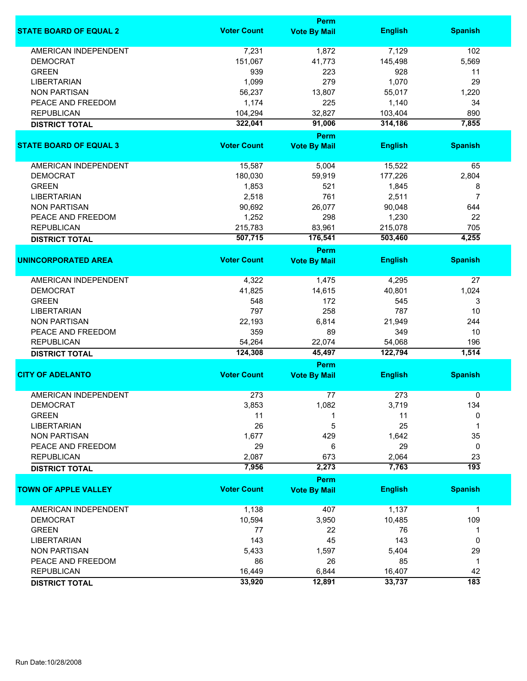|                               |                    | Perm                        |                   |                  |
|-------------------------------|--------------------|-----------------------------|-------------------|------------------|
| <b>STATE BOARD OF EQUAL 2</b> | <b>Voter Count</b> | <b>Vote By Mail</b>         | <b>English</b>    | <b>Spanish</b>   |
| <b>AMERICAN INDEPENDENT</b>   | 7,231              | 1,872                       | 7,129             | 102              |
| <b>DEMOCRAT</b>               | 151,067            | 41,773                      | 145,498           | 5,569            |
| <b>GREEN</b>                  | 939                | 223                         | 928               | 11               |
| <b>LIBERTARIAN</b>            | 1,099              | 279                         | 1,070             | 29               |
| <b>NON PARTISAN</b>           | 56,237             | 13,807                      | 55,017            | 1,220            |
|                               |                    |                             |                   |                  |
| PEACE AND FREEDOM             | 1,174              | 225                         | 1,140             | 34               |
| <b>REPUBLICAN</b>             | 104,294            | 32,827                      | 103,404           | 890              |
| <b>DISTRICT TOTAL</b>         | 322,041            | 91,006                      | 314,186           | 7,855            |
| <b>STATE BOARD OF EQUAL 3</b> | <b>Voter Count</b> | Perm<br><b>Vote By Mail</b> | <b>English</b>    | <b>Spanish</b>   |
|                               |                    |                             |                   |                  |
| AMERICAN INDEPENDENT          | 15,587             | 5,004                       | 15,522            | 65               |
| <b>DEMOCRAT</b>               | 180,030            | 59,919                      | 177,226           | 2,804            |
| <b>GREEN</b>                  | 1,853              | 521                         | 1,845             | 8                |
| <b>LIBERTARIAN</b>            | 2,518              | 761                         | 2,511             | $\overline{7}$   |
| <b>NON PARTISAN</b>           | 90,692             | 26,077                      | 90,048            | 644              |
| PEACE AND FREEDOM             | 1,252              | 298                         | 1,230             | 22               |
|                               |                    |                             |                   |                  |
| <b>REPUBLICAN</b>             | 215,783            | 83,961                      | 215,078           | 705              |
| <b>DISTRICT TOTAL</b>         | 507,715            | 176,541                     | 503,460           | 4,255            |
| <b>UNINCORPORATED AREA</b>    | <b>Voter Count</b> | Perm<br><b>Vote By Mail</b> | <b>English</b>    | <b>Spanish</b>   |
|                               |                    |                             |                   |                  |
| <b>AMERICAN INDEPENDENT</b>   | 4,322              | 1,475                       | 4,295             | 27               |
| <b>DEMOCRAT</b>               | 41,825             | 14,615                      | 40,801            | 1,024            |
| <b>GREEN</b>                  | 548                | 172                         | 545               | 3                |
| <b>LIBERTARIAN</b>            | 797                | 258                         | 787               | 10               |
| <b>NON PARTISAN</b>           | 22,193             | 6,814                       | 21,949            | 244              |
| PEACE AND FREEDOM             | 359                | 89                          | 349               | 10               |
|                               |                    |                             |                   |                  |
| <b>REPUBLICAN</b>             | 54,264<br>124,308  | 22,074<br>45,497            | 54,068<br>122,794 | 196<br>1,514     |
| <b>DISTRICT TOTAL</b>         |                    | Perm                        |                   |                  |
| <b>CITY OF ADELANTO</b>       | <b>Voter Count</b> | <b>Vote By Mail</b>         | <b>English</b>    | <b>Spanish</b>   |
|                               |                    |                             |                   |                  |
| <b>AMERICAN INDEPENDENT</b>   | 273                | 77                          | 273               | 0                |
| <b>DEMOCRAT</b>               | 3,853              | 1,082                       | 3,719             | 134              |
| <b>GREEN</b>                  | 11                 |                             | 11                | 0                |
| <b>LIBERTARIAN</b>            | 26                 | 5                           | 25                | 1                |
| <b>NON PARTISAN</b>           | 1,677              | 429                         | 1,642             | 35               |
| PEACE AND FREEDOM             | 29                 | 6                           | 29                | 0                |
| <b>REPUBLICAN</b>             | 2,087              | 673                         | 2,064             | 23               |
| <b>DISTRICT TOTAL</b>         | 7,956              | 2,273                       | 7,763             | $\overline{193}$ |
|                               |                    | Perm                        |                   |                  |
| <b>TOWN OF APPLE VALLEY</b>   | <b>Voter Count</b> | <b>Vote By Mail</b>         | <b>English</b>    | <b>Spanish</b>   |
| AMERICAN INDEPENDENT          | 1,138              | 407                         | 1,137             | $\mathbf 1$      |
| <b>DEMOCRAT</b>               | 10,594             | 3,950                       | 10,485            | 109              |
| <b>GREEN</b>                  | 77                 | 22                          | 76                | 1                |
| <b>LIBERTARIAN</b>            | 143                | 45                          | 143               | 0                |
| <b>NON PARTISAN</b>           | 5,433              | 1,597                       | 5,404             | 29               |
|                               |                    |                             |                   |                  |
| PEACE AND FREEDOM             | 86                 | 26                          | 85                | $\mathbf{1}$     |
| <b>REPUBLICAN</b>             | 16,449             | 6,844                       | 16,407            | 42               |
| <b>DISTRICT TOTAL</b>         | 33,920             | 12,891                      | 33,737            | $\overline{183}$ |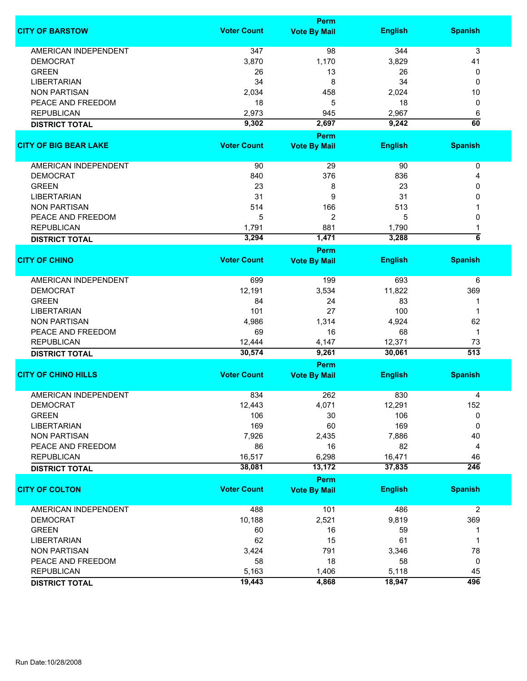|                              |                    | <b>Perm</b>                 |                |                     |
|------------------------------|--------------------|-----------------------------|----------------|---------------------|
| <b>CITY OF BARSTOW</b>       | <b>Voter Count</b> | <b>Vote By Mail</b>         | <b>English</b> | <b>Spanish</b>      |
| <b>AMERICAN INDEPENDENT</b>  | 347                | 98                          | 344            | 3                   |
| <b>DEMOCRAT</b>              | 3,870              | 1,170                       | 3,829          | 41                  |
| <b>GREEN</b>                 | 26                 | 13                          | 26             | 0                   |
| <b>LIBERTARIAN</b>           | 34                 | 8                           | 34             | 0                   |
| <b>NON PARTISAN</b>          | 2,034              | 458                         | 2,024          | 10                  |
| PEACE AND FREEDOM            | 18                 | 5                           | 18             | 0                   |
| <b>REPUBLICAN</b>            | 2,973              | 945                         | 2,967          | 6                   |
|                              | 9,302              | 2,697                       | 9,242          | 60                  |
| <b>DISTRICT TOTAL</b>        |                    |                             |                |                     |
|                              | <b>Voter Count</b> | Perm                        |                |                     |
| <b>CITY OF BIG BEAR LAKE</b> |                    | <b>Vote By Mail</b>         | <b>English</b> | <b>Spanish</b>      |
| AMERICAN INDEPENDENT         | 90                 | 29                          | 90             | 0                   |
| <b>DEMOCRAT</b>              | 840                | 376                         | 836            | 4                   |
| <b>GREEN</b>                 | 23                 | 8                           | 23             | 0                   |
| <b>LIBERTARIAN</b>           | 31                 | 9                           | 31             | 0                   |
| <b>NON PARTISAN</b>          | 514                | 166                         | 513            |                     |
| PEACE AND FREEDOM            | 5                  | 2                           | 5              | 0                   |
| <b>REPUBLICAN</b>            | 1,791              | 881                         | 1,790          | 1                   |
| <b>DISTRICT TOTAL</b>        | 3,294              | 1,471                       | 3,288          | $\overline{\bf{6}}$ |
|                              |                    | Perm                        |                |                     |
| <b>CITY OF CHINO</b>         | <b>Voter Count</b> | <b>Vote By Mail</b>         | <b>English</b> | <b>Spanish</b>      |
| <b>AMERICAN INDEPENDENT</b>  | 699                | 199                         | 693            | 6                   |
| <b>DEMOCRAT</b>              | 12,191             | 3,534                       | 11,822         | 369                 |
| <b>GREEN</b>                 | 84                 | 24                          | 83             | 1                   |
| <b>LIBERTARIAN</b>           | 101                | 27                          | 100            | 1                   |
| <b>NON PARTISAN</b>          | 4,986              | 1,314                       | 4,924          | 62                  |
| PEACE AND FREEDOM            | 69                 | 16                          | 68             | $\mathbf 1$         |
| <b>REPUBLICAN</b>            | 12,444             | 4,147                       | 12,371         | 73                  |
| <b>DISTRICT TOTAL</b>        | 30,574             | 9,261                       | 30,061         | $\overline{513}$    |
|                              |                    | Perm                        |                |                     |
| <b>CITY OF CHINO HILLS</b>   | <b>Voter Count</b> | <b>Vote By Mail</b>         | <b>English</b> | <b>Spanish</b>      |
| <b>AMERICAN INDEPENDENT</b>  | 834                | 262                         | 830            |                     |
| <b>DEMOCRAT</b>              |                    | 4,071                       | 12,291         | 4<br>152            |
| <b>GREEN</b>                 | 12,443             |                             |                |                     |
|                              | 106                | 30                          | 106<br>169     | 0                   |
| <b>LIBERTARIAN</b>           | 169                | 60                          |                | 0                   |
| <b>NON PARTISAN</b>          | 7,926              | 2,435                       | 7,886          | 40                  |
| PEACE AND FREEDOM            | 86                 | 16                          | 82             | 4                   |
| <b>REPUBLICAN</b>            | 16,517             | 6,298                       | 16,471         | 46                  |
| <b>DISTRICT TOTAL</b>        | 38,081             | 13,172                      | 37,835         | 246                 |
| <b>CITY OF COLTON</b>        | <b>Voter Count</b> | Perm<br><b>Vote By Mail</b> | <b>English</b> | <b>Spanish</b>      |
| <b>AMERICAN INDEPENDENT</b>  | 488                | 101                         | 486            | $\overline{2}$      |
| <b>DEMOCRAT</b>              | 10,188             | 2,521                       | 9,819          | 369                 |
| <b>GREEN</b>                 | 60                 | 16                          | 59             |                     |
| <b>LIBERTARIAN</b>           | 62                 | 15                          | 61             | 1                   |
|                              |                    | 791                         |                | 78                  |
| <b>NON PARTISAN</b>          | 3,424              | 18                          | 3,346          |                     |
| PEACE AND FREEDOM            | 58                 |                             | 58             | 0                   |
| <b>REPUBLICAN</b>            | 5,163              | 1,406                       | 5,118          | 45<br>496           |
| <b>DISTRICT TOTAL</b>        | 19,443             | 4,868                       | 18,947         |                     |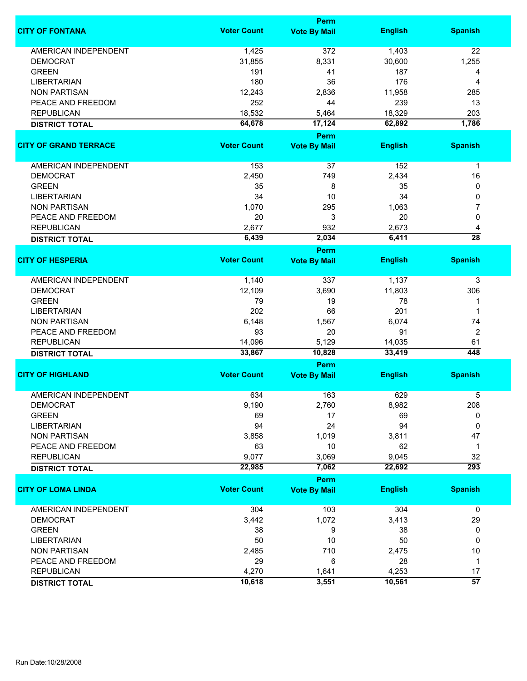|                              | <b>Perm</b>        |                     |                |                 |  |
|------------------------------|--------------------|---------------------|----------------|-----------------|--|
| <b>CITY OF FONTANA</b>       | <b>Voter Count</b> | <b>Vote By Mail</b> | <b>English</b> | <b>Spanish</b>  |  |
| <b>AMERICAN INDEPENDENT</b>  | 1,425              | 372                 | 1,403          | 22              |  |
| <b>DEMOCRAT</b>              | 31,855             | 8,331               | 30,600         | 1,255           |  |
| <b>GREEN</b>                 | 191                | 41                  | 187            | 4               |  |
| <b>LIBERTARIAN</b>           | 180                | 36                  | 176            | 4               |  |
| <b>NON PARTISAN</b>          | 12,243             | 2,836               | 11,958         | 285             |  |
| PEACE AND FREEDOM            | 252                | 44                  | 239            | 13              |  |
| <b>REPUBLICAN</b>            | 18,532             | 5,464               | 18,329         | 203             |  |
|                              | 64,678             | 17,124              | 62,892         | 1,786           |  |
| <b>DISTRICT TOTAL</b>        |                    | <b>Perm</b>         |                |                 |  |
| <b>CITY OF GRAND TERRACE</b> | <b>Voter Count</b> | <b>Vote By Mail</b> | <b>English</b> | <b>Spanish</b>  |  |
| AMERICAN INDEPENDENT         | 153                | 37                  | 152            | $\mathbf{1}$    |  |
|                              |                    |                     |                |                 |  |
| <b>DEMOCRAT</b>              | 2,450              | 749                 | 2,434          | 16              |  |
| <b>GREEN</b>                 | 35                 | 8                   | 35             | 0               |  |
| <b>LIBERTARIAN</b>           | 34                 | 10                  | 34             | 0               |  |
| <b>NON PARTISAN</b>          | 1,070              | 295                 | 1,063          | 7               |  |
| PEACE AND FREEDOM            | 20                 | 3                   | 20             | 0               |  |
| <b>REPUBLICAN</b>            | 2,677              | 932                 | 2,673          | 4               |  |
| <b>DISTRICT TOTAL</b>        | 6,439              | 2,034               | 6,411          | $\overline{28}$ |  |
|                              |                    | <b>Perm</b>         |                |                 |  |
| <b>CITY OF HESPERIA</b>      | <b>Voter Count</b> | <b>Vote By Mail</b> | <b>English</b> | <b>Spanish</b>  |  |
| <b>AMERICAN INDEPENDENT</b>  | 1,140              | 337                 | 1,137          | 3               |  |
| <b>DEMOCRAT</b>              | 12,109             | 3,690               | 11,803         | 306             |  |
| <b>GREEN</b>                 | 79                 | 19                  | 78             | 1               |  |
| <b>LIBERTARIAN</b>           | 202                | 66                  | 201            | 1               |  |
| <b>NON PARTISAN</b>          | 6,148              | 1,567               | 6,074          | 74              |  |
| PEACE AND FREEDOM            | 93                 | 20                  | 91             | $\overline{2}$  |  |
| <b>REPUBLICAN</b>            | 14,096             | 5,129               | 14,035         | 61              |  |
| <b>DISTRICT TOTAL</b>        | 33,867             | 10,828              | 33,419         | 448             |  |
|                              |                    | <b>Perm</b>         |                |                 |  |
| <b>CITY OF HIGHLAND</b>      | <b>Voter Count</b> | <b>Vote By Mail</b> | <b>English</b> | <b>Spanish</b>  |  |
| AMERICAN INDEPENDENT         | 634                | 163                 | 629            | 5               |  |
| DEMOCRAT                     | 9,190              | 2,760               | 8,982          | 208             |  |
| <b>GREEN</b>                 | 69                 | 17                  | 69             | 0               |  |
| <b>LIBERTARIAN</b>           | 94                 | 24                  | 94             | 0               |  |
| <b>NON PARTISAN</b>          | 3,858              | 1,019               | 3,811          | 47              |  |
| PEACE AND FREEDOM            | 63                 | 10                  | 62             | 1               |  |
| <b>REPUBLICAN</b>            | 9,077              | 3,069               | 9,045          | 32              |  |
| <b>DISTRICT TOTAL</b>        | 22,985             | 7,062               | 22,692         | 293             |  |
|                              |                    | <b>Perm</b>         |                |                 |  |
| <b>CITY OF LOMA LINDA</b>    | <b>Voter Count</b> | <b>Vote By Mail</b> | <b>English</b> | <b>Spanish</b>  |  |
| <b>AMERICAN INDEPENDENT</b>  | 304                | 103                 | 304            | $\mathbf 0$     |  |
| <b>DEMOCRAT</b>              | 3,442              | 1,072               | 3,413          | 29              |  |
| <b>GREEN</b>                 | 38                 | 9                   | 38             | 0               |  |
| <b>LIBERTARIAN</b>           | 50                 | 10                  | 50             | 0               |  |
| <b>NON PARTISAN</b>          | 2,485              | 710                 | 2,475          | 10              |  |
| PEACE AND FREEDOM            | 29                 | 6                   | 28             | $\mathbf{1}$    |  |
| <b>REPUBLICAN</b>            | 4,270              | 1,641               | 4,253          | 17              |  |
| <b>DISTRICT TOTAL</b>        | 10,618             | 3,551               | 10,561         | $\overline{57}$ |  |
|                              |                    |                     |                |                 |  |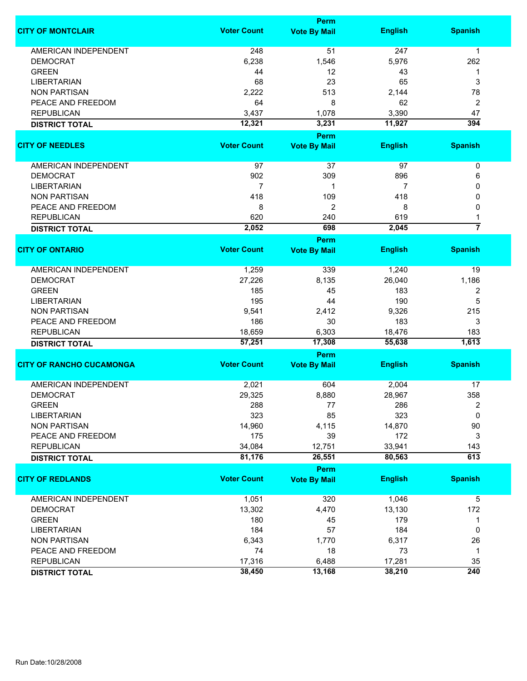|                                 |                    | Perm                |                |                  |
|---------------------------------|--------------------|---------------------|----------------|------------------|
| <b>CITY OF MONTCLAIR</b>        | <b>Voter Count</b> | <b>Vote By Mail</b> | <b>English</b> | <b>Spanish</b>   |
| <b>AMERICAN INDEPENDENT</b>     | 248                | 51                  | 247            | 1                |
| <b>DEMOCRAT</b>                 | 6,238              | 1,546               | 5,976          | 262              |
| <b>GREEN</b>                    | 44                 | 12                  | 43             | 1                |
| <b>LIBERTARIAN</b>              | 68                 | 23                  | 65             | 3                |
| <b>NON PARTISAN</b>             | 2,222              | 513                 | 2,144          | 78               |
| PEACE AND FREEDOM               | 64                 | 8                   | 62             | 2                |
| <b>REPUBLICAN</b>               | 3,437              | 1,078               | 3,390          | 47               |
| <b>DISTRICT TOTAL</b>           | 12,321             | 3,231               | 11,927         | 394              |
|                                 |                    | Perm                |                |                  |
| <b>CITY OF NEEDLES</b>          | <b>Voter Count</b> | <b>Vote By Mail</b> | <b>English</b> | <b>Spanish</b>   |
|                                 |                    |                     |                |                  |
| AMERICAN INDEPENDENT            | 97                 | 37                  | 97             | 0                |
| <b>DEMOCRAT</b>                 | 902                | 309                 | 896            | 6                |
| <b>LIBERTARIAN</b>              | $\overline{7}$     | 1                   | 7              | 0                |
| <b>NON PARTISAN</b>             | 418                | 109                 | 418            | 0                |
| PEACE AND FREEDOM               | 8                  | 2                   | 8              | 0                |
| <b>REPUBLICAN</b>               | 620                | 240                 | 619            |                  |
| <b>DISTRICT TOTAL</b>           | 2,052              | 698                 | 2,045          | $\overline{7}$   |
|                                 |                    | Perm                |                |                  |
| <b>CITY OF ONTARIO</b>          | <b>Voter Count</b> | <b>Vote By Mail</b> | <b>English</b> | <b>Spanish</b>   |
|                                 |                    |                     |                |                  |
| AMERICAN INDEPENDENT            | 1,259              | 339                 | 1,240          | 19               |
| <b>DEMOCRAT</b>                 | 27,226             | 8,135               | 26,040         | 1,186            |
| <b>GREEN</b>                    | 185                | 45                  | 183            | 2                |
| <b>LIBERTARIAN</b>              | 195                | 44                  | 190            | 5                |
| <b>NON PARTISAN</b>             | 9,541              | 2,412               | 9,326          | 215              |
| PEACE AND FREEDOM               | 186                | 30                  | 183            | 3                |
| <b>REPUBLICAN</b>               | 18,659             | 6,303               | 18,476         | 183              |
| <b>DISTRICT TOTAL</b>           | 57,251             | 17,308              | 55,638         | 1,613            |
|                                 |                    | Perm                |                |                  |
| <b>CITY OF RANCHO CUCAMONGA</b> | <b>Voter Count</b> | <b>Vote By Mail</b> | <b>English</b> | <b>Spanish</b>   |
| <b>AMERICAN INDEPENDENT</b>     | 2,021              | 604                 | 2,004          | 17               |
| <b>DEMOCRAT</b>                 | 29,325             | 8,880               | 28,967         | 358              |
| <b>GREEN</b>                    | 288                | 77                  | 286            | 2                |
| <b>LIBERTARIAN</b>              | 323                | 85                  | 323            | 0                |
| <b>NON PARTISAN</b>             | 14,960             | 4,115               | 14,870         | 90               |
| PEACE AND FREEDOM               | 175                | 39                  | 172            | 3                |
| <b>REPUBLICAN</b>               | 34,084             | 12,751              | 33,941         | 143              |
| <b>DISTRICT TOTAL</b>           | 81,176             | 26,551              | 80,563         | $\overline{613}$ |
|                                 |                    | Perm                |                |                  |
| <b>CITY OF REDLANDS</b>         | <b>Voter Count</b> | <b>Vote By Mail</b> | <b>English</b> | <b>Spanish</b>   |
|                                 |                    |                     |                |                  |
| AMERICAN INDEPENDENT            | 1,051              | 320                 | 1,046          | 5                |
| <b>DEMOCRAT</b>                 | 13,302             | 4,470               | 13,130         | 172              |
| <b>GREEN</b>                    | 180                | 45                  | 179            | 1                |
| <b>LIBERTARIAN</b>              | 184                | 57                  | 184            | 0                |
| <b>NON PARTISAN</b>             | 6,343              | 1,770               | 6,317          | 26               |
| PEACE AND FREEDOM               | 74                 | 18                  | 73             | 1                |
| <b>REPUBLICAN</b>               | 17,316             | 6,488               | 17,281         | 35               |
| <b>DISTRICT TOTAL</b>           | 38,450             | 13,168              | 38,210         | $\overline{240}$ |
|                                 |                    |                     |                |                  |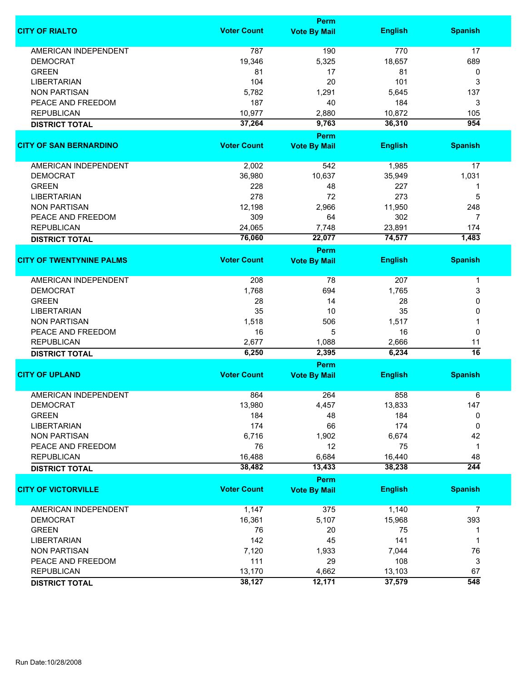|                                 |                    | Perm                        |                |                  |
|---------------------------------|--------------------|-----------------------------|----------------|------------------|
| <b>CITY OF RIALTO</b>           | <b>Voter Count</b> | <b>Vote By Mail</b>         | <b>English</b> | <b>Spanish</b>   |
| <b>AMERICAN INDEPENDENT</b>     | 787                | 190                         | 770            | 17               |
| <b>DEMOCRAT</b>                 | 19,346             | 5,325                       | 18,657         | 689              |
| <b>GREEN</b>                    | 81                 | 17                          | 81             | 0                |
| <b>LIBERTARIAN</b>              | 104                | 20                          | 101            | 3                |
| <b>NON PARTISAN</b>             | 5,782              | 1,291                       | 5,645          | 137              |
|                                 |                    |                             |                |                  |
| PEACE AND FREEDOM               | 187                | 40                          | 184            | 3                |
| <b>REPUBLICAN</b>               | 10,977             | 2,880                       | 10,872         | 105              |
| <b>DISTRICT TOTAL</b>           | 37,264             | 9,763                       | 36,310         | 954              |
| <b>CITY OF SAN BERNARDINO</b>   | <b>Voter Count</b> | Perm<br><b>Vote By Mail</b> | <b>English</b> | <b>Spanish</b>   |
|                                 |                    |                             |                |                  |
| AMERICAN INDEPENDENT            | 2,002              | 542                         | 1,985          | 17               |
| <b>DEMOCRAT</b>                 | 36,980             | 10,637                      | 35,949         | 1,031            |
| <b>GREEN</b>                    | 228                | 48                          | 227            | 1                |
| <b>LIBERTARIAN</b>              | 278                | 72                          | 273            | 5                |
| <b>NON PARTISAN</b>             | 12,198             | 2,966                       | 11,950         | 248              |
| PEACE AND FREEDOM               | 309                | 64                          | 302            | 7                |
| <b>REPUBLICAN</b>               | 24,065             | 7,748                       | 23,891         | 174              |
|                                 | 76,060             | 22,077                      | 74,577         | 1,483            |
| <b>DISTRICT TOTAL</b>           |                    | Perm                        |                |                  |
| <b>CITY OF TWENTYNINE PALMS</b> | <b>Voter Count</b> | <b>Vote By Mail</b>         | <b>English</b> | <b>Spanish</b>   |
|                                 |                    |                             |                |                  |
| <b>AMERICAN INDEPENDENT</b>     | 208                | 78                          | 207            | $\mathbf 1$      |
| <b>DEMOCRAT</b>                 | 1,768              | 694                         | 1,765          | 3                |
| <b>GREEN</b>                    | 28                 | 14                          | 28             | 0                |
| <b>LIBERTARIAN</b>              | 35                 | 10                          | 35             | 0                |
| <b>NON PARTISAN</b>             | 1,518              | 506                         | 1,517          | 1                |
| PEACE AND FREEDOM               | 16                 | 5                           | 16             | 0                |
| <b>REPUBLICAN</b>               | 2,677              | 1,088                       | 2,666          | 11               |
| <b>DISTRICT TOTAL</b>           | 6,250              | 2,395                       | 6,234          | 16               |
|                                 |                    | Perm                        |                |                  |
| <b>CITY OF UPLAND</b>           | <b>Voter Count</b> | <b>Vote By Mail</b>         | <b>English</b> | <b>Spanish</b>   |
| <b>AMERICAN INDEPENDENT</b>     |                    |                             | 858            |                  |
|                                 | 864                | 264                         |                | 6                |
| <b>DEMOCRAT</b>                 | 13,980             | 4,457                       | 13,833         | 147              |
| <b>GREEN</b>                    | 184                | 48                          | 184            | 0                |
| <b>LIBERTARIAN</b>              | 174                | 66                          | 174            | 0                |
| <b>NON PARTISAN</b>             | 6,716              | 1,902                       | 6,674          | 42               |
| PEACE AND FREEDOM               | 76                 | 12                          | 75             | $\mathbf{1}$     |
| <b>REPUBLICAN</b>               | 16,488             | 6,684                       | 16,440         | 48               |
| <b>DISTRICT TOTAL</b>           | 38,482             | 13,433                      | 38,238         | $\overline{244}$ |
|                                 |                    | Perm                        |                |                  |
| <b>CITY OF VICTORVILLE</b>      | <b>Voter Count</b> | <b>Vote By Mail</b>         | <b>English</b> | <b>Spanish</b>   |
| <b>AMERICAN INDEPENDENT</b>     | 1,147              | 375                         | 1,140          | 7                |
| <b>DEMOCRAT</b>                 | 16,361             | 5,107                       | 15,968         | 393              |
| <b>GREEN</b>                    | 76                 | 20                          | 75             | 1                |
| <b>LIBERTARIAN</b>              | 142                | 45                          | 141            | $\mathbf 1$      |
| <b>NON PARTISAN</b>             | 7,120              | 1,933                       | 7,044          | 76               |
| PEACE AND FREEDOM               | 111                | 29                          | 108            | 3                |
| <b>REPUBLICAN</b>               | 13,170             | 4,662                       | 13,103         | 67               |
|                                 | 38,127             | 12,171                      | 37,579         | 548              |
| <b>DISTRICT TOTAL</b>           |                    |                             |                |                  |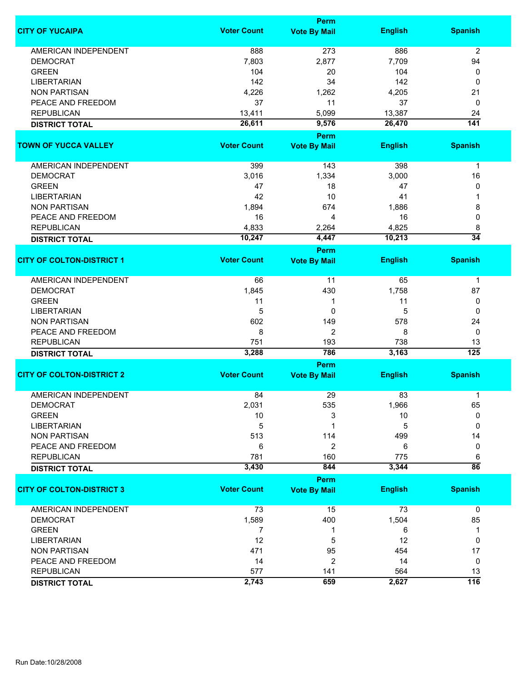|                                  |                    | Perm                        |                |                        |
|----------------------------------|--------------------|-----------------------------|----------------|------------------------|
| <b>CITY OF YUCAIPA</b>           | <b>Voter Count</b> | <b>Vote By Mail</b>         | <b>English</b> | <b>Spanish</b>         |
| <b>AMERICAN INDEPENDENT</b>      | 888                | 273                         | 886            | 2                      |
| <b>DEMOCRAT</b>                  | 7,803              | 2,877                       | 7,709          | 94                     |
| <b>GREEN</b>                     | 104                | 20                          | 104            | 0                      |
| <b>LIBERTARIAN</b>               | 142                | 34                          | 142            | 0                      |
| <b>NON PARTISAN</b>              | 4,226              | 1,262                       | 4,205          | 21                     |
| PEACE AND FREEDOM                | 37                 | 11                          | 37             |                        |
|                                  |                    |                             |                | 0                      |
| <b>REPUBLICAN</b>                | 13,411             | 5,099                       | 13,387         | 24                     |
| <b>DISTRICT TOTAL</b>            | 26,611             | 9,576                       | 26,470         | $\overline{141}$       |
| <b>TOWN OF YUCCA VALLEY</b>      | <b>Voter Count</b> | Perm<br><b>Vote By Mail</b> | <b>English</b> | <b>Spanish</b>         |
|                                  |                    |                             |                |                        |
| AMERICAN INDEPENDENT             | 399                | 143                         | 398            | $\mathbf{1}$           |
| <b>DEMOCRAT</b>                  | 3,016              | 1,334                       | 3,000          | 16                     |
| <b>GREEN</b>                     | 47                 | 18                          | 47             | 0                      |
| <b>LIBERTARIAN</b>               | 42                 | 10                          | 41             | 1                      |
| <b>NON PARTISAN</b>              | 1,894              | 674                         | 1,886          | 8                      |
| PEACE AND FREEDOM                | 16                 | 4                           | 16             | 0                      |
| <b>REPUBLICAN</b>                | 4,833              | 2,264                       | 4,825          | 8                      |
|                                  |                    |                             |                | $\overline{34}$        |
| <b>DISTRICT TOTAL</b>            | 10,247             | 4,447<br><b>Perm</b>        | 10,213         |                        |
| <b>CITY OF COLTON-DISTRICT 1</b> | <b>Voter Count</b> | <b>Vote By Mail</b>         | <b>English</b> | <b>Spanish</b>         |
|                                  |                    |                             |                |                        |
| <b>AMERICAN INDEPENDENT</b>      | 66                 | 11                          | 65             | 1                      |
| <b>DEMOCRAT</b>                  | 1,845              | 430                         | 1,758          | 87                     |
| <b>GREEN</b>                     | 11                 | 1                           | 11             | 0                      |
| <b>LIBERTARIAN</b>               | 5                  | 0                           | 5              | 0                      |
| <b>NON PARTISAN</b>              | 602                | 149                         | 578            | 24                     |
| PEACE AND FREEDOM                | 8                  | 2                           | 8              | 0                      |
|                                  |                    |                             | 738            |                        |
| <b>REPUBLICAN</b>                | 751<br>3,288       | 193<br>786                  | 3,163          | 13<br>$\overline{125}$ |
| <b>DISTRICT TOTAL</b>            |                    | <b>Perm</b>                 |                |                        |
| <b>CITY OF COLTON-DISTRICT 2</b> | <b>Voter Count</b> | <b>Vote By Mail</b>         | <b>English</b> | <b>Spanish</b>         |
|                                  |                    |                             |                |                        |
| <b>AMERICAN INDEPENDENT</b>      | 84                 | 29                          | 83             | 1                      |
| <b>DEMOCRAT</b>                  | 2,031              | 535                         | 1,966          | 65                     |
| <b>GREEN</b>                     | 10                 | 3                           | 10             | 0                      |
| <b>LIBERTARIAN</b>               | 5                  |                             | 5              | 0                      |
| <b>NON PARTISAN</b>              | 513                | 114                         | 499            | 14                     |
| PEACE AND FREEDOM                | 6                  | 2                           | 6              | 0                      |
| <b>REPUBLICAN</b>                | 781                | 160                         | 775            | 6                      |
| <b>DISTRICT TOTAL</b>            | 3,430              | 844                         | 3,344          | $\overline{86}$        |
|                                  |                    | <b>Perm</b>                 |                |                        |
| <b>CITY OF COLTON-DISTRICT 3</b> | <b>Voter Count</b> | <b>Vote By Mail</b>         | <b>English</b> | <b>Spanish</b>         |
| <b>AMERICAN INDEPENDENT</b>      | 73                 | 15                          | 73             | $\mathbf 0$            |
| <b>DEMOCRAT</b>                  | 1,589              | 400                         | 1,504          | 85                     |
| <b>GREEN</b>                     | 7                  | 1                           | 6              | 1                      |
| <b>LIBERTARIAN</b>               | 12                 | 5                           | 12             | 0                      |
| <b>NON PARTISAN</b>              | 471                | 95                          | 454            | 17                     |
|                                  |                    | $\overline{2}$              |                |                        |
| PEACE AND FREEDOM                | 14                 |                             | 14             | 0                      |
| <b>REPUBLICAN</b>                | 577                | 141                         | 564            | 13                     |
| <b>DISTRICT TOTAL</b>            | 2,743              | 659                         | 2,627          | 116                    |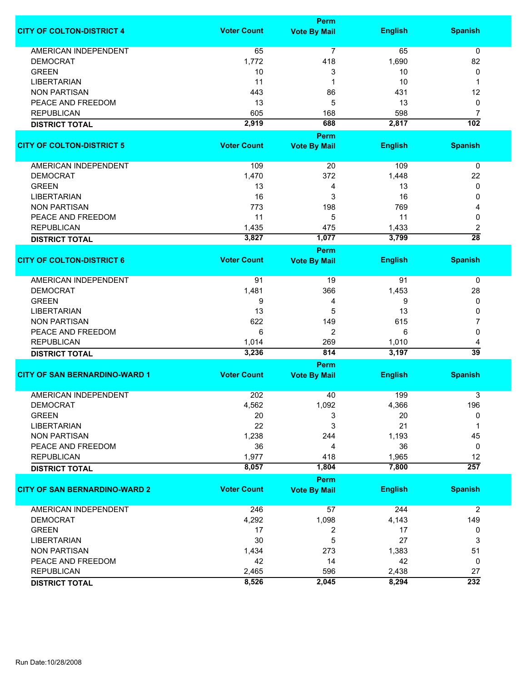|                                      | <b>Perm</b>        |                     |                |                      |  |
|--------------------------------------|--------------------|---------------------|----------------|----------------------|--|
| <b>CITY OF COLTON-DISTRICT 4</b>     | <b>Voter Count</b> | <b>Vote By Mail</b> | <b>English</b> | <b>Spanish</b>       |  |
| <b>AMERICAN INDEPENDENT</b>          | 65                 | 7                   | 65             | 0                    |  |
| <b>DEMOCRAT</b>                      | 1,772              | 418                 | 1,690          | 82                   |  |
| <b>GREEN</b>                         | 10                 | 3                   | 10             | 0                    |  |
| <b>LIBERTARIAN</b>                   | 11                 | 1                   | 10             | 1                    |  |
| <b>NON PARTISAN</b>                  | 443                | 86                  | 431            | 12                   |  |
| PEACE AND FREEDOM                    | 13                 | 5                   | 13             | 0                    |  |
| <b>REPUBLICAN</b>                    | 605                | 168                 | 598            | 7                    |  |
|                                      |                    | 688                 | 2,817          | $\overline{102}$     |  |
| <b>DISTRICT TOTAL</b>                | 2,919              | <b>Perm</b>         |                |                      |  |
| <b>CITY OF COLTON-DISTRICT 5</b>     | <b>Voter Count</b> | <b>Vote By Mail</b> | <b>English</b> | <b>Spanish</b>       |  |
|                                      |                    |                     |                |                      |  |
| AMERICAN INDEPENDENT                 | 109                | 20                  | 109            | 0                    |  |
| <b>DEMOCRAT</b>                      | 1,470              | 372                 | 1,448          | 22                   |  |
| <b>GREEN</b>                         | 13                 | 4                   | 13             | 0                    |  |
| <b>LIBERTARIAN</b>                   | 16                 | 3                   | 16             | 0                    |  |
| <b>NON PARTISAN</b>                  | 773                | 198                 | 769            | 4                    |  |
| PEACE AND FREEDOM                    | 11                 | 5                   | 11             | 0                    |  |
| <b>REPUBLICAN</b>                    | 1,435              | 475                 | 1,433          | 2                    |  |
| <b>DISTRICT TOTAL</b>                | 3,827              | 1,077               | 3,799          | $\overline{28}$      |  |
|                                      |                    | <b>Perm</b>         |                |                      |  |
| <b>CITY OF COLTON-DISTRICT 6</b>     | <b>Voter Count</b> | <b>Vote By Mail</b> | <b>English</b> | <b>Spanish</b>       |  |
| <b>AMERICAN INDEPENDENT</b>          | 91                 | 19                  | 91             | 0                    |  |
| <b>DEMOCRAT</b>                      | 1,481              | 366                 | 1,453          | 28                   |  |
| <b>GREEN</b>                         | 9                  | 4                   | 9              | 0                    |  |
| <b>LIBERTARIAN</b>                   | 13                 | 5                   | 13             | 0                    |  |
| <b>NON PARTISAN</b>                  | 622                | 149                 | 615            | 7                    |  |
| PEACE AND FREEDOM                    | 6                  | 2                   | 6              | 0                    |  |
|                                      |                    |                     |                |                      |  |
| <b>REPUBLICAN</b>                    | 1,014<br>3,236     | 269<br>814          | 1,010<br>3,197 | 4<br>$\overline{39}$ |  |
| <b>DISTRICT TOTAL</b>                |                    | Perm                |                |                      |  |
| <b>CITY OF SAN BERNARDINO-WARD 1</b> | <b>Voter Count</b> | <b>Vote By Mail</b> | <b>English</b> | <b>Spanish</b>       |  |
| <b>AMERICAN INDEPENDENT</b>          | 202                |                     | 199            |                      |  |
| <b>DEMOCRAT</b>                      |                    | 40                  |                | 3                    |  |
| <b>GREEN</b>                         | 4,562<br>20        | 1,092<br>3          | 4,366<br>20    | 196<br>0             |  |
| <b>LIBERTARIAN</b>                   | 22                 | 3                   | 21             |                      |  |
|                                      |                    |                     |                | 1                    |  |
| <b>NON PARTISAN</b>                  | 1,238              | 244                 | 1,193          | 45                   |  |
| PEACE AND FREEDOM                    | 36                 | 4                   | 36             | 0                    |  |
| <b>REPUBLICAN</b>                    | 1,977              | 418                 | 1,965          | 12                   |  |
| <b>DISTRICT TOTAL</b>                | 8,057              | 1,804               | 7,800          | $\overline{257}$     |  |
|                                      | <b>Voter Count</b> | Perm                | <b>English</b> | <b>Spanish</b>       |  |
| <b>CITY OF SAN BERNARDINO-WARD 2</b> |                    | <b>Vote By Mail</b> |                |                      |  |
| <b>AMERICAN INDEPENDENT</b>          | 246                | 57                  | 244            | $\overline{2}$       |  |
| <b>DEMOCRAT</b>                      | 4,292              | 1,098               | 4,143          | 149                  |  |
| <b>GREEN</b>                         | 17                 | 2                   | 17             | 0                    |  |
| <b>LIBERTARIAN</b>                   | 30                 | 5                   | 27             | 3                    |  |
| <b>NON PARTISAN</b>                  | 1,434              | 273                 | 1,383          | 51                   |  |
| PEACE AND FREEDOM                    | 42                 | 14                  | 42             | 0                    |  |
| <b>REPUBLICAN</b>                    | 2,465              | 596                 | 2,438          | 27                   |  |
| <b>DISTRICT TOTAL</b>                | 8,526              | 2,045               | 8,294          | 232                  |  |
|                                      |                    |                     |                |                      |  |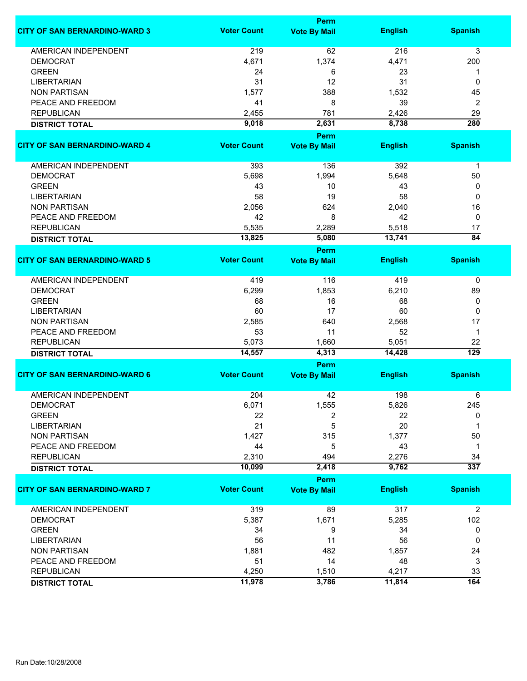|                                      | <b>Perm</b>        |                     |                |                  |  |
|--------------------------------------|--------------------|---------------------|----------------|------------------|--|
| <b>CITY OF SAN BERNARDINO-WARD 3</b> | <b>Voter Count</b> | <b>Vote By Mail</b> | <b>English</b> | <b>Spanish</b>   |  |
| <b>AMERICAN INDEPENDENT</b>          | 219                | 62                  | 216            | 3                |  |
| <b>DEMOCRAT</b>                      | 4,671              | 1,374               | 4,471          | 200              |  |
| <b>GREEN</b>                         | 24                 | 6                   | 23             | 1                |  |
| <b>LIBERTARIAN</b>                   | 31                 | 12                  | 31             | 0                |  |
| <b>NON PARTISAN</b>                  | 1,577              | 388                 | 1,532          | 45               |  |
| PEACE AND FREEDOM                    | 41                 | 8                   | 39             | 2                |  |
| <b>REPUBLICAN</b>                    | 2,455              | 781                 | 2,426          | 29               |  |
| <b>DISTRICT TOTAL</b>                | 9,018              | 2,631               | 8,738          | 280              |  |
|                                      |                    | Perm                |                |                  |  |
| <b>CITY OF SAN BERNARDINO-WARD 4</b> | <b>Voter Count</b> | <b>Vote By Mail</b> | <b>English</b> | <b>Spanish</b>   |  |
|                                      |                    |                     |                |                  |  |
| AMERICAN INDEPENDENT                 | 393                | 136                 | 392            | $\mathbf{1}$     |  |
| <b>DEMOCRAT</b>                      | 5,698              | 1,994               | 5,648          | 50               |  |
| <b>GREEN</b>                         | 43                 | 10                  | 43             | 0                |  |
| <b>LIBERTARIAN</b>                   | 58                 | 19                  | 58             | 0                |  |
| <b>NON PARTISAN</b>                  | 2,056              | 624                 | 2,040          | 16               |  |
| PEACE AND FREEDOM                    | 42                 | 8                   | 42             | 0                |  |
| <b>REPUBLICAN</b>                    | 5,535              | 2,289               | 5,518          | 17               |  |
| <b>DISTRICT TOTAL</b>                | 13,825             | 5,080               | 13,741         | $\overline{84}$  |  |
|                                      |                    | Perm                |                |                  |  |
| <b>CITY OF SAN BERNARDINO-WARD 5</b> | <b>Voter Count</b> | <b>Vote By Mail</b> | <b>English</b> | <b>Spanish</b>   |  |
| <b>AMERICAN INDEPENDENT</b>          | 419                | 116                 | 419            | 0                |  |
| <b>DEMOCRAT</b>                      | 6,299              | 1,853               | 6,210          | 89               |  |
| <b>GREEN</b>                         | 68                 | 16                  | 68             | 0                |  |
| <b>LIBERTARIAN</b>                   | 60                 | 17                  | 60             | 0                |  |
| <b>NON PARTISAN</b>                  | 2,585              | 640                 | 2,568          | 17               |  |
| PEACE AND FREEDOM                    | 53                 | 11                  | 52             | 1                |  |
| <b>REPUBLICAN</b>                    | 5,073              | 1,660               | 5,051          | 22               |  |
| <b>DISTRICT TOTAL</b>                | 14,557             | 4,313               | 14,428         | $\overline{129}$ |  |
|                                      |                    | Perm                |                |                  |  |
| <b>CITY OF SAN BERNARDINO-WARD 6</b> | <b>Voter Count</b> | <b>Vote By Mail</b> | <b>English</b> | <b>Spanish</b>   |  |
| <b>AMERICAN INDEPENDENT</b>          | 204                | 42                  | 198            | 6                |  |
| <b>DEMOCRAT</b>                      | 6,071              | 1,555               | 5,826          | 245              |  |
| <b>GREEN</b>                         | 22                 | 2                   | 22             | 0                |  |
| <b>LIBERTARIAN</b>                   | 21                 | 5                   | 20             | 1                |  |
| <b>NON PARTISAN</b>                  | 1,427              | 315                 | 1,377          | 50               |  |
| PEACE AND FREEDOM                    | 44                 | 5                   | 43             | 1                |  |
| <b>REPUBLICAN</b>                    | 2,310              | 494                 | 2,276          | 34               |  |
| <b>DISTRICT TOTAL</b>                | 10,099             | 2,418               | 9,762          | $\overline{337}$ |  |
|                                      |                    | Perm                |                |                  |  |
| <b>CITY OF SAN BERNARDINO-WARD 7</b> | <b>Voter Count</b> | <b>Vote By Mail</b> | <b>English</b> | <b>Spanish</b>   |  |
| <b>AMERICAN INDEPENDENT</b>          | 319                | 89                  | 317            | $\overline{c}$   |  |
| <b>DEMOCRAT</b>                      | 5,387              | 1,671               | 5,285          | 102              |  |
| <b>GREEN</b>                         | 34                 | 9                   | 34             | 0                |  |
| <b>LIBERTARIAN</b>                   | 56                 | 11                  | 56             | 0                |  |
| <b>NON PARTISAN</b>                  | 1,881              | 482                 | 1,857          | 24               |  |
| PEACE AND FREEDOM                    | 51                 | 14                  | 48             | 3                |  |
| <b>REPUBLICAN</b>                    | 4,250              | 1,510               | 4,217          | 33               |  |
| <b>DISTRICT TOTAL</b>                | 11,978             | 3,786               | 11,814         | 164              |  |
|                                      |                    |                     |                |                  |  |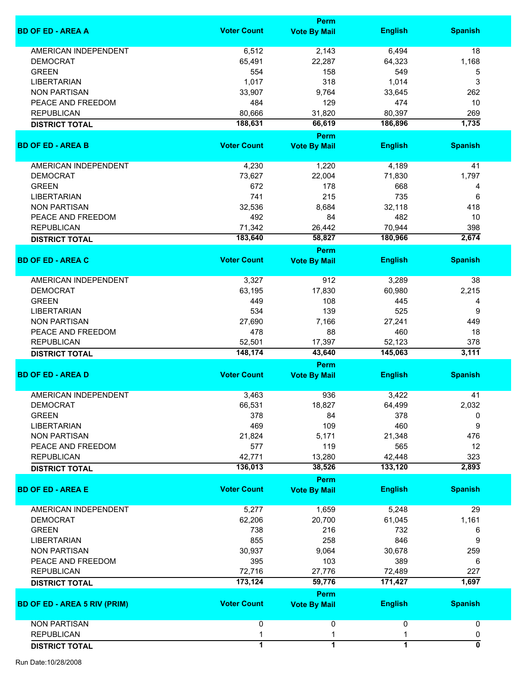|                                     |                    | <b>Perm</b>                 |                   |                           |
|-------------------------------------|--------------------|-----------------------------|-------------------|---------------------------|
| <b>BD OF ED - AREA A</b>            | <b>Voter Count</b> | <b>Vote By Mail</b>         | <b>English</b>    | <b>Spanish</b>            |
| <b>AMERICAN INDEPENDENT</b>         | 6,512              | 2,143                       | 6,494             | 18                        |
| <b>DEMOCRAT</b>                     | 65,491             | 22,287                      | 64,323            | 1,168                     |
| <b>GREEN</b>                        | 554                | 158                         | 549               | 5                         |
| <b>LIBERTARIAN</b>                  |                    |                             |                   |                           |
|                                     | 1,017              | 318                         | 1,014             | 3                         |
| <b>NON PARTISAN</b>                 | 33,907             | 9,764                       | 33,645            | 262                       |
| PEACE AND FREEDOM                   | 484                | 129                         | 474               | 10                        |
| <b>REPUBLICAN</b>                   | 80,666             | 31,820                      | 80,397            | 269                       |
| <b>DISTRICT TOTAL</b>               | 188,631            | 66,619                      | 186,896           | 1,735                     |
| <b>BD OF ED - AREA B</b>            | <b>Voter Count</b> | Perm<br><b>Vote By Mail</b> | <b>English</b>    | <b>Spanish</b>            |
|                                     |                    |                             |                   |                           |
| AMERICAN INDEPENDENT                | 4,230              | 1,220                       | 4,189             | 41                        |
| <b>DEMOCRAT</b>                     | 73,627             | 22,004                      | 71,830            | 1,797                     |
| <b>GREEN</b>                        | 672                | 178                         | 668               | 4                         |
| <b>LIBERTARIAN</b>                  | 741                | 215                         | 735               | 6                         |
| <b>NON PARTISAN</b>                 | 32,536             | 8,684                       | 32,118            | 418                       |
| PEACE AND FREEDOM                   | 492                | 84                          | 482               | 10                        |
| <b>REPUBLICAN</b>                   | 71,342             | 26,442                      | 70,944            | 398                       |
|                                     | 183,640            | 58,827                      | 180,966           | 2,674                     |
| <b>DISTRICT TOTAL</b>               |                    | Perm                        |                   |                           |
| <b>BD OF ED - AREA C</b>            | <b>Voter Count</b> | <b>Vote By Mail</b>         | <b>English</b>    | <b>Spanish</b>            |
|                                     |                    |                             |                   |                           |
| AMERICAN INDEPENDENT                | 3,327              | 912                         | 3,289             | 38                        |
| <b>DEMOCRAT</b>                     | 63,195             | 17,830                      | 60,980            | 2,215                     |
| <b>GREEN</b>                        | 449                | 108                         | 445               | 4                         |
| <b>LIBERTARIAN</b>                  | 534                | 139                         | 525               | 9                         |
| <b>NON PARTISAN</b>                 | 27,690             | 7,166                       | 27,241            | 449                       |
| PEACE AND FREEDOM                   | 478                | 88                          | 460               | 18                        |
| <b>REPUBLICAN</b>                   | 52,501             | 17,397                      | 52,123            | 378                       |
| <b>DISTRICT TOTAL</b>               | 148,174            | 43,640                      | 145,063           | 3,111                     |
|                                     |                    | <b>Perm</b>                 |                   |                           |
| <b>BD OF ED - AREA D</b>            | <b>Voter Count</b> | <b>Vote By Mail</b>         | <b>English</b>    | <b>Spanish</b>            |
| <b>AMERICAN INDEPENDENT</b>         | 3,463              | 936                         | 3,422             | 41                        |
| <b>DEMOCRAT</b>                     | 66,531             | 18,827                      | 64,499            | 2,032                     |
| <b>GREEN</b>                        | 378                | 84                          | 378               | 0                         |
| <b>LIBERTARIAN</b>                  | 469                | 109                         | 460               | 9                         |
| <b>NON PARTISAN</b>                 | 21,824             | 5,171                       | 21,348            | 476                       |
|                                     |                    |                             |                   |                           |
| PEACE AND FREEDOM                   | 577                | 119                         | 565               | 12                        |
| <b>REPUBLICAN</b>                   | 42,771<br>136,013  | 13,280<br>38,526            | 42,448<br>133,120 | 323<br>2,893              |
| <b>DISTRICT TOTAL</b>               |                    | Perm                        |                   |                           |
| <b>BD OF ED - AREA E</b>            | <b>Voter Count</b> | <b>Vote By Mail</b>         | <b>English</b>    | <b>Spanish</b>            |
| <b>AMERICAN INDEPENDENT</b>         | 5,277              | 1,659                       | 5,248             | 29                        |
|                                     |                    |                             |                   |                           |
| <b>DEMOCRAT</b>                     | 62,206             | 20,700                      | 61,045            | 1,161                     |
| <b>GREEN</b>                        | 738                | 216                         | 732               | 6                         |
| <b>LIBERTARIAN</b>                  | 855                | 258                         | 846               | 9                         |
| <b>NON PARTISAN</b>                 | 30,937             | 9,064                       | 30,678            | 259                       |
| PEACE AND FREEDOM                   | 395                | 103                         | 389               | 6                         |
| <b>REPUBLICAN</b>                   | 72,716             | 27,776                      | 72,489            | 227                       |
| <b>DISTRICT TOTAL</b>               | 173,124            | 59,776                      | 171,427           | 1,697                     |
|                                     |                    | Perm                        |                   |                           |
| <b>BD OF ED - AREA 5 RIV (PRIM)</b> | <b>Voter Count</b> | <b>Vote By Mail</b>         | <b>English</b>    | <b>Spanish</b>            |
| <b>NON PARTISAN</b>                 | 0                  | 0                           | 0                 | 0                         |
| <b>REPUBLICAN</b>                   | 1                  | 1                           | 1                 | 0                         |
|                                     | $\overline{1}$     | $\overline{1}$              | $\overline{1}$    | $\overline{\mathfrak{o}}$ |
| <b>DISTRICT TOTAL</b>               |                    |                             |                   |                           |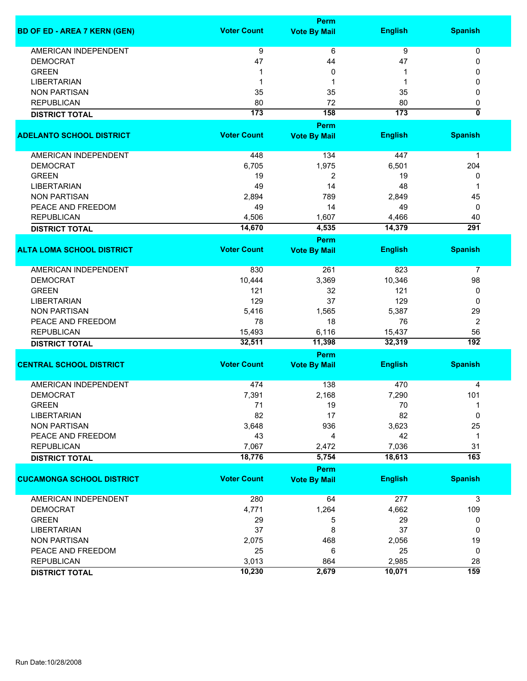|                                     |                    | Perm                |                  |                           |
|-------------------------------------|--------------------|---------------------|------------------|---------------------------|
| <b>BD OF ED - AREA 7 KERN (GEN)</b> | <b>Voter Count</b> | <b>Vote By Mail</b> | <b>English</b>   | <b>Spanish</b>            |
| <b>AMERICAN INDEPENDENT</b>         | 9                  | 6                   | 9                | 0                         |
| <b>DEMOCRAT</b>                     | 47                 | 44                  | 47               | 0                         |
| <b>GREEN</b>                        | 1                  | 0                   | 1                | 0                         |
| <b>LIBERTARIAN</b>                  | 1                  | 1                   | 1                | 0                         |
| <b>NON PARTISAN</b>                 | 35                 | 35                  | 35               | 0                         |
| <b>REPUBLICAN</b>                   | 80                 | 72                  | 80               | 0                         |
|                                     | 173                | 158                 | $\overline{173}$ | $\overline{\mathfrak{o}}$ |
| <b>DISTRICT TOTAL</b>               |                    | Perm                |                  |                           |
| <b>ADELANTO SCHOOL DISTRICT</b>     | <b>Voter Count</b> |                     | <b>English</b>   | <b>Spanish</b>            |
|                                     |                    | <b>Vote By Mail</b> |                  |                           |
| AMERICAN INDEPENDENT                | 448                | 134                 | 447              | 1                         |
| <b>DEMOCRAT</b>                     | 6,705              | 1,975               | 6,501            | 204                       |
| <b>GREEN</b>                        | 19                 | 2                   | 19               | 0                         |
| <b>LIBERTARIAN</b>                  | 49                 | 14                  | 48               | 1                         |
| <b>NON PARTISAN</b>                 | 2,894              | 789                 |                  |                           |
|                                     |                    |                     | 2,849            | 45                        |
| PEACE AND FREEDOM                   | 49                 | 14                  | 49               | 0                         |
| <b>REPUBLICAN</b>                   | 4,506<br>14,670    | 1,607<br>4,535      | 4,466<br>14,379  | 40<br>$\overline{291}$    |
| <b>DISTRICT TOTAL</b>               |                    |                     |                  |                           |
|                                     |                    | Perm                |                  |                           |
| <b>ALTA LOMA SCHOOL DISTRICT</b>    | <b>Voter Count</b> | <b>Vote By Mail</b> | <b>English</b>   | <b>Spanish</b>            |
| <b>AMERICAN INDEPENDENT</b>         | 830                | 261                 | 823              | $\overline{7}$            |
| <b>DEMOCRAT</b>                     | 10,444             | 3,369               | 10,346           | 98                        |
| <b>GREEN</b>                        | 121                | 32                  | 121              | 0                         |
| <b>LIBERTARIAN</b>                  | 129                | 37                  | 129              | 0                         |
| <b>NON PARTISAN</b>                 | 5,416              | 1,565               | 5,387            | 29                        |
| PEACE AND FREEDOM                   | 78                 | 18                  | 76               | 2                         |
| <b>REPUBLICAN</b>                   | 15,493             | 6,116               | 15,437           | 56                        |
|                                     | 32,511             | 11,398              | 32,319           | $\overline{192}$          |
| <b>DISTRICT TOTAL</b>               |                    |                     |                  |                           |
| <b>CENTRAL SCHOOL DISTRICT</b>      | <b>Voter Count</b> | Perm                | <b>English</b>   | <b>Spanish</b>            |
|                                     |                    | <b>Vote By Mail</b> |                  |                           |
| <b>AMERICAN INDEPENDENT</b>         | 474                | 138                 | 470              | 4                         |
| <b>DEMOCRAT</b>                     | 7,391              | 2,168               | 7,290            | 101                       |
| <b>GREEN</b>                        | 71                 | 19                  | 70               | 1                         |
| <b>LIBERTARIAN</b>                  | 82                 | 17                  | 82               | 0                         |
| <b>NON PARTISAN</b>                 | 3,648              | 936                 | 3,623            | 25                        |
| PEACE AND FREEDOM                   | 43                 | 4                   | 42               | $\mathbf 1$               |
| <b>REPUBLICAN</b>                   | 7,067              | 2,472               | 7,036            | 31                        |
| <b>DISTRICT TOTAL</b>               | 18,776             | 5,754               | 18,613           | $\overline{163}$          |
|                                     |                    | Perm                |                  |                           |
| <b>CUCAMONGA SCHOOL DISTRICT</b>    | <b>Voter Count</b> | <b>Vote By Mail</b> | <b>English</b>   | <b>Spanish</b>            |
|                                     |                    |                     |                  |                           |
| AMERICAN INDEPENDENT                | 280                | 64                  | 277              | 3                         |
| <b>DEMOCRAT</b>                     | 4,771              | 1,264               | 4,662            | 109                       |
| <b>GREEN</b>                        | 29                 | 5                   | 29               | 0                         |
| <b>LIBERTARIAN</b>                  | 37                 | 8                   | 37               | 0                         |
| <b>NON PARTISAN</b>                 | 2,075              | 468                 | 2,056            | 19                        |
| PEACE AND FREEDOM                   | 25                 | 6                   | 25               | 0                         |
| <b>REPUBLICAN</b>                   | 3,013              | 864                 | 2,985            | 28                        |
|                                     | 10,230             | 2,679               | 10,071           | 159                       |
| <b>DISTRICT TOTAL</b>               |                    |                     |                  |                           |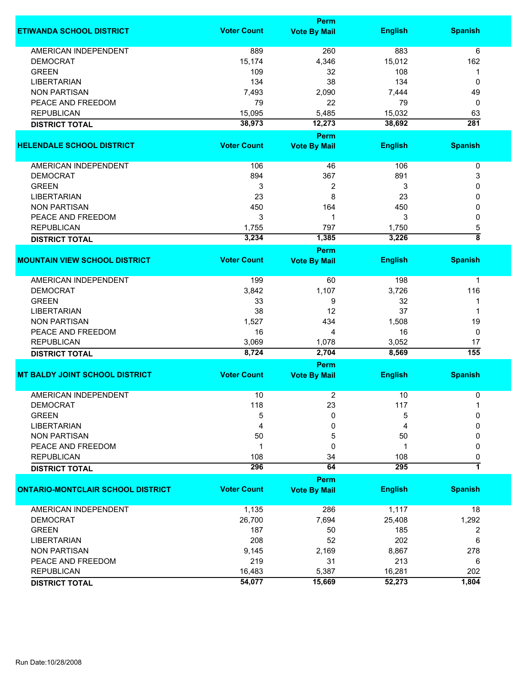|                                          |                    | <b>Perm</b>                 |                |                    |
|------------------------------------------|--------------------|-----------------------------|----------------|--------------------|
| <b>ETIWANDA SCHOOL DISTRICT</b>          | <b>Voter Count</b> | <b>Vote By Mail</b>         | <b>English</b> | <b>Spanish</b>     |
| AMERICAN INDEPENDENT                     | 889                | 260                         | 883            | 6                  |
| <b>DEMOCRAT</b>                          | 15,174             | 4,346                       | 15,012         | 162                |
| <b>GREEN</b>                             | 109                | 32                          | 108            | 1                  |
| <b>LIBERTARIAN</b>                       | 134                | 38                          | 134            | 0                  |
| <b>NON PARTISAN</b>                      | 7,493              | 2,090                       | 7,444          | 49                 |
| PEACE AND FREEDOM                        | 79                 | 22                          | 79             | 0                  |
| <b>REPUBLICAN</b>                        | 15,095             | 5,485                       | 15,032         | 63                 |
|                                          | 38,973             | 12,273                      | 38,692         | $\overline{281}$   |
| <b>DISTRICT TOTAL</b>                    |                    | <b>Perm</b>                 |                |                    |
| <b>HELENDALE SCHOOL DISTRICT</b>         | <b>Voter Count</b> |                             | <b>English</b> | <b>Spanish</b>     |
|                                          |                    | <b>Vote By Mail</b>         |                |                    |
| AMERICAN INDEPENDENT                     | 106                | 46                          | 106            | $\pmb{0}$          |
| <b>DEMOCRAT</b>                          | 894                | 367                         | 891            | 3                  |
| <b>GREEN</b>                             | 3                  | 2                           | 3              | 0                  |
| <b>LIBERTARIAN</b>                       | 23                 | 8                           | 23             | 0                  |
| <b>NON PARTISAN</b>                      | 450                | 164                         | 450            | 0                  |
| PEACE AND FREEDOM                        | 3                  | $\mathbf 1$                 | 3              | 0                  |
| <b>REPUBLICAN</b>                        | 1,755              | 797                         | 1,750          | 5                  |
|                                          | 3,234              | 1,385                       | 3,226          | $\overline{\bf 8}$ |
| <b>DISTRICT TOTAL</b>                    |                    |                             |                |                    |
| <b>MOUNTAIN VIEW SCHOOL DISTRICT</b>     | <b>Voter Count</b> | Perm<br><b>Vote By Mail</b> | <b>English</b> | <b>Spanish</b>     |
|                                          |                    |                             |                |                    |
| <b>AMERICAN INDEPENDENT</b>              | 199                | 60                          | 198            | 1                  |
| <b>DEMOCRAT</b>                          | 3,842              | 1,107                       | 3,726          | 116                |
| <b>GREEN</b>                             | 33                 | 9                           | 32             | 1                  |
| <b>LIBERTARIAN</b>                       | 38                 | 12                          | 37             | 1                  |
| <b>NON PARTISAN</b>                      | 1,527              | 434                         | 1,508          | 19                 |
| PEACE AND FREEDOM                        | 16                 | 4                           | 16             | 0                  |
| <b>REPUBLICAN</b>                        | 3,069              | 1,078                       | 3,052          | 17                 |
| <b>DISTRICT TOTAL</b>                    | 8,724              | 2,704                       | 8,569          | $\overline{155}$   |
|                                          |                    | Perm                        |                |                    |
| <b>MT BALDY JOINT SCHOOL DISTRICT</b>    | <b>Voter Count</b> | <b>Vote By Mail</b>         | <b>English</b> | <b>Spanish</b>     |
|                                          |                    |                             |                |                    |
| <b>AMERICAN INDEPENDENT</b>              | 10                 | 2                           | 10             | 0                  |
| <b>DEMOCRAT</b>                          | 118                | 23                          | 117            |                    |
| <b>GREEN</b>                             | 5                  | 0                           | 5              | 0                  |
| <b>LIBERTARIAN</b>                       | 4                  | 0                           | 4              | 0                  |
| <b>NON PARTISAN</b>                      | 50                 | 5                           | 50             | 0                  |
| PEACE AND FREEDOM                        | 1                  | 0                           | 1              | 0                  |
| <b>REPUBLICAN</b>                        | 108                | 34                          | 108            | 0                  |
| <b>DISTRICT TOTAL</b>                    | 296                | 64                          | 295            | 1                  |
|                                          |                    | Perm                        |                |                    |
| <b>ONTARIO-MONTCLAIR SCHOOL DISTRICT</b> | <b>Voter Count</b> | <b>Vote By Mail</b>         | <b>English</b> | <b>Spanish</b>     |
| <b>AMERICAN INDEPENDENT</b>              | 1,135              | 286                         | 1,117          | 18                 |
| <b>DEMOCRAT</b>                          | 26,700             | 7,694                       | 25,408         | 1,292              |
| <b>GREEN</b>                             | 187                | 50                          | 185            | 2                  |
| <b>LIBERTARIAN</b>                       | 208                | 52                          | 202            | 6                  |
| <b>NON PARTISAN</b>                      | 9,145              | 2,169                       | 8,867          | 278                |
| PEACE AND FREEDOM                        | 219                | 31                          | 213            | 6                  |
| <b>REPUBLICAN</b>                        | 16,483             | 5,387                       | 16,281         | 202                |
|                                          | 54,077             | 15,669                      | 52,273         | 1,804              |
| <b>DISTRICT TOTAL</b>                    |                    |                             |                |                    |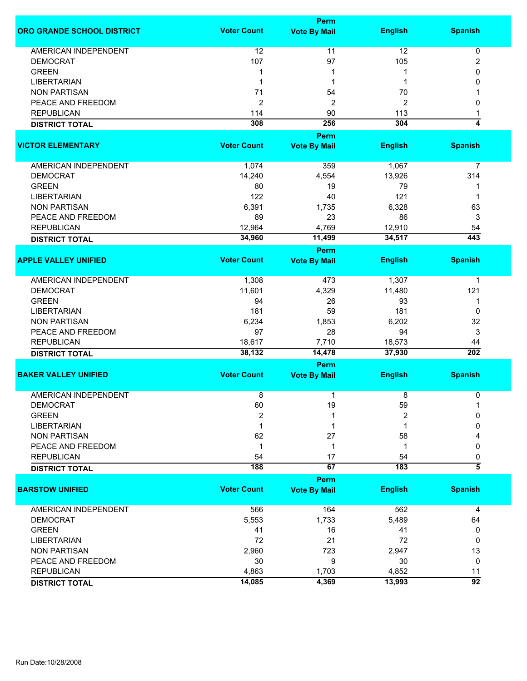|                                   |                    | Perm                        |                |                         |  |  |
|-----------------------------------|--------------------|-----------------------------|----------------|-------------------------|--|--|
| <b>ORO GRANDE SCHOOL DISTRICT</b> | <b>Voter Count</b> | <b>Vote By Mail</b>         | <b>English</b> | <b>Spanish</b>          |  |  |
| <b>AMERICAN INDEPENDENT</b>       | 12                 | 11                          | 12             | 0                       |  |  |
| <b>DEMOCRAT</b>                   | 107                | 97                          | 105            | 2                       |  |  |
| <b>GREEN</b>                      | 1                  |                             |                | 0                       |  |  |
| <b>LIBERTARIAN</b>                | 1                  | 1                           |                | 0                       |  |  |
| <b>NON PARTISAN</b>               | 71                 | 54                          | 70             |                         |  |  |
| PEACE AND FREEDOM                 |                    |                             |                |                         |  |  |
|                                   | 2                  | $\overline{c}$              | 2              | 0                       |  |  |
| <b>REPUBLICAN</b>                 | 114                | 90                          | 113            | 1                       |  |  |
| <b>DISTRICT TOTAL</b>             | 308                | 256                         | 304            | $\overline{\mathbf{4}}$ |  |  |
|                                   |                    | Perm                        |                |                         |  |  |
| <b>VICTOR ELEMENTARY</b>          | <b>Voter Count</b> | <b>Vote By Mail</b>         | <b>English</b> | <b>Spanish</b>          |  |  |
| AMERICAN INDEPENDENT              | 1,074              | 359                         | 1,067          | 7                       |  |  |
| <b>DEMOCRAT</b>                   | 14,240             | 4,554                       | 13,926         | 314                     |  |  |
| <b>GREEN</b>                      | 80                 | 19                          | 79             | 1                       |  |  |
| <b>LIBERTARIAN</b>                | 122                | 40                          | 121            | -1                      |  |  |
| <b>NON PARTISAN</b>               | 6,391              | 1,735                       | 6,328          | 63                      |  |  |
| PEACE AND FREEDOM                 | 89                 | 23                          | 86             | 3                       |  |  |
| <b>REPUBLICAN</b>                 | 12,964             | 4,769                       | 12,910         | 54                      |  |  |
|                                   | 34,960             | 11,499                      | 34,517         | 443                     |  |  |
| <b>DISTRICT TOTAL</b>             |                    |                             |                |                         |  |  |
| <b>APPLE VALLEY UNIFIED</b>       | <b>Voter Count</b> | Perm<br><b>Vote By Mail</b> | <b>English</b> | <b>Spanish</b>          |  |  |
|                                   |                    |                             |                |                         |  |  |
| <b>AMERICAN INDEPENDENT</b>       | 1,308              | 473                         | 1,307          | 1                       |  |  |
| <b>DEMOCRAT</b>                   | 11,601             | 4,329                       | 11,480         | 121                     |  |  |
| <b>GREEN</b>                      | 94                 | 26                          | 93             | 1                       |  |  |
| <b>LIBERTARIAN</b>                | 181                | 59                          | 181            | 0                       |  |  |
| <b>NON PARTISAN</b>               | 6,234              | 1,853                       | 6,202          | 32                      |  |  |
| PEACE AND FREEDOM                 | 97                 | 28                          | 94             | 3                       |  |  |
| <b>REPUBLICAN</b>                 | 18,617             | 7,710                       | 18,573         | 44                      |  |  |
| <b>DISTRICT TOTAL</b>             | 38,132             | 14,478                      | 37,930         | 202                     |  |  |
|                                   | Perm               |                             |                |                         |  |  |
| <b>BAKER VALLEY UNIFIED</b>       | <b>Voter Count</b> | <b>Vote By Mail</b>         | <b>English</b> | <b>Spanish</b>          |  |  |
| <b>AMERICAN INDEPENDENT</b>       | 8                  | 1                           | 8              | 0                       |  |  |
| <b>DEMOCRAT</b>                   | 60                 | 19                          | 59             | -1                      |  |  |
| <b>GREEN</b>                      | $\overline{2}$     |                             | $\overline{2}$ | $\Omega$                |  |  |
| <b>LIBERTARIAN</b>                |                    |                             |                | <sup>0</sup>            |  |  |
| <b>NON PARTISAN</b>               | 62                 | 27                          | 58             |                         |  |  |
| PEACE AND FREEDOM                 | $\mathbf 1$        | 1                           | 1              | 0                       |  |  |
| <b>REPUBLICAN</b>                 | 54                 | 17                          | 54             | 0                       |  |  |
| <b>DISTRICT TOTAL</b>             | 188                | 67                          | 183            | $\overline{\bf 5}$      |  |  |
|                                   |                    | Perm                        |                |                         |  |  |
| <b>BARSTOW UNIFIED</b>            | <b>Voter Count</b> | <b>Vote By Mail</b>         | <b>English</b> | <b>Spanish</b>          |  |  |
| <b>AMERICAN INDEPENDENT</b>       | 566                | 164                         | 562            | 4                       |  |  |
| <b>DEMOCRAT</b>                   | 5,553              | 1,733                       | 5,489          | 64                      |  |  |
| <b>GREEN</b>                      | 41                 | 16                          | 41             | 0                       |  |  |
| <b>LIBERTARIAN</b>                | 72                 | 21                          | 72             | 0                       |  |  |
| <b>NON PARTISAN</b>               |                    |                             |                |                         |  |  |
|                                   | 2,960              | 723                         | 2,947          | 13                      |  |  |
| PEACE AND FREEDOM                 | 30                 | 9                           | 30             | 0                       |  |  |
| <b>REPUBLICAN</b>                 | 4,863              | 1,703                       | 4,852          | 11                      |  |  |
| <b>DISTRICT TOTAL</b>             | 14,085             | 4,369                       | 13,993         | $\overline{92}$         |  |  |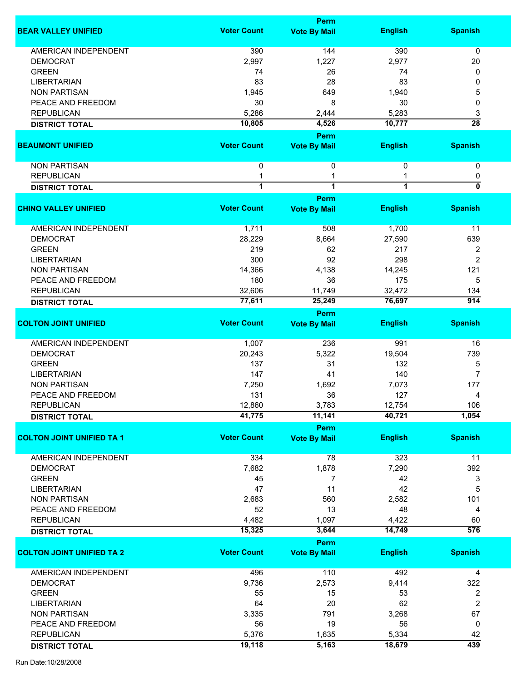|                                  |                         | <b>Perm</b>                 |                |                  |
|----------------------------------|-------------------------|-----------------------------|----------------|------------------|
| <b>BEAR VALLEY UNIFIED</b>       | <b>Voter Count</b>      | <b>Vote By Mail</b>         | <b>English</b> | <b>Spanish</b>   |
| <b>AMERICAN INDEPENDENT</b>      | 390                     | 144                         | 390            | 0                |
| <b>DEMOCRAT</b>                  | 2,997                   | 1,227                       | 2,977          | 20               |
| <b>GREEN</b>                     | 74                      | 26                          | 74             | 0                |
| <b>LIBERTARIAN</b>               | 83                      | 28                          | 83             | 0                |
|                                  |                         |                             |                |                  |
| <b>NON PARTISAN</b>              | 1,945                   | 649                         | 1,940          | 5                |
| PEACE AND FREEDOM                | 30                      | 8                           | 30             | 0                |
| <b>REPUBLICAN</b>                | 5,286                   | 2,444                       | 5,283          | 3                |
| <b>DISTRICT TOTAL</b>            | 10,805                  | 4,526                       | 10,777         | $\overline{28}$  |
| <b>BEAUMONT UNIFIED</b>          | <b>Voter Count</b>      | Perm<br><b>Vote By Mail</b> | <b>English</b> | <b>Spanish</b>   |
|                                  |                         |                             |                |                  |
| <b>NON PARTISAN</b>              | $\mathbf 0$             | 0                           | $\mathbf{0}$   | 0                |
| <b>REPUBLICAN</b>                | 1                       | 1                           |                | 0                |
| <b>DISTRICT TOTAL</b>            | $\overline{\mathbf{1}}$ | $\overline{1}$              | 1              | 0                |
|                                  |                         | Perm                        |                |                  |
| <b>CHINO VALLEY UNIFIED</b>      | <b>Voter Count</b>      | <b>Vote By Mail</b>         | <b>English</b> | <b>Spanish</b>   |
| <b>AMERICAN INDEPENDENT</b>      | 1,711                   | 508                         | 1,700          | 11               |
| <b>DEMOCRAT</b>                  | 28,229                  | 8,664                       | 27,590         | 639              |
| <b>GREEN</b>                     | 219                     | 62                          | 217            | 2                |
| <b>LIBERTARIAN</b>               | 300                     | 92                          | 298            | $\overline{2}$   |
| <b>NON PARTISAN</b>              | 14,366                  | 4,138                       | 14,245         | 121              |
|                                  |                         |                             |                |                  |
| PEACE AND FREEDOM                | 180                     | 36                          | 175            | 5                |
| <b>REPUBLICAN</b>                | 32,606                  | 11,749                      | 32,472         | 134              |
| <b>DISTRICT TOTAL</b>            | 77,611                  | 25,249                      | 76,697         | $\overline{914}$ |
|                                  |                         | Perm                        |                |                  |
| <b>COLTON JOINT UNIFIED</b>      | <b>Voter Count</b>      | <b>Vote By Mail</b>         | <b>English</b> | <b>Spanish</b>   |
| AMERICAN INDEPENDENT             | 1,007                   | 236                         | 991            | 16               |
| <b>DEMOCRAT</b>                  | 20,243                  | 5,322                       | 19,504         | 739              |
| <b>GREEN</b>                     | 137                     | 31                          | 132            | 5                |
| <b>LIBERTARIAN</b>               | 147                     | 41                          | 140            | $\overline{7}$   |
| <b>NON PARTISAN</b>              | 7,250                   | 1,692                       | 7,073          | 177              |
|                                  |                         |                             |                |                  |
| PEACE AND FREEDOM                | 131                     | 36                          | 127            | 4                |
| <b>REPUBLICAN</b>                | 12,860                  | 3,783                       | 12,754         | 106              |
| <b>DISTRICT TOTAL</b>            | 41,775                  | 11,141                      | 40,721         | 1,054            |
| <b>COLTON JOINT UNIFIED TA 1</b> | <b>Voter Count</b>      | Perm<br><b>Vote By Mail</b> | <b>English</b> | <b>Spanish</b>   |
|                                  |                         |                             |                |                  |
| <b>AMERICAN INDEPENDENT</b>      | 334                     | 78                          | 323            | 11               |
| <b>DEMOCRAT</b>                  | 7,682                   | 1,878                       | 7,290          | 392              |
| <b>GREEN</b>                     | 45                      | 7                           | 42             | 3                |
| <b>LIBERTARIAN</b>               | 47                      | 11                          | 42             | 5                |
| <b>NON PARTISAN</b>              | 2,683                   | 560                         | 2,582          | 101              |
| PEACE AND FREEDOM                | 52                      | 13                          | 48             | 4                |
| <b>REPUBLICAN</b>                | 4,482                   | 1,097                       | 4,422          | 60               |
| <b>DISTRICT TOTAL</b>            | 15,325                  | 3,644                       | 14,749         | $\overline{576}$ |
|                                  |                         | Perm                        |                |                  |
| <b>COLTON JOINT UNIFIED TA 2</b> | <b>Voter Count</b>      | <b>Vote By Mail</b>         | <b>English</b> | <b>Spanish</b>   |
|                                  |                         |                             |                |                  |
| <b>AMERICAN INDEPENDENT</b>      | 496                     | 110                         | 492            | 4                |
| <b>DEMOCRAT</b>                  | 9,736                   | 2,573                       | 9,414          | 322              |
| <b>GREEN</b>                     | 55                      | 15                          | 53             | 2                |
| <b>LIBERTARIAN</b>               | 64                      | 20                          | 62             | 2                |
| <b>NON PARTISAN</b>              | 3,335                   | 791                         | 3,268          | 67               |
| PEACE AND FREEDOM                | 56                      | 19                          | 56             | 0                |
| <b>REPUBLICAN</b>                | 5,376                   | 1,635                       | 5,334          | 42               |
|                                  | 19,118                  | 5,163                       | 18,679         | 439              |
| <b>DISTRICT TOTAL</b>            |                         |                             |                |                  |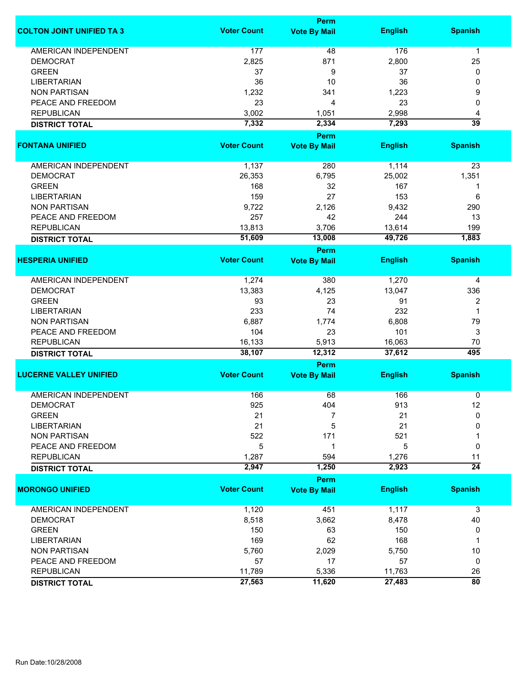|                                  |                    | <b>Perm</b>                 |                |                       |  |  |  |
|----------------------------------|--------------------|-----------------------------|----------------|-----------------------|--|--|--|
| <b>COLTON JOINT UNIFIED TA 3</b> | <b>Voter Count</b> | <b>Vote By Mail</b>         | <b>English</b> | <b>Spanish</b>        |  |  |  |
| <b>AMERICAN INDEPENDENT</b>      | 177                | 48                          | 176            | $\mathbf{1}$          |  |  |  |
| <b>DEMOCRAT</b>                  | 2,825              | 871                         | 2,800          | 25                    |  |  |  |
| <b>GREEN</b>                     | 37                 | 9                           | 37             | 0                     |  |  |  |
| <b>LIBERTARIAN</b>               | 36                 | 10                          | 36             | 0                     |  |  |  |
| <b>NON PARTISAN</b>              | 1,232              | 341                         | 1,223          | 9                     |  |  |  |
| PEACE AND FREEDOM                | 23                 |                             | 23             |                       |  |  |  |
|                                  |                    | 4                           |                | 0                     |  |  |  |
| <b>REPUBLICAN</b>                | 3,002              | 1,051                       | 2,998          | 4                     |  |  |  |
| <b>DISTRICT TOTAL</b>            | 7,332              | 2,334<br><b>Perm</b>        | 7,293          | $\overline{39}$       |  |  |  |
| <b>FONTANA UNIFIED</b>           | <b>Voter Count</b> | <b>Vote By Mail</b>         | <b>English</b> | <b>Spanish</b>        |  |  |  |
|                                  |                    |                             |                |                       |  |  |  |
| AMERICAN INDEPENDENT             | 1,137              | 280                         | 1,114          | 23                    |  |  |  |
| <b>DEMOCRAT</b>                  | 26,353             | 6,795                       | 25,002         | 1,351                 |  |  |  |
| <b>GREEN</b>                     | 168                | 32                          | 167            | 1                     |  |  |  |
| <b>LIBERTARIAN</b>               | 159                | 27                          | 153            | 6                     |  |  |  |
| <b>NON PARTISAN</b>              | 9,722              | 2,126                       | 9,432          | 290                   |  |  |  |
| PEACE AND FREEDOM                | 257                | 42                          | 244            | 13                    |  |  |  |
| <b>REPUBLICAN</b>                | 13,813             | 3,706                       | 13,614         | 199                   |  |  |  |
| <b>DISTRICT TOTAL</b>            | 51,609             | 13,008                      | 49,726         | 1,883                 |  |  |  |
|                                  |                    | <b>Perm</b>                 |                |                       |  |  |  |
| <b>HESPERIA UNIFIED</b>          | <b>Voter Count</b> | <b>Vote By Mail</b>         | <b>English</b> | <b>Spanish</b>        |  |  |  |
| <b>AMERICAN INDEPENDENT</b>      | 1,274              | 380                         | 1,270          | 4                     |  |  |  |
| <b>DEMOCRAT</b>                  | 13,383             | 4,125                       | 13,047         | 336                   |  |  |  |
| <b>GREEN</b>                     | 93                 | 23                          | 91             | $\overline{2}$        |  |  |  |
| <b>LIBERTARIAN</b>               | 233                | 74                          | 232            | 1                     |  |  |  |
| <b>NON PARTISAN</b>              | 6,887              | 1,774                       | 6,808          | 79                    |  |  |  |
| PEACE AND FREEDOM                | 104                | 23                          | 101            | 3                     |  |  |  |
| <b>REPUBLICAN</b>                | 16,133             | 5,913                       | 16,063         | 70                    |  |  |  |
| <b>DISTRICT TOTAL</b>            | 38,107             | 12,312                      | 37,612         | 495                   |  |  |  |
|                                  |                    | Perm                        |                |                       |  |  |  |
| <b>LUCERNE VALLEY UNIFIED</b>    | <b>Voter Count</b> | <b>Vote By Mail</b>         | <b>English</b> | <b>Spanish</b>        |  |  |  |
| <b>AMERICAN INDEPENDENT</b>      | 166                | 68                          | 166            | 0                     |  |  |  |
| <b>DEMOCRAT</b>                  | 925                | 404                         | 913            | 12                    |  |  |  |
| <b>GREEN</b>                     | 21                 | 7                           | 21             | 0                     |  |  |  |
| <b>LIBERTARIAN</b>               | 21                 | 5                           | 21             | 0                     |  |  |  |
| <b>NON PARTISAN</b>              | 522                | 171                         | 521            |                       |  |  |  |
| PEACE AND FREEDOM                | 5                  | 1                           | 5              | 0                     |  |  |  |
|                                  |                    |                             |                |                       |  |  |  |
| <b>REPUBLICAN</b>                | 1,287<br>2,947     | 594<br>1,250                | 1,276<br>2,923 | 11<br>$\overline{24}$ |  |  |  |
| <b>DISTRICT TOTAL</b>            |                    |                             |                |                       |  |  |  |
| <b>MORONGO UNIFIED</b>           | <b>Voter Count</b> | Perm<br><b>Vote By Mail</b> | <b>English</b> | <b>Spanish</b>        |  |  |  |
| <b>AMERICAN INDEPENDENT</b>      | 1,120              | 451                         | 1,117          | 3                     |  |  |  |
| <b>DEMOCRAT</b>                  | 8,518              | 3,662                       | 8,478          | 40                    |  |  |  |
| <b>GREEN</b>                     | 150                | 63                          | 150            | 0                     |  |  |  |
| <b>LIBERTARIAN</b>               | 169                | 62                          | 168            | 1                     |  |  |  |
| <b>NON PARTISAN</b>              | 5,760              | 2,029                       | 5,750          | 10                    |  |  |  |
| PEACE AND FREEDOM                | 57                 | 17                          | 57             | 0                     |  |  |  |
|                                  |                    |                             |                |                       |  |  |  |
| <b>REPUBLICAN</b>                | 11,789             | 5,336                       | 11,763         | 26                    |  |  |  |
| <b>DISTRICT TOTAL</b>            | 27,563             | 11,620                      | 27,483         | $\overline{80}$       |  |  |  |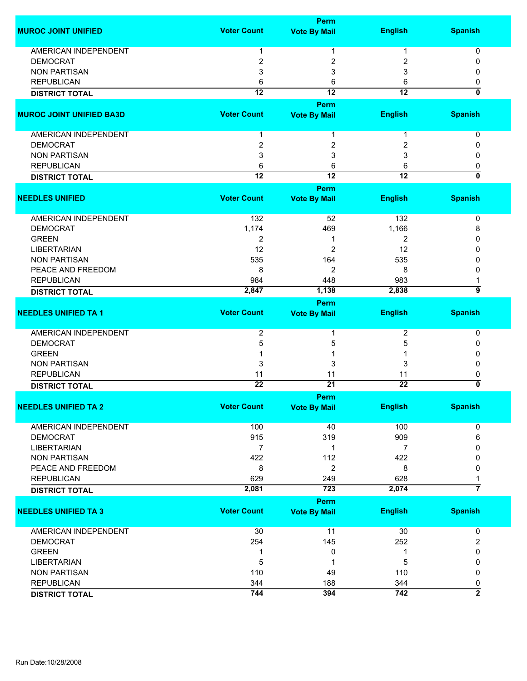|                                 |                    | <b>Perm</b>         |                 |                           |
|---------------------------------|--------------------|---------------------|-----------------|---------------------------|
| <b>MUROC JOINT UNIFIED</b>      | <b>Voter Count</b> | <b>Vote By Mail</b> | <b>English</b>  | <b>Spanish</b>            |
|                                 |                    |                     |                 |                           |
| AMERICAN INDEPENDENT            | 1                  | 1                   | 1               | 0                         |
| <b>DEMOCRAT</b>                 | 2                  | 2                   | 2               | 0                         |
| <b>NON PARTISAN</b>             | 3                  | 3                   | 3               | 0                         |
| <b>REPUBLICAN</b>               | 6                  | 6                   | 6               | 0                         |
| <b>DISTRICT TOTAL</b>           | $\overline{12}$    | $\overline{12}$     | $\overline{12}$ | 0                         |
|                                 |                    | Perm                |                 |                           |
| <b>MUROC JOINT UNIFIED BA3D</b> | <b>Voter Count</b> | <b>Vote By Mail</b> | <b>English</b>  | <b>Spanish</b>            |
| AMERICAN INDEPENDENT            | 1                  | 1                   | 1               | 0                         |
| <b>DEMOCRAT</b>                 | $\overline{2}$     | 2                   | 2               | 0                         |
| <b>NON PARTISAN</b>             | 3                  | 3                   | 3               | 0                         |
| <b>REPUBLICAN</b>               | 6                  | 6                   | 6               | 0                         |
| <b>DISTRICT TOTAL</b>           | $\overline{12}$    | $\overline{12}$     | $\overline{12}$ | $\overline{\mathfrak{o}}$ |
|                                 |                    | Perm                |                 |                           |
| <b>NEEDLES UNIFIED</b>          | <b>Voter Count</b> | <b>Vote By Mail</b> | <b>English</b>  | <b>Spanish</b>            |
|                                 |                    |                     |                 |                           |
| <b>AMERICAN INDEPENDENT</b>     | 132                | 52                  | 132             | 0                         |
| <b>DEMOCRAT</b>                 | 1,174              | 469                 | 1,166           | 8                         |
| <b>GREEN</b>                    | $\overline{2}$     | 1                   | 2               | 0                         |
| <b>LIBERTARIAN</b>              | 12                 | 2                   | 12              | 0                         |
| <b>NON PARTISAN</b>             | 535                | 164                 | 535             | 0                         |
| PEACE AND FREEDOM               | 8                  | 2                   | 8               | 0                         |
| <b>REPUBLICAN</b>               | 984                | 448                 | 983             |                           |
| <b>DISTRICT TOTAL</b>           | 2,847              | 1,138               | 2,838           | ॿ                         |
|                                 |                    | <b>Perm</b>         |                 |                           |
| <b>NEEDLES UNIFIED TA 1</b>     | <b>Voter Count</b> | <b>Vote By Mail</b> | <b>English</b>  | <b>Spanish</b>            |
|                                 |                    |                     |                 |                           |
| <b>AMERICAN INDEPENDENT</b>     | 2                  | 1                   | $\overline{2}$  | 0                         |
| <b>DEMOCRAT</b>                 | 5                  | 5                   | 5               | 0                         |
| <b>GREEN</b>                    |                    |                     |                 | 0                         |
| <b>NON PARTISAN</b>             | 3                  | 3                   | 3               | 0                         |
| <b>REPUBLICAN</b>               | 11                 | 11                  | 11              | 0                         |
| <b>DISTRICT TOTAL</b>           | $\overline{22}$    | $\overline{21}$     | $\overline{22}$ | 0                         |
|                                 |                    | <b>Perm</b>         |                 |                           |
| <b>NEEDLES UNIFIED TA 2</b>     | <b>Voter Count</b> | <b>Vote By Mail</b> | <b>English</b>  | <b>Spanish</b>            |
|                                 |                    |                     |                 |                           |
| <b>AMERICAN INDEPENDENT</b>     | 100                | 40                  | 100             | 0                         |
| <b>DEMOCRAT</b>                 | 915                | 319                 | 909             | 6                         |
| <b>LIBERTARIAN</b>              | 7                  | 1                   | 7               | 0                         |
| <b>NON PARTISAN</b>             | 422                | 112                 | 422             | 0                         |
| PEACE AND FREEDOM               | 8                  | $\overline{2}$      | 8               | 0                         |
| <b>REPUBLICAN</b>               | 629                | 249                 | 628             | 1                         |
| <b>DISTRICT TOTAL</b>           | 2,081              | 723                 | 2,074           | 7                         |
|                                 |                    | <b>Perm</b>         |                 |                           |
| <b>NEEDLES UNIFIED TA 3</b>     | <b>Voter Count</b> | <b>Vote By Mail</b> | <b>English</b>  | <b>Spanish</b>            |
| AMERICAN INDEPENDENT            | 30                 | 11                  | 30              | 0                         |
| <b>DEMOCRAT</b>                 | 254                | 145                 | 252             | 2                         |
| <b>GREEN</b>                    | 1                  | 0                   | 1               | 0                         |
| <b>LIBERTARIAN</b>              | 5                  | 1                   | 5               | 0                         |
| <b>NON PARTISAN</b>             |                    |                     |                 |                           |
|                                 | 110                | 49                  | 110             | 0                         |
| <b>REPUBLICAN</b>               | 344                | 188                 | 344             | 0<br>$\overline{2}$       |
| <b>DISTRICT TOTAL</b>           | 744                | 394                 | 742             |                           |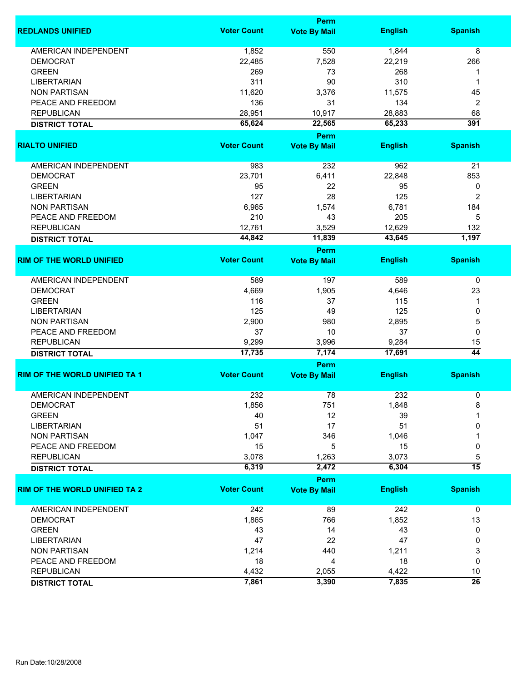|                                      |                    | Perm                |                |                 |  |  |
|--------------------------------------|--------------------|---------------------|----------------|-----------------|--|--|
| <b>REDLANDS UNIFIED</b>              | <b>Voter Count</b> | <b>Vote By Mail</b> | <b>English</b> | <b>Spanish</b>  |  |  |
| <b>AMERICAN INDEPENDENT</b>          | 1,852              | 550                 | 1,844          | 8               |  |  |
| <b>DEMOCRAT</b>                      | 22,485             | 7,528               | 22,219         | 266             |  |  |
| <b>GREEN</b>                         | 269                | 73                  | 268            | 1               |  |  |
| <b>LIBERTARIAN</b>                   | 311                | 90                  | 310            | 1               |  |  |
| <b>NON PARTISAN</b>                  | 11,620             | 3,376               | 11,575         | 45              |  |  |
| PEACE AND FREEDOM                    | 136                | 31                  | 134            | 2               |  |  |
| <b>REPUBLICAN</b>                    | 28,951             | 10,917              | 28,883         | 68              |  |  |
| <b>DISTRICT TOTAL</b>                | 65,624             | 22,565              | 65,233         | 391             |  |  |
|                                      |                    | Perm                |                |                 |  |  |
| <b>RIALTO UNIFIED</b>                | <b>Voter Count</b> | <b>Vote By Mail</b> | <b>English</b> | <b>Spanish</b>  |  |  |
| AMERICAN INDEPENDENT                 | 983                | 232                 | 962            | 21              |  |  |
| <b>DEMOCRAT</b>                      | 23,701             | 6,411               | 22,848         | 853             |  |  |
|                                      |                    |                     |                |                 |  |  |
| <b>GREEN</b>                         | 95                 | 22                  | 95             | 0               |  |  |
| <b>LIBERTARIAN</b>                   | 127                | 28                  | 125            | 2               |  |  |
| <b>NON PARTISAN</b>                  | 6,965              | 1,574               | 6,781          | 184             |  |  |
| PEACE AND FREEDOM                    | 210                | 43                  | 205            | 5               |  |  |
| <b>REPUBLICAN</b>                    | 12,761             | 3,529               | 12,629         | 132             |  |  |
| <b>DISTRICT TOTAL</b>                | 44,842             | 11,839              | 43,645         | 1,197           |  |  |
|                                      |                    | <b>Perm</b>         |                |                 |  |  |
| <b>RIM OF THE WORLD UNIFIED</b>      | <b>Voter Count</b> | <b>Vote By Mail</b> | <b>English</b> | <b>Spanish</b>  |  |  |
| <b>AMERICAN INDEPENDENT</b>          | 589                | 197                 | 589            | $\mathbf 0$     |  |  |
| <b>DEMOCRAT</b>                      | 4,669              | 1,905               | 4,646          | 23              |  |  |
| <b>GREEN</b>                         | 116                | 37                  | 115            | 1               |  |  |
| <b>LIBERTARIAN</b>                   | 125                | 49                  | 125            | 0               |  |  |
| <b>NON PARTISAN</b>                  | 2,900              | 980                 | 2,895          | 5               |  |  |
| PEACE AND FREEDOM                    | 37                 | 10                  | 37             | 0               |  |  |
| <b>REPUBLICAN</b>                    | 9,299              | 3,996               | 9,284          | 15              |  |  |
| <b>DISTRICT TOTAL</b>                | 17,735             | 7,174               | 17,691         | $\overline{44}$ |  |  |
|                                      |                    | Perm                |                |                 |  |  |
| <b>RIM OF THE WORLD UNIFIED TA 1</b> | <b>Voter Count</b> | <b>Vote By Mail</b> | <b>English</b> | <b>Spanish</b>  |  |  |
| <b>AMERICAN INDEPENDENT</b>          | 232                | 78                  | 232            | 0               |  |  |
| DEMOCRAT                             | 1,856              | 751                 | 1,848          | 8               |  |  |
| <b>GREEN</b>                         | 40                 | 12                  | 39             | 1               |  |  |
| <b>LIBERTARIAN</b>                   | 51                 | 17                  | 51             | 0               |  |  |
| <b>NON PARTISAN</b>                  | 1,047              | 346                 | 1,046          |                 |  |  |
| PEACE AND FREEDOM                    | 15                 | 5                   | 15             | 0               |  |  |
| <b>REPUBLICAN</b>                    | 3,078              | 1,263               | 3,073          | 5               |  |  |
| <b>DISTRICT TOTAL</b>                | 6,319              | 2,472               | 6,304          | $\overline{15}$ |  |  |
|                                      |                    | Perm                |                |                 |  |  |
| <b>RIM OF THE WORLD UNIFIED TA 2</b> | <b>Voter Count</b> | <b>Vote By Mail</b> | <b>English</b> | <b>Spanish</b>  |  |  |
| <b>AMERICAN INDEPENDENT</b>          | 242                | 89                  | 242            | $\mathbf 0$     |  |  |
|                                      |                    |                     |                |                 |  |  |
| <b>DEMOCRAT</b>                      | 1,865              | 766                 | 1,852          | 13              |  |  |
| <b>GREEN</b>                         | 43                 | 14                  | 43             | 0               |  |  |
| <b>LIBERTARIAN</b>                   | 47                 | 22                  | 47             | 0               |  |  |
| <b>NON PARTISAN</b>                  | 1,214              | 440                 | 1,211          | 3               |  |  |
| PEACE AND FREEDOM                    | 18                 | 4                   | 18             | 0               |  |  |
| <b>REPUBLICAN</b>                    | 4,432              | 2,055               | 4,422          | 10              |  |  |
| <b>DISTRICT TOTAL</b>                | 7,861              | 3,390               | 7,835          | $\overline{26}$ |  |  |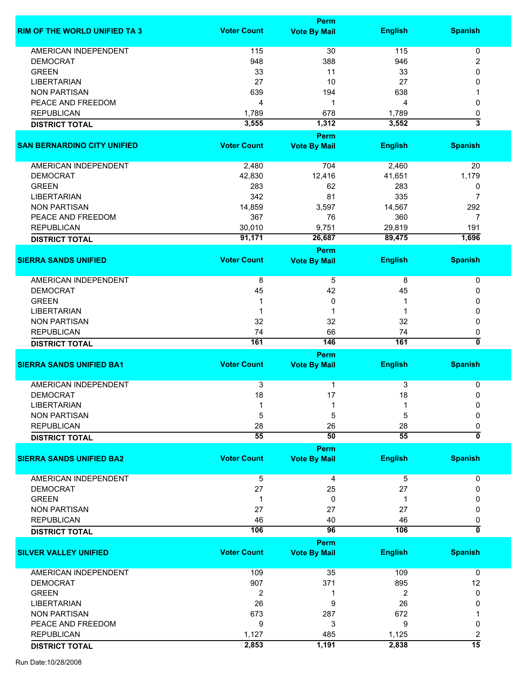|                                      |                    | Perm                        |                |                         |
|--------------------------------------|--------------------|-----------------------------|----------------|-------------------------|
| <b>RIM OF THE WORLD UNIFIED TA 3</b> | <b>Voter Count</b> | <b>Vote By Mail</b>         | <b>English</b> | <b>Spanish</b>          |
| <b>AMERICAN INDEPENDENT</b>          | 115                | 30                          | 115            | 0                       |
| <b>DEMOCRAT</b>                      | 948                | 388                         | 946            | 2                       |
| <b>GREEN</b>                         | 33                 | 11                          | 33             | 0                       |
| <b>LIBERTARIAN</b>                   | 27                 | 10                          | 27             | 0                       |
| <b>NON PARTISAN</b>                  | 639                | 194                         | 638            |                         |
| PEACE AND FREEDOM                    | 4                  | 1                           | 4              | 0                       |
| <b>REPUBLICAN</b>                    | 1,789              | 678                         | 1,789          | 0                       |
| <b>DISTRICT TOTAL</b>                | 3,555              | 1,312                       | 3,552          | $\overline{\mathbf{3}}$ |
|                                      |                    | Perm                        |                |                         |
| <b>SAN BERNARDINO CITY UNIFIED</b>   | <b>Voter Count</b> | <b>Vote By Mail</b>         | <b>English</b> | <b>Spanish</b>          |
|                                      |                    |                             |                |                         |
| AMERICAN INDEPENDENT                 | 2,480              | 704                         | 2,460          | 20                      |
| <b>DEMOCRAT</b>                      | 42,830             | 12,416                      | 41,651         | 1,179                   |
| <b>GREEN</b>                         | 283                | 62                          | 283            | 0                       |
| <b>LIBERTARIAN</b>                   | 342                | 81                          | 335            | 7                       |
| <b>NON PARTISAN</b>                  | 14,859             | 3,597                       | 14,567         | 292                     |
| PEACE AND FREEDOM                    | 367                | 76                          | 360            | $\overline{7}$          |
| <b>REPUBLICAN</b>                    | 30,010             | 9,751                       | 29,819         | 191                     |
| <b>DISTRICT TOTAL</b>                | 91,171             | 26,687                      | 89,475         | 1,696                   |
|                                      |                    | Perm                        |                |                         |
| <b>SIERRA SANDS UNIFIED</b>          | <b>Voter Count</b> | <b>Vote By Mail</b>         | <b>English</b> | <b>Spanish</b>          |
| AMERICAN INDEPENDENT                 | 8                  | 5                           | 8              | $\pmb{0}$               |
| <b>DEMOCRAT</b>                      | 45                 | 42                          | 45             | 0                       |
|                                      |                    | 0                           |                |                         |
| <b>GREEN</b>                         |                    |                             |                | 0                       |
| <b>LIBERTARIAN</b>                   |                    |                             |                | 0                       |
| <b>NON PARTISAN</b>                  | 32                 | 32                          | 32             | 0                       |
| <b>REPUBLICAN</b>                    | 74                 | 66                          | 74             | 0                       |
| <b>DISTRICT TOTAL</b>                | 161                | 146                         | 161            | 0                       |
| <b>SIERRA SANDS UNIFIED BA1</b>      | <b>Voter Count</b> | Perm                        |                | <b>Spanish</b>          |
|                                      |                    | <b>Vote By Mail</b>         | <b>English</b> |                         |
| <b>AMERICAN INDEPENDENT</b>          | 3                  | 1                           | 3              | 0                       |
| <b>DEMOCRAT</b>                      | 18                 | 17                          | 18             | 0                       |
| <b>LIBERTARIAN</b>                   |                    |                             |                | 0                       |
| <b>NON PARTISAN</b>                  | 5                  | 5                           | 5              | 0                       |
| <b>REPUBLICAN</b>                    | 28                 | 26                          | 28             | 0                       |
| <b>DISTRICT TOTAL</b>                | 55                 | 50                          | 55             | $\overline{\mathbf{0}}$ |
|                                      |                    | Perm                        |                |                         |
| <b>SIERRA SANDS UNIFIED BA2</b>      | <b>Voter Count</b> | <b>Vote By Mail</b>         | <b>English</b> | <b>Spanish</b>          |
| <b>AMERICAN INDEPENDENT</b>          | 5                  | 4                           | 5              | 0                       |
| <b>DEMOCRAT</b>                      | 27                 | 25                          | 27             | 0                       |
| <b>GREEN</b>                         |                    |                             |                |                         |
|                                      | 1                  | 0                           |                |                         |
| <b>NON PARTISAN</b>                  | 27                 | 27                          | 27             | 0                       |
| <b>REPUBLICAN</b>                    | 46                 | 40                          | 46             | 0                       |
| <b>DISTRICT TOTAL</b>                | 106                | 96                          | 106            | 0                       |
| <b>SILVER VALLEY UNIFIED</b>         | <b>Voter Count</b> | Perm<br><b>Vote By Mail</b> | <b>English</b> | <b>Spanish</b>          |
|                                      |                    |                             |                |                         |
| AMERICAN INDEPENDENT                 | 109                | 35                          | 109            | 0                       |
| <b>DEMOCRAT</b>                      | 907                | 371                         | 895            | 12                      |
| <b>GREEN</b>                         | 2                  | 1                           | 2              | 0                       |
| <b>LIBERTARIAN</b>                   | 26                 | 9                           | 26             | 0                       |
| <b>NON PARTISAN</b>                  | 673                | 287                         | 672            |                         |
| PEACE AND FREEDOM                    | 9                  | 3                           | 9              | 0                       |
| <b>REPUBLICAN</b>                    | 1,127              | 485                         | 1,125          | 2                       |
|                                      | 2,853              | 1,191                       | 2,838          | $\overline{15}$         |
| <b>DISTRICT TOTAL</b>                |                    |                             |                |                         |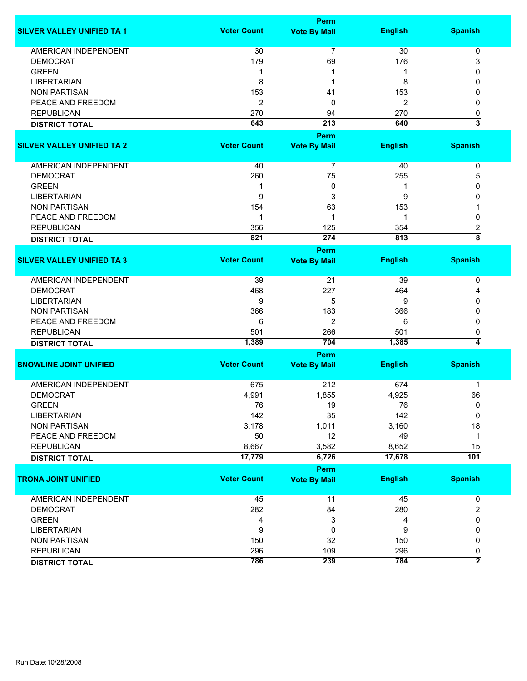|                                   |                    | Perm                |                |                                |
|-----------------------------------|--------------------|---------------------|----------------|--------------------------------|
| <b>SILVER VALLEY UNIFIED TA 1</b> | <b>Voter Count</b> | <b>Vote By Mail</b> | <b>English</b> | <b>Spanish</b>                 |
| <b>AMERICAN INDEPENDENT</b>       | 30                 | $\overline{7}$      | 30             | 0                              |
| <b>DEMOCRAT</b>                   | 179                | 69                  | 176            | 3                              |
| <b>GREEN</b>                      | 1                  |                     | 1              | 0                              |
| <b>LIBERTARIAN</b>                | 8                  | 1                   | 8              | 0                              |
| <b>NON PARTISAN</b>               | 153                | 41                  | 153            | 0                              |
| PEACE AND FREEDOM                 | 2                  | 0                   | $\overline{2}$ | 0                              |
|                                   |                    |                     |                |                                |
| <b>REPUBLICAN</b>                 | 270                | 94                  | 270            | 0                              |
| <b>DISTRICT TOTAL</b>             | 643                | 213                 | 640            | $\overline{\mathbf{3}}$        |
|                                   |                    | <b>Perm</b>         |                |                                |
| <b>SILVER VALLEY UNIFIED TA 2</b> | <b>Voter Count</b> | <b>Vote By Mail</b> | <b>English</b> | <b>Spanish</b>                 |
| AMERICAN INDEPENDENT              | 40                 | 7                   | 40             | 0                              |
| <b>DEMOCRAT</b>                   | 260                | 75                  | 255            | 5                              |
| <b>GREEN</b>                      | 1                  | 0                   | 1              | 0                              |
| <b>LIBERTARIAN</b>                | 9                  | 3                   | 9              | 0                              |
| <b>NON PARTISAN</b>               | 154                | 63                  | 153            |                                |
| PEACE AND FREEDOM                 | 1                  | 1                   | 1              | 0                              |
|                                   |                    |                     |                |                                |
| <b>REPUBLICAN</b>                 | 356                | 125                 | 354            | 2<br>$\overline{\overline{8}}$ |
| <b>DISTRICT TOTAL</b>             | 821                | 274                 | 813            |                                |
|                                   |                    | Perm                |                |                                |
| <b>SILVER VALLEY UNIFIED TA 3</b> | <b>Voter Count</b> | <b>Vote By Mail</b> | <b>English</b> | <b>Spanish</b>                 |
| <b>AMERICAN INDEPENDENT</b>       | 39                 | 21                  | 39             | 0                              |
| <b>DEMOCRAT</b>                   | 468                | 227                 | 464            | 4                              |
| <b>LIBERTARIAN</b>                | 9                  | 5                   | 9              | 0                              |
| <b>NON PARTISAN</b>               | 366                | 183                 | 366            | 0                              |
| PEACE AND FREEDOM                 | 6                  | $\overline{2}$      | 6              | 0                              |
| <b>REPUBLICAN</b>                 | 501                | 266                 | 501            | 0                              |
| <b>DISTRICT TOTAL</b>             | 1,389              | 704                 | 1,385          | 4                              |
|                                   |                    | Perm                |                |                                |
| <b>SNOWLINE JOINT UNIFIED</b>     | <b>Voter Count</b> | <b>Vote By Mail</b> | <b>English</b> | <b>Spanish</b>                 |
| <b>AMERICAN INDEPENDENT</b>       | 675                | 212                 | 674            | $\mathbf{1}$                   |
|                                   |                    |                     |                |                                |
| <b>DEMOCRAT</b>                   | 4,991              | 1,855               | 4,925          | 66                             |
| <b>GREEN</b>                      | 76                 | 19                  | 76             | 0                              |
| <b>LIBERTARIAN</b>                | 142                | 35                  | 142            | $\mathbf 0$                    |
| <b>NON PARTISAN</b>               | 3,178              | 1,011               | 3,160          | 18                             |
| PEACE AND FREEDOM                 | 50                 | 12                  | 49             | $\mathbf 1$                    |
| <b>REPUBLICAN</b>                 | 8,667              | 3,582               | 8,652          | 15                             |
| <b>DISTRICT TOTAL</b>             | 17,779             | 6,726               | 17,678         | $\overline{101}$               |
|                                   |                    | Perm                |                |                                |
| <b>TRONA JOINT UNIFIED</b>        | <b>Voter Count</b> | <b>Vote By Mail</b> | <b>English</b> | <b>Spanish</b>                 |
| <b>AMERICAN INDEPENDENT</b>       | 45                 | 11                  | 45             | 0                              |
| <b>DEMOCRAT</b>                   | 282                | 84                  | 280            | $\overline{\mathbf{c}}$        |
| <b>GREEN</b>                      | 4                  | 3                   | 4              | 0                              |
| <b>LIBERTARIAN</b>                | 9                  | 0                   | 9              | 0                              |
|                                   |                    |                     |                |                                |
| <b>NON PARTISAN</b>               | 150                | 32                  | 150            | 0                              |
| <b>REPUBLICAN</b>                 | 296                | 109                 | 296            | 0                              |
| <b>DISTRICT TOTAL</b>             | 786                | 239                 | 784            | $\overline{2}$                 |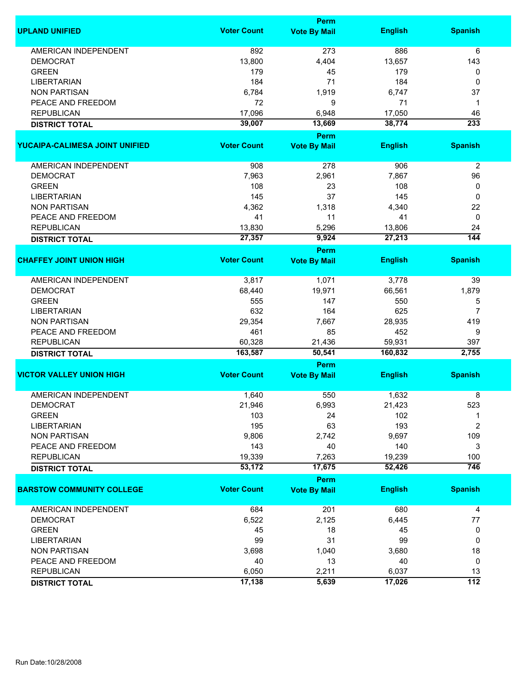|                                  | Perm               |                                    |                   |                  |
|----------------------------------|--------------------|------------------------------------|-------------------|------------------|
| <b>UPLAND UNIFIED</b>            | <b>Voter Count</b> | <b>Vote By Mail</b>                | <b>English</b>    | <b>Spanish</b>   |
| <b>AMERICAN INDEPENDENT</b>      | 892                | 273                                | 886               | 6                |
| <b>DEMOCRAT</b>                  | 13,800             | 4,404                              | 13,657            | 143              |
| <b>GREEN</b>                     | 179                | 45                                 | 179               | 0                |
| <b>LIBERTARIAN</b>               | 184                | 71                                 | 184               | 0                |
| <b>NON PARTISAN</b>              | 6,784              | 1,919                              | 6,747             | 37               |
| PEACE AND FREEDOM                |                    |                                    |                   |                  |
|                                  | 72                 | 9                                  | 71                | 1                |
| <b>REPUBLICAN</b>                | 17,096             | 6,948                              | 17,050            | 46               |
| <b>DISTRICT TOTAL</b>            | 39,007             | 13,669                             | 38,774            | 233              |
| YUCAIPA-CALIMESA JOINT UNIFIED   | <b>Voter Count</b> | Perm<br><b>Vote By Mail</b>        | <b>English</b>    | <b>Spanish</b>   |
|                                  |                    |                                    |                   |                  |
| AMERICAN INDEPENDENT             | 908                | 278                                | 906               | $\overline{2}$   |
| <b>DEMOCRAT</b>                  | 7,963              | 2,961                              | 7,867             | 96               |
| <b>GREEN</b>                     | 108                | 23                                 | 108               | 0                |
| <b>LIBERTARIAN</b>               | 145                | 37                                 | 145               | 0                |
| <b>NON PARTISAN</b>              | 4,362              | 1,318                              | 4,340             | 22               |
| PEACE AND FREEDOM                | 41                 | 11                                 | 41                | 0                |
| <b>REPUBLICAN</b>                | 13,830             | 5,296                              | 13,806            | 24               |
|                                  | 27,357             | 9,924                              | 27,213            | 144              |
| <b>DISTRICT TOTAL</b>            |                    |                                    |                   |                  |
| <b>CHAFFEY JOINT UNION HIGH</b>  | <b>Voter Count</b> | <b>Perm</b><br><b>Vote By Mail</b> | <b>English</b>    | <b>Spanish</b>   |
|                                  |                    |                                    |                   |                  |
| <b>AMERICAN INDEPENDENT</b>      | 3,817              | 1,071                              | 3,778             | 39               |
| <b>DEMOCRAT</b>                  | 68,440             | 19,971                             | 66,561            | 1,879            |
| <b>GREEN</b>                     | 555                | 147                                | 550               | 5                |
| <b>LIBERTARIAN</b>               | 632                | 164                                | 625               | $\overline{7}$   |
| <b>NON PARTISAN</b>              | 29,354             | 7,667                              | 28,935            | 419              |
| PEACE AND FREEDOM                | 461                | 85                                 | 452               | 9                |
|                                  |                    |                                    |                   |                  |
| <b>REPUBLICAN</b>                | 60,328<br>163,587  | 21,436<br>50,541                   | 59,931<br>160,832 | 397<br>2,755     |
| <b>DISTRICT TOTAL</b>            |                    | Perm                               |                   |                  |
| <b>VICTOR VALLEY UNION HIGH</b>  | <b>Voter Count</b> | <b>Vote By Mail</b>                | <b>English</b>    | <b>Spanish</b>   |
|                                  |                    |                                    |                   |                  |
| <b>AMERICAN INDEPENDENT</b>      | 1,640              | 550                                | 1,632             | 8                |
| <b>DEMOCRAT</b>                  | 21,946             | 6,993                              | 21,423            | 523              |
| <b>GREEN</b>                     | 103                | 24                                 | 102               | 1                |
| <b>LIBERTARIAN</b>               | 195                | 63                                 | 193               | $\overline{2}$   |
| <b>NON PARTISAN</b>              | 9,806              | 2,742                              | 9,697             | 109              |
| PEACE AND FREEDOM                | 143                | 40                                 | 140               | 3                |
| <b>REPUBLICAN</b>                | 19,339             | 7,263                              | 19,239            | 100              |
| <b>DISTRICT TOTAL</b>            | 53,172             | 17,675                             | 52,426            | $\overline{746}$ |
|                                  |                    | <b>Perm</b>                        |                   |                  |
| <b>BARSTOW COMMUNITY COLLEGE</b> | <b>Voter Count</b> | <b>Vote By Mail</b>                | <b>English</b>    | <b>Spanish</b>   |
| AMERICAN INDEPENDENT             | 684                | 201                                | 680               | 4                |
| <b>DEMOCRAT</b>                  | 6,522              | 2,125                              | 6,445             | 77               |
| <b>GREEN</b>                     | 45                 | 18                                 | 45                | 0                |
| <b>LIBERTARIAN</b>               | 99                 | 31                                 | 99                | 0                |
| <b>NON PARTISAN</b>              | 3,698              | 1,040                              | 3,680             | 18               |
| PEACE AND FREEDOM                | 40                 | 13                                 | 40                | 0                |
| <b>REPUBLICAN</b>                | 6,050              | 2,211                              | 6,037             | 13               |
|                                  | 17,138             | 5,639                              | 17,026            | $\overline{112}$ |
| <b>DISTRICT TOTAL</b>            |                    |                                    |                   |                  |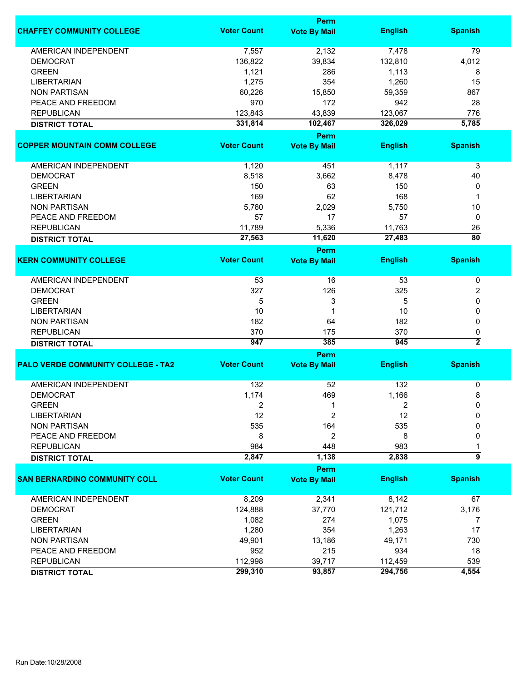|                                           |                    | Perm                        |                |                         |
|-------------------------------------------|--------------------|-----------------------------|----------------|-------------------------|
| <b>CHAFFEY COMMUNITY COLLEGE</b>          | <b>Voter Count</b> | <b>Vote By Mail</b>         | <b>English</b> | <b>Spanish</b>          |
| <b>AMERICAN INDEPENDENT</b>               | 7,557              | 2,132                       | 7,478          | 79                      |
| <b>DEMOCRAT</b>                           | 136,822            | 39,834                      | 132,810        | 4,012                   |
| <b>GREEN</b>                              | 1,121              | 286                         | 1,113          | 8                       |
| <b>LIBERTARIAN</b>                        | 1,275              | 354                         | 1,260          | 15                      |
| <b>NON PARTISAN</b>                       | 60,226             | 15,850                      | 59,359         | 867                     |
| PEACE AND FREEDOM                         | 970                | 172                         | 942            | 28                      |
| <b>REPUBLICAN</b>                         | 123,843            | 43,839                      | 123,067        | 776                     |
| <b>DISTRICT TOTAL</b>                     | 331,814            | 102,467                     | 326,029        | 5,785                   |
|                                           |                    | Perm                        |                |                         |
| <b>COPPER MOUNTAIN COMM COLLEGE</b>       | <b>Voter Count</b> |                             | <b>English</b> |                         |
|                                           |                    | <b>Vote By Mail</b>         |                | <b>Spanish</b>          |
| AMERICAN INDEPENDENT                      | 1,120              | 451                         | 1,117          | 3                       |
| <b>DEMOCRAT</b>                           | 8,518              | 3,662                       | 8,478          | 40                      |
| <b>GREEN</b>                              | 150                | 63                          | 150            | 0                       |
| <b>LIBERTARIAN</b>                        | 169                | 62                          | 168            | 1                       |
| <b>NON PARTISAN</b>                       | 5,760              | 2,029                       | 5,750          | 10                      |
| PEACE AND FREEDOM                         | 57                 | 17                          | 57             | 0                       |
| <b>REPUBLICAN</b>                         | 11,789             | 5,336                       | 11,763         | 26                      |
|                                           | 27,563             | 11,620                      | 27,483         | $\overline{80}$         |
| <b>DISTRICT TOTAL</b>                     |                    | Perm                        |                |                         |
| <b>KERN COMMUNITY COLLEGE</b>             | <b>Voter Count</b> | <b>Vote By Mail</b>         | <b>English</b> | <b>Spanish</b>          |
|                                           |                    |                             |                |                         |
| <b>AMERICAN INDEPENDENT</b>               | 53                 | 16                          | 53             | 0                       |
| <b>DEMOCRAT</b>                           | 327                | 126                         | 325            | 2                       |
| <b>GREEN</b>                              | 5                  | 3                           | 5              | 0                       |
| <b>LIBERTARIAN</b>                        | 10                 | 1                           | 10             | 0                       |
| <b>NON PARTISAN</b>                       | 182                | 64                          | 182            | 0                       |
| <b>REPUBLICAN</b>                         | 370                | 175                         | 370            | 0                       |
| <b>DISTRICT TOTAL</b>                     | 947                | 385                         | 945            | $\overline{\mathbf{2}}$ |
|                                           |                    | Perm                        |                |                         |
| <b>PALO VERDE COMMUNITY COLLEGE - TA2</b> | <b>Voter Count</b> | <b>Vote By Mail</b>         | <b>English</b> | <b>Spanish</b>          |
| <b>AMERICAN INDEPENDENT</b>               | 132                | 52                          | 132            | 0                       |
| <b>DEMOCRAT</b>                           | 1,174              | 469                         | 1,166          | 8                       |
| <b>GREEN</b>                              | 2                  | 1                           | 2              | 0                       |
| LIBERTARIAN                               | 12                 | 2                           | 12             | $\Omega$                |
| <b>NON PARTISAN</b>                       | 535                | 164                         | 535            | 0                       |
| PEACE AND FREEDOM                         | 8                  | 2                           | 8              | 0                       |
| <b>REPUBLICAN</b>                         | 984                | 448                         | 983            |                         |
|                                           | 2,847              | 1,138                       | 2,838          | $\overline{9}$          |
| <b>DISTRICT TOTAL</b>                     |                    |                             |                |                         |
| <b>SAN BERNARDINO COMMUNITY COLL</b>      | <b>Voter Count</b> | Perm<br><b>Vote By Mail</b> | <b>English</b> | <b>Spanish</b>          |
|                                           |                    |                             |                |                         |
| <b>AMERICAN INDEPENDENT</b>               | 8,209              | 2,341                       | 8,142          | 67                      |
| <b>DEMOCRAT</b>                           | 124,888            | 37,770                      | 121,712        | 3,176                   |
| <b>GREEN</b>                              | 1,082              | 274                         | 1,075          | 7                       |
| <b>LIBERTARIAN</b>                        | 1,280              | 354                         | 1,263          | 17                      |
| <b>NON PARTISAN</b>                       | 49,901             | 13,186                      | 49,171         | 730                     |
| PEACE AND FREEDOM                         | 952                | 215                         | 934            | 18                      |
| <b>REPUBLICAN</b>                         | 112,998            | 39,717                      | 112,459        | 539                     |
| <b>DISTRICT TOTAL</b>                     | 299,310            | 93,857                      | 294,756        | 4,554                   |
|                                           |                    |                             |                |                         |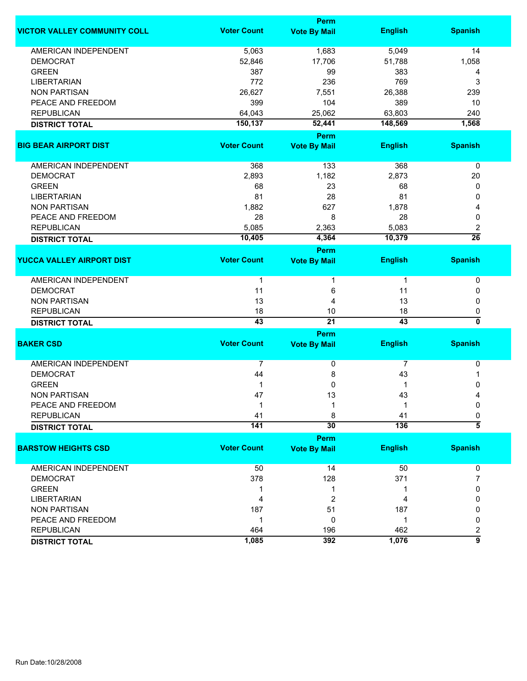|                                     |                    | Perm                        |                 |                         |
|-------------------------------------|--------------------|-----------------------------|-----------------|-------------------------|
| <b>VICTOR VALLEY COMMUNITY COLL</b> | <b>Voter Count</b> | <b>Vote By Mail</b>         | <b>English</b>  | <b>Spanish</b>          |
| AMERICAN INDEPENDENT                | 5,063              | 1,683                       | 5,049           | 14                      |
| <b>DEMOCRAT</b>                     | 52,846             | 17,706                      | 51,788          | 1,058                   |
| <b>GREEN</b>                        | 387                | 99                          | 383             | 4                       |
| <b>LIBERTARIAN</b>                  | 772                | 236                         | 769             | 3                       |
| <b>NON PARTISAN</b>                 | 26,627             | 7,551                       | 26,388          | 239                     |
| PEACE AND FREEDOM                   | 399                | 104                         | 389             | 10                      |
| <b>REPUBLICAN</b>                   | 64,043             | 25,062                      | 63,803          | 240                     |
| <b>DISTRICT TOTAL</b>               | 150,137            | 52,441                      | 148,569         | 1,568                   |
|                                     |                    | Perm                        |                 |                         |
| <b>BIG BEAR AIRPORT DIST</b>        | <b>Voter Count</b> | <b>Vote By Mail</b>         | <b>English</b>  | <b>Spanish</b>          |
| AMERICAN INDEPENDENT                | 368                | 133                         | 368             | 0                       |
| <b>DEMOCRAT</b>                     | 2,893              | 1,182                       | 2,873           | 20                      |
| <b>GREEN</b>                        | 68                 | 23                          | 68              | 0                       |
| <b>LIBERTARIAN</b>                  | 81                 | 28                          | 81              | 0                       |
| <b>NON PARTISAN</b>                 | 1,882              | 627                         | 1,878           | 4                       |
| PEACE AND FREEDOM                   | 28                 | 8                           | 28              | 0                       |
| <b>REPUBLICAN</b>                   | 5,085              | 2,363                       | 5,083           | 2                       |
| <b>DISTRICT TOTAL</b>               | 10,405             | 4,364                       | 10,379          | $\overline{26}$         |
|                                     |                    |                             |                 |                         |
| <b>YUCCA VALLEY AIRPORT DIST</b>    | <b>Voter Count</b> | Perm<br><b>Vote By Mail</b> | <b>English</b>  | <b>Spanish</b>          |
| <b>AMERICAN INDEPENDENT</b>         | 1                  |                             | $\mathbf{1}$    | 0                       |
| <b>DEMOCRAT</b>                     | 11                 | 6                           | 11              | 0                       |
| <b>NON PARTISAN</b>                 | 13                 | 4                           | 13              | 0                       |
| <b>REPUBLICAN</b>                   | 18                 | 10                          | 18              | 0                       |
| <b>DISTRICT TOTAL</b>               | 43                 | $\overline{21}$             | $\overline{43}$ | $\overline{\mathbf{0}}$ |
|                                     |                    | Perm                        |                 |                         |
| <b>BAKER CSD</b>                    | <b>Voter Count</b> | <b>Vote By Mail</b>         | <b>English</b>  | <b>Spanish</b>          |
| <b>AMERICAN INDEPENDENT</b>         | 7                  | 0                           | 7               | 0                       |
| <b>DEMOCRAT</b>                     | 44                 | 8                           | 43              | 1                       |
| <b>GREEN</b>                        | 1                  | 0                           | 1               | 0                       |
| <b>NON PARTISAN</b>                 | 47                 | 13                          | 43              | 4                       |
| PEACE AND FREEDOM                   | 1                  | 1                           | -1              | 0                       |
| <b>REPUBLICAN</b>                   | 41                 | 8                           | 41              | 0                       |
| <b>DISTRICT TOTAL</b>               | 141                | 30                          | 136             | $\overline{\bf 5}$      |
|                                     |                    | Perm                        |                 |                         |
| <b>BARSTOW HEIGHTS CSD</b>          | <b>Voter Count</b> | <b>Vote By Mail</b>         | <b>English</b>  | <b>Spanish</b>          |
| AMERICAN INDEPENDENT                | 50                 | 14                          | 50              | 0                       |
| <b>DEMOCRAT</b>                     | 378                | 128                         | 371             | 7                       |
| <b>GREEN</b>                        | 1                  | 1                           | 1               | 0                       |
| <b>LIBERTARIAN</b>                  | 4                  | 2                           | 4               | 0                       |
| <b>NON PARTISAN</b>                 | 187                | 51                          | 187             | 0                       |
| PEACE AND FREEDOM                   | $\mathbf 1$        | 0                           | $\mathbf{1}$    | 0                       |
| <b>REPUBLICAN</b>                   | 464                | 196                         | 462             | $\overline{\mathbf{c}}$ |
| <b>DISTRICT TOTAL</b>               | 1,085              | 392                         | 1,076           | 9                       |
|                                     |                    |                             |                 |                         |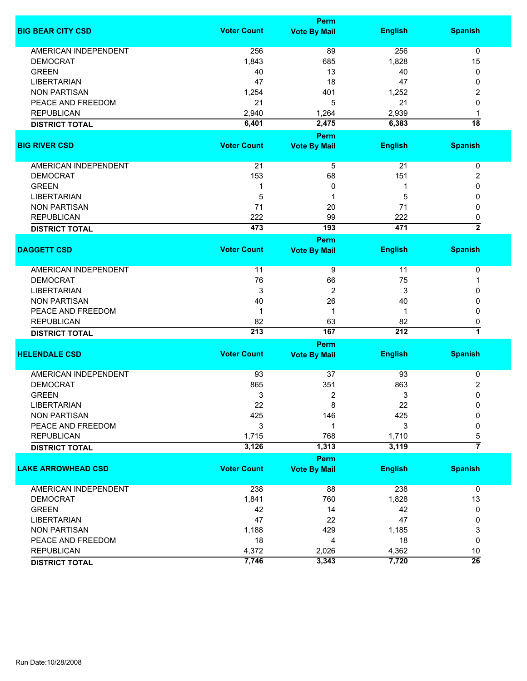|                             |                    | Perm                |                |                         |
|-----------------------------|--------------------|---------------------|----------------|-------------------------|
| <b>BIG BEAR CITY CSD</b>    | <b>Voter Count</b> | <b>Vote By Mail</b> | <b>English</b> | <b>Spanish</b>          |
| <b>AMERICAN INDEPENDENT</b> | 256                | 89                  | 256            | 0                       |
| <b>DEMOCRAT</b>             | 1,843              | 685                 | 1,828          | 15                      |
| <b>GREEN</b>                | 40                 | 13                  | 40             | 0                       |
| <b>LIBERTARIAN</b>          | 47                 | 18                  | 47             | 0                       |
| <b>NON PARTISAN</b>         | 1,254              | 401                 | 1,252          | 2                       |
| PEACE AND FREEDOM           | 21                 |                     | 21             |                         |
| <b>REPUBLICAN</b>           |                    | 5                   |                | 0                       |
|                             | 2,940              | 1,264               | 2,939          | 1                       |
| <b>DISTRICT TOTAL</b>       | 6,401              | 2,475               | 6,383          | $\overline{18}$         |
|                             |                    | Perm                |                |                         |
| <b>BIG RIVER CSD</b>        | <b>Voter Count</b> | <b>Vote By Mail</b> | <b>English</b> | <b>Spanish</b>          |
| AMERICAN INDEPENDENT        | 21                 | 5                   | 21             | $\pmb{0}$               |
| <b>DEMOCRAT</b>             | 153                | 68                  | 151            | 2                       |
| <b>GREEN</b>                | 1                  | 0                   | 1              | 0                       |
| <b>LIBERTARIAN</b>          | 5                  | 1                   | 5              | 0                       |
| <b>NON PARTISAN</b>         |                    |                     | 71             | 0                       |
|                             | 71                 | 20                  |                |                         |
| <b>REPUBLICAN</b>           | 222<br>473         | 99<br>193           | 222<br>471     | 0<br>$\overline{2}$     |
| <b>DISTRICT TOTAL</b>       |                    |                     |                |                         |
| <b>DAGGETT CSD</b>          | <b>Voter Count</b> | <b>Perm</b>         | <b>English</b> | <b>Spanish</b>          |
|                             |                    | <b>Vote By Mail</b> |                |                         |
| AMERICAN INDEPENDENT        | 11                 | 9                   | 11             | 0                       |
| <b>DEMOCRAT</b>             | 76                 | 66                  | 75             | 1                       |
| <b>LIBERTARIAN</b>          | 3                  | 2                   | 3              | 0                       |
| <b>NON PARTISAN</b>         | 40                 | 26                  | 40             | 0                       |
| PEACE AND FREEDOM           | 1                  | 1                   | -1             | 0                       |
| <b>REPUBLICAN</b>           | 82                 | 63                  | 82             | 0                       |
| <b>DISTRICT TOTAL</b>       | 213                | 167                 | 212            | 7                       |
|                             |                    |                     |                |                         |
|                             | <b>Voter Count</b> | Perm                |                |                         |
| <b>HELENDALE CSD</b>        |                    | <b>Vote By Mail</b> | <b>English</b> | <b>Spanish</b>          |
| AMERICAN INDEPENDENT        | 93                 | 37                  | 93             | 0                       |
| <b>DEMOCRAT</b>             | 865                | 351                 | 863            | $\overline{\mathbf{c}}$ |
| <b>GREEN</b>                | 3                  | 2                   | 3              | $\mathbf 0$             |
| LIBERTARIAN                 | 22                 | 8                   | 22             | 0                       |
| <b>NON PARTISAN</b>         | 425                | 146                 | 425            | 0                       |
| PEACE AND FREEDOM           | 3                  | 1                   | 3              | 0                       |
| <b>REPUBLICAN</b>           | 1,715              | 768                 | 1,710          | 5                       |
| <b>DISTRICT TOTAL</b>       | 3,126              | 1,313               | 3,119          | $\overline{7}$          |
|                             |                    |                     |                |                         |
|                             |                    | <b>Perm</b>         |                |                         |
| <b>LAKE ARROWHEAD CSD</b>   | <b>Voter Count</b> | <b>Vote By Mail</b> | <b>English</b> | <b>Spanish</b>          |
| AMERICAN INDEPENDENT        | 238                | 88                  | 238            | $\mathbf 0$             |
| <b>DEMOCRAT</b>             | 1,841              | 760                 | 1,828          | 13                      |
| <b>GREEN</b>                | 42                 | 14                  | 42             | 0                       |
| <b>LIBERTARIAN</b>          | 47                 | 22                  | 47             | 0                       |
| <b>NON PARTISAN</b>         | 1,188              | 429                 | 1,185          | 3                       |
| PEACE AND FREEDOM           | 18                 | 4                   | 18             | 0                       |
| <b>REPUBLICAN</b>           | 4,372              | 2,026               | 4,362          | 10                      |
| <b>DISTRICT TOTAL</b>       | 7,746              | 3,343               | 7,720          | $\overline{26}$         |
|                             |                    |                     |                |                         |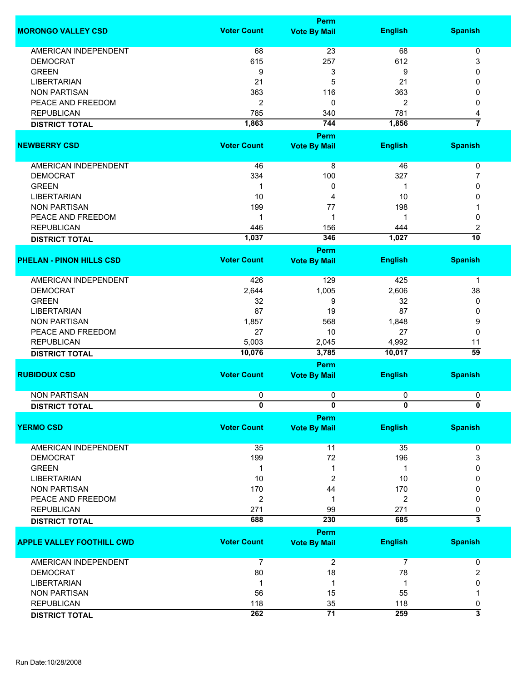|                                  |                    | <b>Perm</b>                        |                |                                |
|----------------------------------|--------------------|------------------------------------|----------------|--------------------------------|
| <b>MORONGO VALLEY CSD</b>        | <b>Voter Count</b> | <b>Vote By Mail</b>                | <b>English</b> | <b>Spanish</b>                 |
| <b>AMERICAN INDEPENDENT</b>      | 68                 | 23                                 | 68             | 0                              |
| <b>DEMOCRAT</b>                  | 615                | 257                                | 612            | 3                              |
| <b>GREEN</b>                     |                    |                                    | 9              |                                |
|                                  | 9                  | 3                                  |                | 0                              |
| <b>LIBERTARIAN</b>               | 21                 | 5                                  | 21             | 0                              |
| <b>NON PARTISAN</b>              | 363                | 116                                | 363            | 0                              |
| PEACE AND FREEDOM                | $\overline{2}$     | 0                                  | $\overline{2}$ | 0                              |
| <b>REPUBLICAN</b>                | 785                | 340                                | 781            | 4                              |
| <b>DISTRICT TOTAL</b>            | 1,863              | 744                                | 1,856          | 7                              |
|                                  |                    | <b>Perm</b>                        |                |                                |
| <b>NEWBERRY CSD</b>              | <b>Voter Count</b> | <b>Vote By Mail</b>                | <b>English</b> | <b>Spanish</b>                 |
| AMERICAN INDEPENDENT             | 46                 | 8                                  | 46             | 0                              |
|                                  |                    |                                    |                |                                |
| <b>DEMOCRAT</b>                  | 334                | 100                                | 327            | 7                              |
| <b>GREEN</b>                     | -1                 | 0                                  | 1              | 0                              |
| <b>LIBERTARIAN</b>               | 10                 | 4                                  | 10             | 0                              |
| <b>NON PARTISAN</b>              | 199                | 77                                 | 198            |                                |
| PEACE AND FREEDOM                | 1                  | 1                                  | 1              | 0                              |
| <b>REPUBLICAN</b>                | 446                | 156                                | 444            | 2                              |
| <b>DISTRICT TOTAL</b>            | 1,037              | 346                                | 1,027          | 10                             |
|                                  |                    | <b>Perm</b>                        |                |                                |
| <b>PHELAN - PINON HILLS CSD</b>  | <b>Voter Count</b> | <b>Vote By Mail</b>                | <b>English</b> | <b>Spanish</b>                 |
|                                  |                    |                                    |                |                                |
| <b>AMERICAN INDEPENDENT</b>      | 426                | 129                                | 425            | $\mathbf 1$                    |
| <b>DEMOCRAT</b>                  | 2,644              | 1,005                              | 2,606          | 38                             |
| <b>GREEN</b>                     | 32                 | 9                                  | 32             | 0                              |
| <b>LIBERTARIAN</b>               | 87                 | 19                                 | 87             | 0                              |
| <b>NON PARTISAN</b>              | 1,857              | 568                                | 1,848          | 9                              |
| PEACE AND FREEDOM                | 27                 | 10                                 | 27             | 0                              |
|                                  |                    |                                    |                |                                |
| <b>REPUBLICAN</b>                | 5,003              | 2,045                              | 4,992          | 11                             |
| <b>DISTRICT TOTAL</b>            | 10,076             | 3,785                              | 10,017         | $\overline{59}$                |
| <b>RUBIDOUX CSD</b>              | <b>Voter Count</b> | <b>Perm</b><br><b>Vote By Mail</b> | <b>English</b> | <b>Spanish</b>                 |
|                                  |                    |                                    |                |                                |
| <b>NON PARTISAN</b>              | 0                  | 0                                  | 0              | 0                              |
| <b>DISTRICT TOTAL</b>            | $\bf{0}$           | U                                  | $\bf{0}$       | 0                              |
|                                  |                    | <b>Perm</b>                        |                |                                |
| <b>YERMO CSD</b>                 | <b>Voter Count</b> | <b>Vote By Mail</b>                | <b>English</b> | <b>Spanish</b>                 |
| AMERICAN INDEPENDENT             | 35                 | 11                                 | 35             | 0                              |
| <b>DEMOCRAT</b>                  | 199                | 72                                 | 196            | 3                              |
| <b>GREEN</b>                     | 1                  | 1                                  | 1              | 0                              |
| <b>LIBERTARIAN</b>               | 10                 | 2                                  | 10             | 0                              |
| <b>NON PARTISAN</b>              | 170                | 44                                 | 170            | 0                              |
| PEACE AND FREEDOM                |                    |                                    |                |                                |
|                                  | $\overline{2}$     | 1                                  | $\overline{2}$ | 0                              |
| <b>REPUBLICAN</b>                | 271                | 99                                 | 271            | 0<br>$\overline{\overline{3}}$ |
| <b>DISTRICT TOTAL</b>            | 688                | 230<br>Perm                        | 685            |                                |
| <b>APPLE VALLEY FOOTHILL CWD</b> | <b>Voter Count</b> | <b>Vote By Mail</b>                | <b>English</b> | <b>Spanish</b>                 |
|                                  |                    |                                    |                |                                |
| AMERICAN INDEPENDENT             | 7                  | $\boldsymbol{2}$                   | $\overline{7}$ | 0                              |
| <b>DEMOCRAT</b>                  | 80                 | 18                                 | 78             | 2                              |
| <b>LIBERTARIAN</b>               | -1                 | 1                                  | 1              | 0                              |
| <b>NON PARTISAN</b>              | 56                 | 15                                 | 55             | 1                              |
| <b>REPUBLICAN</b>                | 118                | 35                                 | 118            | 0                              |
| <b>DISTRICT TOTAL</b>            | 262                | 71                                 | 259            | $\overline{\mathbf{3}}$        |
|                                  |                    |                                    |                |                                |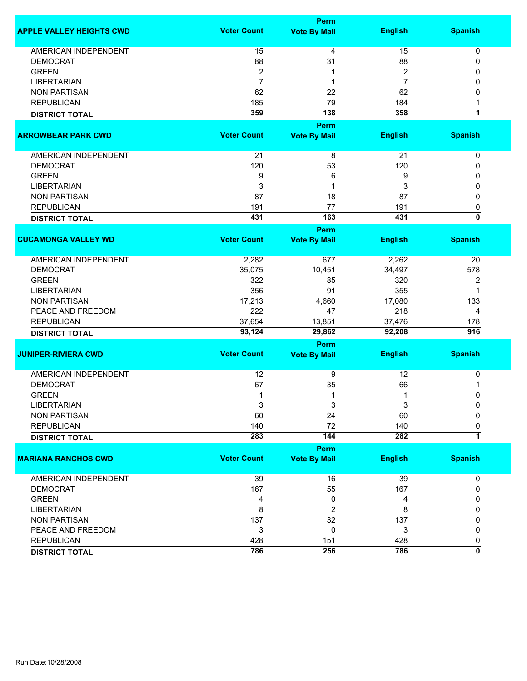| <b>Voter Count</b><br><b>English</b><br><b>Spanish</b><br><b>Vote By Mail</b><br><b>AMERICAN INDEPENDENT</b><br>15<br>4<br>15<br>0<br>88<br><b>DEMOCRAT</b><br>31<br>88<br>0<br>$\overline{2}$<br><b>GREEN</b><br>$\overline{2}$<br>0<br>1<br>$\overline{7}$<br>$\overline{7}$<br><b>LIBERTARIAN</b><br>0<br>1<br><b>NON PARTISAN</b><br>62<br>22<br>62<br>0<br>79<br>184<br><b>REPUBLICAN</b><br>185<br>1<br>7<br>359<br>138<br>358<br><b>DISTRICT TOTAL</b><br><b>Perm</b><br><b>Voter Count</b><br><b>Vote By Mail</b><br><b>English</b><br><b>Spanish</b><br>AMERICAN INDEPENDENT<br>21<br>21<br>8<br>0<br>120<br>53<br>120<br><b>DEMOCRAT</b><br>0<br><b>GREEN</b><br>9<br>6<br>9<br>0<br>3<br><b>LIBERTARIAN</b><br>3<br>1<br>0<br><b>NON PARTISAN</b><br>87<br>18<br>87<br>0<br>77<br><b>REPUBLICAN</b><br>191<br>191<br>0<br>0<br>163<br>431<br>431<br><b>DISTRICT TOTAL</b><br>Perm<br><b>Voter Count</b><br><b>English</b><br><b>Spanish</b><br><b>Vote By Mail</b><br><b>AMERICAN INDEPENDENT</b><br>2,282<br>2,262<br>677<br>20<br>35,075<br>10,451<br>34,497<br>578<br><b>DEMOCRAT</b><br><b>GREEN</b><br>322<br>320<br>85<br>2<br>356<br>355<br><b>LIBERTARIAN</b><br>91<br>1<br><b>NON PARTISAN</b><br>17,080<br>17,213<br>4,660<br>133<br>PEACE AND FREEDOM<br>222<br>218<br>47<br>4<br><b>REPUBLICAN</b><br>37,654<br>37,476<br>13,851<br>178<br>93,124<br>29,862<br>$\overline{916}$<br>92,208<br><b>DISTRICT TOTAL</b><br>Perm<br><b>Voter Count</b><br><b>English</b><br><b>Spanish</b><br><b>Vote By Mail</b><br><b>AMERICAN INDEPENDENT</b><br>12<br>9<br>12<br>0<br>35<br>66<br><b>DEMOCRAT</b><br>67<br>1<br><b>GREEN</b><br>$\mathbf 1$<br>1<br>0<br>1<br><b>LIBERTARIAN</b><br>3<br>3<br>3<br>0<br><b>NON PARTISAN</b><br>60<br>24<br>60<br>0<br><b>REPUBLICAN</b><br>140<br>72<br>140<br>0<br>$\overline{\mathbf{1}}$<br>283<br>144<br>282<br><b>DISTRICT TOTAL</b><br><b>Perm</b><br><b>Voter Count</b><br><b>English</b><br><b>Spanish</b><br><b>MARIANA RANCHOS CWD</b><br><b>Vote By Mail</b><br>39<br>AMERICAN INDEPENDENT<br>16<br>39<br>$\pmb{0}$<br>167<br>55<br><b>DEMOCRAT</b><br>167<br>0<br><b>GREEN</b><br>4<br>0<br>4<br>0<br>8<br>$\boldsymbol{2}$<br><b>LIBERTARIAN</b><br>8<br>0<br>137<br>32<br>137<br><b>NON PARTISAN</b><br>0<br>3<br>0<br>PEACE AND FREEDOM<br>3<br>0<br><b>REPUBLICAN</b><br>428<br>428<br>151<br>0<br>0<br>786<br>256<br>786 |                                 |  | <b>Perm</b> |  |  |  |
|------------------------------------------------------------------------------------------------------------------------------------------------------------------------------------------------------------------------------------------------------------------------------------------------------------------------------------------------------------------------------------------------------------------------------------------------------------------------------------------------------------------------------------------------------------------------------------------------------------------------------------------------------------------------------------------------------------------------------------------------------------------------------------------------------------------------------------------------------------------------------------------------------------------------------------------------------------------------------------------------------------------------------------------------------------------------------------------------------------------------------------------------------------------------------------------------------------------------------------------------------------------------------------------------------------------------------------------------------------------------------------------------------------------------------------------------------------------------------------------------------------------------------------------------------------------------------------------------------------------------------------------------------------------------------------------------------------------------------------------------------------------------------------------------------------------------------------------------------------------------------------------------------------------------------------------------------------------------------------------------------------------------------------------------------------------------------------------------------------------------------------------------------------------------------------------------------------------------------------------------------------------------------------------------------------------------------------------------------------------------------------------------|---------------------------------|--|-------------|--|--|--|
|                                                                                                                                                                                                                                                                                                                                                                                                                                                                                                                                                                                                                                                                                                                                                                                                                                                                                                                                                                                                                                                                                                                                                                                                                                                                                                                                                                                                                                                                                                                                                                                                                                                                                                                                                                                                                                                                                                                                                                                                                                                                                                                                                                                                                                                                                                                                                                                                | <b>APPLE VALLEY HEIGHTS CWD</b> |  |             |  |  |  |
|                                                                                                                                                                                                                                                                                                                                                                                                                                                                                                                                                                                                                                                                                                                                                                                                                                                                                                                                                                                                                                                                                                                                                                                                                                                                                                                                                                                                                                                                                                                                                                                                                                                                                                                                                                                                                                                                                                                                                                                                                                                                                                                                                                                                                                                                                                                                                                                                |                                 |  |             |  |  |  |
|                                                                                                                                                                                                                                                                                                                                                                                                                                                                                                                                                                                                                                                                                                                                                                                                                                                                                                                                                                                                                                                                                                                                                                                                                                                                                                                                                                                                                                                                                                                                                                                                                                                                                                                                                                                                                                                                                                                                                                                                                                                                                                                                                                                                                                                                                                                                                                                                |                                 |  |             |  |  |  |
|                                                                                                                                                                                                                                                                                                                                                                                                                                                                                                                                                                                                                                                                                                                                                                                                                                                                                                                                                                                                                                                                                                                                                                                                                                                                                                                                                                                                                                                                                                                                                                                                                                                                                                                                                                                                                                                                                                                                                                                                                                                                                                                                                                                                                                                                                                                                                                                                |                                 |  |             |  |  |  |
|                                                                                                                                                                                                                                                                                                                                                                                                                                                                                                                                                                                                                                                                                                                                                                                                                                                                                                                                                                                                                                                                                                                                                                                                                                                                                                                                                                                                                                                                                                                                                                                                                                                                                                                                                                                                                                                                                                                                                                                                                                                                                                                                                                                                                                                                                                                                                                                                |                                 |  |             |  |  |  |
|                                                                                                                                                                                                                                                                                                                                                                                                                                                                                                                                                                                                                                                                                                                                                                                                                                                                                                                                                                                                                                                                                                                                                                                                                                                                                                                                                                                                                                                                                                                                                                                                                                                                                                                                                                                                                                                                                                                                                                                                                                                                                                                                                                                                                                                                                                                                                                                                |                                 |  |             |  |  |  |
|                                                                                                                                                                                                                                                                                                                                                                                                                                                                                                                                                                                                                                                                                                                                                                                                                                                                                                                                                                                                                                                                                                                                                                                                                                                                                                                                                                                                                                                                                                                                                                                                                                                                                                                                                                                                                                                                                                                                                                                                                                                                                                                                                                                                                                                                                                                                                                                                |                                 |  |             |  |  |  |
|                                                                                                                                                                                                                                                                                                                                                                                                                                                                                                                                                                                                                                                                                                                                                                                                                                                                                                                                                                                                                                                                                                                                                                                                                                                                                                                                                                                                                                                                                                                                                                                                                                                                                                                                                                                                                                                                                                                                                                                                                                                                                                                                                                                                                                                                                                                                                                                                |                                 |  |             |  |  |  |
|                                                                                                                                                                                                                                                                                                                                                                                                                                                                                                                                                                                                                                                                                                                                                                                                                                                                                                                                                                                                                                                                                                                                                                                                                                                                                                                                                                                                                                                                                                                                                                                                                                                                                                                                                                                                                                                                                                                                                                                                                                                                                                                                                                                                                                                                                                                                                                                                |                                 |  |             |  |  |  |
|                                                                                                                                                                                                                                                                                                                                                                                                                                                                                                                                                                                                                                                                                                                                                                                                                                                                                                                                                                                                                                                                                                                                                                                                                                                                                                                                                                                                                                                                                                                                                                                                                                                                                                                                                                                                                                                                                                                                                                                                                                                                                                                                                                                                                                                                                                                                                                                                | <b>ARROWBEAR PARK CWD</b>       |  |             |  |  |  |
|                                                                                                                                                                                                                                                                                                                                                                                                                                                                                                                                                                                                                                                                                                                                                                                                                                                                                                                                                                                                                                                                                                                                                                                                                                                                                                                                                                                                                                                                                                                                                                                                                                                                                                                                                                                                                                                                                                                                                                                                                                                                                                                                                                                                                                                                                                                                                                                                |                                 |  |             |  |  |  |
|                                                                                                                                                                                                                                                                                                                                                                                                                                                                                                                                                                                                                                                                                                                                                                                                                                                                                                                                                                                                                                                                                                                                                                                                                                                                                                                                                                                                                                                                                                                                                                                                                                                                                                                                                                                                                                                                                                                                                                                                                                                                                                                                                                                                                                                                                                                                                                                                |                                 |  |             |  |  |  |
|                                                                                                                                                                                                                                                                                                                                                                                                                                                                                                                                                                                                                                                                                                                                                                                                                                                                                                                                                                                                                                                                                                                                                                                                                                                                                                                                                                                                                                                                                                                                                                                                                                                                                                                                                                                                                                                                                                                                                                                                                                                                                                                                                                                                                                                                                                                                                                                                |                                 |  |             |  |  |  |
|                                                                                                                                                                                                                                                                                                                                                                                                                                                                                                                                                                                                                                                                                                                                                                                                                                                                                                                                                                                                                                                                                                                                                                                                                                                                                                                                                                                                                                                                                                                                                                                                                                                                                                                                                                                                                                                                                                                                                                                                                                                                                                                                                                                                                                                                                                                                                                                                |                                 |  |             |  |  |  |
|                                                                                                                                                                                                                                                                                                                                                                                                                                                                                                                                                                                                                                                                                                                                                                                                                                                                                                                                                                                                                                                                                                                                                                                                                                                                                                                                                                                                                                                                                                                                                                                                                                                                                                                                                                                                                                                                                                                                                                                                                                                                                                                                                                                                                                                                                                                                                                                                |                                 |  |             |  |  |  |
|                                                                                                                                                                                                                                                                                                                                                                                                                                                                                                                                                                                                                                                                                                                                                                                                                                                                                                                                                                                                                                                                                                                                                                                                                                                                                                                                                                                                                                                                                                                                                                                                                                                                                                                                                                                                                                                                                                                                                                                                                                                                                                                                                                                                                                                                                                                                                                                                |                                 |  |             |  |  |  |
|                                                                                                                                                                                                                                                                                                                                                                                                                                                                                                                                                                                                                                                                                                                                                                                                                                                                                                                                                                                                                                                                                                                                                                                                                                                                                                                                                                                                                                                                                                                                                                                                                                                                                                                                                                                                                                                                                                                                                                                                                                                                                                                                                                                                                                                                                                                                                                                                |                                 |  |             |  |  |  |
|                                                                                                                                                                                                                                                                                                                                                                                                                                                                                                                                                                                                                                                                                                                                                                                                                                                                                                                                                                                                                                                                                                                                                                                                                                                                                                                                                                                                                                                                                                                                                                                                                                                                                                                                                                                                                                                                                                                                                                                                                                                                                                                                                                                                                                                                                                                                                                                                |                                 |  |             |  |  |  |
|                                                                                                                                                                                                                                                                                                                                                                                                                                                                                                                                                                                                                                                                                                                                                                                                                                                                                                                                                                                                                                                                                                                                                                                                                                                                                                                                                                                                                                                                                                                                                                                                                                                                                                                                                                                                                                                                                                                                                                                                                                                                                                                                                                                                                                                                                                                                                                                                | <b>CUCAMONGA VALLEY WD</b>      |  |             |  |  |  |
|                                                                                                                                                                                                                                                                                                                                                                                                                                                                                                                                                                                                                                                                                                                                                                                                                                                                                                                                                                                                                                                                                                                                                                                                                                                                                                                                                                                                                                                                                                                                                                                                                                                                                                                                                                                                                                                                                                                                                                                                                                                                                                                                                                                                                                                                                                                                                                                                |                                 |  |             |  |  |  |
|                                                                                                                                                                                                                                                                                                                                                                                                                                                                                                                                                                                                                                                                                                                                                                                                                                                                                                                                                                                                                                                                                                                                                                                                                                                                                                                                                                                                                                                                                                                                                                                                                                                                                                                                                                                                                                                                                                                                                                                                                                                                                                                                                                                                                                                                                                                                                                                                |                                 |  |             |  |  |  |
|                                                                                                                                                                                                                                                                                                                                                                                                                                                                                                                                                                                                                                                                                                                                                                                                                                                                                                                                                                                                                                                                                                                                                                                                                                                                                                                                                                                                                                                                                                                                                                                                                                                                                                                                                                                                                                                                                                                                                                                                                                                                                                                                                                                                                                                                                                                                                                                                |                                 |  |             |  |  |  |
|                                                                                                                                                                                                                                                                                                                                                                                                                                                                                                                                                                                                                                                                                                                                                                                                                                                                                                                                                                                                                                                                                                                                                                                                                                                                                                                                                                                                                                                                                                                                                                                                                                                                                                                                                                                                                                                                                                                                                                                                                                                                                                                                                                                                                                                                                                                                                                                                |                                 |  |             |  |  |  |
|                                                                                                                                                                                                                                                                                                                                                                                                                                                                                                                                                                                                                                                                                                                                                                                                                                                                                                                                                                                                                                                                                                                                                                                                                                                                                                                                                                                                                                                                                                                                                                                                                                                                                                                                                                                                                                                                                                                                                                                                                                                                                                                                                                                                                                                                                                                                                                                                |                                 |  |             |  |  |  |
|                                                                                                                                                                                                                                                                                                                                                                                                                                                                                                                                                                                                                                                                                                                                                                                                                                                                                                                                                                                                                                                                                                                                                                                                                                                                                                                                                                                                                                                                                                                                                                                                                                                                                                                                                                                                                                                                                                                                                                                                                                                                                                                                                                                                                                                                                                                                                                                                |                                 |  |             |  |  |  |
|                                                                                                                                                                                                                                                                                                                                                                                                                                                                                                                                                                                                                                                                                                                                                                                                                                                                                                                                                                                                                                                                                                                                                                                                                                                                                                                                                                                                                                                                                                                                                                                                                                                                                                                                                                                                                                                                                                                                                                                                                                                                                                                                                                                                                                                                                                                                                                                                |                                 |  |             |  |  |  |
|                                                                                                                                                                                                                                                                                                                                                                                                                                                                                                                                                                                                                                                                                                                                                                                                                                                                                                                                                                                                                                                                                                                                                                                                                                                                                                                                                                                                                                                                                                                                                                                                                                                                                                                                                                                                                                                                                                                                                                                                                                                                                                                                                                                                                                                                                                                                                                                                |                                 |  |             |  |  |  |
|                                                                                                                                                                                                                                                                                                                                                                                                                                                                                                                                                                                                                                                                                                                                                                                                                                                                                                                                                                                                                                                                                                                                                                                                                                                                                                                                                                                                                                                                                                                                                                                                                                                                                                                                                                                                                                                                                                                                                                                                                                                                                                                                                                                                                                                                                                                                                                                                |                                 |  |             |  |  |  |
|                                                                                                                                                                                                                                                                                                                                                                                                                                                                                                                                                                                                                                                                                                                                                                                                                                                                                                                                                                                                                                                                                                                                                                                                                                                                                                                                                                                                                                                                                                                                                                                                                                                                                                                                                                                                                                                                                                                                                                                                                                                                                                                                                                                                                                                                                                                                                                                                | <b>JUNIPER-RIVIERA CWD</b>      |  |             |  |  |  |
|                                                                                                                                                                                                                                                                                                                                                                                                                                                                                                                                                                                                                                                                                                                                                                                                                                                                                                                                                                                                                                                                                                                                                                                                                                                                                                                                                                                                                                                                                                                                                                                                                                                                                                                                                                                                                                                                                                                                                                                                                                                                                                                                                                                                                                                                                                                                                                                                |                                 |  |             |  |  |  |
|                                                                                                                                                                                                                                                                                                                                                                                                                                                                                                                                                                                                                                                                                                                                                                                                                                                                                                                                                                                                                                                                                                                                                                                                                                                                                                                                                                                                                                                                                                                                                                                                                                                                                                                                                                                                                                                                                                                                                                                                                                                                                                                                                                                                                                                                                                                                                                                                |                                 |  |             |  |  |  |
|                                                                                                                                                                                                                                                                                                                                                                                                                                                                                                                                                                                                                                                                                                                                                                                                                                                                                                                                                                                                                                                                                                                                                                                                                                                                                                                                                                                                                                                                                                                                                                                                                                                                                                                                                                                                                                                                                                                                                                                                                                                                                                                                                                                                                                                                                                                                                                                                |                                 |  |             |  |  |  |
|                                                                                                                                                                                                                                                                                                                                                                                                                                                                                                                                                                                                                                                                                                                                                                                                                                                                                                                                                                                                                                                                                                                                                                                                                                                                                                                                                                                                                                                                                                                                                                                                                                                                                                                                                                                                                                                                                                                                                                                                                                                                                                                                                                                                                                                                                                                                                                                                |                                 |  |             |  |  |  |
|                                                                                                                                                                                                                                                                                                                                                                                                                                                                                                                                                                                                                                                                                                                                                                                                                                                                                                                                                                                                                                                                                                                                                                                                                                                                                                                                                                                                                                                                                                                                                                                                                                                                                                                                                                                                                                                                                                                                                                                                                                                                                                                                                                                                                                                                                                                                                                                                |                                 |  |             |  |  |  |
|                                                                                                                                                                                                                                                                                                                                                                                                                                                                                                                                                                                                                                                                                                                                                                                                                                                                                                                                                                                                                                                                                                                                                                                                                                                                                                                                                                                                                                                                                                                                                                                                                                                                                                                                                                                                                                                                                                                                                                                                                                                                                                                                                                                                                                                                                                                                                                                                |                                 |  |             |  |  |  |
|                                                                                                                                                                                                                                                                                                                                                                                                                                                                                                                                                                                                                                                                                                                                                                                                                                                                                                                                                                                                                                                                                                                                                                                                                                                                                                                                                                                                                                                                                                                                                                                                                                                                                                                                                                                                                                                                                                                                                                                                                                                                                                                                                                                                                                                                                                                                                                                                |                                 |  |             |  |  |  |
|                                                                                                                                                                                                                                                                                                                                                                                                                                                                                                                                                                                                                                                                                                                                                                                                                                                                                                                                                                                                                                                                                                                                                                                                                                                                                                                                                                                                                                                                                                                                                                                                                                                                                                                                                                                                                                                                                                                                                                                                                                                                                                                                                                                                                                                                                                                                                                                                |                                 |  |             |  |  |  |
|                                                                                                                                                                                                                                                                                                                                                                                                                                                                                                                                                                                                                                                                                                                                                                                                                                                                                                                                                                                                                                                                                                                                                                                                                                                                                                                                                                                                                                                                                                                                                                                                                                                                                                                                                                                                                                                                                                                                                                                                                                                                                                                                                                                                                                                                                                                                                                                                |                                 |  |             |  |  |  |
|                                                                                                                                                                                                                                                                                                                                                                                                                                                                                                                                                                                                                                                                                                                                                                                                                                                                                                                                                                                                                                                                                                                                                                                                                                                                                                                                                                                                                                                                                                                                                                                                                                                                                                                                                                                                                                                                                                                                                                                                                                                                                                                                                                                                                                                                                                                                                                                                |                                 |  |             |  |  |  |
|                                                                                                                                                                                                                                                                                                                                                                                                                                                                                                                                                                                                                                                                                                                                                                                                                                                                                                                                                                                                                                                                                                                                                                                                                                                                                                                                                                                                                                                                                                                                                                                                                                                                                                                                                                                                                                                                                                                                                                                                                                                                                                                                                                                                                                                                                                                                                                                                |                                 |  |             |  |  |  |
|                                                                                                                                                                                                                                                                                                                                                                                                                                                                                                                                                                                                                                                                                                                                                                                                                                                                                                                                                                                                                                                                                                                                                                                                                                                                                                                                                                                                                                                                                                                                                                                                                                                                                                                                                                                                                                                                                                                                                                                                                                                                                                                                                                                                                                                                                                                                                                                                |                                 |  |             |  |  |  |
|                                                                                                                                                                                                                                                                                                                                                                                                                                                                                                                                                                                                                                                                                                                                                                                                                                                                                                                                                                                                                                                                                                                                                                                                                                                                                                                                                                                                                                                                                                                                                                                                                                                                                                                                                                                                                                                                                                                                                                                                                                                                                                                                                                                                                                                                                                                                                                                                |                                 |  |             |  |  |  |
|                                                                                                                                                                                                                                                                                                                                                                                                                                                                                                                                                                                                                                                                                                                                                                                                                                                                                                                                                                                                                                                                                                                                                                                                                                                                                                                                                                                                                                                                                                                                                                                                                                                                                                                                                                                                                                                                                                                                                                                                                                                                                                                                                                                                                                                                                                                                                                                                |                                 |  |             |  |  |  |
|                                                                                                                                                                                                                                                                                                                                                                                                                                                                                                                                                                                                                                                                                                                                                                                                                                                                                                                                                                                                                                                                                                                                                                                                                                                                                                                                                                                                                                                                                                                                                                                                                                                                                                                                                                                                                                                                                                                                                                                                                                                                                                                                                                                                                                                                                                                                                                                                |                                 |  |             |  |  |  |
|                                                                                                                                                                                                                                                                                                                                                                                                                                                                                                                                                                                                                                                                                                                                                                                                                                                                                                                                                                                                                                                                                                                                                                                                                                                                                                                                                                                                                                                                                                                                                                                                                                                                                                                                                                                                                                                                                                                                                                                                                                                                                                                                                                                                                                                                                                                                                                                                |                                 |  |             |  |  |  |
|                                                                                                                                                                                                                                                                                                                                                                                                                                                                                                                                                                                                                                                                                                                                                                                                                                                                                                                                                                                                                                                                                                                                                                                                                                                                                                                                                                                                                                                                                                                                                                                                                                                                                                                                                                                                                                                                                                                                                                                                                                                                                                                                                                                                                                                                                                                                                                                                |                                 |  |             |  |  |  |
|                                                                                                                                                                                                                                                                                                                                                                                                                                                                                                                                                                                                                                                                                                                                                                                                                                                                                                                                                                                                                                                                                                                                                                                                                                                                                                                                                                                                                                                                                                                                                                                                                                                                                                                                                                                                                                                                                                                                                                                                                                                                                                                                                                                                                                                                                                                                                                                                | <b>DISTRICT TOTAL</b>           |  |             |  |  |  |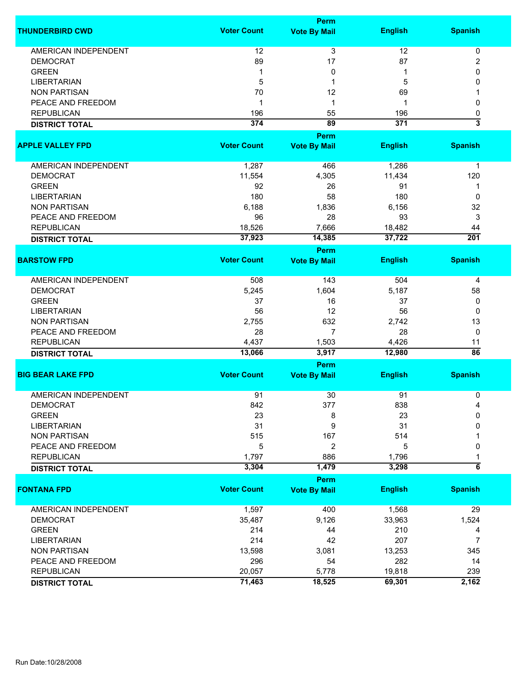|                             |                    | <b>Perm</b>         |                 |                           |
|-----------------------------|--------------------|---------------------|-----------------|---------------------------|
| <b>THUNDERBIRD CWD</b>      | <b>Voter Count</b> | <b>Vote By Mail</b> | <b>English</b>  | <b>Spanish</b>            |
| <b>AMERICAN INDEPENDENT</b> | 12                 | $\overline{3}$      | 12              | 0                         |
| <b>DEMOCRAT</b>             | 89                 | 17                  | 87              | 2                         |
| <b>GREEN</b>                | 1                  | 0                   | 1               | 0                         |
| <b>LIBERTARIAN</b>          | 5                  | 1                   | 5               | 0                         |
|                             | 70                 |                     |                 | 1                         |
| <b>NON PARTISAN</b>         |                    | 12                  | 69              |                           |
| PEACE AND FREEDOM           | -1                 | 1                   | 1               | 0                         |
| <b>REPUBLICAN</b>           | 196                | 55                  | 196             | 0                         |
| <b>DISTRICT TOTAL</b>       | 374                | $\overline{89}$     | 371             | $\overline{\overline{3}}$ |
|                             |                    | Perm                |                 |                           |
| <b>APPLE VALLEY FPD</b>     | <b>Voter Count</b> | <b>Vote By Mail</b> | <b>English</b>  | <b>Spanish</b>            |
| AMERICAN INDEPENDENT        | 1,287              | 466                 | 1,286           | $\mathbf 1$               |
| <b>DEMOCRAT</b>             | 11,554             | 4,305               | 11,434          | 120                       |
| <b>GREEN</b>                | 92                 | 26                  | 91              | 1                         |
| <b>LIBERTARIAN</b>          | 180                | 58                  | 180             | $\mathbf 0$               |
| <b>NON PARTISAN</b>         | 6,188              | 1,836               | 6,156           | 32                        |
| PEACE AND FREEDOM           | 96                 | 28                  | 93              | 3                         |
| <b>REPUBLICAN</b>           | 18,526             | 7,666               | 18,482          | 44                        |
|                             |                    |                     |                 | 201                       |
| <b>DISTRICT TOTAL</b>       | 37,923             | 14,385              | 37,722          |                           |
| <b>BARSTOW FPD</b>          | <b>Voter Count</b> | <b>Perm</b>         | <b>English</b>  | <b>Spanish</b>            |
|                             |                    | <b>Vote By Mail</b> |                 |                           |
| <b>AMERICAN INDEPENDENT</b> | 508                | 143                 | 504             | 4                         |
| <b>DEMOCRAT</b>             | 5,245              | 1,604               | 5,187           | 58                        |
| <b>GREEN</b>                | 37                 | 16                  | 37              | 0                         |
| <b>LIBERTARIAN</b>          | 56                 | 12                  | 56              | 0                         |
| <b>NON PARTISAN</b>         | 2,755              | 632                 | 2,742           | 13                        |
| PEACE AND FREEDOM           | 28                 | $\overline{7}$      | 28              | 0                         |
| <b>REPUBLICAN</b>           |                    |                     |                 |                           |
|                             | 4,437<br>13,066    | 1,503<br>3,917      | 4,426<br>12,980 | 11<br>$\overline{86}$     |
| <b>DISTRICT TOTAL</b>       |                    | <b>Perm</b>         |                 |                           |
| <b>BIG BEAR LAKE FPD</b>    | <b>Voter Count</b> | <b>Vote By Mail</b> | <b>English</b>  | <b>Spanish</b>            |
|                             |                    |                     |                 |                           |
| <b>AMERICAN INDEPENDENT</b> | 91                 | 30                  | 91              | 0                         |
| <b>DEMOCRAT</b>             | 842                | 377                 | 838             | 4                         |
| <b>GREEN</b>                | 23                 | 8                   | 23              | 0                         |
| <b>LIBERTARIAN</b>          | 31                 | 9                   | 31              | 0                         |
| <b>NON PARTISAN</b>         | 515                | 167                 | 514             |                           |
| PEACE AND FREEDOM           | 5                  | 2                   | 5               | 0                         |
| <b>REPUBLICAN</b>           | 1,797              | 886                 | 1,796           |                           |
| <b>DISTRICT TOTAL</b>       | 3,304              | 1,479               | 3,298           | $\overline{6}$            |
|                             |                    | <b>Perm</b>         |                 |                           |
| <b>FONTANA FPD</b>          | <b>Voter Count</b> | <b>Vote By Mail</b> | <b>English</b>  | <b>Spanish</b>            |
| <b>AMERICAN INDEPENDENT</b> | 1,597              | 400                 | 1,568           | 29                        |
| <b>DEMOCRAT</b>             | 35,487             | 9,126               | 33,963          | 1,524                     |
| <b>GREEN</b>                | 214                | 44                  | 210             | 4                         |
| <b>LIBERTARIAN</b>          | 214                | 42                  | 207             | 7                         |
| <b>NON PARTISAN</b>         | 13,598             | 3,081               | 13,253          | 345                       |
| PEACE AND FREEDOM           | 296                | 54                  | 282             | 14                        |
| <b>REPUBLICAN</b>           | 20,057             | 5,778               | 19,818          | 239                       |
|                             |                    |                     |                 |                           |
| <b>DISTRICT TOTAL</b>       | 71,463             | 18,525              | 69,301          | 2,162                     |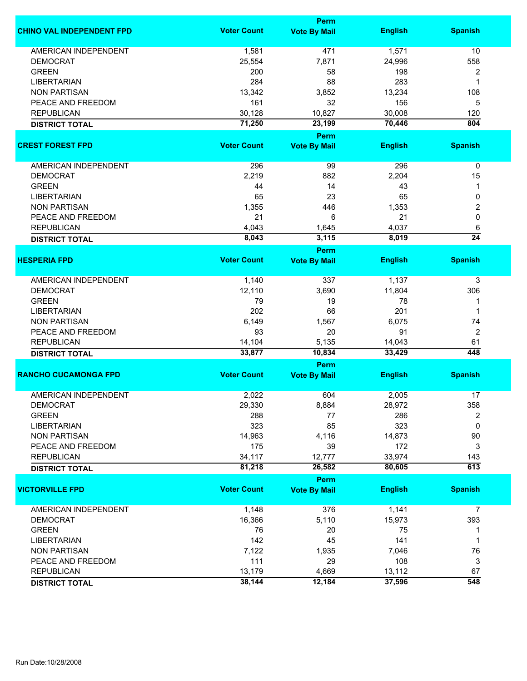|                                  |                    | Perm                        |                  |                         |
|----------------------------------|--------------------|-----------------------------|------------------|-------------------------|
| <b>CHINO VAL INDEPENDENT FPD</b> | <b>Voter Count</b> | <b>Vote By Mail</b>         | <b>English</b>   | <b>Spanish</b>          |
| <b>AMERICAN INDEPENDENT</b>      | 1,581              | 471                         | 1,571            | 10                      |
| <b>DEMOCRAT</b>                  | 25,554             | 7,871                       | 24,996           | 558                     |
| <b>GREEN</b>                     | 200                | 58                          | 198              | $\overline{\mathbf{c}}$ |
| <b>LIBERTARIAN</b>               | 284                | 88                          | 283              | 1                       |
| <b>NON PARTISAN</b>              | 13,342             | 3,852                       | 13,234           | 108                     |
|                                  |                    |                             |                  |                         |
| PEACE AND FREEDOM                | 161                | 32                          | 156              | 5                       |
| <b>REPUBLICAN</b>                | 30,128             | 10,827                      | 30,008           | 120                     |
| <b>DISTRICT TOTAL</b>            | 71,250             | 23,199                      | 70,446           | 804                     |
| <b>CREST FOREST FPD</b>          | <b>Voter Count</b> | Perm                        | <b>English</b>   | <b>Spanish</b>          |
|                                  |                    | <b>Vote By Mail</b>         |                  |                         |
| AMERICAN INDEPENDENT             | 296                | 99                          | 296              | $\pmb{0}$               |
| <b>DEMOCRAT</b>                  | 2,219              | 882                         | 2,204            | 15                      |
| <b>GREEN</b>                     | 44                 | 14                          | 43               | 1                       |
| <b>LIBERTARIAN</b>               | 65                 | 23                          | 65               | 0                       |
| <b>NON PARTISAN</b>              | 1,355              | 446                         | 1,353            | 2                       |
| PEACE AND FREEDOM                | 21                 | 6                           | 21               | 0                       |
| <b>REPUBLICAN</b>                |                    |                             | 4,037            |                         |
|                                  | 4,043              | 1,645                       |                  | 6<br>$\overline{24}$    |
| <b>DISTRICT TOTAL</b>            | 8,043              | 3,115                       | 8,019            |                         |
| <b>HESPERIA FPD</b>              | <b>Voter Count</b> | Perm<br><b>Vote By Mail</b> | <b>English</b>   | <b>Spanish</b>          |
|                                  |                    |                             |                  |                         |
| <b>AMERICAN INDEPENDENT</b>      | 1,140              | 337                         | 1,137            | 3                       |
| <b>DEMOCRAT</b>                  | 12,110             | 3,690                       | 11,804           | 306                     |
| <b>GREEN</b>                     | 79                 | 19                          | 78               | 1                       |
| <b>LIBERTARIAN</b>               | 202                | 66                          | 201              | 1                       |
| <b>NON PARTISAN</b>              | 6,149              | 1,567                       | 6,075            | 74                      |
| PEACE AND FREEDOM                | 93                 | 20                          | 91               | $\overline{2}$          |
|                                  |                    |                             |                  | 61                      |
| <b>REPUBLICAN</b>                | 14,104<br>33,877   | 5,135<br>10,834             | 14,043<br>33,429 | 448                     |
| <b>DISTRICT TOTAL</b>            |                    | Perm                        |                  |                         |
| <b>RANCHO CUCAMONGA FPD</b>      | <b>Voter Count</b> | <b>Vote By Mail</b>         | <b>English</b>   | <b>Spanish</b>          |
|                                  |                    |                             |                  |                         |
| <b>AMERICAN INDEPENDENT</b>      | 2,022              | 604                         | 2,005            | 17                      |
| <b>DEMOCRAT</b>                  | 29,330             | 8,884                       | 28,972           | 358                     |
| <b>GREEN</b>                     | 288                | 77                          | 286              | 2                       |
| <b>LIBERTARIAN</b>               | 323                | 85                          | 323              | $\mathbf 0$             |
| <b>NON PARTISAN</b>              | 14,963             | 4,116                       | 14,873           | 90                      |
| PEACE AND FREEDOM                | 175                | 39                          | 172              | 3                       |
| <b>REPUBLICAN</b>                | 34,117             | 12,777                      | 33,974           | 143                     |
| <b>DISTRICT TOTAL</b>            | 81,218             | 26,582                      | 80,605           | 613                     |
|                                  |                    | Perm                        |                  |                         |
| <b>VICTORVILLE FPD</b>           | <b>Voter Count</b> | <b>Vote By Mail</b>         | <b>English</b>   | <b>Spanish</b>          |
| AMERICAN INDEPENDENT             | 1,148              | 376                         | 1,141            | 7                       |
| <b>DEMOCRAT</b>                  | 16,366             | 5,110                       | 15,973           | 393                     |
| <b>GREEN</b>                     | 76                 | 20                          | 75               | 1                       |
| <b>LIBERTARIAN</b>               | 142                | 45                          | 141              | 1                       |
| <b>NON PARTISAN</b>              | 7,122              | 1,935                       | 7,046            | 76                      |
| PEACE AND FREEDOM                | 111                | 29                          | 108              | 3                       |
| <b>REPUBLICAN</b>                | 13,179             | 4,669                       | 13,112           | 67                      |
|                                  | 38,144             | 12,184                      | 37,596           | 548                     |
| <b>DISTRICT TOTAL</b>            |                    |                             |                  |                         |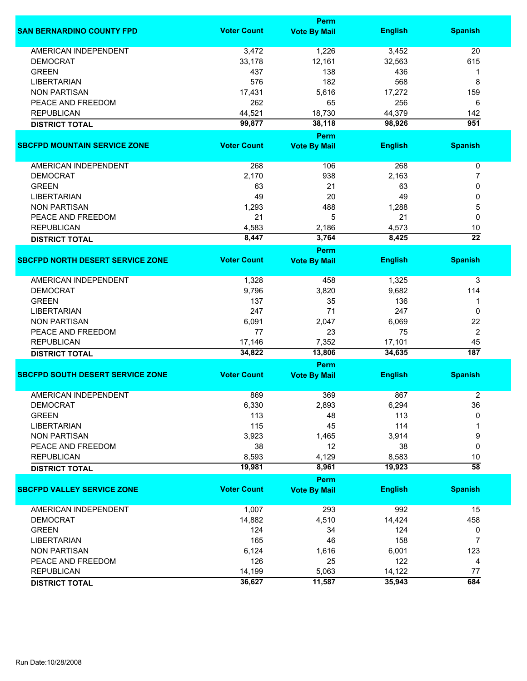|                                         |                    | <b>Perm</b>                 |                |                  |
|-----------------------------------------|--------------------|-----------------------------|----------------|------------------|
| <b>SAN BERNARDINO COUNTY FPD</b>        | <b>Voter Count</b> | <b>Vote By Mail</b>         | <b>English</b> | <b>Spanish</b>   |
| <b>AMERICAN INDEPENDENT</b>             | 3,472              | 1,226                       | 3,452          | 20               |
| <b>DEMOCRAT</b>                         | 33,178             | 12,161                      | 32,563         | 615              |
| <b>GREEN</b>                            | 437                | 138                         | 436            | 1                |
| <b>LIBERTARIAN</b>                      | 576                | 182                         | 568            | 8                |
| <b>NON PARTISAN</b>                     | 17,431             | 5,616                       | 17,272         | 159              |
| PEACE AND FREEDOM                       | 262                | 65                          | 256            | 6                |
|                                         |                    |                             |                |                  |
| <b>REPUBLICAN</b>                       | 44,521             | 18,730                      | 44,379         | 142              |
| <b>DISTRICT TOTAL</b>                   | 99,877             | 38,118                      | 98,926         | $\overline{951}$ |
|                                         |                    | <b>Perm</b>                 |                |                  |
| <b>SBCFPD MOUNTAIN SERVICE ZONE</b>     | <b>Voter Count</b> | <b>Vote By Mail</b>         | <b>English</b> | <b>Spanish</b>   |
| AMERICAN INDEPENDENT                    | 268                | 106                         | 268            | 0                |
| <b>DEMOCRAT</b>                         | 2,170              | 938                         | 2,163          | 7                |
| <b>GREEN</b>                            | 63                 | 21                          | 63             | 0                |
| <b>LIBERTARIAN</b>                      | 49                 | 20                          | 49             | 0                |
| <b>NON PARTISAN</b>                     | 1,293              | 488                         | 1,288          | 5                |
| PEACE AND FREEDOM                       | 21                 | 5                           | 21             | 0                |
| <b>REPUBLICAN</b>                       | 4,583              | 2,186                       | 4,573          | 10               |
|                                         | 8,447              | 3,764                       | 8,425          | $\overline{22}$  |
| <b>DISTRICT TOTAL</b>                   |                    |                             |                |                  |
| <b>SBCFPD NORTH DESERT SERVICE ZONE</b> | <b>Voter Count</b> | Perm<br><b>Vote By Mail</b> | <b>English</b> | <b>Spanish</b>   |
|                                         |                    |                             |                |                  |
| <b>AMERICAN INDEPENDENT</b>             | 1,328              | 458                         | 1,325          | 3                |
| <b>DEMOCRAT</b>                         | 9,796              | 3,820                       | 9,682          | 114              |
| <b>GREEN</b>                            | 137                | 35                          | 136            | 1                |
| <b>LIBERTARIAN</b>                      | 247                | 71                          | 247            | 0                |
| <b>NON PARTISAN</b>                     | 6,091              | 2,047                       | 6,069          | 22               |
| PEACE AND FREEDOM                       | 77                 | 23                          | 75             | 2                |
| <b>REPUBLICAN</b>                       | 17,146             | 7,352                       | 17,101         | 45               |
| <b>DISTRICT TOTAL</b>                   | 34,822             | 13,806                      | 34,635         | 187              |
|                                         |                    | Perm                        |                |                  |
| <b>SBCFPD SOUTH DESERT SERVICE ZONE</b> | <b>Voter Count</b> | <b>Vote By Mail</b>         | <b>English</b> | <b>Spanish</b>   |
|                                         |                    |                             |                |                  |
| <b>AMERICAN INDEPENDENT</b>             | 869                | 369                         | 867            | 2                |
| <b>DEMOCRAT</b>                         | 6,330              | 2,893                       | 6,294          | 36               |
| <b>GREEN</b>                            | 113                | 48                          | 113            | 0                |
| <b>LIBERTARIAN</b>                      | 115                | 45                          | 114            |                  |
| <b>NON PARTISAN</b>                     | 3,923              | 1,465                       | 3,914          | 9                |
| PEACE AND FREEDOM                       | 38                 | 12                          | 38             | 0                |
| <b>REPUBLICAN</b>                       | 8,593              | 4,129                       | 8,583          | 10               |
| <b>DISTRICT TOTAL</b>                   | 19,981             | 8,961                       | 19,923         | $\overline{58}$  |
|                                         |                    | <b>Perm</b>                 |                |                  |
| <b>SBCFPD VALLEY SERVICE ZONE</b>       | <b>Voter Count</b> | <b>Vote By Mail</b>         | <b>English</b> | <b>Spanish</b>   |
| <b>AMERICAN INDEPENDENT</b>             | 1,007              | 293                         | 992            | 15               |
| <b>DEMOCRAT</b>                         | 14,882             | 4,510                       | 14,424         | 458              |
| <b>GREEN</b>                            | 124                | 34                          | 124            | 0                |
| <b>LIBERTARIAN</b>                      | 165                | 46                          | 158            | 7                |
| <b>NON PARTISAN</b>                     | 6,124              | 1,616                       | 6,001          | 123              |
| PEACE AND FREEDOM                       | 126                | 25                          | 122            |                  |
|                                         |                    |                             |                | 4                |
| <b>REPUBLICAN</b>                       | 14,199             | 5,063                       | 14,122         | 77               |
| <b>DISTRICT TOTAL</b>                   | 36,627             | 11,587                      | 35,943         | 684              |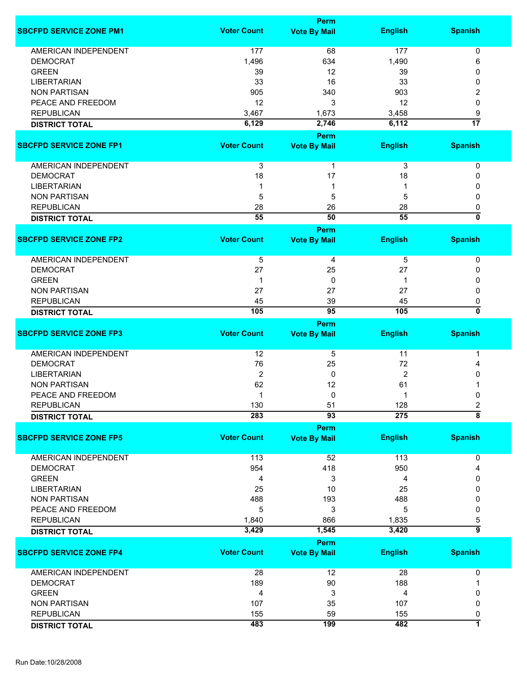|                                |                    | <b>Perm</b>                        |                |                     |
|--------------------------------|--------------------|------------------------------------|----------------|---------------------|
| <b>SBCFPD SERVICE ZONE PM1</b> | <b>Voter Count</b> | <b>Vote By Mail</b>                | <b>English</b> | <b>Spanish</b>      |
| <b>AMERICAN INDEPENDENT</b>    | 177                | 68                                 | 177            | 0                   |
|                                |                    |                                    |                | 6                   |
| <b>DEMOCRAT</b>                | 1,496              | 634                                | 1,490          |                     |
| <b>GREEN</b>                   | 39                 | 12                                 | 39             | 0                   |
| <b>LIBERTARIAN</b>             | 33                 | 16                                 | 33             | 0                   |
| <b>NON PARTISAN</b>            | 905                | 340                                | 903            | 2                   |
| PEACE AND FREEDOM              | 12                 | 3                                  | 12             | 0                   |
| <b>REPUBLICAN</b>              | 3,467              | 1,673                              | 3,458          | 9                   |
| <b>DISTRICT TOTAL</b>          | 6,129              | 2,746                              | 6,112          | $\overline{17}$     |
|                                |                    | Perm                               |                |                     |
| <b>SBCFPD SERVICE ZONE FP1</b> | <b>Voter Count</b> | <b>Vote By Mail</b>                | <b>English</b> | <b>Spanish</b>      |
| AMERICAN INDEPENDENT           | 3                  | 1                                  | 3              | 0                   |
| <b>DEMOCRAT</b>                | 18                 | 17                                 | 18             | 0                   |
| <b>LIBERTARIAN</b>             |                    | 1                                  |                | 0                   |
| <b>NON PARTISAN</b>            | 5                  | 5                                  | 5              | 0                   |
| <b>REPUBLICAN</b>              | 28                 | 26                                 | 28             | 0                   |
|                                | $\overline{55}$    | 50                                 | 55             | ō                   |
| <b>DISTRICT TOTAL</b>          |                    |                                    |                |                     |
| <b>SBCFPD SERVICE ZONE FP2</b> | <b>Voter Count</b> | <b>Perm</b>                        |                | <b>Spanish</b>      |
|                                |                    | <b>Vote By Mail</b>                | <b>English</b> |                     |
| AMERICAN INDEPENDENT           | $\overline{5}$     | 4                                  | 5              | 0                   |
| <b>DEMOCRAT</b>                | 27                 | 25                                 | 27             | 0                   |
| <b>GREEN</b>                   | 1                  | 0                                  | 1              | 0                   |
| <b>NON PARTISAN</b>            | 27                 | 27                                 | 27             | 0                   |
| <b>REPUBLICAN</b>              | 45                 | 39                                 | 45             | 0                   |
|                                | 105                | 95                                 | 105            | 0                   |
| <b>DISTRICT TOTAL</b>          |                    | <b>Perm</b>                        |                |                     |
| <b>SBCFPD SERVICE ZONE FP3</b> | <b>Voter Count</b> | <b>Vote By Mail</b>                | <b>English</b> | <b>Spanish</b>      |
| <b>AMERICAN INDEPENDENT</b>    | 12                 | 5                                  | 11             | 1                   |
| <b>DEMOCRAT</b>                | 76                 | 25                                 | 72             | 4                   |
| <b>LIBERTARIAN</b>             | $\overline{2}$     | 0                                  | $\overline{2}$ | 0                   |
| <b>NON PARTISAN</b>            | 62                 | 12                                 | 61             |                     |
| PEACE AND FREEDOM              |                    | 0                                  |                | 0                   |
| <b>REPUBLICAN</b>              | 130                | 51                                 | 128            | 2                   |
| <b>DISTRICT TOTAL</b>          | 283                | 93                                 | 275            | $\overline{\bf 8}$  |
|                                |                    | <b>Perm</b>                        |                |                     |
| <b>SBCFPD SERVICE ZONE FP5</b> | <b>Voter Count</b> | <b>Vote By Mail</b>                | <b>English</b> | <b>Spanish</b>      |
| <b>AMERICAN INDEPENDENT</b>    | 113                | 52                                 | 113            | 0                   |
| <b>DEMOCRAT</b>                | 954                | 418                                | 950            | 4                   |
| <b>GREEN</b>                   | 4                  | 3                                  | 4              | 0                   |
| <b>LIBERTARIAN</b>             | 25                 | 10                                 | 25             | 0                   |
| <b>NON PARTISAN</b>            | 488                | 193                                | 488            | 0                   |
| PEACE AND FREEDOM              | 5                  | 3                                  | 5              | 0                   |
| <b>REPUBLICAN</b>              | 1,840              | 866                                | 1,835          |                     |
|                                |                    |                                    | 3,420          | 5<br>$\overline{9}$ |
| <b>DISTRICT TOTAL</b>          | 3,429              | 1,545                              |                |                     |
| <b>SBCFPD SERVICE ZONE FP4</b> | <b>Voter Count</b> | <b>Perm</b><br><b>Vote By Mail</b> | <b>English</b> | <b>Spanish</b>      |
| AMERICAN INDEPENDENT           | 28                 | 12                                 | 28             | 0                   |
| <b>DEMOCRAT</b>                | 189                | 90                                 | 188            |                     |
| <b>GREEN</b>                   | 4                  | 3                                  | 4              | 0                   |
| <b>NON PARTISAN</b>            | 107                | 35                                 | 107            | 0                   |
| <b>REPUBLICAN</b>              | 155                | 59                                 | 155            | 0                   |
|                                | 483                | 199                                | 482            | $\overline{1}$      |
| <b>DISTRICT TOTAL</b>          |                    |                                    |                |                     |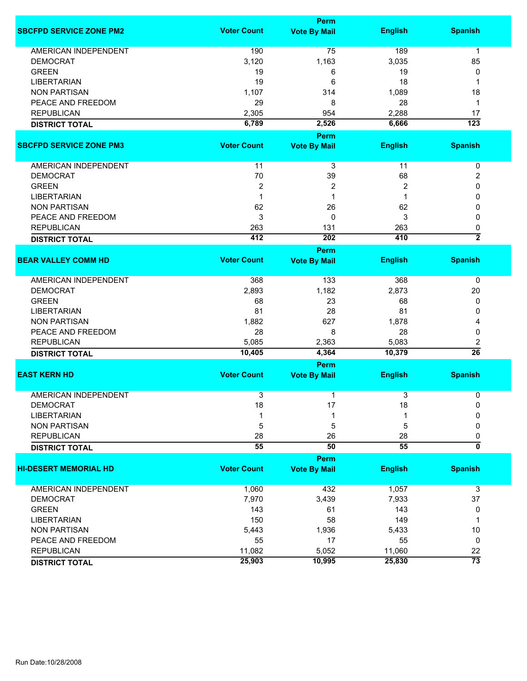|                                |                    | <b>Perm</b>         |                |                  |
|--------------------------------|--------------------|---------------------|----------------|------------------|
| <b>SBCFPD SERVICE ZONE PM2</b> | <b>Voter Count</b> | <b>Vote By Mail</b> | <b>English</b> | <b>Spanish</b>   |
| <b>AMERICAN INDEPENDENT</b>    | 190                | 75                  | 189            | $\mathbf 1$      |
| <b>DEMOCRAT</b>                | 3,120              | 1,163               | 3,035          | 85               |
| <b>GREEN</b>                   | 19                 | 6                   | 19             | 0                |
| <b>LIBERTARIAN</b>             | 19                 | 6                   | 18             | 1                |
| <b>NON PARTISAN</b>            | 1,107              | 314                 | 1,089          | 18               |
| PEACE AND FREEDOM              | 29                 | 8                   | 28             | 1                |
| <b>REPUBLICAN</b>              | 2,305              | 954                 | 2,288          | 17               |
| <b>DISTRICT TOTAL</b>          | 6,789              | 2,526               | 6,666          | $\overline{123}$ |
|                                |                    |                     |                |                  |
|                                | <b>Voter Count</b> | Perm                |                |                  |
| <b>SBCFPD SERVICE ZONE PM3</b> |                    | <b>Vote By Mail</b> | <b>English</b> | <b>Spanish</b>   |
| AMERICAN INDEPENDENT           | 11                 | 3                   | 11             | 0                |
| <b>DEMOCRAT</b>                | 70                 | 39                  | 68             | 2                |
| <b>GREEN</b>                   | $\overline{2}$     | 2                   | $\overline{2}$ | 0                |
| <b>LIBERTARIAN</b>             | $\mathbf 1$        | 1                   | 1              | 0                |
| <b>NON PARTISAN</b>            | 62                 | 26                  | 62             | 0                |
| PEACE AND FREEDOM              | 3                  | 0                   | 3              | 0                |
| <b>REPUBLICAN</b>              | 263                | 131                 | 263            | 0                |
| <b>DISTRICT TOTAL</b>          | 412                | 202                 | 410            | $\overline{2}$   |
|                                |                    | <b>Perm</b>         |                |                  |
| <b>BEAR VALLEY COMM HD</b>     | <b>Voter Count</b> | <b>Vote By Mail</b> | <b>English</b> | <b>Spanish</b>   |
|                                |                    |                     |                |                  |
| <b>AMERICAN INDEPENDENT</b>    | 368                | 133                 | 368            | 0                |
| <b>DEMOCRAT</b>                | 2,893              | 1,182               | 2,873          | 20               |
| <b>GREEN</b>                   | 68                 | 23                  | 68             | 0                |
| <b>LIBERTARIAN</b>             | 81                 | 28                  | 81             | 0                |
| <b>NON PARTISAN</b>            | 1,882              | 627                 | 1,878          | 4                |
| PEACE AND FREEDOM              | 28                 | 8                   | 28             | 0                |
| <b>REPUBLICAN</b>              | 5,085              | 2,363               | 5,083          | 2                |
| <b>DISTRICT TOTAL</b>          | 10,405             | 4,364               | 10,379         | $\overline{26}$  |
|                                |                    | Perm                |                |                  |
| <b>EAST KERN HD</b>            | <b>Voter Count</b> | <b>Vote By Mail</b> | <b>English</b> | <b>Spanish</b>   |
|                                |                    |                     |                |                  |
| <b>AMERICAN INDEPENDENT</b>    | $\overline{3}$     | 1                   | 3              | 0                |
| <b>DEMOCRAT</b>                | 18                 | 17                  | 18             | 0                |
| <b>LIBERTARIAN</b>             |                    | 1                   |                | 0                |
| <b>NON PARTISAN</b>            | 5                  | 5                   | 5              | 0                |
| <b>REPUBLICAN</b>              | 28                 | 26                  | 28             | 0                |
| <b>DISTRICT TOTAL</b>          | 55                 | 50                  | 55             | 0                |
|                                |                    | Perm                |                |                  |
| <b>HI-DESERT MEMORIAL HD</b>   | <b>Voter Count</b> | <b>Vote By Mail</b> | <b>English</b> | <b>Spanish</b>   |
|                                |                    |                     |                |                  |
| <b>AMERICAN INDEPENDENT</b>    | 1,060              | 432                 | 1,057          | 3                |
| <b>DEMOCRAT</b>                | 7,970              | 3,439               | 7,933          | 37               |
| <b>GREEN</b>                   | 143                | 61                  | 143            | 0                |
| <b>LIBERTARIAN</b>             | 150                | 58                  | 149            | 1                |
| <b>NON PARTISAN</b>            | 5,443              | 1,936               | 5,433          | $10$             |
| PEACE AND FREEDOM              | 55                 | 17                  | 55             | 0                |
| <b>REPUBLICAN</b>              | 11,082             | 5,052               | 11,060         | 22               |
| <b>DISTRICT TOTAL</b>          | 25,903             | 10,995              | 25,830         | $\overline{73}$  |
|                                |                    |                     |                |                  |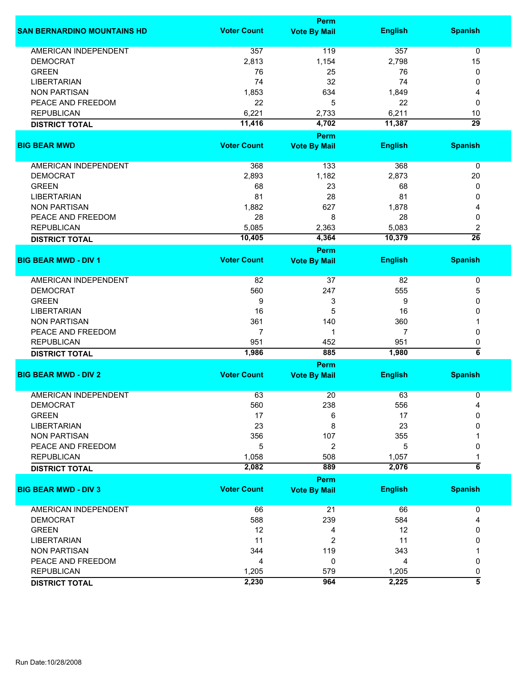|                                    |                    | <b>Perm</b>         |                |                       |
|------------------------------------|--------------------|---------------------|----------------|-----------------------|
| <b>SAN BERNARDINO MOUNTAINS HD</b> | <b>Voter Count</b> | <b>Vote By Mail</b> | <b>English</b> | <b>Spanish</b>        |
| <b>AMERICAN INDEPENDENT</b>        | 357                | 119                 | 357            | $\mathbf 0$           |
| <b>DEMOCRAT</b>                    | 2,813              | 1,154               | 2,798          | 15                    |
| <b>GREEN</b>                       | 76                 | 25                  | 76             | 0                     |
| <b>LIBERTARIAN</b>                 | 74                 | 32                  | 74             | 0                     |
| <b>NON PARTISAN</b>                | 1,853              | 634                 | 1,849          | 4                     |
| PEACE AND FREEDOM                  | 22                 | 5                   | 22             | 0                     |
|                                    |                    |                     |                |                       |
| <b>REPUBLICAN</b>                  | 6,221              | 2,733               | 6,211          | 10<br>$\overline{29}$ |
| <b>DISTRICT TOTAL</b>              | 11,416             | 4,702               | 11,387         |                       |
|                                    |                    | Perm                |                |                       |
| <b>BIG BEAR MWD</b>                | <b>Voter Count</b> | <b>Vote By Mail</b> | <b>English</b> | <b>Spanish</b>        |
| AMERICAN INDEPENDENT               | 368                | 133                 | 368            | $\pmb{0}$             |
| <b>DEMOCRAT</b>                    | 2,893              | 1,182               | 2,873          | 20                    |
| <b>GREEN</b>                       | 68                 | 23                  | 68             | 0                     |
| <b>LIBERTARIAN</b>                 | 81                 | 28                  | 81             | 0                     |
| <b>NON PARTISAN</b>                | 1,882              | 627                 | 1,878          | 4                     |
| PEACE AND FREEDOM                  | 28                 | 8                   | 28             | 0                     |
| <b>REPUBLICAN</b>                  |                    |                     | 5,083          |                       |
|                                    | 5,085              | 2,363               |                | 2<br>$\overline{26}$  |
| <b>DISTRICT TOTAL</b>              | 10,405             | 4,364               | 10,379         |                       |
|                                    | <b>Voter Count</b> | Perm                |                |                       |
| <b>BIG BEAR MWD - DIV 1</b>        |                    | <b>Vote By Mail</b> | <b>English</b> | <b>Spanish</b>        |
| <b>AMERICAN INDEPENDENT</b>        | 82                 | 37                  | 82             | 0                     |
| <b>DEMOCRAT</b>                    | 560                | 247                 | 555            | 5                     |
| <b>GREEN</b>                       | 9                  | 3                   | 9              | 0                     |
| <b>LIBERTARIAN</b>                 | 16                 | 5                   | 16             | 0                     |
| <b>NON PARTISAN</b>                | 361                | 140                 | 360            |                       |
| PEACE AND FREEDOM                  | 7                  | 1                   | 7              | 0                     |
| <b>REPUBLICAN</b>                  | 951                | 452                 | 951            | 0                     |
| <b>DISTRICT TOTAL</b>              | 1,986              | 885                 | 1,980          | $\overline{\bf{6}}$   |
|                                    |                    | Perm                |                |                       |
| <b>BIG BEAR MWD - DIV 2</b>        | <b>Voter Count</b> | <b>Vote By Mail</b> | <b>English</b> | <b>Spanish</b>        |
|                                    |                    |                     |                |                       |
| <b>AMERICAN INDEPENDENT</b>        | 63                 | 20                  | 63             | 0                     |
| <b>DEMOCRAT</b>                    | 560                | 238                 | 556            | 4                     |
| <b>GREEN</b>                       | 17                 | 6                   | 17             | 0                     |
| <b>LIBERTARIAN</b>                 | 23                 | 8                   | 23             | 0                     |
| <b>NON PARTISAN</b>                | 356                | 107                 | 355            |                       |
| PEACE AND FREEDOM                  | 5                  | 2                   | 5              | 0                     |
| <b>REPUBLICAN</b>                  | 1,058              | 508                 | 1,057          |                       |
| <b>DISTRICT TOTAL</b>              | 2,082              | 889                 | 2,076          | $\overline{6}$        |
|                                    |                    | Perm                |                |                       |
| <b>BIG BEAR MWD - DIV 3</b>        | <b>Voter Count</b> | <b>Vote By Mail</b> | <b>English</b> | <b>Spanish</b>        |
| AMERICAN INDEPENDENT               | 66                 | 21                  | 66             | 0                     |
| <b>DEMOCRAT</b>                    | 588                | 239                 | 584            | 4                     |
| <b>GREEN</b>                       | 12                 | 4                   | 12             | 0                     |
| <b>LIBERTARIAN</b>                 | 11                 | 2                   | 11             | 0                     |
| <b>NON PARTISAN</b>                | 344                | 119                 | 343            |                       |
| PEACE AND FREEDOM                  | 4                  | 0                   | 4              | 0                     |
| <b>REPUBLICAN</b>                  | 1,205              | 579                 | 1,205          | 0                     |
|                                    | 2,230              | 964                 | 2,225          | $\overline{\bf 5}$    |
| <b>DISTRICT TOTAL</b>              |                    |                     |                |                       |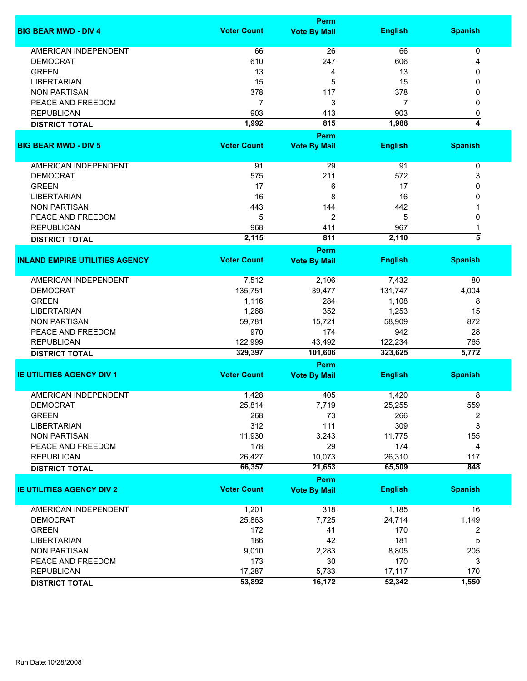|                                       |                    | <b>Perm</b>         |                |                    |
|---------------------------------------|--------------------|---------------------|----------------|--------------------|
| <b>BIG BEAR MWD - DIV 4</b>           | <b>Voter Count</b> | <b>Vote By Mail</b> | <b>English</b> | <b>Spanish</b>     |
| AMERICAN INDEPENDENT                  | 66                 | 26                  | 66             | 0                  |
| <b>DEMOCRAT</b>                       | 610                | 247                 | 606            | 4                  |
| <b>GREEN</b>                          | 13                 | 4                   | 13             | 0                  |
| <b>LIBERTARIAN</b>                    | 15                 | 5                   | 15             | 0                  |
| <b>NON PARTISAN</b>                   | 378                | 117                 | 378            | 0                  |
|                                       | $\overline{7}$     | 3                   | 7              | 0                  |
| PEACE AND FREEDOM                     |                    |                     |                |                    |
| <b>REPUBLICAN</b>                     | 903                | 413                 | 903            | 0                  |
| <b>DISTRICT TOTAL</b>                 | 1,992              | 815                 | 1,988          | 4                  |
|                                       |                    | <b>Perm</b>         |                |                    |
| <b>BIG BEAR MWD - DIV 5</b>           | <b>Voter Count</b> | <b>Vote By Mail</b> | <b>English</b> | <b>Spanish</b>     |
| AMERICAN INDEPENDENT                  | 91                 | 29                  | 91             | $\pmb{0}$          |
| <b>DEMOCRAT</b>                       | 575                | 211                 | 572            | 3                  |
| <b>GREEN</b>                          | 17                 | 6                   | 17             | 0                  |
| <b>LIBERTARIAN</b>                    | 16                 | 8                   | 16             | 0                  |
| <b>NON PARTISAN</b>                   | 443                | 144                 | 442            | 1                  |
| PEACE AND FREEDOM                     | 5                  | 2                   | 5              | 0                  |
| <b>REPUBLICAN</b>                     | 968                | 411                 | 967            | 1                  |
|                                       | 2,115              | 811                 | 2,110          | $\overline{\bf 5}$ |
| <b>DISTRICT TOTAL</b>                 |                    | Perm                |                |                    |
| <b>INLAND EMPIRE UTILITIES AGENCY</b> | <b>Voter Count</b> | <b>Vote By Mail</b> | <b>English</b> | <b>Spanish</b>     |
| <b>AMERICAN INDEPENDENT</b>           | 7,512              | 2,106               | 7,432          | 80                 |
| <b>DEMOCRAT</b>                       | 135,751            | 39,477              | 131,747        | 4,004              |
| <b>GREEN</b>                          | 1,116              | 284                 | 1,108          | 8                  |
| <b>LIBERTARIAN</b>                    | 1,268              | 352                 | 1,253          | 15                 |
| <b>NON PARTISAN</b>                   | 59,781             | 15,721              | 58,909         | 872                |
| PEACE AND FREEDOM                     | 970                | 174                 | 942            | 28                 |
| <b>REPUBLICAN</b>                     | 122,999            | 43,492              | 122,234        | 765                |
| <b>DISTRICT TOTAL</b>                 | 329,397            | 101,606             | 323,625        | 5,772              |
|                                       |                    | Perm                |                |                    |
| <b>IE UTILITIES AGENCY DIV 1</b>      | <b>Voter Count</b> | <b>Vote By Mail</b> | <b>English</b> | <b>Spanish</b>     |
|                                       |                    |                     |                |                    |
| <b>AMERICAN INDEPENDENT</b>           | 1,428              | 405                 | 1,420          | 8                  |
| <b>DEMOCRAT</b>                       | 25,814             | 7,719               | 25,255         | 559                |
| <b>GREEN</b>                          | 268                | 73                  | 266            | 2                  |
| <b>LIBERTARIAN</b>                    | 312                | 111                 | 309            | 3                  |
| <b>NON PARTISAN</b>                   | 11,930             | 3,243               | 11,775         | 155                |
| PEACE AND FREEDOM                     | 178                | 29                  | 174            | 4                  |
| <b>REPUBLICAN</b>                     | 26,427             | 10,073              | 26,310         | 117                |
| <b>DISTRICT TOTAL</b>                 | 66,357             | 21,653              | 65,509         | 848                |
|                                       |                    | Perm                |                |                    |
| <b>IE UTILITIES AGENCY DIV 2</b>      | <b>Voter Count</b> | <b>Vote By Mail</b> | <b>English</b> | <b>Spanish</b>     |
| AMERICAN INDEPENDENT                  | 1,201              | 318                 | 1,185          | 16                 |
| <b>DEMOCRAT</b>                       | 25,863             | 7,725               | 24,714         | 1,149              |
| <b>GREEN</b>                          | 172                | 41                  | 170            | 2                  |
| <b>LIBERTARIAN</b>                    | 186                | 42                  | 181            | 5                  |
| <b>NON PARTISAN</b>                   | 9,010              | 2,283               | 8,805          | 205                |
| PEACE AND FREEDOM                     | 173                | 30                  | 170            | 3                  |
| <b>REPUBLICAN</b>                     | 17,287             | 5,733               | 17,117         | 170                |
| <b>DISTRICT TOTAL</b>                 | 53,892             | 16,172              | 52,342         | 1,550              |
|                                       |                    |                     |                |                    |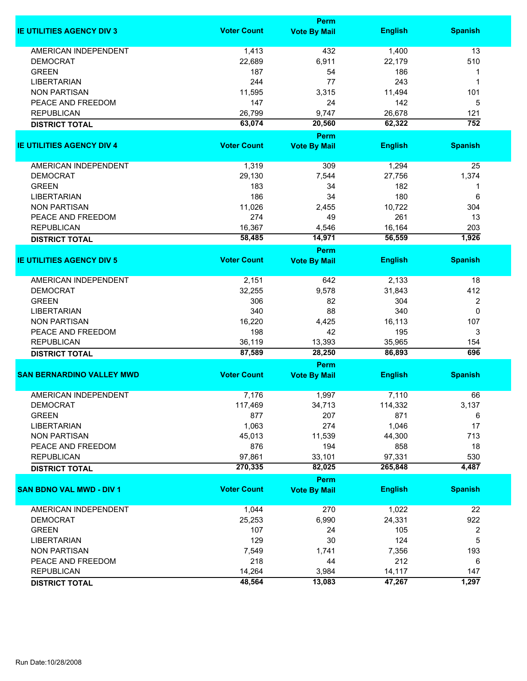|                                  |                    | Perm                        |                |                  |
|----------------------------------|--------------------|-----------------------------|----------------|------------------|
| <b>IE UTILITIES AGENCY DIV 3</b> | <b>Voter Count</b> | <b>Vote By Mail</b>         | <b>English</b> | <b>Spanish</b>   |
| <b>AMERICAN INDEPENDENT</b>      | 1,413              | 432                         | 1,400          | 13               |
| <b>DEMOCRAT</b>                  | 22,689             | 6,911                       | 22,179         | 510              |
| <b>GREEN</b>                     | 187                | 54                          | 186            | 1                |
| <b>LIBERTARIAN</b>               | 244                | 77                          | 243            | 1                |
| <b>NON PARTISAN</b>              | 11,595             | 3,315                       | 11,494         | 101              |
|                                  |                    |                             |                |                  |
| PEACE AND FREEDOM                | 147                | 24                          | 142            | 5                |
| <b>REPUBLICAN</b>                | 26,799             | 9,747                       | 26,678         | 121              |
| <b>DISTRICT TOTAL</b>            | 63,074             | 20,560                      | 62,322         | 752              |
| <b>IE UTILITIES AGENCY DIV 4</b> | <b>Voter Count</b> | Perm<br><b>Vote By Mail</b> | <b>English</b> | <b>Spanish</b>   |
|                                  |                    |                             |                |                  |
| AMERICAN INDEPENDENT             | 1,319              | 309                         | 1,294          | 25               |
| <b>DEMOCRAT</b>                  | 29,130             | 7,544                       | 27,756         | 1,374            |
| <b>GREEN</b>                     | 183                | 34                          | 182            | 1                |
| <b>LIBERTARIAN</b>               | 186                | 34                          | 180            | 6                |
| <b>NON PARTISAN</b>              | 11,026             | 2,455                       | 10,722         | 304              |
| PEACE AND FREEDOM                | 274                | 49                          | 261            | 13               |
| <b>REPUBLICAN</b>                | 16,367             | 4,546                       | 16,164         | 203              |
| <b>DISTRICT TOTAL</b>            | 58,485             | 14,971                      | 56,559         | 1,926            |
|                                  |                    | <b>Perm</b>                 |                |                  |
| <b>IE UTILITIES AGENCY DIV 5</b> | <b>Voter Count</b> | <b>Vote By Mail</b>         | <b>English</b> | <b>Spanish</b>   |
| <b>AMERICAN INDEPENDENT</b>      | 2,151              | 642                         | 2,133          | 18               |
| <b>DEMOCRAT</b>                  | 32,255             | 9,578                       | 31,843         | 412              |
| <b>GREEN</b>                     | 306                | 82                          | 304            | $\boldsymbol{2}$ |
| <b>LIBERTARIAN</b>               | 340                | 88                          | 340            | $\mathbf 0$      |
| <b>NON PARTISAN</b>              | 16,220             | 4,425                       | 16,113         | 107              |
| PEACE AND FREEDOM                | 198                | 42                          | 195            | 3                |
| <b>REPUBLICAN</b>                | 36,119             | 13,393                      | 35,965         | 154              |
| <b>DISTRICT TOTAL</b>            | 87,589             | 28,250                      | 86,893         | 696              |
|                                  |                    | <b>Perm</b>                 |                |                  |
| <b>SAN BERNARDINO VALLEY MWD</b> | <b>Voter Count</b> | <b>Vote By Mail</b>         | <b>English</b> | <b>Spanish</b>   |
| <b>AMERICAN INDEPENDENT</b>      | 7,176              | 1,997                       | 7,110          | 66               |
| <b>DEMOCRAT</b>                  | 117,469            | 34,713                      | 114,332        | 3,137            |
| <b>GREEN</b>                     | 877                | 207                         | 871            | 6                |
| <b>LIBERTARIAN</b>               | 1,063              | 274                         | 1,046          | 17               |
| <b>NON PARTISAN</b>              | 45,013             | 11,539                      | 44,300         | 713              |
| PEACE AND FREEDOM                | 876                | 194                         | 858            | 18               |
| <b>REPUBLICAN</b>                | 97,861             | 33,101                      | 97,331         | 530              |
| <b>DISTRICT TOTAL</b>            | 270,335            | 82,025                      | 265,848        | 4,487            |
|                                  |                    | Perm                        |                |                  |
| <b>SAN BDNO VAL MWD - DIV 1</b>  | <b>Voter Count</b> | <b>Vote By Mail</b>         | <b>English</b> | <b>Spanish</b>   |
| AMERICAN INDEPENDENT             | 1,044              | 270                         | 1,022          | 22               |
| <b>DEMOCRAT</b>                  | 25,253             | 6,990                       | 24,331         | 922              |
| <b>GREEN</b>                     | 107                | 24                          | 105            | 2                |
| <b>LIBERTARIAN</b>               | 129                | 30                          | 124            | 5                |
| <b>NON PARTISAN</b>              | 7,549              | 1,741                       | 7,356          | 193              |
| PEACE AND FREEDOM                | 218                | 44                          | 212            |                  |
|                                  |                    |                             |                | 6                |
| <b>REPUBLICAN</b>                | 14,264             | 3,984                       | 14,117         | 147              |
| <b>DISTRICT TOTAL</b>            | 48,564             | 13,083                      | 47,267         | 1,297            |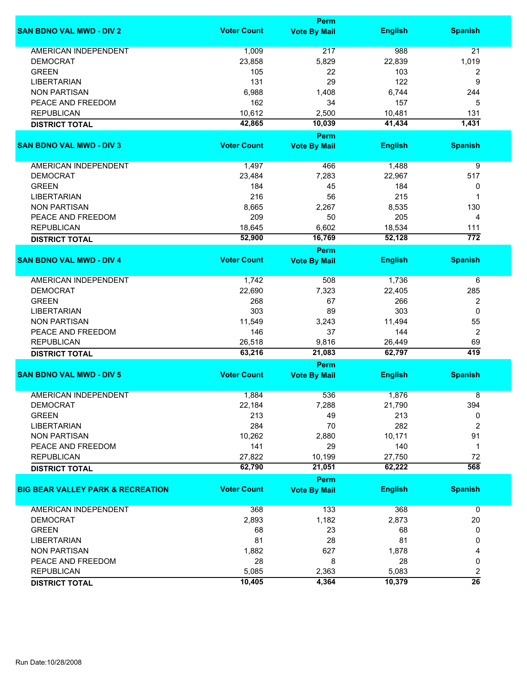|                                              |                    | <b>Perm</b>                 |                |                  |
|----------------------------------------------|--------------------|-----------------------------|----------------|------------------|
| <b>SAN BDNO VAL MWD - DIV 2</b>              | <b>Voter Count</b> | <b>Vote By Mail</b>         | <b>English</b> | <b>Spanish</b>   |
| <b>AMERICAN INDEPENDENT</b>                  | 1,009              | 217                         | 988            | 21               |
| <b>DEMOCRAT</b>                              | 23,858             | 5,829                       | 22,839         | 1,019            |
| <b>GREEN</b>                                 | 105                | 22                          | 103            | 2                |
| <b>LIBERTARIAN</b>                           | 131                | 29                          | 122            | 9                |
| <b>NON PARTISAN</b>                          | 6,988              | 1,408                       | 6,744          | 244              |
| PEACE AND FREEDOM                            | 162                | 34                          | 157            | 5                |
|                                              |                    |                             |                |                  |
| <b>REPUBLICAN</b>                            | 10,612             | 2,500                       | 10,481         | 131              |
| <b>DISTRICT TOTAL</b>                        | 42,865             | 10,039                      | 41,434         | 1,431            |
| <b>SAN BDNO VAL MWD - DIV 3</b>              | <b>Voter Count</b> | Perm<br><b>Vote By Mail</b> | <b>English</b> | <b>Spanish</b>   |
|                                              |                    |                             |                |                  |
| AMERICAN INDEPENDENT                         | 1,497              | 466                         | 1,488          | 9                |
| <b>DEMOCRAT</b>                              | 23,484             | 7,283                       | 22,967         | 517              |
| <b>GREEN</b>                                 | 184                | 45                          | 184            | 0                |
| <b>LIBERTARIAN</b>                           | 216                | 56                          | 215            | 1                |
| <b>NON PARTISAN</b>                          | 8,665              | 2,267                       | 8,535          | 130              |
| PEACE AND FREEDOM                            | 209                | 50                          | 205            | 4                |
| <b>REPUBLICAN</b>                            | 18,645             | 6,602                       | 18,534         | 111              |
|                                              | 52,900             | 16,769                      | 52,128         | $\overline{772}$ |
| <b>DISTRICT TOTAL</b>                        |                    | <b>Perm</b>                 |                |                  |
| <b>SAN BDNO VAL MWD - DIV 4</b>              | <b>Voter Count</b> | <b>Vote By Mail</b>         | <b>English</b> | <b>Spanish</b>   |
| <b>AMERICAN INDEPENDENT</b>                  | 1,742              | 508                         | 1,736          | 6                |
| <b>DEMOCRAT</b>                              |                    |                             |                |                  |
|                                              | 22,690             | 7,323                       | 22,405         | 285              |
| <b>GREEN</b>                                 | 268                | 67                          | 266            | 2                |
| <b>LIBERTARIAN</b>                           | 303                | 89                          | 303            | 0                |
| <b>NON PARTISAN</b>                          | 11,549             | 3,243                       | 11,494         | 55               |
| PEACE AND FREEDOM                            | 146                | 37                          | 144            | 2                |
| <b>REPUBLICAN</b>                            | 26,518             | 9,816                       | 26,449         | 69               |
| <b>DISTRICT TOTAL</b>                        | 63,216             | 21,083                      | 62,797         | 419              |
|                                              |                    | Perm                        |                |                  |
| <b>SAN BDNO VAL MWD - DIV 5</b>              | <b>Voter Count</b> | <b>Vote By Mail</b>         | <b>English</b> | <b>Spanish</b>   |
| <b>AMERICAN INDEPENDENT</b>                  | 1,884              | 536                         | 1,876          | 8                |
| <b>DEMOCRAT</b>                              | 22,184             | 7,288                       | 21,790         | 394              |
| <b>GREEN</b>                                 | 213                | 49                          | 213            | 0                |
| <b>LIBERTARIAN</b>                           | 284                | 70                          | 282            | 2                |
| <b>NON PARTISAN</b>                          | 10,262             | 2,880                       | 10,171         | 91               |
| PEACE AND FREEDOM                            | 141                | 29                          | 140            | 1                |
| <b>REPUBLICAN</b>                            | 27,822             | 10,199                      | 27,750         | 72               |
| <b>DISTRICT TOTAL</b>                        | 62,790             | 21,051                      | 62,222         | 568              |
|                                              |                    | Perm                        |                |                  |
| <b>BIG BEAR VALLEY PARK &amp; RECREATION</b> | <b>Voter Count</b> | <b>Vote By Mail</b>         | <b>English</b> | <b>Spanish</b>   |
| AMERICAN INDEPENDENT                         | 368                | 133                         | 368            | 0                |
| <b>DEMOCRAT</b>                              | 2,893              | 1,182                       | 2,873          | 20               |
|                                              |                    |                             |                |                  |
| <b>GREEN</b>                                 | 68                 | 23                          | 68             | 0                |
| <b>LIBERTARIAN</b>                           | 81                 | 28                          | 81             | 0                |
| <b>NON PARTISAN</b>                          | 1,882              | 627                         | 1,878          | 4                |
| PEACE AND FREEDOM                            | 28                 | 8                           | 28             | 0                |
| <b>REPUBLICAN</b>                            | 5,085              | 2,363                       | 5,083          | 2                |
| <b>DISTRICT TOTAL</b>                        | 10,405             | 4,364                       | 10,379         | $\overline{26}$  |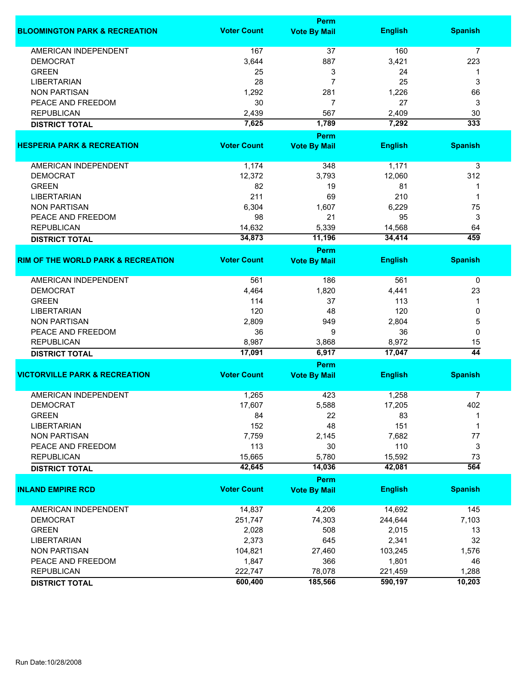|                                               | <b>Perm</b>        |                     |                |                 |  |
|-----------------------------------------------|--------------------|---------------------|----------------|-----------------|--|
| <b>BLOOMINGTON PARK &amp; RECREATION</b>      | <b>Voter Count</b> | <b>Vote By Mail</b> | <b>English</b> | <b>Spanish</b>  |  |
| <b>AMERICAN INDEPENDENT</b>                   | 167                | 37                  | 160            | 7               |  |
| <b>DEMOCRAT</b>                               | 3,644              | 887                 | 3,421          | 223             |  |
| <b>GREEN</b>                                  | 25                 | 3                   | 24             | 1               |  |
| <b>LIBERTARIAN</b>                            | 28                 | $\overline{7}$      | 25             | 3               |  |
| <b>NON PARTISAN</b>                           | 1,292              | 281                 | 1,226          | 66              |  |
| PEACE AND FREEDOM                             | 30                 | 7                   | 27             | 3               |  |
| <b>REPUBLICAN</b>                             | 2,439              | 567                 | 2,409          | 30              |  |
| <b>DISTRICT TOTAL</b>                         | 7,625              | 1,789               | 7,292          | 333             |  |
|                                               |                    | Perm                |                |                 |  |
| <b>HESPERIA PARK &amp; RECREATION</b>         | <b>Voter Count</b> | <b>Vote By Mail</b> | <b>English</b> | <b>Spanish</b>  |  |
| AMERICAN INDEPENDENT                          | 1,174              | 348                 | 1,171          | 3               |  |
| <b>DEMOCRAT</b>                               | 12,372             | 3,793               | 12,060         | 312             |  |
| <b>GREEN</b>                                  | 82                 | 19                  | 81             | 1               |  |
| <b>LIBERTARIAN</b>                            | 211                | 69                  | 210            | 1               |  |
| <b>NON PARTISAN</b>                           | 6,304              | 1,607               | 6,229          | 75              |  |
| PEACE AND FREEDOM                             | 98                 | 21                  | 95             | 3               |  |
| <b>REPUBLICAN</b>                             | 14,632             | 5,339               | 14,568         | 64              |  |
| <b>DISTRICT TOTAL</b>                         | 34,873             | 11,196              | 34,414         | 459             |  |
|                                               |                    | <b>Perm</b>         |                |                 |  |
| <b>RIM OF THE WORLD PARK &amp; RECREATION</b> | <b>Voter Count</b> | <b>Vote By Mail</b> | <b>English</b> | <b>Spanish</b>  |  |
| <b>AMERICAN INDEPENDENT</b>                   | 561                | 186                 | 561            | 0               |  |
| <b>DEMOCRAT</b>                               | 4,464              | 1,820               | 4,441          | 23              |  |
| <b>GREEN</b>                                  | 114                | 37                  | 113            | 1               |  |
| <b>LIBERTARIAN</b>                            | 120                | 48                  | 120            | 0               |  |
| <b>NON PARTISAN</b>                           | 2,809              | 949                 | 2,804          | 5               |  |
| PEACE AND FREEDOM                             | 36                 | 9                   | 36             | 0               |  |
| <b>REPUBLICAN</b>                             | 8,987              | 3,868               | 8,972          | 15              |  |
| <b>DISTRICT TOTAL</b>                         | 17,091             | 6,917               | 17,047         | $\overline{44}$ |  |
|                                               | Perm               |                     |                |                 |  |
| <b>VICTORVILLE PARK &amp; RECREATION</b>      | <b>Voter Count</b> | <b>Vote By Mail</b> | <b>English</b> | <b>Spanish</b>  |  |
| <b>AMERICAN INDEPENDENT</b>                   | 1,265              | 423                 | 1,258          | 7               |  |
| DEMOCRAT                                      | 17,607             | 5,588               | 17,205         | 402             |  |
| <b>GREEN</b>                                  | 84                 | 22                  | 83             | 1               |  |
| <b>LIBERTARIAN</b>                            | 152                | 48                  | 151            | 1               |  |
| <b>NON PARTISAN</b>                           | 7,759              | 2,145               | 7,682          | 77              |  |
| PEACE AND FREEDOM                             | 113                | 30                  | 110            | 3               |  |
| <b>REPUBLICAN</b>                             | 15,665             | 5,780               | 15,592         | 73              |  |
| <b>DISTRICT TOTAL</b>                         | 42,645             | 14,036              | 42,081         | 564             |  |
|                                               |                    | Perm                |                |                 |  |
| <b>INLAND EMPIRE RCD</b>                      | <b>Voter Count</b> | <b>Vote By Mail</b> | <b>English</b> | <b>Spanish</b>  |  |
| <b>AMERICAN INDEPENDENT</b>                   | 14,837             | 4,206               | 14,692         | 145             |  |
| <b>DEMOCRAT</b>                               | 251,747            | 74,303              | 244,644        | 7,103           |  |
| <b>GREEN</b>                                  | 2,028              | 508                 | 2,015          | 13              |  |
| <b>LIBERTARIAN</b>                            | 2,373              | 645                 | 2,341          | 32              |  |
| <b>NON PARTISAN</b>                           | 104,821            | 27,460              | 103,245        | 1,576           |  |
| PEACE AND FREEDOM                             | 1,847              | 366                 | 1,801          | 46              |  |
| <b>REPUBLICAN</b>                             | 222,747            | 78,078              | 221,459        | 1,288           |  |
| <b>DISTRICT TOTAL</b>                         | 600,400            | 185,566             | 590,197        | 10,203          |  |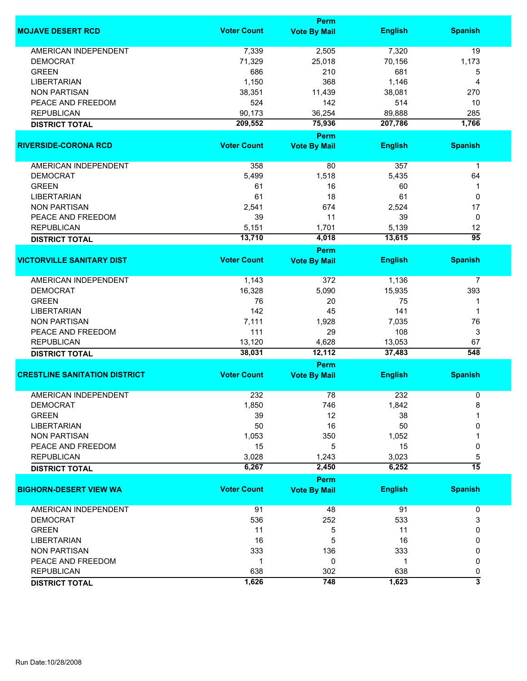|                                      |                    | <b>Perm</b>                 |                  |                         |
|--------------------------------------|--------------------|-----------------------------|------------------|-------------------------|
| <b>MOJAVE DESERT RCD</b>             | <b>Voter Count</b> | <b>Vote By Mail</b>         | <b>English</b>   | <b>Spanish</b>          |
| <b>AMERICAN INDEPENDENT</b>          | 7,339              | 2,505                       | 7,320            | 19                      |
| <b>DEMOCRAT</b>                      | 71,329             | 25,018                      | 70,156           | 1,173                   |
| <b>GREEN</b>                         | 686                | 210                         | 681              | 5                       |
| <b>LIBERTARIAN</b>                   | 1,150              | 368                         | 1,146            | 4                       |
| <b>NON PARTISAN</b>                  | 38,351             | 11,439                      | 38,081           | 270                     |
| PEACE AND FREEDOM                    | 524                | 142                         | 514              |                         |
|                                      |                    |                             |                  | 10                      |
| <b>REPUBLICAN</b>                    | 90,173             | 36,254                      | 89,888           | 285                     |
| <b>DISTRICT TOTAL</b>                | 209,552            | 75,936                      | 207,786          | 1,766                   |
| <b>RIVERSIDE-CORONA RCD</b>          | <b>Voter Count</b> | Perm<br><b>Vote By Mail</b> | <b>English</b>   | <b>Spanish</b>          |
| AMERICAN INDEPENDENT                 | 358                | 80                          | 357              | $\mathbf 1$             |
| <b>DEMOCRAT</b>                      | 5,499              | 1,518                       | 5,435            | 64                      |
| <b>GREEN</b>                         | 61                 | 16                          | 60               | 1                       |
|                                      | 61                 | 18                          | 61               |                         |
| <b>LIBERTARIAN</b>                   |                    |                             |                  | 0                       |
| <b>NON PARTISAN</b>                  | 2,541              | 674                         | 2,524            | 17                      |
| PEACE AND FREEDOM                    | 39                 | 11                          | 39               | 0                       |
| <b>REPUBLICAN</b>                    | 5,151              | 1,701                       | 5,139            | 12                      |
| <b>DISTRICT TOTAL</b>                | 13,710             | 4,018                       | 13,615           | $\overline{95}$         |
|                                      |                    | Perm                        |                  |                         |
| <b>VICTORVILLE SANITARY DIST</b>     | <b>Voter Count</b> | <b>Vote By Mail</b>         | <b>English</b>   | <b>Spanish</b>          |
| <b>AMERICAN INDEPENDENT</b>          | 1,143              | 372                         | 1,136            | $\overline{7}$          |
| <b>DEMOCRAT</b>                      | 16,328             | 5,090                       | 15,935           | 393                     |
| <b>GREEN</b>                         | 76                 | 20                          | 75               | 1                       |
| <b>LIBERTARIAN</b>                   | 142                | 45                          | 141              | 1                       |
| <b>NON PARTISAN</b>                  | 7,111              | 1,928                       | 7,035            | 76                      |
| PEACE AND FREEDOM                    | 111                | 29                          | 108              | 3                       |
|                                      |                    |                             |                  |                         |
| <b>REPUBLICAN</b>                    | 13,120<br>38,031   | 4,628<br>12,112             | 13,053<br>37,483 | 67<br>548               |
| <b>DISTRICT TOTAL</b>                |                    | Perm                        |                  |                         |
| <b>CRESTLINE SANITATION DISTRICT</b> | <b>Voter Count</b> | <b>Vote By Mail</b>         | <b>English</b>   | <b>Spanish</b>          |
|                                      |                    |                             |                  |                         |
| <b>AMERICAN INDEPENDENT</b>          | 232                | 78<br>746                   | 232<br>1,842     | 0<br>8                  |
| <b>DEMOCRAI</b>                      | 1,850              |                             |                  |                         |
| <b>GREEN</b>                         | 39                 | 12                          | 38               |                         |
| <b>LIBERTARIAN</b>                   | 50                 | 16                          | 50               | 0                       |
| <b>NON PARTISAN</b>                  | 1,053              | 350                         | 1,052            |                         |
| PEACE AND FREEDOM                    | 15                 | 5                           | 15               | 0                       |
| <b>REPUBLICAN</b>                    | 3,028              | 1,243                       | 3,023            | 5                       |
| <b>DISTRICT TOTAL</b>                | 6,267              | 2,450                       | 6,252            | $\overline{15}$         |
|                                      |                    | Perm                        |                  |                         |
| <b>BIGHORN-DESERT VIEW WA</b>        | <b>Voter Count</b> | <b>Vote By Mail</b>         | <b>English</b>   | <b>Spanish</b>          |
| AMERICAN INDEPENDENT                 | 91                 | 48                          | 91               | 0                       |
| <b>DEMOCRAT</b>                      | 536                | 252                         | 533              | 3                       |
| <b>GREEN</b>                         | 11                 | 5                           | 11               | 0                       |
| <b>LIBERTARIAN</b>                   | 16                 | 5                           | 16               | 0                       |
| <b>NON PARTISAN</b>                  | 333                | 136                         | 333              | 0                       |
| PEACE AND FREEDOM                    | 1                  | 0                           | 1                | 0                       |
| <b>REPUBLICAN</b>                    | 638                | 302                         | 638              | 0                       |
|                                      |                    |                             |                  | $\overline{\mathbf{3}}$ |
| <b>DISTRICT TOTAL</b>                | 1,626              | 748                         | 1,623            |                         |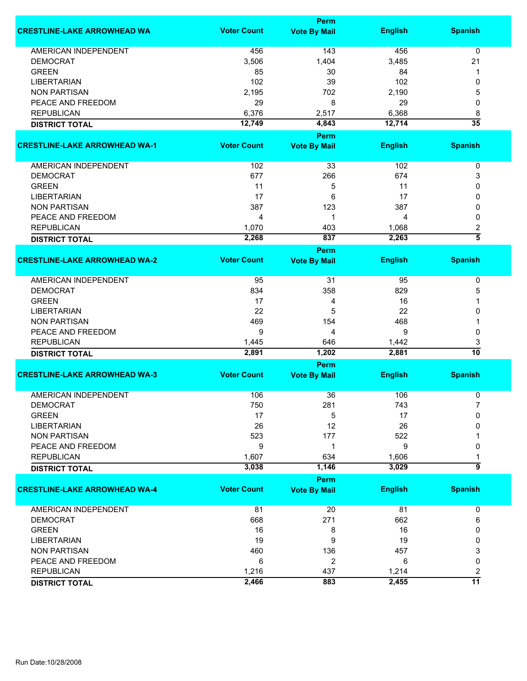|                                      |                    | <b>Perm</b>                 |                |                     |
|--------------------------------------|--------------------|-----------------------------|----------------|---------------------|
| <b>CRESTLINE-LAKE ARROWHEAD WA</b>   | <b>Voter Count</b> | <b>Vote By Mail</b>         | <b>English</b> | <b>Spanish</b>      |
| AMERICAN INDEPENDENT                 | 456                | 143                         | 456            | 0                   |
| <b>DEMOCRAT</b>                      | 3,506              | 1,404                       | 3,485          | 21                  |
| <b>GREEN</b>                         | 85                 | 30                          | 84             | 1                   |
| <b>LIBERTARIAN</b>                   | 102                | 39                          | 102            | 0                   |
| <b>NON PARTISAN</b>                  | 2,195              | 702                         | 2,190          | 5                   |
| PEACE AND FREEDOM                    | 29                 | 8                           | 29             | 0                   |
| <b>REPUBLICAN</b>                    | 6,376              | 2,517                       | 6,368          | 8                   |
|                                      | 12,749             | 4,843                       | 12,714         | $\overline{35}$     |
| <b>DISTRICT TOTAL</b>                |                    |                             |                |                     |
|                                      |                    | <b>Perm</b>                 |                |                     |
| <b>CRESTLINE-LAKE ARROWHEAD WA-1</b> | <b>Voter Count</b> | <b>Vote By Mail</b>         | <b>English</b> | <b>Spanish</b>      |
| AMERICAN INDEPENDENT                 | 102                | 33                          | 102            | 0                   |
| <b>DEMOCRAT</b>                      | 677                | 266                         | 674            | 3                   |
| <b>GREEN</b>                         | 11                 | 5                           | 11             | 0                   |
| <b>LIBERTARIAN</b>                   | 17                 | 6                           | 17             | 0                   |
| <b>NON PARTISAN</b>                  | 387                | 123                         | 387            | 0                   |
| PEACE AND FREEDOM                    | 4                  | 1                           | 4              | 0                   |
| <b>REPUBLICAN</b>                    | 1,070              | 403                         | 1,068          | 2                   |
|                                      | 2,268              | 837                         | 2,263          | $\overline{\bf{5}}$ |
| <b>DISTRICT TOTAL</b>                |                    | <b>Perm</b>                 |                |                     |
| <b>CRESTLINE-LAKE ARROWHEAD WA-2</b> | <b>Voter Count</b> | <b>Vote By Mail</b>         | <b>English</b> | <b>Spanish</b>      |
| <b>AMERICAN INDEPENDENT</b>          | 95                 | 31                          | 95             | 0                   |
| <b>DEMOCRAT</b>                      | 834                | 358                         | 829            | 5                   |
| <b>GREEN</b>                         | 17                 | 4                           | 16             |                     |
| <b>LIBERTARIAN</b>                   | 22                 | 5                           | 22             | 0                   |
| <b>NON PARTISAN</b>                  | 469                | 154                         | 468            |                     |
| PEACE AND FREEDOM                    | 9                  | 4                           | 9              | 0                   |
| <b>REPUBLICAN</b>                    | 1,445              | 646                         | 1,442          | 3                   |
|                                      | 2,891              | 1,202                       | 2,881          | 10                  |
| <b>DISTRICT TOTAL</b>                |                    |                             |                |                     |
| <b>CRESTLINE-LAKE ARROWHEAD WA-3</b> | <b>Voter Count</b> | Perm<br><b>Vote By Mail</b> | <b>English</b> | <b>Spanish</b>      |
|                                      |                    |                             |                |                     |
| <b>AMERICAN INDEPENDENT</b>          | 106                | 36                          | 106            | 0                   |
| <b>DEMOCRAT</b>                      | 750                | 281                         | 743            | 7                   |
| <b>GREEN</b>                         | 17                 | 5                           | 17             | 0                   |
| <b>LIBERTARIAN</b>                   | 26                 | 12                          | 26             | 0                   |
| <b>NON PARTISAN</b>                  | 523                | 177                         | 522            |                     |
| PEACE AND FREEDOM                    | 9                  | 1                           | 9              | 0                   |
| <b>REPUBLICAN</b>                    | 1,607              | 634                         | 1,606          |                     |
| <b>DISTRICT TOTAL</b>                | 3,038              | 1,146                       | 3,029          | 5                   |
|                                      |                    | Perm                        |                |                     |
| <b>CRESTLINE-LAKE ARROWHEAD WA-4</b> | <b>Voter Count</b> | <b>Vote By Mail</b>         | <b>English</b> | <b>Spanish</b>      |
| <b>AMERICAN INDEPENDENT</b>          | 81                 | 20                          | 81             | 0                   |
| <b>DEMOCRAT</b>                      | 668                | 271                         | 662            | 6                   |
| <b>GREEN</b>                         | 16                 | 8                           | 16             | 0                   |
| <b>LIBERTARIAN</b>                   | 19                 | 9                           | 19             | 0                   |
| <b>NON PARTISAN</b>                  | 460                | 136                         | 457            | 3                   |
| PEACE AND FREEDOM                    | 6                  | 2                           | 6              | 0                   |
| <b>REPUBLICAN</b>                    | 1,216              | 437                         | 1,214          | 2                   |
| <b>DISTRICT TOTAL</b>                | 2,466              | 883                         | 2,455          | $\overline{11}$     |
|                                      |                    |                             |                |                     |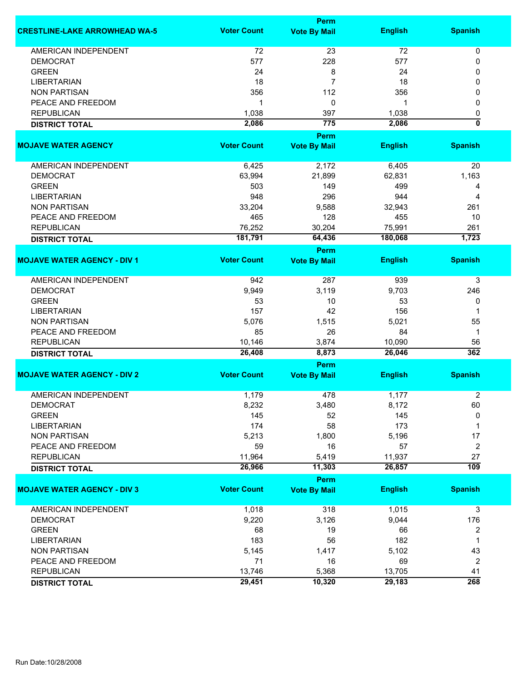|                                      |                    | <b>Perm</b>         |                  |                         |
|--------------------------------------|--------------------|---------------------|------------------|-------------------------|
| <b>CRESTLINE-LAKE ARROWHEAD WA-5</b> | <b>Voter Count</b> | <b>Vote By Mail</b> | <b>English</b>   | <b>Spanish</b>          |
| <b>AMERICAN INDEPENDENT</b>          | 72                 | 23                  | 72               | 0                       |
| <b>DEMOCRAT</b>                      | 577                | 228                 | 577              | 0                       |
| <b>GREEN</b>                         | 24                 | 8                   | 24               | 0                       |
| <b>LIBERTARIAN</b>                   | 18                 | 7                   | 18               | 0                       |
| <b>NON PARTISAN</b>                  | 356                | 112                 | 356              | 0                       |
| PEACE AND FREEDOM                    | 1                  | 0                   | 1                | 0                       |
|                                      |                    |                     |                  |                         |
| <b>REPUBLICAN</b>                    | 1,038              | 397                 | 1,038            | 0                       |
| <b>DISTRICT TOTAL</b>                | 2,086              | 775<br><b>Perm</b>  | 2,086            | 0                       |
| <b>MOJAVE WATER AGENCY</b>           | <b>Voter Count</b> | <b>Vote By Mail</b> | <b>English</b>   | <b>Spanish</b>          |
| AMERICAN INDEPENDENT                 | 6,425              | 2,172               | 6,405            | 20                      |
| <b>DEMOCRAT</b>                      | 63,994             | 21,899              | 62,831           | 1,163                   |
| <b>GREEN</b>                         | 503                | 149                 | 499              | 4                       |
|                                      |                    |                     |                  |                         |
| <b>LIBERTARIAN</b>                   | 948                | 296                 | 944              | 4                       |
| <b>NON PARTISAN</b>                  | 33,204             | 9,588               | 32,943           | 261                     |
| PEACE AND FREEDOM                    | 465                | 128                 | 455              | 10                      |
| <b>REPUBLICAN</b>                    | 76,252             | 30,204              | 75,991           | 261                     |
| <b>DISTRICT TOTAL</b>                | 181,791            | 64,436              | 180,068          | 1,723                   |
|                                      |                    | <b>Perm</b>         |                  |                         |
| <b>MOJAVE WATER AGENCY - DIV 1</b>   | <b>Voter Count</b> | <b>Vote By Mail</b> | <b>English</b>   | <b>Spanish</b>          |
| <b>AMERICAN INDEPENDENT</b>          | 942                | 287                 | 939              | 3                       |
| <b>DEMOCRAT</b>                      | 9,949              | 3,119               | 9,703            | 246                     |
| <b>GREEN</b>                         | 53                 | 10                  | 53               | 0                       |
| <b>LIBERTARIAN</b>                   | 157                | 42                  | 156              | 1                       |
| <b>NON PARTISAN</b>                  | 5,076              | 1,515               | 5,021            | 55                      |
| PEACE AND FREEDOM                    | 85                 | 26                  | 84               | 1                       |
| <b>REPUBLICAN</b>                    |                    | 3,874               |                  | 56                      |
|                                      | 10,146<br>26,408   | 8,873               | 10,090<br>26,046 | 362                     |
| <b>DISTRICT TOTAL</b>                |                    | Perm                |                  |                         |
| <b>MOJAVE WATER AGENCY - DIV 2</b>   | <b>Voter Count</b> | <b>Vote By Mail</b> | <b>English</b>   | <b>Spanish</b>          |
| <b>AMERICAN INDEPENDENT</b>          | 1,179              | 478                 | 1,177            | 2                       |
|                                      |                    |                     |                  |                         |
| DEMOCRAT<br><b>GREEN</b>             | 8,232              | 3,480               | 8,172            | 60                      |
|                                      | 145                | 52                  | 145              | 0                       |
| <b>LIBERTARIAN</b>                   | 174                | 58                  | 173              | 1                       |
| <b>NON PARTISAN</b>                  | 5,213              | 1,800               | 5,196            | 17                      |
| PEACE AND FREEDOM                    | 59                 | 16                  | 57               | 2                       |
| <b>REPUBLICAN</b>                    | 11,964             | 5,419               | 11,937           | 27                      |
| <b>DISTRICT TOTAL</b>                | 26,966             | 11,303              | 26,857           | $\overline{109}$        |
|                                      |                    | Perm                |                  |                         |
| <b>MOJAVE WATER AGENCY - DIV 3</b>   | <b>Voter Count</b> | <b>Vote By Mail</b> | <b>English</b>   | <b>Spanish</b>          |
| <b>AMERICAN INDEPENDENT</b>          | 1,018              | 318                 | 1,015            | 3                       |
| <b>DEMOCRAT</b>                      | 9,220              | 3,126               | 9,044            | 176                     |
| <b>GREEN</b>                         | 68                 | 19                  | 66               | 2                       |
| <b>LIBERTARIAN</b>                   | 183                | 56                  | 182              | 1                       |
| <b>NON PARTISAN</b>                  | 5,145              | 1,417               | 5,102            | 43                      |
| PEACE AND FREEDOM                    | 71                 | 16                  | 69               | $\overline{\mathbf{c}}$ |
| <b>REPUBLICAN</b>                    | 13,746             | 5,368               | 13,705           | 41                      |
|                                      | 29,451             | 10,320              | 29,183           | 268                     |
| <b>DISTRICT TOTAL</b>                |                    |                     |                  |                         |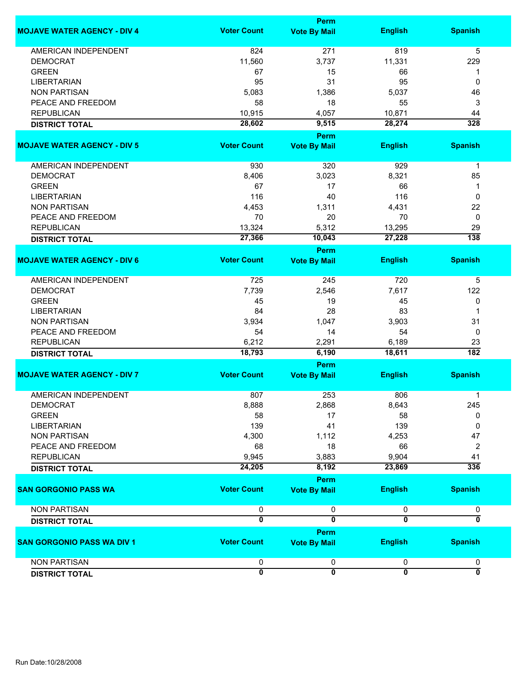|                                    |                         | <b>Perm</b>             |                         |                           |
|------------------------------------|-------------------------|-------------------------|-------------------------|---------------------------|
| <b>MOJAVE WATER AGENCY - DIV 4</b> | <b>Voter Count</b>      | <b>Vote By Mail</b>     | <b>English</b>          | <b>Spanish</b>            |
| <b>AMERICAN INDEPENDENT</b>        | 824                     | 271                     | 819                     | 5                         |
| <b>DEMOCRAT</b>                    | 11,560                  | 3,737                   | 11,331                  | 229                       |
| <b>GREEN</b>                       | 67                      | 15                      | 66                      | 1                         |
| <b>LIBERTARIAN</b>                 | 95                      | 31                      | 95                      | 0                         |
|                                    |                         |                         |                         |                           |
| <b>NON PARTISAN</b>                | 5,083                   | 1,386                   | 5,037                   | 46                        |
| PEACE AND FREEDOM                  | 58                      | 18                      | 55                      | 3                         |
| <b>REPUBLICAN</b>                  | 10,915                  | 4,057                   | 10,871                  | 44                        |
| <b>DISTRICT TOTAL</b>              | 28,602                  | 9,515                   | 28,274                  | 328                       |
|                                    |                         | <b>Perm</b>             |                         |                           |
| <b>MOJAVE WATER AGENCY - DIV 5</b> | <b>Voter Count</b>      | <b>Vote By Mail</b>     | <b>English</b>          | <b>Spanish</b>            |
| AMERICAN INDEPENDENT               | 930                     | 320                     | 929                     | $\mathbf 1$               |
| <b>DEMOCRAT</b>                    | 8,406                   | 3,023                   | 8,321                   | 85                        |
| <b>GREEN</b>                       | 67                      | 17                      | 66                      | 1                         |
|                                    |                         |                         |                         |                           |
| <b>LIBERTARIAN</b>                 | 116                     | 40                      | 116                     | $\mathbf 0$               |
| <b>NON PARTISAN</b>                | 4,453                   | 1,311                   | 4,431                   | 22                        |
| PEACE AND FREEDOM                  | 70                      | 20                      | 70                      | $\mathbf 0$               |
| <b>REPUBLICAN</b>                  | 13,324                  | 5,312                   | 13,295                  | 29                        |
| <b>DISTRICT TOTAL</b>              | 27,366                  | 10,043                  | 27,228                  | 138                       |
|                                    |                         | <b>Perm</b>             |                         |                           |
| <b>MOJAVE WATER AGENCY - DIV 6</b> | <b>Voter Count</b>      | <b>Vote By Mail</b>     | <b>English</b>          | <b>Spanish</b>            |
| <b>AMERICAN INDEPENDENT</b>        | 725                     | 245                     | 720                     | 5                         |
| <b>DEMOCRAT</b>                    | 7,739                   | 2,546                   | 7,617                   | 122                       |
| <b>GREEN</b>                       | 45                      | 19                      | 45                      | 0                         |
|                                    |                         |                         |                         |                           |
| <b>LIBERTARIAN</b>                 | 84                      | 28                      | 83                      | 1                         |
| <b>NON PARTISAN</b>                | 3,934                   | 1,047                   | 3,903                   | 31                        |
| PEACE AND FREEDOM                  | 54                      | 14                      | 54                      | 0                         |
| <b>REPUBLICAN</b>                  | 6,212                   | 2,291                   | 6,189                   | 23                        |
| <b>DISTRICT TOTAL</b>              | 18,793                  | 6,190                   | 18,611                  | $\overline{182}$          |
|                                    |                         | <b>Perm</b>             |                         |                           |
| <b>MOJAVE WATER AGENCY - DIV 7</b> | <b>Voter Count</b>      | <b>Vote By Mail</b>     | <b>English</b>          | <b>Spanish</b>            |
| <b>AMERICAN INDEPENDENT</b>        | 807                     | 253                     | 806                     | 1                         |
| <b>DEMOCRAT</b>                    | 8,888                   | 2,868                   | 8,643                   | 245                       |
| <b>GREEN</b>                       | 58                      | 17                      | 58                      | 0                         |
| <b>LIBERTARIAN</b>                 | 139                     | 41                      | 139                     | 0                         |
|                                    |                         |                         |                         |                           |
| <b>NON PARTISAN</b>                | 4,300                   | 1,112                   | 4,253                   | 47                        |
| PEACE AND FREEDOM                  | 68                      | 18                      | 66                      | 2                         |
| <b>REPUBLICAN</b>                  | 9,945                   | 3,883                   | 9,904                   | 41                        |
| <b>DISTRICT TOTAL</b>              | 24,205                  | 8,192                   | 23,869                  | 336                       |
|                                    |                         | Perm                    |                         |                           |
| <b>SAN GORGONIO PASS WA</b>        | <b>Voter Count</b>      | <b>Vote By Mail</b>     | <b>English</b>          | <b>Spanish</b>            |
| <b>NON PARTISAN</b>                | 0                       | 0                       | 0                       | 0                         |
| <b>DISTRICT TOTAL</b>              | $\overline{\mathbf{0}}$ | $\overline{\mathbf{0}}$ | $\overline{\mathbf{0}}$ | $\overline{\mathfrak{o}}$ |
|                                    |                         | Perm                    |                         |                           |
| <b>SAN GORGONIO PASS WA DIV 1</b>  | <b>Voter Count</b>      | <b>Vote By Mail</b>     | <b>English</b>          | <b>Spanish</b>            |
| <b>NON PARTISAN</b>                | 0                       | 0                       | 0                       | 0                         |
| <b>DISTRICT TOTAL</b>              | $\mathbf{0}$            | $\overline{\mathbf{0}}$ | $\overline{\mathbf{0}}$ | $\overline{\mathfrak{o}}$ |
|                                    |                         |                         |                         |                           |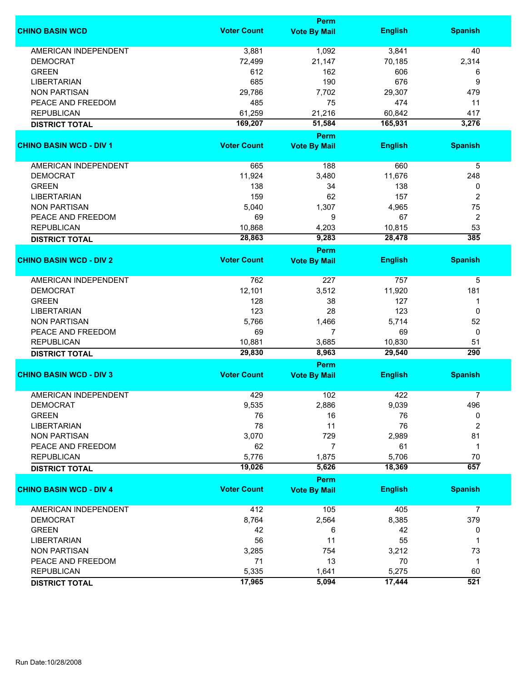|                                | Perm               |                             |                |                  |  |
|--------------------------------|--------------------|-----------------------------|----------------|------------------|--|
| <b>CHINO BASIN WCD</b>         | <b>Voter Count</b> | <b>Vote By Mail</b>         | <b>English</b> | <b>Spanish</b>   |  |
| <b>AMERICAN INDEPENDENT</b>    | 3,881              | 1,092                       | 3,841          | 40               |  |
| <b>DEMOCRAT</b>                | 72,499             | 21,147                      | 70,185         | 2,314            |  |
| <b>GREEN</b>                   | 612                | 162                         | 606            | 6                |  |
| <b>LIBERTARIAN</b>             | 685                | 190                         | 676            | 9                |  |
|                                |                    |                             |                |                  |  |
| <b>NON PARTISAN</b>            | 29,786             | 7,702                       | 29,307         | 479              |  |
| PEACE AND FREEDOM              | 485                | 75                          | 474            | 11               |  |
| <b>REPUBLICAN</b>              | 61,259             | 21,216                      | 60,842         | 417              |  |
| <b>DISTRICT TOTAL</b>          | 169,207            | 51,584                      | 165,931        | 3,276            |  |
| <b>CHINO BASIN WCD - DIV 1</b> | <b>Voter Count</b> | Perm<br><b>Vote By Mail</b> | <b>English</b> | <b>Spanish</b>   |  |
|                                |                    |                             |                |                  |  |
| AMERICAN INDEPENDENT           | 665                | 188                         | 660            | 5                |  |
| <b>DEMOCRAT</b>                | 11,924             | 3,480                       | 11,676         | 248              |  |
| <b>GREEN</b>                   | 138                | 34                          | 138            | 0                |  |
| <b>LIBERTARIAN</b>             | 159                | 62                          | 157            | $\overline{2}$   |  |
| <b>NON PARTISAN</b>            | 5,040              | 1,307                       | 4,965          | 75               |  |
|                                |                    |                             |                |                  |  |
| PEACE AND FREEDOM              | 69                 | 9                           | 67             | $\overline{2}$   |  |
| <b>REPUBLICAN</b>              | 10,868             | 4,203                       | 10,815         | 53               |  |
| <b>DISTRICT TOTAL</b>          | 28,863             | 9,283                       | 28,478         | $\overline{385}$ |  |
| <b>CHINO BASIN WCD - DIV 2</b> | <b>Voter Count</b> | <b>Perm</b>                 | <b>English</b> | <b>Spanish</b>   |  |
|                                |                    | <b>Vote By Mail</b>         |                |                  |  |
| <b>AMERICAN INDEPENDENT</b>    | 762                | 227                         | 757            | 5                |  |
| <b>DEMOCRAT</b>                | 12,101             | 3,512                       | 11,920         | 181              |  |
| <b>GREEN</b>                   | 128                | 38                          | 127            | 1                |  |
| <b>LIBERTARIAN</b>             | 123                | 28                          | 123            | 0                |  |
| <b>NON PARTISAN</b>            | 5,766              | 1,466                       | 5,714          | 52               |  |
|                                |                    |                             |                |                  |  |
| PEACE AND FREEDOM              | 69                 | $\overline{7}$              | 69             | 0                |  |
| <b>REPUBLICAN</b>              | 10,881             | 3,685                       | 10,830         | 51               |  |
| <b>DISTRICT TOTAL</b>          | 29,830             | 8,963                       | 29,540         | $\overline{290}$ |  |
| <b>CHINO BASIN WCD - DIV 3</b> | <b>Voter Count</b> | Perm<br><b>Vote By Mail</b> | <b>English</b> | <b>Spanish</b>   |  |
|                                |                    |                             |                |                  |  |
| <b>AMERICAN INDEPENDENT</b>    | 429                | 102                         | 422            | $\overline{7}$   |  |
| <b>DEMOCRAT</b>                | 9,535              | 2,886                       | 9,039          | 496              |  |
| <b>GREEN</b>                   | 76                 | 16                          | 76             | 0                |  |
| <b>LIBERTARIAN</b>             | 78                 | 11                          | 76             | $\overline{2}$   |  |
| <b>NON PARTISAN</b>            | 3,070              | 729                         | 2,989          | 81               |  |
| PEACE AND FREEDOM              | 62                 | $\overline{7}$              | 61             | $\mathbf 1$      |  |
| <b>REPUBLICAN</b>              | 5,776              | 1,875                       | 5,706          | 70               |  |
| <b>DISTRICT TOTAL</b>          | 19,026             | 5,626                       | 18,369         | 657              |  |
|                                |                    | Perm                        |                |                  |  |
| <b>CHINO BASIN WCD - DIV 4</b> | <b>Voter Count</b> | <b>Vote By Mail</b>         | <b>English</b> | <b>Spanish</b>   |  |
| AMERICAN INDEPENDENT           | 412                | 105                         | 405            | 7                |  |
| <b>DEMOCRAT</b>                | 8,764              | 2,564                       | 8,385          | 379              |  |
| <b>GREEN</b>                   | 42                 | 6                           | 42             | 0                |  |
|                                |                    |                             |                | 1                |  |
| <b>LIBERTARIAN</b>             | 56                 | 11                          | 55             |                  |  |
| <b>NON PARTISAN</b>            | 3,285              | 754                         | 3,212          | 73               |  |
| PEACE AND FREEDOM              | 71                 | 13                          | 70             | $\mathbf{1}$     |  |
| <b>REPUBLICAN</b>              | 5,335              | 1,641                       | 5,275          | 60               |  |
| <b>DISTRICT TOTAL</b>          | 17,965             | 5,094                       | 17,444         | $\overline{521}$ |  |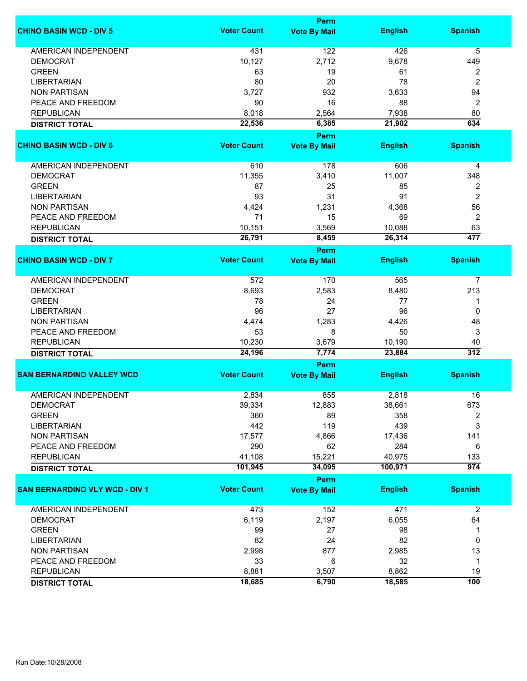| <b>Voter Count</b><br><b>English</b><br><b>Spanish</b><br><b>Vote By Mail</b><br><b>AMERICAN INDEPENDENT</b><br>431<br>122<br>426<br>5<br>10,127<br>2,712<br>9,678<br><b>DEMOCRAT</b><br>449<br><b>GREEN</b><br>63<br>19<br>61<br>2<br>2<br><b>LIBERTARIAN</b><br>80<br>20<br>78<br><b>NON PARTISAN</b><br>3,727<br>932<br>3,633<br>94<br>PEACE AND FREEDOM<br>90<br>16<br>88<br>2<br><b>REPUBLICAN</b><br>8,018<br>2,564<br>7,938<br>80<br>634<br>22,536<br>6,385<br>21,902<br><b>DISTRICT TOTAL</b><br>Perm<br><b>Voter Count</b><br><b>English</b><br><b>Spanish</b><br><b>Vote By Mail</b><br>178<br>AMERICAN INDEPENDENT<br>610<br>606<br>4<br><b>DEMOCRAT</b><br>11,355<br>3,410<br>11,007<br>348<br><b>GREEN</b><br>87<br>25<br>85<br>2<br>$\overline{c}$<br>31<br><b>LIBERTARIAN</b><br>93<br>91<br>56<br><b>NON PARTISAN</b><br>4,424<br>1,231<br>4,368<br>71<br>$\overline{c}$<br>PEACE AND FREEDOM<br>15<br>69<br>10,151<br>3,569<br>63<br><b>REPUBLICAN</b><br>10,088<br>477<br>26,791<br>8,459<br>26,314<br><b>DISTRICT TOTAL</b><br><b>Perm</b><br><b>Voter Count</b><br><b>English</b><br><b>Spanish</b><br><b>Vote By Mail</b><br><b>AMERICAN INDEPENDENT</b><br>572<br>170<br>565<br>7<br><b>DEMOCRAT</b><br>8,693<br>2,583<br>8,480<br>213<br>24<br><b>GREEN</b><br>78<br>77<br>1<br>96<br>27<br><b>LIBERTARIAN</b><br>96<br>0<br><b>NON PARTISAN</b><br>4,474<br>1,283<br>4,426<br>48<br>50<br>PEACE AND FREEDOM<br>53<br>8<br>3<br><b>REPUBLICAN</b><br>10,230<br>3,679<br>10,190<br>40<br>7,774<br>$\overline{312}$<br>24,196<br>23,884<br><b>DISTRICT TOTAL</b><br>Perm<br><b>Voter Count</b><br><b>SAN BERNARDINO VALLEY WCD</b><br><b>English</b><br><b>Spanish</b><br><b>Vote By Mail</b><br><b>AMERICAN INDEPENDENT</b><br>855<br>2,818<br>2,834<br>16<br>DEMOCRAT<br>39,334<br>12,883<br>38,661<br>673<br><b>GREEN</b><br>360<br>89<br>358<br>2<br>442<br>119<br>439<br>3<br><b>LIBERTARIAN</b><br>17,577<br>4,866<br>17,436<br>141<br><b>NON PARTISAN</b><br>PEACE AND FREEDOM<br>290<br>62<br>284<br>6<br>41,108<br><b>REPUBLICAN</b><br>15,221<br>40,975<br>133<br>974<br>101,945<br>34,095<br>100,971<br><b>DISTRICT TOTAL</b><br>Perm<br><b>Voter Count</b><br><b>English</b><br><b>Spanish</b><br><b>Vote By Mail</b><br><b>AMERICAN INDEPENDENT</b><br>473<br>152<br>471<br>$\overline{2}$<br>6,119<br>2,197<br>6,055<br><b>DEMOCRAT</b><br>64<br><b>GREEN</b><br>99<br>27<br>98<br>1<br><b>LIBERTARIAN</b><br>82<br>24<br>82<br>0<br>877<br><b>NON PARTISAN</b><br>2,998<br>2,985<br>13<br>6<br>PEACE AND FREEDOM<br>33<br>32<br>$\mathbf 1$<br><b>REPUBLICAN</b><br>8,881<br>3,507<br>8,862<br>19 |                                       |        | Perm  |        |                  |
|---------------------------------------------------------------------------------------------------------------------------------------------------------------------------------------------------------------------------------------------------------------------------------------------------------------------------------------------------------------------------------------------------------------------------------------------------------------------------------------------------------------------------------------------------------------------------------------------------------------------------------------------------------------------------------------------------------------------------------------------------------------------------------------------------------------------------------------------------------------------------------------------------------------------------------------------------------------------------------------------------------------------------------------------------------------------------------------------------------------------------------------------------------------------------------------------------------------------------------------------------------------------------------------------------------------------------------------------------------------------------------------------------------------------------------------------------------------------------------------------------------------------------------------------------------------------------------------------------------------------------------------------------------------------------------------------------------------------------------------------------------------------------------------------------------------------------------------------------------------------------------------------------------------------------------------------------------------------------------------------------------------------------------------------------------------------------------------------------------------------------------------------------------------------------------------------------------------------------------------------------------------------------------------------------------------------------------------------------------------------------------------------------------------------------------------------------------------------------------------------------------------------------------------------------------------------------------------------------------------------------------------|---------------------------------------|--------|-------|--------|------------------|
|                                                                                                                                                                                                                                                                                                                                                                                                                                                                                                                                                                                                                                                                                                                                                                                                                                                                                                                                                                                                                                                                                                                                                                                                                                                                                                                                                                                                                                                                                                                                                                                                                                                                                                                                                                                                                                                                                                                                                                                                                                                                                                                                                                                                                                                                                                                                                                                                                                                                                                                                                                                                                                       | <b>CHINO BASIN WCD - DIV 5</b>        |        |       |        |                  |
|                                                                                                                                                                                                                                                                                                                                                                                                                                                                                                                                                                                                                                                                                                                                                                                                                                                                                                                                                                                                                                                                                                                                                                                                                                                                                                                                                                                                                                                                                                                                                                                                                                                                                                                                                                                                                                                                                                                                                                                                                                                                                                                                                                                                                                                                                                                                                                                                                                                                                                                                                                                                                                       |                                       |        |       |        |                  |
|                                                                                                                                                                                                                                                                                                                                                                                                                                                                                                                                                                                                                                                                                                                                                                                                                                                                                                                                                                                                                                                                                                                                                                                                                                                                                                                                                                                                                                                                                                                                                                                                                                                                                                                                                                                                                                                                                                                                                                                                                                                                                                                                                                                                                                                                                                                                                                                                                                                                                                                                                                                                                                       |                                       |        |       |        |                  |
|                                                                                                                                                                                                                                                                                                                                                                                                                                                                                                                                                                                                                                                                                                                                                                                                                                                                                                                                                                                                                                                                                                                                                                                                                                                                                                                                                                                                                                                                                                                                                                                                                                                                                                                                                                                                                                                                                                                                                                                                                                                                                                                                                                                                                                                                                                                                                                                                                                                                                                                                                                                                                                       |                                       |        |       |        |                  |
|                                                                                                                                                                                                                                                                                                                                                                                                                                                                                                                                                                                                                                                                                                                                                                                                                                                                                                                                                                                                                                                                                                                                                                                                                                                                                                                                                                                                                                                                                                                                                                                                                                                                                                                                                                                                                                                                                                                                                                                                                                                                                                                                                                                                                                                                                                                                                                                                                                                                                                                                                                                                                                       |                                       |        |       |        |                  |
|                                                                                                                                                                                                                                                                                                                                                                                                                                                                                                                                                                                                                                                                                                                                                                                                                                                                                                                                                                                                                                                                                                                                                                                                                                                                                                                                                                                                                                                                                                                                                                                                                                                                                                                                                                                                                                                                                                                                                                                                                                                                                                                                                                                                                                                                                                                                                                                                                                                                                                                                                                                                                                       |                                       |        |       |        |                  |
|                                                                                                                                                                                                                                                                                                                                                                                                                                                                                                                                                                                                                                                                                                                                                                                                                                                                                                                                                                                                                                                                                                                                                                                                                                                                                                                                                                                                                                                                                                                                                                                                                                                                                                                                                                                                                                                                                                                                                                                                                                                                                                                                                                                                                                                                                                                                                                                                                                                                                                                                                                                                                                       |                                       |        |       |        |                  |
|                                                                                                                                                                                                                                                                                                                                                                                                                                                                                                                                                                                                                                                                                                                                                                                                                                                                                                                                                                                                                                                                                                                                                                                                                                                                                                                                                                                                                                                                                                                                                                                                                                                                                                                                                                                                                                                                                                                                                                                                                                                                                                                                                                                                                                                                                                                                                                                                                                                                                                                                                                                                                                       |                                       |        |       |        |                  |
|                                                                                                                                                                                                                                                                                                                                                                                                                                                                                                                                                                                                                                                                                                                                                                                                                                                                                                                                                                                                                                                                                                                                                                                                                                                                                                                                                                                                                                                                                                                                                                                                                                                                                                                                                                                                                                                                                                                                                                                                                                                                                                                                                                                                                                                                                                                                                                                                                                                                                                                                                                                                                                       |                                       |        |       |        |                  |
|                                                                                                                                                                                                                                                                                                                                                                                                                                                                                                                                                                                                                                                                                                                                                                                                                                                                                                                                                                                                                                                                                                                                                                                                                                                                                                                                                                                                                                                                                                                                                                                                                                                                                                                                                                                                                                                                                                                                                                                                                                                                                                                                                                                                                                                                                                                                                                                                                                                                                                                                                                                                                                       |                                       |        |       |        |                  |
|                                                                                                                                                                                                                                                                                                                                                                                                                                                                                                                                                                                                                                                                                                                                                                                                                                                                                                                                                                                                                                                                                                                                                                                                                                                                                                                                                                                                                                                                                                                                                                                                                                                                                                                                                                                                                                                                                                                                                                                                                                                                                                                                                                                                                                                                                                                                                                                                                                                                                                                                                                                                                                       | <b>CHINO BASIN WCD - DIV 6</b>        |        |       |        |                  |
|                                                                                                                                                                                                                                                                                                                                                                                                                                                                                                                                                                                                                                                                                                                                                                                                                                                                                                                                                                                                                                                                                                                                                                                                                                                                                                                                                                                                                                                                                                                                                                                                                                                                                                                                                                                                                                                                                                                                                                                                                                                                                                                                                                                                                                                                                                                                                                                                                                                                                                                                                                                                                                       |                                       |        |       |        |                  |
|                                                                                                                                                                                                                                                                                                                                                                                                                                                                                                                                                                                                                                                                                                                                                                                                                                                                                                                                                                                                                                                                                                                                                                                                                                                                                                                                                                                                                                                                                                                                                                                                                                                                                                                                                                                                                                                                                                                                                                                                                                                                                                                                                                                                                                                                                                                                                                                                                                                                                                                                                                                                                                       |                                       |        |       |        |                  |
|                                                                                                                                                                                                                                                                                                                                                                                                                                                                                                                                                                                                                                                                                                                                                                                                                                                                                                                                                                                                                                                                                                                                                                                                                                                                                                                                                                                                                                                                                                                                                                                                                                                                                                                                                                                                                                                                                                                                                                                                                                                                                                                                                                                                                                                                                                                                                                                                                                                                                                                                                                                                                                       |                                       |        |       |        |                  |
|                                                                                                                                                                                                                                                                                                                                                                                                                                                                                                                                                                                                                                                                                                                                                                                                                                                                                                                                                                                                                                                                                                                                                                                                                                                                                                                                                                                                                                                                                                                                                                                                                                                                                                                                                                                                                                                                                                                                                                                                                                                                                                                                                                                                                                                                                                                                                                                                                                                                                                                                                                                                                                       |                                       |        |       |        |                  |
|                                                                                                                                                                                                                                                                                                                                                                                                                                                                                                                                                                                                                                                                                                                                                                                                                                                                                                                                                                                                                                                                                                                                                                                                                                                                                                                                                                                                                                                                                                                                                                                                                                                                                                                                                                                                                                                                                                                                                                                                                                                                                                                                                                                                                                                                                                                                                                                                                                                                                                                                                                                                                                       |                                       |        |       |        |                  |
|                                                                                                                                                                                                                                                                                                                                                                                                                                                                                                                                                                                                                                                                                                                                                                                                                                                                                                                                                                                                                                                                                                                                                                                                                                                                                                                                                                                                                                                                                                                                                                                                                                                                                                                                                                                                                                                                                                                                                                                                                                                                                                                                                                                                                                                                                                                                                                                                                                                                                                                                                                                                                                       |                                       |        |       |        |                  |
|                                                                                                                                                                                                                                                                                                                                                                                                                                                                                                                                                                                                                                                                                                                                                                                                                                                                                                                                                                                                                                                                                                                                                                                                                                                                                                                                                                                                                                                                                                                                                                                                                                                                                                                                                                                                                                                                                                                                                                                                                                                                                                                                                                                                                                                                                                                                                                                                                                                                                                                                                                                                                                       |                                       |        |       |        |                  |
|                                                                                                                                                                                                                                                                                                                                                                                                                                                                                                                                                                                                                                                                                                                                                                                                                                                                                                                                                                                                                                                                                                                                                                                                                                                                                                                                                                                                                                                                                                                                                                                                                                                                                                                                                                                                                                                                                                                                                                                                                                                                                                                                                                                                                                                                                                                                                                                                                                                                                                                                                                                                                                       |                                       |        |       |        |                  |
|                                                                                                                                                                                                                                                                                                                                                                                                                                                                                                                                                                                                                                                                                                                                                                                                                                                                                                                                                                                                                                                                                                                                                                                                                                                                                                                                                                                                                                                                                                                                                                                                                                                                                                                                                                                                                                                                                                                                                                                                                                                                                                                                                                                                                                                                                                                                                                                                                                                                                                                                                                                                                                       |                                       |        |       |        |                  |
|                                                                                                                                                                                                                                                                                                                                                                                                                                                                                                                                                                                                                                                                                                                                                                                                                                                                                                                                                                                                                                                                                                                                                                                                                                                                                                                                                                                                                                                                                                                                                                                                                                                                                                                                                                                                                                                                                                                                                                                                                                                                                                                                                                                                                                                                                                                                                                                                                                                                                                                                                                                                                                       |                                       |        |       |        |                  |
|                                                                                                                                                                                                                                                                                                                                                                                                                                                                                                                                                                                                                                                                                                                                                                                                                                                                                                                                                                                                                                                                                                                                                                                                                                                                                                                                                                                                                                                                                                                                                                                                                                                                                                                                                                                                                                                                                                                                                                                                                                                                                                                                                                                                                                                                                                                                                                                                                                                                                                                                                                                                                                       | <b>CHINO BASIN WCD - DIV 7</b>        |        |       |        |                  |
|                                                                                                                                                                                                                                                                                                                                                                                                                                                                                                                                                                                                                                                                                                                                                                                                                                                                                                                                                                                                                                                                                                                                                                                                                                                                                                                                                                                                                                                                                                                                                                                                                                                                                                                                                                                                                                                                                                                                                                                                                                                                                                                                                                                                                                                                                                                                                                                                                                                                                                                                                                                                                                       |                                       |        |       |        |                  |
|                                                                                                                                                                                                                                                                                                                                                                                                                                                                                                                                                                                                                                                                                                                                                                                                                                                                                                                                                                                                                                                                                                                                                                                                                                                                                                                                                                                                                                                                                                                                                                                                                                                                                                                                                                                                                                                                                                                                                                                                                                                                                                                                                                                                                                                                                                                                                                                                                                                                                                                                                                                                                                       |                                       |        |       |        |                  |
|                                                                                                                                                                                                                                                                                                                                                                                                                                                                                                                                                                                                                                                                                                                                                                                                                                                                                                                                                                                                                                                                                                                                                                                                                                                                                                                                                                                                                                                                                                                                                                                                                                                                                                                                                                                                                                                                                                                                                                                                                                                                                                                                                                                                                                                                                                                                                                                                                                                                                                                                                                                                                                       |                                       |        |       |        |                  |
|                                                                                                                                                                                                                                                                                                                                                                                                                                                                                                                                                                                                                                                                                                                                                                                                                                                                                                                                                                                                                                                                                                                                                                                                                                                                                                                                                                                                                                                                                                                                                                                                                                                                                                                                                                                                                                                                                                                                                                                                                                                                                                                                                                                                                                                                                                                                                                                                                                                                                                                                                                                                                                       |                                       |        |       |        |                  |
|                                                                                                                                                                                                                                                                                                                                                                                                                                                                                                                                                                                                                                                                                                                                                                                                                                                                                                                                                                                                                                                                                                                                                                                                                                                                                                                                                                                                                                                                                                                                                                                                                                                                                                                                                                                                                                                                                                                                                                                                                                                                                                                                                                                                                                                                                                                                                                                                                                                                                                                                                                                                                                       |                                       |        |       |        |                  |
|                                                                                                                                                                                                                                                                                                                                                                                                                                                                                                                                                                                                                                                                                                                                                                                                                                                                                                                                                                                                                                                                                                                                                                                                                                                                                                                                                                                                                                                                                                                                                                                                                                                                                                                                                                                                                                                                                                                                                                                                                                                                                                                                                                                                                                                                                                                                                                                                                                                                                                                                                                                                                                       |                                       |        |       |        |                  |
|                                                                                                                                                                                                                                                                                                                                                                                                                                                                                                                                                                                                                                                                                                                                                                                                                                                                                                                                                                                                                                                                                                                                                                                                                                                                                                                                                                                                                                                                                                                                                                                                                                                                                                                                                                                                                                                                                                                                                                                                                                                                                                                                                                                                                                                                                                                                                                                                                                                                                                                                                                                                                                       |                                       |        |       |        |                  |
|                                                                                                                                                                                                                                                                                                                                                                                                                                                                                                                                                                                                                                                                                                                                                                                                                                                                                                                                                                                                                                                                                                                                                                                                                                                                                                                                                                                                                                                                                                                                                                                                                                                                                                                                                                                                                                                                                                                                                                                                                                                                                                                                                                                                                                                                                                                                                                                                                                                                                                                                                                                                                                       |                                       |        |       |        |                  |
|                                                                                                                                                                                                                                                                                                                                                                                                                                                                                                                                                                                                                                                                                                                                                                                                                                                                                                                                                                                                                                                                                                                                                                                                                                                                                                                                                                                                                                                                                                                                                                                                                                                                                                                                                                                                                                                                                                                                                                                                                                                                                                                                                                                                                                                                                                                                                                                                                                                                                                                                                                                                                                       |                                       |        |       |        |                  |
|                                                                                                                                                                                                                                                                                                                                                                                                                                                                                                                                                                                                                                                                                                                                                                                                                                                                                                                                                                                                                                                                                                                                                                                                                                                                                                                                                                                                                                                                                                                                                                                                                                                                                                                                                                                                                                                                                                                                                                                                                                                                                                                                                                                                                                                                                                                                                                                                                                                                                                                                                                                                                                       |                                       |        |       |        |                  |
|                                                                                                                                                                                                                                                                                                                                                                                                                                                                                                                                                                                                                                                                                                                                                                                                                                                                                                                                                                                                                                                                                                                                                                                                                                                                                                                                                                                                                                                                                                                                                                                                                                                                                                                                                                                                                                                                                                                                                                                                                                                                                                                                                                                                                                                                                                                                                                                                                                                                                                                                                                                                                                       |                                       |        |       |        |                  |
|                                                                                                                                                                                                                                                                                                                                                                                                                                                                                                                                                                                                                                                                                                                                                                                                                                                                                                                                                                                                                                                                                                                                                                                                                                                                                                                                                                                                                                                                                                                                                                                                                                                                                                                                                                                                                                                                                                                                                                                                                                                                                                                                                                                                                                                                                                                                                                                                                                                                                                                                                                                                                                       |                                       |        |       |        |                  |
|                                                                                                                                                                                                                                                                                                                                                                                                                                                                                                                                                                                                                                                                                                                                                                                                                                                                                                                                                                                                                                                                                                                                                                                                                                                                                                                                                                                                                                                                                                                                                                                                                                                                                                                                                                                                                                                                                                                                                                                                                                                                                                                                                                                                                                                                                                                                                                                                                                                                                                                                                                                                                                       |                                       |        |       |        |                  |
|                                                                                                                                                                                                                                                                                                                                                                                                                                                                                                                                                                                                                                                                                                                                                                                                                                                                                                                                                                                                                                                                                                                                                                                                                                                                                                                                                                                                                                                                                                                                                                                                                                                                                                                                                                                                                                                                                                                                                                                                                                                                                                                                                                                                                                                                                                                                                                                                                                                                                                                                                                                                                                       |                                       |        |       |        |                  |
|                                                                                                                                                                                                                                                                                                                                                                                                                                                                                                                                                                                                                                                                                                                                                                                                                                                                                                                                                                                                                                                                                                                                                                                                                                                                                                                                                                                                                                                                                                                                                                                                                                                                                                                                                                                                                                                                                                                                                                                                                                                                                                                                                                                                                                                                                                                                                                                                                                                                                                                                                                                                                                       |                                       |        |       |        |                  |
|                                                                                                                                                                                                                                                                                                                                                                                                                                                                                                                                                                                                                                                                                                                                                                                                                                                                                                                                                                                                                                                                                                                                                                                                                                                                                                                                                                                                                                                                                                                                                                                                                                                                                                                                                                                                                                                                                                                                                                                                                                                                                                                                                                                                                                                                                                                                                                                                                                                                                                                                                                                                                                       |                                       |        |       |        |                  |
|                                                                                                                                                                                                                                                                                                                                                                                                                                                                                                                                                                                                                                                                                                                                                                                                                                                                                                                                                                                                                                                                                                                                                                                                                                                                                                                                                                                                                                                                                                                                                                                                                                                                                                                                                                                                                                                                                                                                                                                                                                                                                                                                                                                                                                                                                                                                                                                                                                                                                                                                                                                                                                       |                                       |        |       |        |                  |
|                                                                                                                                                                                                                                                                                                                                                                                                                                                                                                                                                                                                                                                                                                                                                                                                                                                                                                                                                                                                                                                                                                                                                                                                                                                                                                                                                                                                                                                                                                                                                                                                                                                                                                                                                                                                                                                                                                                                                                                                                                                                                                                                                                                                                                                                                                                                                                                                                                                                                                                                                                                                                                       |                                       |        |       |        |                  |
|                                                                                                                                                                                                                                                                                                                                                                                                                                                                                                                                                                                                                                                                                                                                                                                                                                                                                                                                                                                                                                                                                                                                                                                                                                                                                                                                                                                                                                                                                                                                                                                                                                                                                                                                                                                                                                                                                                                                                                                                                                                                                                                                                                                                                                                                                                                                                                                                                                                                                                                                                                                                                                       |                                       |        |       |        |                  |
|                                                                                                                                                                                                                                                                                                                                                                                                                                                                                                                                                                                                                                                                                                                                                                                                                                                                                                                                                                                                                                                                                                                                                                                                                                                                                                                                                                                                                                                                                                                                                                                                                                                                                                                                                                                                                                                                                                                                                                                                                                                                                                                                                                                                                                                                                                                                                                                                                                                                                                                                                                                                                                       |                                       |        |       |        |                  |
|                                                                                                                                                                                                                                                                                                                                                                                                                                                                                                                                                                                                                                                                                                                                                                                                                                                                                                                                                                                                                                                                                                                                                                                                                                                                                                                                                                                                                                                                                                                                                                                                                                                                                                                                                                                                                                                                                                                                                                                                                                                                                                                                                                                                                                                                                                                                                                                                                                                                                                                                                                                                                                       | <b>SAN BERNARDINO VLY WCD - DIV 1</b> |        |       |        |                  |
|                                                                                                                                                                                                                                                                                                                                                                                                                                                                                                                                                                                                                                                                                                                                                                                                                                                                                                                                                                                                                                                                                                                                                                                                                                                                                                                                                                                                                                                                                                                                                                                                                                                                                                                                                                                                                                                                                                                                                                                                                                                                                                                                                                                                                                                                                                                                                                                                                                                                                                                                                                                                                                       |                                       |        |       |        |                  |
|                                                                                                                                                                                                                                                                                                                                                                                                                                                                                                                                                                                                                                                                                                                                                                                                                                                                                                                                                                                                                                                                                                                                                                                                                                                                                                                                                                                                                                                                                                                                                                                                                                                                                                                                                                                                                                                                                                                                                                                                                                                                                                                                                                                                                                                                                                                                                                                                                                                                                                                                                                                                                                       |                                       |        |       |        |                  |
|                                                                                                                                                                                                                                                                                                                                                                                                                                                                                                                                                                                                                                                                                                                                                                                                                                                                                                                                                                                                                                                                                                                                                                                                                                                                                                                                                                                                                                                                                                                                                                                                                                                                                                                                                                                                                                                                                                                                                                                                                                                                                                                                                                                                                                                                                                                                                                                                                                                                                                                                                                                                                                       |                                       |        |       |        |                  |
|                                                                                                                                                                                                                                                                                                                                                                                                                                                                                                                                                                                                                                                                                                                                                                                                                                                                                                                                                                                                                                                                                                                                                                                                                                                                                                                                                                                                                                                                                                                                                                                                                                                                                                                                                                                                                                                                                                                                                                                                                                                                                                                                                                                                                                                                                                                                                                                                                                                                                                                                                                                                                                       |                                       |        |       |        |                  |
|                                                                                                                                                                                                                                                                                                                                                                                                                                                                                                                                                                                                                                                                                                                                                                                                                                                                                                                                                                                                                                                                                                                                                                                                                                                                                                                                                                                                                                                                                                                                                                                                                                                                                                                                                                                                                                                                                                                                                                                                                                                                                                                                                                                                                                                                                                                                                                                                                                                                                                                                                                                                                                       |                                       |        |       |        |                  |
|                                                                                                                                                                                                                                                                                                                                                                                                                                                                                                                                                                                                                                                                                                                                                                                                                                                                                                                                                                                                                                                                                                                                                                                                                                                                                                                                                                                                                                                                                                                                                                                                                                                                                                                                                                                                                                                                                                                                                                                                                                                                                                                                                                                                                                                                                                                                                                                                                                                                                                                                                                                                                                       |                                       |        |       |        |                  |
|                                                                                                                                                                                                                                                                                                                                                                                                                                                                                                                                                                                                                                                                                                                                                                                                                                                                                                                                                                                                                                                                                                                                                                                                                                                                                                                                                                                                                                                                                                                                                                                                                                                                                                                                                                                                                                                                                                                                                                                                                                                                                                                                                                                                                                                                                                                                                                                                                                                                                                                                                                                                                                       |                                       |        |       |        |                  |
|                                                                                                                                                                                                                                                                                                                                                                                                                                                                                                                                                                                                                                                                                                                                                                                                                                                                                                                                                                                                                                                                                                                                                                                                                                                                                                                                                                                                                                                                                                                                                                                                                                                                                                                                                                                                                                                                                                                                                                                                                                                                                                                                                                                                                                                                                                                                                                                                                                                                                                                                                                                                                                       | <b>DISTRICT TOTAL</b>                 | 18,685 | 6,790 | 18,585 | $\overline{100}$ |
|                                                                                                                                                                                                                                                                                                                                                                                                                                                                                                                                                                                                                                                                                                                                                                                                                                                                                                                                                                                                                                                                                                                                                                                                                                                                                                                                                                                                                                                                                                                                                                                                                                                                                                                                                                                                                                                                                                                                                                                                                                                                                                                                                                                                                                                                                                                                                                                                                                                                                                                                                                                                                                       |                                       |        |       |        |                  |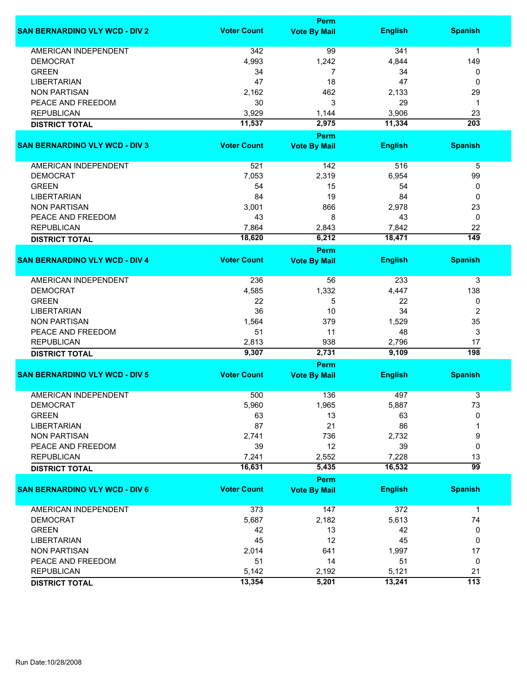|                                       |                    | <b>Perm</b>         |                |                  |
|---------------------------------------|--------------------|---------------------|----------------|------------------|
| <b>SAN BERNARDINO VLY WCD - DIV 2</b> | <b>Voter Count</b> | <b>Vote By Mail</b> | <b>English</b> | <b>Spanish</b>   |
| <b>AMERICAN INDEPENDENT</b>           | 342                | 99                  | 341            | 1                |
| <b>DEMOCRAT</b>                       | 4,993              | 1,242               | 4,844          | 149              |
| <b>GREEN</b>                          | 34                 | 7                   | 34             | 0                |
| <b>LIBERTARIAN</b>                    | 47                 | 18                  | 47             | 0                |
| <b>NON PARTISAN</b>                   | 2,162              | 462                 | 2,133          | 29               |
| PEACE AND FREEDOM                     | 30                 | 3                   | 29             | 1                |
| <b>REPUBLICAN</b>                     | 3,929              | 1,144               | 3,906          | 23               |
| <b>DISTRICT TOTAL</b>                 | 11,537             | 2,975               | 11,334         | $\overline{203}$ |
|                                       |                    | <b>Perm</b>         |                |                  |
| <b>SAN BERNARDINO VLY WCD - DIV 3</b> | <b>Voter Count</b> | <b>Vote By Mail</b> | <b>English</b> | <b>Spanish</b>   |
|                                       |                    |                     |                |                  |
| AMERICAN INDEPENDENT                  | 521                | 142                 | 516            | 5                |
| <b>DEMOCRAT</b>                       | 7,053              | 2,319               | 6,954          | 99               |
| <b>GREEN</b>                          | 54                 | 15                  | 54             | 0                |
| <b>LIBERTARIAN</b>                    | 84                 | 19                  | 84             | 0                |
| <b>NON PARTISAN</b>                   | 3,001              | 866                 | 2,978          | 23               |
| PEACE AND FREEDOM                     | 43                 | 8                   | 43             | 0                |
| <b>REPUBLICAN</b>                     | 7,864              | 2,843               | 7,842          | 22               |
|                                       | 18,620             | 6,212               | 18,471         | 149              |
| <b>DISTRICT TOTAL</b>                 |                    | Perm                |                |                  |
| <b>SAN BERNARDINO VLY WCD - DIV 4</b> | <b>Voter Count</b> | <b>Vote By Mail</b> | <b>English</b> | <b>Spanish</b>   |
| <b>AMERICAN INDEPENDENT</b>           | 236                | 56                  | 233            | 3                |
| <b>DEMOCRAT</b>                       | 4,585              | 1,332               | 4,447          | 138              |
| <b>GREEN</b>                          | 22                 | 5                   | 22             | 0                |
| <b>LIBERTARIAN</b>                    | 36                 | 10                  | 34             | 2                |
| <b>NON PARTISAN</b>                   | 1,564              | 379                 | 1,529          | 35               |
| PEACE AND FREEDOM                     | 51                 | 11                  | 48             | 3                |
| <b>REPUBLICAN</b>                     | 2,813              | 938                 | 2,796          | 17               |
| <b>DISTRICT TOTAL</b>                 | 9,307              | 2,731               | 9,109          | 198              |
|                                       |                    | <b>Perm</b>         |                |                  |
| <b>SAN BERNARDINO VLY WCD - DIV 5</b> | <b>Voter Count</b> | <b>Vote By Mail</b> | <b>English</b> | <b>Spanish</b>   |
|                                       |                    |                     |                |                  |
| <b>AMERICAN INDEPENDENT</b>           | 500                | 136                 | 497            | 3                |
| <b>DEMOCRAT</b>                       | 5,960              | 1,965               | 5,887          | 73               |
| <b>GREEN</b>                          | 63                 | 13                  | 63             | 0                |
| <b>LIBERTARIAN</b>                    | 87                 | 21                  | 86             |                  |
| <b>NON PARTISAN</b>                   | 2,741              | 736                 | 2,732          | 9                |
| PEACE AND FREEDOM                     | 39                 | 12                  | 39             | 0                |
| <b>REPUBLICAN</b>                     | 7,241              | 2,552               | 7,228          | 13               |
| <b>DISTRICT TOTAL</b>                 | 16,631             | 5,435               | 16,532         | 99               |
|                                       |                    | Perm                |                |                  |
| <b>SAN BERNARDINO VLY WCD - DIV 6</b> | <b>Voter Count</b> | <b>Vote By Mail</b> | <b>English</b> | <b>Spanish</b>   |
| <b>AMERICAN INDEPENDENT</b>           | 373                | 147                 | 372            | 1                |
| <b>DEMOCRAT</b>                       | 5,687              | 2,182               | 5,613          | 74               |
| <b>GREEN</b>                          | 42                 | 13                  | 42             | 0                |
| <b>LIBERTARIAN</b>                    | 45                 | 12                  | 45             | 0                |
| <b>NON PARTISAN</b>                   | 2,014              | 641                 | 1,997          | 17               |
| PEACE AND FREEDOM                     | 51                 | 14                  | 51             | 0                |
| <b>REPUBLICAN</b>                     | 5,142              | 2,192               | 5,121          | 21               |
| <b>DISTRICT TOTAL</b>                 | 13,354             | 5,201               | 13,241         | $\overline{113}$ |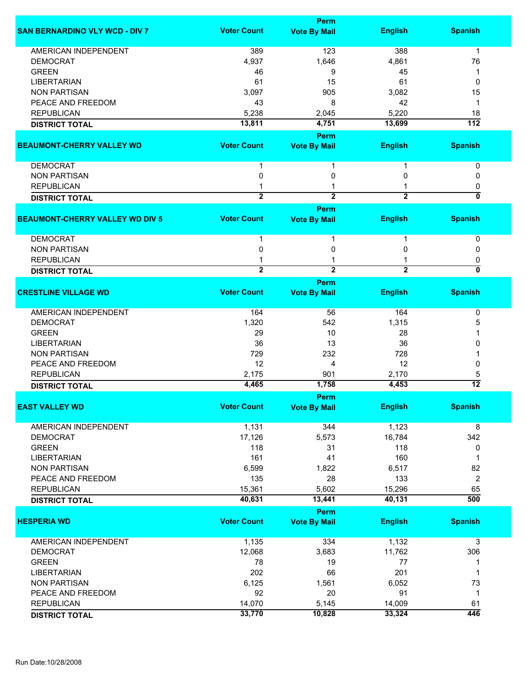|                                        |                    | Perm                |                |                                |
|----------------------------------------|--------------------|---------------------|----------------|--------------------------------|
| <b>SAN BERNARDINO VLY WCD - DIV 7</b>  | <b>Voter Count</b> | <b>Vote By Mail</b> | <b>English</b> | <b>Spanish</b>                 |
| <b>AMERICAN INDEPENDENT</b>            | 389                | 123                 | 388            | $\mathbf{1}$                   |
| <b>DEMOCRAT</b>                        | 4,937              | 1,646               | 4,861          | 76                             |
| <b>GREEN</b>                           | 46                 | 9                   | 45             | 1                              |
| <b>LIBERTARIAN</b>                     | 61                 | 15                  | 61             | 0                              |
|                                        |                    |                     |                |                                |
| <b>NON PARTISAN</b>                    | 3,097              | 905                 | 3,082          | 15                             |
| PEACE AND FREEDOM                      | 43                 | 8                   | 42             | 1                              |
| <b>REPUBLICAN</b>                      | 5,238              | 2,045               | 5,220          | 18                             |
| <b>DISTRICT TOTAL</b>                  | 13,811             | 4,751               | 13,699         | $\overline{112}$               |
|                                        |                    | Perm                |                |                                |
| <b>BEAUMONT-CHERRY VALLEY WD</b>       | <b>Voter Count</b> | <b>Vote By Mail</b> | <b>English</b> | <b>Spanish</b>                 |
| <b>DEMOCRAT</b>                        |                    | 1                   |                | 0                              |
| <b>NON PARTISAN</b>                    | $\mathbf 0$        | 0                   | 0              | 0                              |
| <b>REPUBLICAN</b>                      |                    | 1                   |                |                                |
|                                        | $\overline{2}$     | $\overline{2}$      |                | 0<br>$\overline{\mathfrak{o}}$ |
| <b>DISTRICT TOTAL</b>                  |                    |                     | $\overline{2}$ |                                |
|                                        |                    | <b>Perm</b>         |                |                                |
| <b>BEAUMONT-CHERRY VALLEY WD DIV 5</b> | <b>Voter Count</b> | <b>Vote By Mail</b> | <b>English</b> | <b>Spanish</b>                 |
| <b>DEMOCRAT</b>                        |                    | 1                   | 1              | 0                              |
| <b>NON PARTISAN</b>                    | 0                  | 0                   | 0              | 0                              |
| <b>REPUBLICAN</b>                      |                    |                     |                | 0                              |
| <b>DISTRICT TOTAL</b>                  | $\overline{2}$     | $\overline{2}$      | $\overline{2}$ | 0                              |
|                                        |                    | Perm                |                |                                |
| <b>CRESTLINE VILLAGE WD</b>            | <b>Voter Count</b> | <b>Vote By Mail</b> | <b>English</b> | <b>Spanish</b>                 |
| AMERICAN INDEPENDENT                   | 164                | 56                  | 164            | 0                              |
|                                        |                    |                     |                |                                |
| <b>DEMOCRAT</b>                        | 1,320              | 542                 | 1,315          | 5                              |
| <b>GREEN</b>                           | 29                 | 10                  | 28             |                                |
| <b>LIBERTARIAN</b>                     | 36                 | 13                  | 36             | 0                              |
| <b>NON PARTISAN</b>                    | 729                | 232                 | 728            |                                |
| PEACE AND FREEDOM                      | 12                 | 4                   | 12             | 0                              |
| <b>REPUBLICAN</b>                      | 2,175              | 901                 | 2,170          | 5                              |
| <b>DISTRICT TOTAL</b>                  | 4,465              | 1,758               | 4,453          | $\overline{12}$                |
|                                        |                    | Perm                |                |                                |
| <b>EAST VALLEY WD</b>                  | <b>Voter Count</b> | <b>Vote By Mail</b> | <b>English</b> | <b>Spanish</b>                 |
|                                        |                    |                     |                |                                |
| AMERICAN INDEPENDENT                   | 1,131              | 344                 | 1,123          | 8                              |
| <b>DEMOCRAT</b>                        | 17,126             | 5,573               | 16,784         | 342                            |
| <b>GREEN</b>                           | 118                | 31                  | 118            | 0                              |
| <b>LIBERTARIAN</b>                     | 161                | 41                  | 160            | 1                              |
| <b>NON PARTISAN</b>                    | 6,599              | 1,822               | 6,517          | 82                             |
| PEACE AND FREEDOM                      | 135                | 28                  | 133            | 2                              |
|                                        |                    |                     |                |                                |
| <b>REPUBLICAN</b>                      | 15,361             | 5,602               | 15,296         | 65<br>$\overline{500}$         |
| <b>DISTRICT TOTAL</b>                  | 40,631             | 13,441              | 40,131         |                                |
|                                        |                    | Perm                |                |                                |
| <b>HESPERIA WD</b>                     | <b>Voter Count</b> | <b>Vote By Mail</b> | <b>English</b> | <b>Spanish</b>                 |
| <b>AMERICAN INDEPENDENT</b>            | 1,135              | 334                 | 1,132          | 3                              |
| <b>DEMOCRAT</b>                        | 12,068             | 3,683               | 11,762         | 306                            |
| <b>GREEN</b>                           | 78                 | 19                  | 77             | 1                              |
| <b>LIBERTARIAN</b>                     | 202                | 66                  | 201            | 1                              |
| <b>NON PARTISAN</b>                    |                    | 1,561               | 6,052          | 73                             |
|                                        | 6,125              |                     |                |                                |
| PEACE AND FREEDOM                      | 92                 | 20                  | 91             | $\mathbf{1}$                   |
| <b>REPUBLICAN</b>                      | 14,070             | 5,145               | 14,009         | 61                             |
| <b>DISTRICT TOTAL</b>                  | 33,770             | 10,828              | 33,324         | 446                            |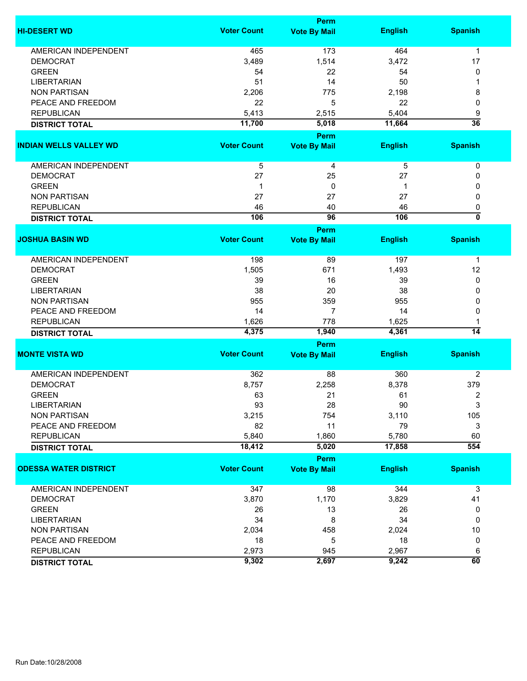|                               |                    | Perm                |                |                  |  |  |
|-------------------------------|--------------------|---------------------|----------------|------------------|--|--|
| <b>HI-DESERT WD</b>           | <b>Voter Count</b> | <b>Vote By Mail</b> | <b>English</b> | <b>Spanish</b>   |  |  |
| <b>AMERICAN INDEPENDENT</b>   | 465                | 173                 | 464            | $\mathbf 1$      |  |  |
| <b>DEMOCRAT</b>               | 3,489              | 1,514               | 3,472          | 17               |  |  |
| <b>GREEN</b>                  | 54                 | 22                  | 54             | 0                |  |  |
| <b>LIBERTARIAN</b>            | 51                 | 14                  | 50             | 1                |  |  |
| <b>NON PARTISAN</b>           | 2,206              | 775                 | 2,198          |                  |  |  |
| PEACE AND FREEDOM             | 22                 | 5                   | 22             | 8                |  |  |
|                               |                    |                     |                | 0                |  |  |
| <b>REPUBLICAN</b>             | 5,413              | 2,515               | 5,404          | 9                |  |  |
| <b>DISTRICT TOTAL</b>         | 11,700             | 5,018               | 11,664         | $\overline{36}$  |  |  |
|                               |                    | Perm                |                |                  |  |  |
| <b>INDIAN WELLS VALLEY WD</b> | <b>Voter Count</b> | <b>Vote By Mail</b> | <b>English</b> | <b>Spanish</b>   |  |  |
| AMERICAN INDEPENDENT          | 5                  | 4                   | 5              | 0                |  |  |
| <b>DEMOCRAT</b>               | 27                 | 25                  | 27             | 0                |  |  |
| <b>GREEN</b>                  | $\mathbf 1$        | $\mathbf 0$         | 1              | 0                |  |  |
| <b>NON PARTISAN</b>           | 27                 | 27                  | 27             | 0                |  |  |
| <b>REPUBLICAN</b>             | 46                 | 40                  | 46             | 0                |  |  |
|                               | 106                | 96                  | 106            | 0                |  |  |
| <b>DISTRICT TOTAL</b>         |                    |                     |                |                  |  |  |
|                               | <b>Voter Count</b> | Perm                |                |                  |  |  |
| <b>JOSHUA BASIN WD</b>        |                    | <b>Vote By Mail</b> | <b>English</b> | <b>Spanish</b>   |  |  |
| <b>AMERICAN INDEPENDENT</b>   | 198                | 89                  | 197            | 1                |  |  |
| <b>DEMOCRAT</b>               | 1,505              | 671                 | 1,493          | 12               |  |  |
| <b>GREEN</b>                  | 39                 | 16                  | 39             | 0                |  |  |
| <b>LIBERTARIAN</b>            | 38                 | 20                  | 38             | 0                |  |  |
| <b>NON PARTISAN</b>           | 955                | 359                 | 955            | 0                |  |  |
| PEACE AND FREEDOM             | 14                 | $\overline{7}$      | 14             | 0                |  |  |
| <b>REPUBLICAN</b>             | 1,626              | 778                 | 1,625          | 1                |  |  |
| <b>DISTRICT TOTAL</b>         | 4,375              | 1,940               | 4,361          | $\overline{14}$  |  |  |
|                               |                    | Perm                |                |                  |  |  |
| <b>MONTE VISTA WD</b>         | <b>Voter Count</b> | <b>Vote By Mail</b> | <b>English</b> | <b>Spanish</b>   |  |  |
|                               |                    |                     |                |                  |  |  |
| <b>AMERICAN INDEPENDENT</b>   | 362                | 88                  | 360            | $\overline{2}$   |  |  |
| <b>DEMOCRAT</b>               | 8,757              | 2,258               | 8,378          | 379              |  |  |
| <b>GREEN</b>                  | 63                 | 21                  | 61             | 2                |  |  |
| LIBERTARIAN                   | 93                 | 28                  | 90             | 3                |  |  |
| <b>NON PARTISAN</b>           | 3,215              | 754                 | 3,110          | 105              |  |  |
| PEACE AND FREEDOM             | 82                 | 11                  | 79             | 3                |  |  |
| <b>REPUBLICAN</b>             | 5,840              | 1,860               | 5,780          | 60               |  |  |
| <b>DISTRICT TOTAL</b>         | 18,412             | 5,020               | 17,858         | $\overline{554}$ |  |  |
|                               |                    | Perm                |                |                  |  |  |
| <b>ODESSA WATER DISTRICT</b>  | <b>Voter Count</b> | <b>Vote By Mail</b> | <b>English</b> | <b>Spanish</b>   |  |  |
|                               |                    |                     |                |                  |  |  |
| AMERICAN INDEPENDENT          | 347                | 98                  | 344            | 3                |  |  |
| <b>DEMOCRAT</b>               | 3,870              | 1,170               | 3,829          | 41               |  |  |
| <b>GREEN</b>                  | 26                 | 13                  | 26             | 0                |  |  |
| <b>LIBERTARIAN</b>            | 34                 | 8                   | 34             | 0                |  |  |
| <b>NON PARTISAN</b>           | 2,034              | 458                 | 2,024          | 10               |  |  |
| PEACE AND FREEDOM             | 18                 | 5                   | 18             | 0                |  |  |
| <b>REPUBLICAN</b>             | 2,973              | 945                 | 2,967          | 6                |  |  |
| <b>DISTRICT TOTAL</b>         | 9,302              | 2,697               | 9,242          | $\overline{60}$  |  |  |
|                               |                    |                     |                |                  |  |  |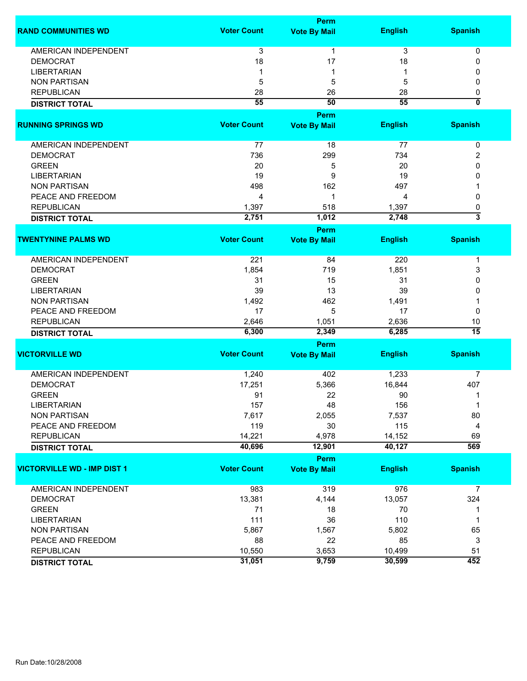|                                    |                    | <b>Perm</b>         |                |                         |
|------------------------------------|--------------------|---------------------|----------------|-------------------------|
| <b>RAND COMMUNITIES WD</b>         | <b>Voter Count</b> | <b>Vote By Mail</b> | <b>English</b> | <b>Spanish</b>          |
| <b>AMERICAN INDEPENDENT</b>        | 3                  | $\mathbf{1}$        | 3              | 0                       |
| <b>DEMOCRAT</b>                    | 18                 | 17                  | 18             | 0                       |
|                                    | -1                 | 1                   |                | 0                       |
| <b>LIBERTARIAN</b>                 |                    |                     |                |                         |
| <b>NON PARTISAN</b>                | 5                  | 5                   | 5              | 0                       |
| <b>REPUBLICAN</b>                  | 28                 | 26                  | 28             | 0                       |
| <b>DISTRICT TOTAL</b>              | 55                 | 50                  | 55             | $\overline{\mathbf{0}}$ |
|                                    |                    | <b>Perm</b>         |                |                         |
| <b>RUNNING SPRINGS WD</b>          | <b>Voter Count</b> | <b>Vote By Mail</b> | <b>English</b> | <b>Spanish</b>          |
| AMERICAN INDEPENDENT               | 77                 | 18                  | 77             | 0                       |
| <b>DEMOCRAT</b>                    | 736                | 299                 | 734            | 2                       |
| <b>GREEN</b>                       | 20                 | 5                   | 20             | 0                       |
|                                    |                    |                     |                |                         |
| <b>LIBERTARIAN</b>                 | 19                 | 9                   | 19             | 0                       |
| <b>NON PARTISAN</b>                | 498                | 162                 | 497            |                         |
| PEACE AND FREEDOM                  | 4                  | 1                   | 4              | 0                       |
| <b>REPUBLICAN</b>                  | 1,397              | 518                 | 1,397          | 0                       |
| <b>DISTRICT TOTAL</b>              | 2,751              | 1,012               | 2,748          | $\overline{3}$          |
|                                    |                    | <b>Perm</b>         |                |                         |
| <b>TWENTYNINE PALMS WD</b>         | <b>Voter Count</b> | <b>Vote By Mail</b> | <b>English</b> | <b>Spanish</b>          |
|                                    |                    |                     |                |                         |
| AMERICAN INDEPENDENT               | 221                | 84                  | 220            | 1                       |
| <b>DEMOCRAT</b>                    | 1,854              | 719                 | 1,851          | 3                       |
| <b>GREEN</b>                       | 31                 | 15                  | 31             | 0                       |
| <b>LIBERTARIAN</b>                 | 39                 | 13                  | 39             | 0                       |
| <b>NON PARTISAN</b>                | 1,492              | 462                 | 1,491          | 1                       |
| PEACE AND FREEDOM                  | 17                 | 5                   | 17             | 0                       |
| <b>REPUBLICAN</b>                  | 2,646              | 1,051               | 2,636          | 10                      |
|                                    | 6,300              | 2,349               | 6,285          | $\overline{15}$         |
| <b>DISTRICT TOTAL</b>              |                    |                     |                |                         |
|                                    |                    | Perm                |                |                         |
| <b>VICTORVILLE WD</b>              | <b>Voter Count</b> | <b>Vote By Mail</b> | <b>English</b> | <b>Spanish</b>          |
| <b>AMERICAN INDEPENDENT</b>        | 1,240              | 402                 | 1,233          | 7                       |
| <b>DEMOCRAT</b>                    | 17,251             | 5,366               | 16,844         | 407                     |
| <b>GREEN</b>                       | 91                 | 22                  | 90             | 1                       |
| LIBERTARIAN                        | 157                | 48                  | 156            | 1                       |
| <b>NON PARTISAN</b>                | 7,617              | 2,055               | 7,537          | 80                      |
| PEACE AND FREEDOM                  | 119                | 30                  | 115            | 4                       |
|                                    |                    |                     |                |                         |
| <b>REPUBLICAN</b>                  | 14,221             | 4,978               | 14,152         | 69                      |
| <b>DISTRICT TOTAL</b>              | 40,696             | 12,901              | 40,127         | 569                     |
|                                    |                    | <b>Perm</b>         |                |                         |
| <b>VICTORVILLE WD - IMP DIST 1</b> | <b>Voter Count</b> | <b>Vote By Mail</b> | <b>English</b> | <b>Spanish</b>          |
|                                    |                    |                     |                |                         |
| <b>AMERICAN INDEPENDENT</b>        | 983                | 319                 | 976            | $\overline{7}$          |
| <b>DEMOCRAT</b>                    | 13,381             | 4,144               | 13,057         | 324                     |
| <b>GREEN</b>                       | 71                 | 18                  | 70             | 1                       |
| <b>LIBERTARIAN</b>                 | 111                | 36                  | 110            | 1                       |
| <b>NON PARTISAN</b>                | 5,867              | 1,567               | 5,802          | 65                      |
| PEACE AND FREEDOM                  | 88                 | 22                  | 85             | 3                       |
| <b>REPUBLICAN</b>                  | 10,550             | 3,653               | 10,499         | 51                      |
| <b>DISTRICT TOTAL</b>              | 31,051             | 9,759               | 30,599         | 452                     |
|                                    |                    |                     |                |                         |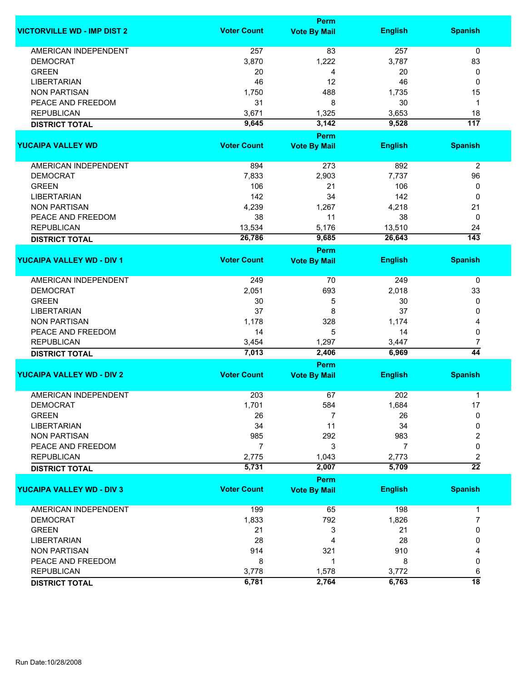|                                    |                    | Perm                |                |                      |
|------------------------------------|--------------------|---------------------|----------------|----------------------|
| <b>VICTORVILLE WD - IMP DIST 2</b> | <b>Voter Count</b> | <b>Vote By Mail</b> | <b>English</b> | <b>Spanish</b>       |
| <b>AMERICAN INDEPENDENT</b>        | 257                | 83                  | 257            | $\mathbf 0$          |
| <b>DEMOCRAT</b>                    | 3,870              | 1,222               | 3,787          | 83                   |
| <b>GREEN</b>                       | 20                 | 4                   | 20             | 0                    |
| <b>LIBERTARIAN</b>                 | 46                 | 12                  | 46             | 0                    |
| <b>NON PARTISAN</b>                | 1,750              | 488                 | 1,735          | 15                   |
|                                    |                    |                     |                |                      |
| PEACE AND FREEDOM                  | 31                 | 8                   | 30             | 1                    |
| <b>REPUBLICAN</b>                  | 3,671              | 1,325               | 3,653          | 18                   |
| <b>DISTRICT TOTAL</b>              | 9,645              | 3,142               | 9,528          | $\overline{117}$     |
|                                    |                    | Perm                |                |                      |
| <b>YUCAIPA VALLEY WD</b>           | <b>Voter Count</b> | <b>Vote By Mail</b> | <b>English</b> | <b>Spanish</b>       |
| <b>AMERICAN INDEPENDENT</b>        | 894                | 273                 | 892            | $\overline{2}$       |
| <b>DEMOCRAT</b>                    | 7,833              | 2,903               | 7,737          | 96                   |
| <b>GREEN</b>                       | 106                | 21                  | 106            | 0                    |
| <b>LIBERTARIAN</b>                 | 142                | 34                  | 142            | $\mathbf 0$          |
| <b>NON PARTISAN</b>                | 4,239              | 1,267               | 4,218          | 21                   |
| PEACE AND FREEDOM                  | 38                 | 11                  | 38             | 0                    |
| <b>REPUBLICAN</b>                  |                    |                     |                | 24                   |
|                                    | 13,534             | 5,176               | 13,510         | $\overline{143}$     |
| <b>DISTRICT TOTAL</b>              | 26,786             | 9,685               | 26,643         |                      |
|                                    |                    | Perm                |                |                      |
| <b>YUCAIPA VALLEY WD - DIV 1</b>   | <b>Voter Count</b> | <b>Vote By Mail</b> | <b>English</b> | <b>Spanish</b>       |
| <b>AMERICAN INDEPENDENT</b>        | 249                | 70                  | 249            | 0                    |
| <b>DEMOCRAT</b>                    | 2,051              | 693                 | 2,018          | 33                   |
| <b>GREEN</b>                       | 30                 | 5                   | 30             | 0                    |
| <b>LIBERTARIAN</b>                 | 37                 | 8                   | 37             | 0                    |
| <b>NON PARTISAN</b>                | 1,178              | 328                 | 1,174          | 4                    |
| PEACE AND FREEDOM                  | 14                 | 5                   | 14             | 0                    |
| <b>REPUBLICAN</b>                  |                    |                     |                |                      |
|                                    | 3,454<br>7,013     | 1,297<br>2,406      | 3,447<br>6,969 | 7<br>$\overline{44}$ |
| <b>DISTRICT TOTAL</b>              |                    | Perm                |                |                      |
| <b>YUCAIPA VALLEY WD - DIV 2</b>   | <b>Voter Count</b> | <b>Vote By Mail</b> | <b>English</b> | <b>Spanish</b>       |
|                                    |                    |                     |                |                      |
| <b>AMERICAN INDEPENDENT</b>        | 203                | 67                  | 202            | 1                    |
| <b>DEMOCRAT</b>                    | 1,701              | 584                 | 1,684          | 17                   |
| <b>GREEN</b>                       | 26                 | 7                   | 26             | 0                    |
| <b>LIBERTARIAN</b>                 | 34                 | 11                  | 34             | 0                    |
| <b>NON PARTISAN</b>                | 985                | 292                 | 983            | 2                    |
| PEACE AND FREEDOM                  | 7                  | 3                   | 7              | 0                    |
| <b>REPUBLICAN</b>                  | 2,775              | 1,043               | 2,773          | 2                    |
| <b>DISTRICT TOTAL</b>              | 5,731              | 2,007               | 5,709          | $\overline{22}$      |
|                                    |                    | Perm                |                |                      |
| <b>YUCAIPA VALLEY WD - DIV 3</b>   | <b>Voter Count</b> | <b>Vote By Mail</b> | <b>English</b> | <b>Spanish</b>       |
| AMERICAN INDEPENDENT               | 199                | 65                  | 198            | $\mathbf{1}$         |
| <b>DEMOCRAT</b>                    | 1,833              | 792                 | 1,826          | 7                    |
| <b>GREEN</b>                       | 21                 | 3                   | 21             | 0                    |
| <b>LIBERTARIAN</b>                 | 28                 | 4                   | 28             | 0                    |
| <b>NON PARTISAN</b>                | 914                | 321                 | 910            | 4                    |
|                                    |                    | 1                   |                |                      |
| PEACE AND FREEDOM                  | 8                  |                     | 8              | 0                    |
| <b>REPUBLICAN</b>                  | 3,778              | 1,578               | 3,772          | 6                    |
| <b>DISTRICT TOTAL</b>              | 6,781              | 2,764               | 6,763          | $\overline{18}$      |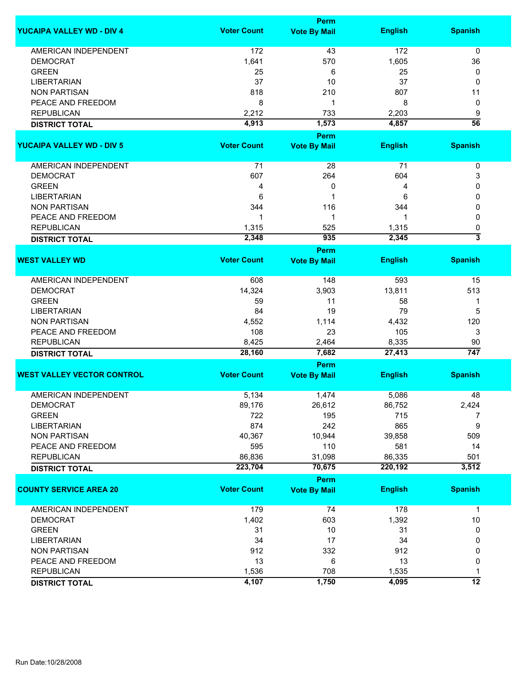|                                   |                    | Perm                |                |                           |
|-----------------------------------|--------------------|---------------------|----------------|---------------------------|
| <b>YUCAIPA VALLEY WD - DIV 4</b>  | <b>Voter Count</b> | <b>Vote By Mail</b> | <b>English</b> | <b>Spanish</b>            |
| <b>AMERICAN INDEPENDENT</b>       | 172                | 43                  | 172            | 0                         |
| <b>DEMOCRAT</b>                   | 1,641              | 570                 | 1,605          | 36                        |
| <b>GREEN</b>                      | 25                 | 6                   | 25             | 0                         |
| <b>LIBERTARIAN</b>                | 37                 | 10                  | 37             | 0                         |
| <b>NON PARTISAN</b>               | 818                | 210                 | 807            | 11                        |
| PEACE AND FREEDOM                 | 8                  | 1                   | 8              | 0                         |
| <b>REPUBLICAN</b>                 | 2,212              | 733                 | 2,203          | 9                         |
| <b>DISTRICT TOTAL</b>             | 4,913              | 1,573               | 4,857          | $\overline{56}$           |
|                                   |                    | Perm                |                |                           |
| <b>YUCAIPA VALLEY WD - DIV 5</b>  | <b>Voter Count</b> | <b>Vote By Mail</b> | <b>English</b> | <b>Spanish</b>            |
|                                   |                    |                     |                |                           |
| AMERICAN INDEPENDENT              | 71                 | 28                  | 71             | 0                         |
| <b>DEMOCRAT</b>                   | 607                | 264                 | 604            | 3                         |
| <b>GREEN</b>                      | 4                  | 0                   | 4              | 0                         |
| <b>LIBERTARIAN</b>                | 6                  | 1                   | 6              | 0                         |
| <b>NON PARTISAN</b>               | 344                | 116                 | 344            | 0                         |
| PEACE AND FREEDOM                 | 1                  | 1                   | 1              | 0                         |
| <b>REPUBLICAN</b>                 | 1,315              | 525                 | 1,315          | 0                         |
| <b>DISTRICT TOTAL</b>             | 2,348              | 935                 | 2,345          | $\overline{\overline{3}}$ |
|                                   |                    | Perm                |                |                           |
| <b>WEST VALLEY WD</b>             | <b>Voter Count</b> | <b>Vote By Mail</b> | <b>English</b> | <b>Spanish</b>            |
| <b>AMERICAN INDEPENDENT</b>       | 608                | 148                 | 593            | 15                        |
| <b>DEMOCRAT</b>                   | 14,324             | 3,903               | 13,811         | 513                       |
| <b>GREEN</b>                      | 59                 | 11                  | 58             | 1                         |
| <b>LIBERTARIAN</b>                | 84                 | 19                  | 79             | 5                         |
| <b>NON PARTISAN</b>               | 4,552              | 1,114               | 4,432          | 120                       |
| PEACE AND FREEDOM                 | 108                | 23                  | 105            | 3                         |
| <b>REPUBLICAN</b>                 | 8,425              | 2,464               | 8,335          | 90                        |
| <b>DISTRICT TOTAL</b>             | 28,160             | 7,682               | 27,413         | $\overline{747}$          |
|                                   |                    | Perm                |                |                           |
| <b>WEST VALLEY VECTOR CONTROL</b> | <b>Voter Count</b> | <b>Vote By Mail</b> | <b>English</b> | <b>Spanish</b>            |
| <b>AMERICAN INDEPENDENT</b>       | 5,134              | 1,474               | 5,086          | 48                        |
| <b>DEMOCRAT</b>                   | 89,176             | 26,612              | 86,752         | 2,424                     |
| <b>GREEN</b>                      | 722                | 195                 | 715            | 7                         |
| <b>LIBERTARIAN</b>                | 874                | 242                 | 865            | 9                         |
| <b>NON PARTISAN</b>               | 40,367             | 10,944              | 39,858         | 509                       |
| PEACE AND FREEDOM                 | 595                | 110                 | 581            | 14                        |
| <b>REPUBLICAN</b>                 | 86,836             | 31,098              | 86,335         | 501                       |
| <b>DISTRICT TOTAL</b>             | 223,704            | 70,675              | 220,192        | 3,512                     |
|                                   |                    | <b>Perm</b>         |                |                           |
| <b>COUNTY SERVICE AREA 20</b>     | <b>Voter Count</b> | <b>Vote By Mail</b> | <b>English</b> | <b>Spanish</b>            |
| <b>AMERICAN INDEPENDENT</b>       | 179                | 74                  | 178            | $\mathbf 1$               |
| <b>DEMOCRAT</b>                   | 1,402              | 603                 | 1,392          | $10$                      |
| <b>GREEN</b>                      | 31                 | 10                  | 31             | 0                         |
| <b>LIBERTARIAN</b>                | 34                 | 17                  | 34             | 0                         |
| <b>NON PARTISAN</b>               | 912                | 332                 | 912            | 0                         |
| PEACE AND FREEDOM                 | 13                 | 6                   | 13             | 0                         |
| <b>REPUBLICAN</b>                 | 1,536              | 708                 | 1,535          | 1                         |
| <b>DISTRICT TOTAL</b>             | 4,107              | 1,750               | 4,095          | 12                        |
|                                   |                    |                     |                |                           |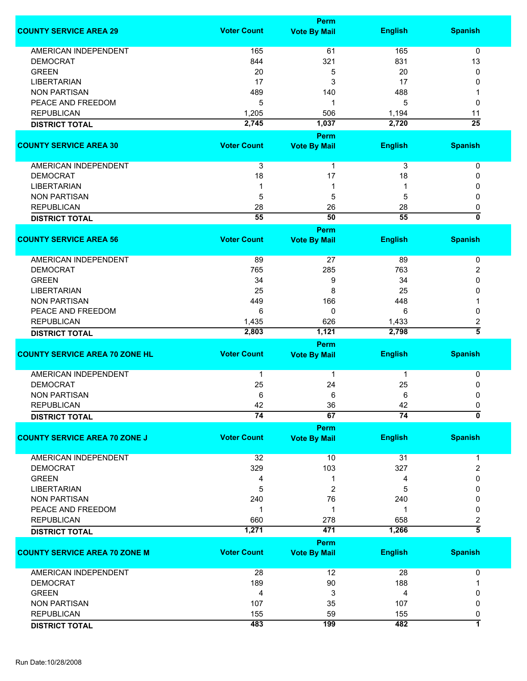|                                       |                    | Perm                |                 |                           |
|---------------------------------------|--------------------|---------------------|-----------------|---------------------------|
| <b>COUNTY SERVICE AREA 29</b>         | <b>Voter Count</b> | <b>Vote By Mail</b> | <b>English</b>  | <b>Spanish</b>            |
|                                       |                    |                     |                 |                           |
| <b>AMERICAN INDEPENDENT</b>           | 165                | 61                  | 165             | $\mathbf 0$               |
| <b>DEMOCRAT</b>                       | 844                | 321                 | 831             | 13                        |
| <b>GREEN</b>                          | 20                 | 5                   | 20              | 0                         |
| <b>LIBERTARIAN</b>                    | 17                 | 3                   | 17              | 0                         |
| <b>NON PARTISAN</b>                   | 489                | 140                 | 488             |                           |
| PEACE AND FREEDOM                     | 5                  | 1                   | 5               | 0                         |
| <b>REPUBLICAN</b>                     | 1,205              | 506                 | 1,194           | 11                        |
|                                       |                    |                     |                 |                           |
| <b>DISTRICT TOTAL</b>                 | 2,745              | 1,037               | 2,720           | $\overline{25}$           |
|                                       |                    | Perm                |                 |                           |
| <b>COUNTY SERVICE AREA 30</b>         | <b>Voter Count</b> | <b>Vote By Mail</b> | <b>English</b>  | <b>Spanish</b>            |
| AMERICAN INDEPENDENT                  | 3                  | 1                   | 3               | 0                         |
| <b>DEMOCRAT</b>                       | 18                 | 17                  |                 |                           |
|                                       |                    |                     | 18              | 0                         |
| <b>LIBERTARIAN</b>                    |                    | 1                   |                 | 0                         |
| <b>NON PARTISAN</b>                   | 5                  | 5                   | 5               | 0                         |
| <b>REPUBLICAN</b>                     | 28                 | 26                  | 28              | 0                         |
| <b>DISTRICT TOTAL</b>                 | 55                 | 50                  | 55              | $\overline{\mathfrak{o}}$ |
|                                       |                    | Perm                |                 |                           |
| <b>COUNTY SERVICE AREA 56</b>         | <b>Voter Count</b> |                     |                 | <b>Spanish</b>            |
|                                       |                    | <b>Vote By Mail</b> | <b>English</b>  |                           |
| <b>AMERICAN INDEPENDENT</b>           | 89                 | 27                  | 89              | 0                         |
| <b>DEMOCRAT</b>                       | 765                | 285                 | 763             | 2                         |
| <b>GREEN</b>                          | 34                 | 9                   | 34              | 0                         |
| <b>LIBERTARIAN</b>                    | 25                 | 8                   | 25              | 0                         |
| <b>NON PARTISAN</b>                   | 449                | 166                 | 448             |                           |
|                                       |                    |                     |                 |                           |
| PEACE AND FREEDOM                     | 6                  | 0                   | 6               | 0                         |
| <b>REPUBLICAN</b>                     | 1,435              | 626                 | 1,433           | 2                         |
| <b>DISTRICT TOTAL</b>                 | 2,803              | 1,121               | 2,798           | $\overline{5}$            |
|                                       |                    | Perm                |                 |                           |
| <b>COUNTY SERVICE AREA 70 ZONE HL</b> | <b>Voter Count</b> | <b>Vote By Mail</b> | <b>English</b>  | <b>Spanish</b>            |
| AMERICAN INDEPENDENT                  | 1                  | 1                   | 1               | 0                         |
|                                       |                    |                     |                 |                           |
| <b>DEMOCRAT</b>                       | 25                 | 24                  | 25              | 0                         |
| <b>NON PARTISAN</b>                   | 6                  | 6                   | 6               | 0                         |
| <b>REPUBLICAN</b>                     | 42                 | 36                  | 42              | 0                         |
| <b>DISTRICT TOTAL</b>                 | $\overline{74}$    | 67                  | $\overline{74}$ | $\overline{\mathfrak{o}}$ |
|                                       |                    | Perm                |                 |                           |
| <b>COUNTY SERVICE AREA 70 ZONE J</b>  | <b>Voter Count</b> | <b>Vote By Mail</b> | <b>English</b>  | <b>Spanish</b>            |
| AMERICAN INDEPENDENT                  | 32                 | 10                  | 31              | 1                         |
| <b>DEMOCRAT</b>                       | 329                | 103                 | 327             | $\overline{c}$            |
|                                       |                    |                     |                 |                           |
| <b>GREEN</b>                          | 4                  | 1                   | 4               | 0                         |
| <b>LIBERTARIAN</b>                    | 5                  | 2                   | 5               | 0                         |
| <b>NON PARTISAN</b>                   | 240                | 76                  | 240             | 0                         |
| PEACE AND FREEDOM                     | 1                  | 1                   | 1               | 0                         |
| <b>REPUBLICAN</b>                     | 660                | 278                 | 658             | 2                         |
| <b>DISTRICT TOTAL</b>                 | 1,271              | 471                 | 1,266           | $\overline{\bf{5}}$       |
|                                       |                    | <b>Perm</b>         |                 |                           |
| <b>COUNTY SERVICE AREA 70 ZONE M</b>  | <b>Voter Count</b> | <b>Vote By Mail</b> | <b>English</b>  | <b>Spanish</b>            |
| <b>AMERICAN INDEPENDENT</b>           | 28                 | 12                  | 28              | 0                         |
| <b>DEMOCRAT</b>                       | 189                | 90                  | 188             |                           |
| <b>GREEN</b>                          | 4                  | 3                   | 4               | 0                         |
| <b>NON PARTISAN</b>                   | 107                | 35                  | 107             | 0                         |
|                                       |                    |                     |                 |                           |
| <b>REPUBLICAN</b>                     | 155                | 59                  | 155             | 0                         |
| <b>DISTRICT TOTAL</b>                 | 483                | 199                 | 482             | 7                         |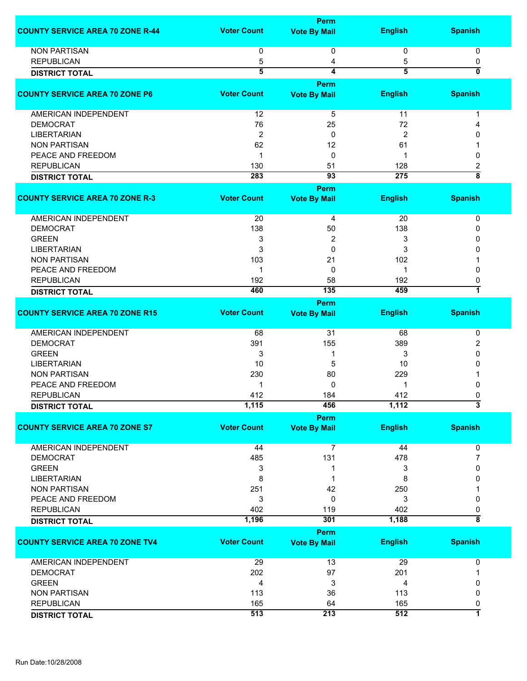|                                         |                    | <b>Perm</b>             |                  |                           |
|-----------------------------------------|--------------------|-------------------------|------------------|---------------------------|
| <b>COUNTY SERVICE AREA 70 ZONE R-44</b> | <b>Voter Count</b> | <b>Vote By Mail</b>     | <b>English</b>   | <b>Spanish</b>            |
|                                         |                    |                         |                  |                           |
| <b>NON PARTISAN</b>                     | 0                  | 0                       | 0                | 0                         |
| <b>REPUBLICAN</b>                       | 5                  | 4                       | 5                | 0                         |
| <b>DISTRICT TOTAL</b>                   | $\overline{5}$     | 4                       | $\overline{5}$   | $\mathbf{0}$              |
|                                         |                    | Perm                    |                  |                           |
| <b>COUNTY SERVICE AREA 70 ZONE P6</b>   | <b>Voter Count</b> | <b>Vote By Mail</b>     | <b>English</b>   | <b>Spanish</b>            |
| AMERICAN INDEPENDENT                    | 12                 | 5                       | 11               | -1                        |
| <b>DEMOCRAT</b>                         | 76                 | 25                      | 72               |                           |
| <b>LIBERTARIAN</b>                      | 2                  | 0                       | 2                | O                         |
| <b>NON PARTISAN</b>                     | 62                 | 12                      | 61               |                           |
| PEACE AND FREEDOM                       | 1                  | 0                       | -1               | 0                         |
| <b>REPUBLICAN</b>                       | 130                | 51                      | 128              | 2                         |
| <b>DISTRICT TOTAL</b>                   | 283                | 93                      | $\overline{275}$ | $\overline{\overline{8}}$ |
|                                         |                    | Perm                    |                  |                           |
| <b>COUNTY SERVICE AREA 70 ZONE R-3</b>  | <b>Voter Count</b> | <b>Vote By Mail</b>     | <b>English</b>   | <b>Spanish</b>            |
| AMERICAN INDEPENDENT                    | 20                 | 4                       | 20               | 0                         |
| <b>DEMOCRAT</b>                         |                    |                         |                  |                           |
|                                         | 138                | 50                      | 138              | 0                         |
| <b>GREEN</b>                            | 3                  | $\overline{\mathbf{c}}$ | 3                | $\Omega$                  |
| <b>LIBERTARIAN</b>                      | 3                  | 0                       | 3                | $\Omega$                  |
| <b>NON PARTISAN</b>                     | 103                | 21                      | 102              |                           |
| PEACE AND FREEDOM                       | 1                  | 0                       | 1                | $\Omega$                  |
| <b>REPUBLICAN</b>                       | 192                | 58                      | 192              | 0                         |
| <b>DISTRICT TOTAL</b>                   | 460                | 135                     | 459              | 7                         |
| <b>COUNTY SERVICE AREA 70 ZONE R15</b>  | <b>Voter Count</b> | Perm                    | <b>English</b>   | <b>Spanish</b>            |
|                                         |                    | <b>Vote By Mail</b>     |                  |                           |
| <b>AMERICAN INDEPENDENT</b>             | 68                 | 31                      | 68               | 0                         |
| <b>DEMOCRAT</b>                         | 391                | 155                     | 389              | 2                         |
| <b>GREEN</b>                            | 3                  | 1                       | 3                | 0                         |
| <b>LIBERTARIAN</b>                      | 10                 | 5                       | 10               | ŋ                         |
| <b>NON PARTISAN</b>                     | 230                | 80                      | 229              |                           |
| PEACE AND FREEDOM                       | 1                  | 0                       | 1                |                           |
| <b>REPUBLICAN</b>                       | 412                | 184                     | 412              | 0                         |
| <b>DISTRICT TOTAL</b>                   | 1,115              | 456                     | 1,112            | J.                        |
|                                         |                    | <b>Perm</b>             |                  |                           |
| <b>COUNTY SERVICE AREA 70 ZONE S7</b>   | <b>Voter Count</b> | <b>Vote By Mail</b>     | <b>English</b>   | <b>Spanish</b>            |
| AMERICAN INDEPENDENT                    | 44                 | 7                       | 44               | 0                         |
| <b>DEMOCRAT</b>                         | 485                | 131                     | 478              | 7                         |
| <b>GREEN</b>                            | 3                  | 1                       | 3                | 0                         |
| <b>LIBERTARIAN</b>                      | 8                  | 1                       | 8                | 0                         |
| <b>NON PARTISAN</b>                     | 251                | 42                      | 250              |                           |
| PEACE AND FREEDOM                       | 3                  | 0                       | 3                | 0                         |
| <b>REPUBLICAN</b>                       | 402                | 119                     | 402              | 0                         |
| <b>DISTRICT TOTAL</b>                   | 1,196              | 301                     | 1,188            | $\overline{\bf 8}$        |
|                                         |                    | Perm                    |                  |                           |
| <b>COUNTY SERVICE AREA 70 ZONE TV4</b>  | <b>Voter Count</b> | <b>Vote By Mail</b>     | <b>English</b>   | <b>Spanish</b>            |
| <b>AMERICAN INDEPENDENT</b>             | 29                 | 13                      | 29               | 0                         |
| <b>DEMOCRAT</b>                         | 202                | 97                      | 201              |                           |
| <b>GREEN</b>                            | 4                  | 3                       | 4                | 0                         |
| <b>NON PARTISAN</b>                     | 113                | 36                      | 113              | 0                         |
| <b>REPUBLICAN</b>                       | 165                | 64                      | 165              | 0                         |
| <b>DISTRICT TOTAL</b>                   | 513                | 213                     | 512              | 7                         |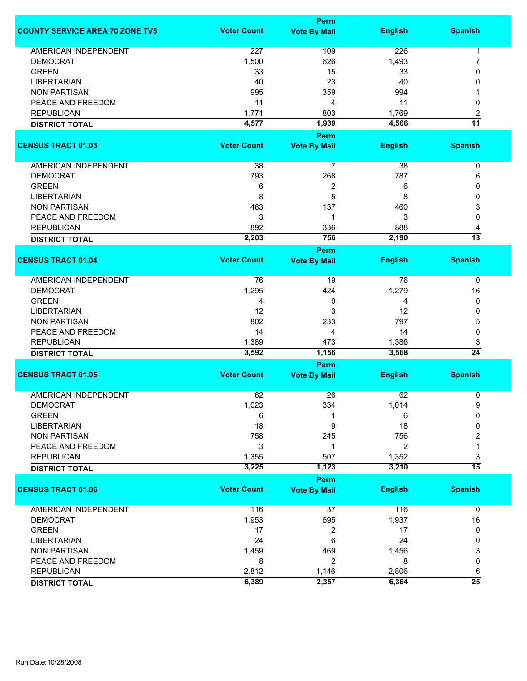|                                        |                    | Perm                               |                |                      |
|----------------------------------------|--------------------|------------------------------------|----------------|----------------------|
| <b>COUNTY SERVICE AREA 70 ZONE TV5</b> | <b>Voter Count</b> | <b>Vote By Mail</b>                | <b>English</b> | <b>Spanish</b>       |
| <b>AMERICAN INDEPENDENT</b>            | 227                | 109                                | 226            | 1                    |
| <b>DEMOCRAT</b>                        | 1,500              | 626                                | 1,493          | 7                    |
| <b>GREEN</b>                           | 33                 | 15                                 | 33             | 0                    |
| <b>LIBERTARIAN</b>                     | 40                 | 23                                 | 40             | 0                    |
| <b>NON PARTISAN</b>                    | 995                | 359                                | 994            |                      |
|                                        |                    |                                    |                |                      |
| PEACE AND FREEDOM                      | 11                 | 4                                  | 11             | 0                    |
| <b>REPUBLICAN</b>                      | 1,771              | 803                                | 1,769          | 2                    |
| <b>DISTRICT TOTAL</b>                  | 4,577              | 1,939                              | 4,566          | $\overline{11}$      |
| <b>CENSUS TRACT 01.03</b>              | <b>Voter Count</b> | <b>Perm</b><br><b>Vote By Mail</b> | <b>English</b> | <b>Spanish</b>       |
|                                        |                    |                                    |                |                      |
| AMERICAN INDEPENDENT                   | 38                 | $\overline{7}$                     | 38             | 0                    |
| <b>DEMOCRAT</b>                        | 793                | 268                                | 787            | 6                    |
| <b>GREEN</b>                           | 6                  | $\overline{c}$                     | 6              | 0                    |
| <b>LIBERTARIAN</b>                     | 8                  | 5                                  | 8              | 0                    |
| <b>NON PARTISAN</b>                    | 463                | 137                                | 460            | 3                    |
| PEACE AND FREEDOM                      | 3                  | 1                                  | 3              | 0                    |
| <b>REPUBLICAN</b>                      | 892                | 336                                | 888            | 4                    |
|                                        | 2,203              | 756                                | 2,190          | $\overline{13}$      |
| <b>DISTRICT TOTAL</b>                  |                    | <b>Perm</b>                        |                |                      |
| <b>CENSUS TRACT 01.04</b>              | <b>Voter Count</b> | <b>Vote By Mail</b>                | <b>English</b> | <b>Spanish</b>       |
| <b>AMERICAN INDEPENDENT</b>            | 76                 | 19                                 | 76             | 0                    |
| <b>DEMOCRAT</b>                        |                    | 424                                |                |                      |
|                                        | 1,295              |                                    | 1,279          | 16                   |
| <b>GREEN</b>                           | 4                  | 0                                  | 4              | 0                    |
| <b>LIBERTARIAN</b>                     | 12                 | 3                                  | 12             | 0                    |
| <b>NON PARTISAN</b>                    | 802                | 233                                | 797            | 5                    |
| PEACE AND FREEDOM                      | 14                 | 4                                  | 14             | 0                    |
| <b>REPUBLICAN</b>                      | 1,389              | 473                                | 1,386          | 3                    |
| <b>DISTRICT TOTAL</b>                  | 3,592              | 1,156                              | 3,568          | $\overline{24}$      |
|                                        |                    | Perm                               |                |                      |
| <b>CENSUS TRACT 01.05</b>              | <b>Voter Count</b> | <b>Vote By Mail</b>                | <b>English</b> | <b>Spanish</b>       |
| <b>AMERICAN INDEPENDENT</b>            | 62                 | 26                                 | 62             | 0                    |
| <b>DEMOCRAT</b>                        | 1,023              | 334                                | 1,014          | 9                    |
| <b>GREEN</b>                           | 6                  |                                    | 6              | 0                    |
| <b>LIBERTARIAN</b>                     | 18                 | 9                                  | 18             | 0                    |
| <b>NON PARTISAN</b>                    | 758                | 245                                | 756            | 2                    |
| PEACE AND FREEDOM                      | 3                  | 1                                  | $\overline{2}$ | 1                    |
|                                        |                    |                                    |                |                      |
| <b>REPUBLICAN</b>                      | 1,355<br>3,225     | 507<br>1,123                       | 1,352<br>3,210 | 3<br>$\overline{15}$ |
| <b>DISTRICT TOTAL</b>                  |                    |                                    |                |                      |
| <b>CENSUS TRACT 01.06</b>              | <b>Voter Count</b> | <b>Perm</b><br><b>Vote By Mail</b> | <b>English</b> | <b>Spanish</b>       |
|                                        |                    |                                    |                |                      |
| <b>AMERICAN INDEPENDENT</b>            | 116                | 37                                 | 116            | $\mathbf 0$          |
| <b>DEMOCRAT</b>                        | 1,953              | 695                                | 1,937          | 16                   |
| <b>GREEN</b>                           | 17                 | 2                                  | 17             | 0                    |
| <b>LIBERTARIAN</b>                     | 24                 | 6                                  | 24             | 0                    |
| <b>NON PARTISAN</b>                    | 1,459              | 469                                | 1,456          | 3                    |
| PEACE AND FREEDOM                      | 8                  | 2                                  | 8              | 0                    |
| <b>REPUBLICAN</b>                      | 2,812              | 1,146                              | 2,806          | 6                    |
| <b>DISTRICT TOTAL</b>                  | 6,389              | 2,357                              | 6,364          | $\overline{25}$      |
|                                        |                    |                                    |                |                      |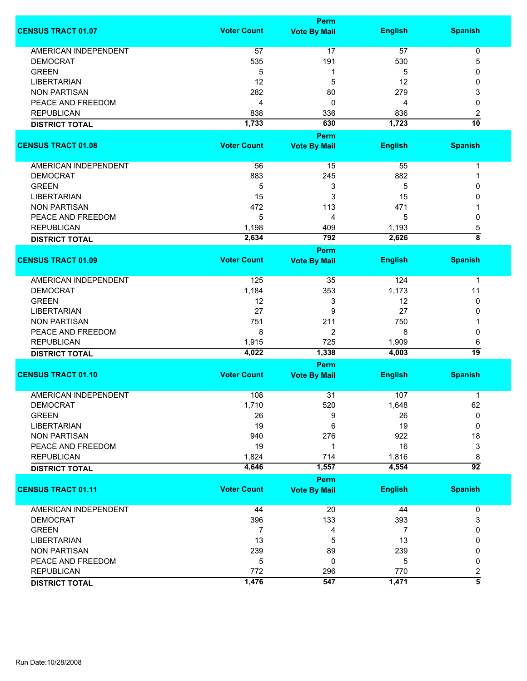|                             |                    | <b>Perm</b>                 |                |                           |
|-----------------------------|--------------------|-----------------------------|----------------|---------------------------|
| <b>CENSUS TRACT 01.07</b>   | <b>Voter Count</b> | <b>Vote By Mail</b>         | <b>English</b> | <b>Spanish</b>            |
| <b>AMERICAN INDEPENDENT</b> | 57                 | 17                          | 57             | 0                         |
| <b>DEMOCRAT</b>             | 535                | 191                         | 530            | 5                         |
| <b>GREEN</b>                | 5                  | 1                           | 5              | 0                         |
| <b>LIBERTARIAN</b>          | 12                 |                             |                | 0                         |
|                             |                    | 5                           | 12             |                           |
| <b>NON PARTISAN</b>         | 282                | 80                          | 279            | 3                         |
| PEACE AND FREEDOM           | 4                  | 0                           | 4              | 0                         |
| <b>REPUBLICAN</b>           | 838                | 336                         | 836            | 2                         |
| <b>DISTRICT TOTAL</b>       | 1,733              | 630                         | 1,723          | 10                        |
|                             |                    | <b>Perm</b>                 |                |                           |
| <b>CENSUS TRACT 01.08</b>   | <b>Voter Count</b> | <b>Vote By Mail</b>         | <b>English</b> | <b>Spanish</b>            |
| AMERICAN INDEPENDENT        | 56                 | 15                          | 55             | 1                         |
| <b>DEMOCRAT</b>             | 883                | 245                         | 882            | 1                         |
| <b>GREEN</b>                | 5                  | 3                           | 5              | 0                         |
| <b>LIBERTARIAN</b>          | 15                 | 3                           | 15             | 0                         |
| <b>NON PARTISAN</b>         | 472                | 113                         | 471            |                           |
|                             |                    |                             |                |                           |
| PEACE AND FREEDOM           | 5                  | 4                           | 5              | 0                         |
| <b>REPUBLICAN</b>           | 1,198              | 409                         | 1,193          | 5                         |
| <b>DISTRICT TOTAL</b>       | 2,634              | 792                         | 2,626          | $\overline{\overline{8}}$ |
|                             | <b>Voter Count</b> | <b>Perm</b>                 |                |                           |
| <b>CENSUS TRACT 01.09</b>   |                    | <b>Vote By Mail</b>         | <b>English</b> | <b>Spanish</b>            |
| <b>AMERICAN INDEPENDENT</b> | 125                | 35                          | 124            | 1                         |
| <b>DEMOCRAT</b>             | 1,184              | 353                         | 1,173          | 11                        |
| <b>GREEN</b>                | 12                 | 3                           | 12             | 0                         |
| <b>LIBERTARIAN</b>          | 27                 | 9                           | 27             | 0                         |
| <b>NON PARTISAN</b>         | 751                | 211                         | 750            |                           |
|                             |                    |                             |                |                           |
| PEACE AND FREEDOM           | 8                  | $\overline{2}$              | 8              | 0                         |
| <b>REPUBLICAN</b>           | 1,915              | 725                         | 1,909          | 6                         |
| <b>DISTRICT TOTAL</b>       | 4,022              | 1,338                       | 4,003          | 19                        |
| <b>CENSUS TRACT 01.10</b>   | <b>Voter Count</b> | Perm<br><b>Vote By Mail</b> | <b>English</b> | <b>Spanish</b>            |
|                             |                    |                             |                |                           |
| <b>AMERICAN INDEPENDENT</b> | 108                | 31                          | 107            | 1                         |
| <b>DEMOCRAT</b>             | 1,710              | 520                         | 1,648          | 62                        |
| <b>GREEN</b>                | 26                 | 9                           | 26             | 0                         |
| <b>LIBERTARIAN</b>          | 19                 | 6                           | 19             | 0                         |
| <b>NON PARTISAN</b>         | 940                | 276                         | 922            | 18                        |
| PEACE AND FREEDOM           | 19                 | 1                           | 16             | 3                         |
| <b>REPUBLICAN</b>           | 1,824              | 714                         | 1,816          | 8                         |
| <b>DISTRICT TOTAL</b>       | 4,646              | 1,557                       | 4,554          | $\overline{92}$           |
|                             |                    | <b>Perm</b>                 |                |                           |
| <b>CENSUS TRACT 01.11</b>   | <b>Voter Count</b> | <b>Vote By Mail</b>         | <b>English</b> | <b>Spanish</b>            |
| <b>AMERICAN INDEPENDENT</b> | 44                 | 20                          | 44             | 0                         |
| <b>DEMOCRAT</b>             | 396                | 133                         | 393            | 3                         |
| <b>GREEN</b>                | 7                  | 4                           | 7              | 0                         |
| <b>LIBERTARIAN</b>          | 13                 | 5                           | 13             | 0                         |
| <b>NON PARTISAN</b>         | 239                | 89                          | 239            | 0                         |
| PEACE AND FREEDOM           | 5                  | 0                           | 5              | 0                         |
|                             |                    |                             |                |                           |
| <b>REPUBLICAN</b>           | 772                | 296                         | 770            | 2<br>$\overline{\bf{5}}$  |
| <b>DISTRICT TOTAL</b>       | 1,476              | 547                         | 1,471          |                           |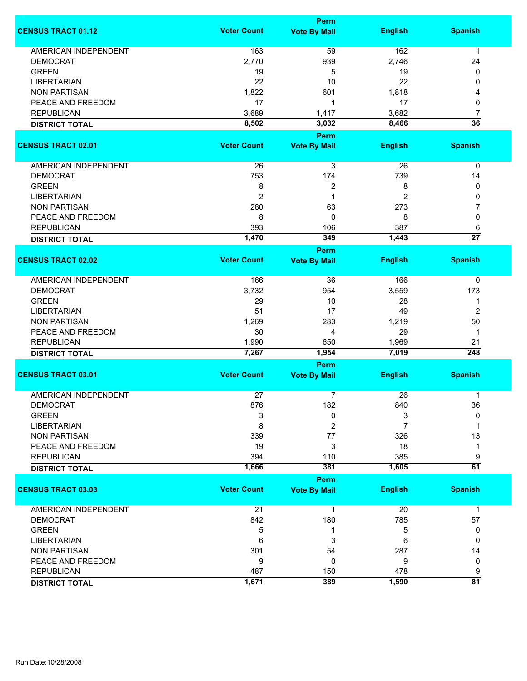|                                                |                    | <b>Perm</b>                        |                |                      |
|------------------------------------------------|--------------------|------------------------------------|----------------|----------------------|
| <b>CENSUS TRACT 01.12</b>                      | <b>Voter Count</b> | <b>Vote By Mail</b>                | <b>English</b> | <b>Spanish</b>       |
| <b>AMERICAN INDEPENDENT</b>                    | 163                | 59                                 | 162            | $\mathbf{1}$         |
| <b>DEMOCRAT</b>                                | 2,770              | 939                                | 2,746          | 24                   |
| <b>GREEN</b>                                   | 19                 | 5                                  | 19             | 0                    |
| <b>LIBERTARIAN</b>                             | 22                 | 10                                 | 22             | 0                    |
| <b>NON PARTISAN</b>                            |                    | 601                                | 1,818          |                      |
|                                                | 1,822              |                                    |                | 4                    |
| PEACE AND FREEDOM                              | 17                 | 1                                  | 17             | 0                    |
| <b>REPUBLICAN</b>                              | 3,689              | 1,417                              | 3,682          | 7                    |
| <b>DISTRICT TOTAL</b>                          | 8,502              | 3,032                              | 8,466          | $\overline{36}$      |
|                                                |                    | <b>Perm</b>                        |                |                      |
| <b>CENSUS TRACT 02.01</b>                      | <b>Voter Count</b> | <b>Vote By Mail</b>                | <b>English</b> | <b>Spanish</b>       |
| AMERICAN INDEPENDENT                           | 26                 | 3                                  | 26             | 0                    |
| <b>DEMOCRAT</b>                                | 753                | 174                                | 739            | 14                   |
| <b>GREEN</b>                                   | 8                  | 2                                  | 8              | 0                    |
| <b>LIBERTARIAN</b>                             | $\overline{2}$     | 1                                  | 2              | 0                    |
| <b>NON PARTISAN</b>                            | 280                | 63                                 | 273            | 7                    |
| PEACE AND FREEDOM                              | 8                  | 0                                  | 8              | 0                    |
| <b>REPUBLICAN</b>                              |                    |                                    | 387            |                      |
|                                                | 393                | 106                                |                | 6<br>$\overline{27}$ |
| <b>DISTRICT TOTAL</b>                          | 1,470              | 349                                | 1,443          |                      |
| <b>CENSUS TRACT 02.02</b>                      | <b>Voter Count</b> | <b>Perm</b><br><b>Vote By Mail</b> | <b>English</b> | <b>Spanish</b>       |
|                                                |                    |                                    |                |                      |
| <b>AMERICAN INDEPENDENT</b>                    | 166                | 36                                 | 166            | 0                    |
| <b>DEMOCRAT</b>                                | 3,732              | 954                                | 3,559          | 173                  |
| <b>GREEN</b>                                   | 29                 | 10                                 | 28             | 1                    |
| <b>LIBERTARIAN</b>                             | 51                 | 17                                 | 49             | $\overline{2}$       |
| <b>NON PARTISAN</b>                            | 1,269              | 283                                | 1,219          | 50                   |
| PEACE AND FREEDOM                              | 30                 | 4                                  | 29             | $\mathbf 1$          |
|                                                |                    |                                    |                |                      |
| <b>REPUBLICAN</b><br><b>DISTRICT TOTAL</b>     | 1,990<br>7,267     | 650<br>1,954                       | 1,969<br>7,019 | 21<br>248            |
|                                                |                    | Perm                               |                |                      |
| <b>CENSUS TRACT 03.01</b>                      | <b>Voter Count</b> | <b>Vote By Mail</b>                | <b>English</b> | <b>Spanish</b>       |
|                                                |                    |                                    |                |                      |
| <b>AMERICAN INDEPENDENT</b><br><b>DEMOCRAT</b> | 27                 | 7                                  | 26             | 1                    |
| <b>GREEN</b>                                   | 876                | 182                                | 840            | 36<br>$\Omega$       |
|                                                | 3                  | 0                                  | 3              |                      |
| <b>LIBERTARIAN</b>                             | 8                  | 2                                  | 7              | 1                    |
| <b>NON PARTISAN</b>                            | 339                | 77                                 | 326            | 13                   |
| PEACE AND FREEDOM                              | 19                 | 3                                  | 18             | 1                    |
| <b>REPUBLICAN</b>                              | 394                | 110                                | 385            | 9                    |
| <b>DISTRICT TOTAL</b>                          | 1,666              | 381                                | 1,605          | $\overline{61}$      |
|                                                |                    | <b>Perm</b>                        |                |                      |
| <b>CENSUS TRACT 03.03</b>                      | <b>Voter Count</b> | <b>Vote By Mail</b>                | <b>English</b> | <b>Spanish</b>       |
| <b>AMERICAN INDEPENDENT</b>                    | 21                 | 1                                  | 20             | $\mathbf 1$          |
| <b>DEMOCRAT</b>                                | 842                | 180                                | 785            | 57                   |
| <b>GREEN</b>                                   | 5                  | 1                                  | 5              | 0                    |
| <b>LIBERTARIAN</b>                             | 6                  | 3                                  | 6              | 0                    |
| <b>NON PARTISAN</b>                            | 301                | 54                                 | 287            | 14                   |
| PEACE AND FREEDOM                              | 9                  | 0                                  | 9              | 0                    |
|                                                |                    |                                    |                |                      |
| <b>REPUBLICAN</b>                              | 487                | 150                                | 478            | 9<br>$\overline{81}$ |
| <b>DISTRICT TOTAL</b>                          | 1,671              | 389                                | 1,590          |                      |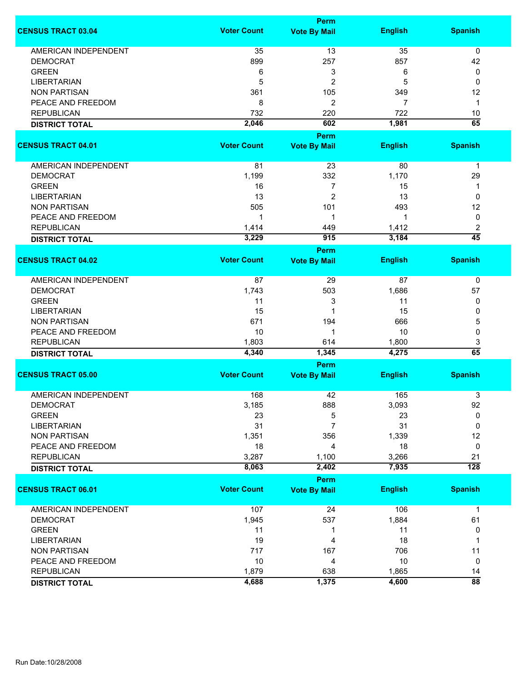|                             |                    | <b>Perm</b>                        |                |                                   |
|-----------------------------|--------------------|------------------------------------|----------------|-----------------------------------|
| <b>CENSUS TRACT 03.04</b>   | <b>Voter Count</b> | <b>Vote By Mail</b>                | <b>English</b> | <b>Spanish</b>                    |
| <b>AMERICAN INDEPENDENT</b> | 35                 | 13                                 | 35             | 0                                 |
| <b>DEMOCRAT</b>             | 899                | 257                                | 857            | 42                                |
| <b>GREEN</b>                | 6                  | 3                                  | 6              | 0                                 |
| <b>LIBERTARIAN</b>          | 5                  | $\overline{c}$                     | 5              | 0                                 |
|                             |                    |                                    |                |                                   |
| <b>NON PARTISAN</b>         | 361                | 105                                | 349            | 12                                |
| PEACE AND FREEDOM           | 8                  | 2                                  | 7              | 1                                 |
| <b>REPUBLICAN</b>           | 732                | 220                                | 722            | 10                                |
| <b>DISTRICT TOTAL</b>       | 2,046              | 602                                | 1,981          | 65                                |
|                             |                    | <b>Perm</b>                        |                |                                   |
| <b>CENSUS TRACT 04.01</b>   | <b>Voter Count</b> | <b>Vote By Mail</b>                | <b>English</b> | <b>Spanish</b>                    |
| AMERICAN INDEPENDENT        | 81                 | 23                                 | 80             | $\mathbf 1$                       |
| <b>DEMOCRAT</b>             | 1,199              | 332                                | 1,170          | 29                                |
| <b>GREEN</b>                | 16                 | 7                                  | 15             | 1                                 |
| <b>LIBERTARIAN</b>          | 13                 | $\overline{2}$                     | 13             | $\mathbf 0$                       |
| <b>NON PARTISAN</b>         | 505                | 101                                | 493            | 12                                |
| PEACE AND FREEDOM           | 1                  | 1                                  | 1              | 0                                 |
| <b>REPUBLICAN</b>           |                    |                                    |                |                                   |
|                             | 1,414              | 449                                | 1,412          | $\overline{c}$<br>$\overline{45}$ |
| <b>DISTRICT TOTAL</b>       | 3,229              | 915                                | 3,184          |                                   |
| <b>CENSUS TRACT 04.02</b>   | <b>Voter Count</b> | <b>Perm</b><br><b>Vote By Mail</b> | <b>English</b> | <b>Spanish</b>                    |
|                             |                    |                                    |                |                                   |
| <b>AMERICAN INDEPENDENT</b> | 87                 | 29                                 | 87             | 0                                 |
| <b>DEMOCRAT</b>             | 1,743              | 503                                | 1,686          | 57                                |
| <b>GREEN</b>                | 11                 | 3                                  | 11             | 0                                 |
| <b>LIBERTARIAN</b>          | 15                 | 1                                  | 15             | 0                                 |
| <b>NON PARTISAN</b>         | 671                | 194                                | 666            | 5                                 |
| PEACE AND FREEDOM           | 10                 | 1                                  | 10             | 0                                 |
| <b>REPUBLICAN</b>           | 1,803              | 614                                | 1,800          | 3                                 |
| <b>DISTRICT TOTAL</b>       | 4,340              | 1,345                              | 4,275          | 65                                |
|                             |                    | Perm                               |                |                                   |
| <b>CENSUS TRACT 05.00</b>   | <b>Voter Count</b> | <b>Vote By Mail</b>                | <b>English</b> | <b>Spanish</b>                    |
|                             |                    |                                    |                |                                   |
| <b>AMERICAN INDEPENDENT</b> | 168                | 42                                 | 165            | 3                                 |
| <b>DEMOCRAT</b>             | 3,185              | 888                                | 3,093          | 92                                |
| <b>GREEN</b>                | 23                 | 5                                  | 23             | 0                                 |
| <b>LIBERTARIAN</b>          | 31                 | $\overline{7}$                     | 31             | 0                                 |
| <b>NON PARTISAN</b>         | 1,351              | 356                                | 1,339          | 12                                |
| PEACE AND FREEDOM           | 18                 | 4                                  | 18             | 0                                 |
| <b>REPUBLICAN</b>           | 3,287              | 1,100                              | 3,266          | 21                                |
| <b>DISTRICT TOTAL</b>       | 8,063              | 2,402                              | 7,935          | $\overline{128}$                  |
|                             |                    | <b>Perm</b>                        |                |                                   |
| <b>CENSUS TRACT 06.01</b>   | <b>Voter Count</b> | <b>Vote By Mail</b>                | <b>English</b> | <b>Spanish</b>                    |
| <b>AMERICAN INDEPENDENT</b> | 107                | 24                                 | 106            | $\mathbf 1$                       |
| <b>DEMOCRAT</b>             | 1,945              | 537                                | 1,884          | 61                                |
| <b>GREEN</b>                | 11                 | 1                                  | 11             | 0                                 |
| <b>LIBERTARIAN</b>          | 19                 | 4                                  | 18             | 1                                 |
| <b>NON PARTISAN</b>         | 717                | 167                                | 706            | 11                                |
| PEACE AND FREEDOM           | 10                 | 4                                  | 10             | 0                                 |
| <b>REPUBLICAN</b>           | 1,879              | 638                                | 1,865          | 14                                |
|                             | 4,688              | 1,375                              | 4,600          | $\overline{88}$                   |
| <b>DISTRICT TOTAL</b>       |                    |                                    |                |                                   |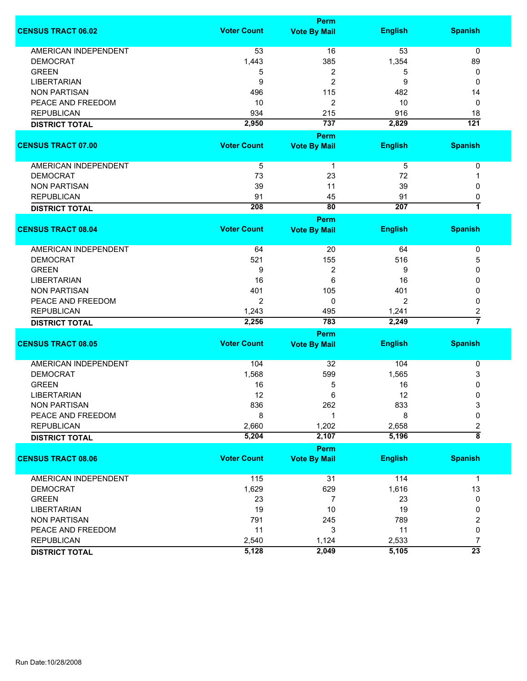|                             |                    | Perm                |                |                         |
|-----------------------------|--------------------|---------------------|----------------|-------------------------|
| <b>CENSUS TRACT 06.02</b>   | <b>Voter Count</b> | <b>Vote By Mail</b> | <b>English</b> | <b>Spanish</b>          |
| <b>AMERICAN INDEPENDENT</b> | 53                 | 16                  | 53             | 0                       |
| <b>DEMOCRAT</b>             | 1,443              | 385                 | 1,354          | 89                      |
| <b>GREEN</b>                | 5                  | 2                   | 5              | 0                       |
| <b>LIBERTARIAN</b>          | 9                  | 2                   | 9              | 0                       |
| <b>NON PARTISAN</b>         | 496                | 115                 | 482            | 14                      |
| PEACE AND FREEDOM           | 10                 | 2                   | 10             | 0                       |
| <b>REPUBLICAN</b>           | 934                | 215                 | 916            | 18                      |
|                             | 2,950              | 737                 | 2,829          | $\overline{121}$        |
| <b>DISTRICT TOTAL</b>       |                    |                     |                |                         |
|                             |                    | Perm                |                |                         |
| <b>CENSUS TRACT 07.00</b>   | <b>Voter Count</b> | <b>Vote By Mail</b> | <b>English</b> | <b>Spanish</b>          |
| AMERICAN INDEPENDENT        | 5                  | $\mathbf{1}$        | 5              | 0                       |
| <b>DEMOCRAT</b>             | 73                 | 23                  | 72             | 1                       |
| <b>NON PARTISAN</b>         | 39                 | 11                  | 39             | 0                       |
| <b>REPUBLICAN</b>           | 91                 | 45                  | 91             | 0                       |
| <b>DISTRICT TOTAL</b>       | 208                | $\overline{80}$     | 207            | 7                       |
|                             |                    | Perm                |                |                         |
| <b>CENSUS TRACT 08.04</b>   | <b>Voter Count</b> | <b>Vote By Mail</b> | <b>English</b> | <b>Spanish</b>          |
| AMERICAN INDEPENDENT        | 64                 | 20                  | 64             | 0                       |
| <b>DEMOCRAT</b>             | 521                | 155                 | 516            | 5                       |
| <b>GREEN</b>                | 9                  | 2                   | 9              | 0                       |
| <b>LIBERTARIAN</b>          | 16                 | 6                   | 16             | 0                       |
|                             |                    |                     |                |                         |
| <b>NON PARTISAN</b>         | 401                | 105                 | 401            | 0                       |
| PEACE AND FREEDOM           | 2                  | 0                   | 2              | 0                       |
| <b>REPUBLICAN</b>           | 1,243              | 495                 | 1,241          | 2                       |
| <b>DISTRICT TOTAL</b>       | 2,256              | 783                 | 2,249          | $\overline{7}$          |
|                             |                    | <b>Perm</b>         |                |                         |
| <b>CENSUS TRACT 08.05</b>   | <b>Voter Count</b> | <b>Vote By Mail</b> | <b>English</b> | <b>Spanish</b>          |
| <b>AMERICAN INDEPENDENT</b> | 104                | 32                  | 104            | 0                       |
| <b>DEMOCRAT</b>             | 1,568              | 599                 | 1,565          | 3                       |
| <b>GREEN</b>                | 16                 | 5                   | 16             | 0                       |
| <b>LIBERTARIAN</b>          | 12                 | 6                   | 12             | 0                       |
| <b>NON PARTISAN</b>         | 836                | 262                 | 833            | 3                       |
| PEACE AND FREEDOM           | 8                  | 1                   | 8              | 0                       |
| <b>REPUBLICAN</b>           | 2,660              | 1,202               | 2,658          | $\overline{\mathbf{c}}$ |
| <b>DISTRICT TOTAL</b>       | 5,204              | 2,107               | 5,196          | $\overline{\bf 8}$      |
|                             |                    | <b>Perm</b>         |                |                         |
| <b>CENSUS TRACT 08.06</b>   | <b>Voter Count</b> | <b>Vote By Mail</b> | <b>English</b> | <b>Spanish</b>          |
|                             |                    |                     |                |                         |
| <b>AMERICAN INDEPENDENT</b> | 115                | 31                  | 114            | $\mathbf{1}$            |
| <b>DEMOCRAT</b>             | 1,629              | 629                 | 1,616          | 13                      |
| <b>GREEN</b>                | 23                 | $\overline{7}$      | 23             | 0                       |
| <b>LIBERTARIAN</b>          | 19                 | 10                  | 19             | 0                       |
| <b>NON PARTISAN</b>         | 791                | 245                 | 789            | 2                       |
| PEACE AND FREEDOM           | 11                 | 3                   | 11             | 0                       |
| <b>REPUBLICAN</b>           | 2,540              | 1,124               | 2,533          | 7                       |
| <b>DISTRICT TOTAL</b>       | 5,128              | 2,049               | 5,105          | $\overline{23}$         |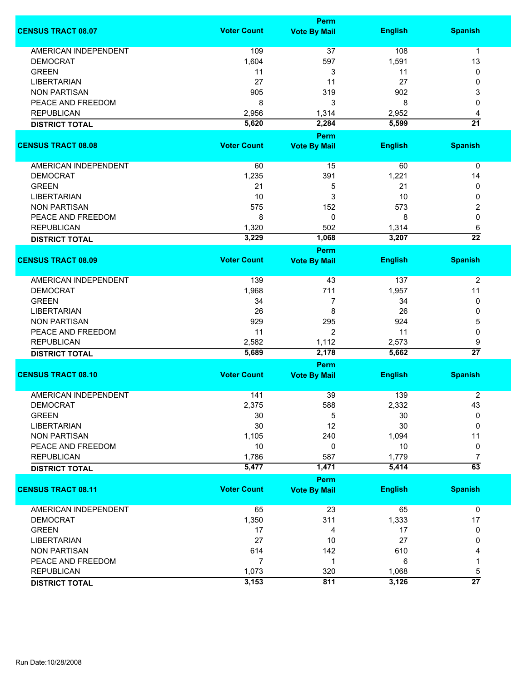|                             |                    | <b>Perm</b>                        |                |                      |
|-----------------------------|--------------------|------------------------------------|----------------|----------------------|
| <b>CENSUS TRACT 08.07</b>   | <b>Voter Count</b> | <b>Vote By Mail</b>                | <b>English</b> | <b>Spanish</b>       |
| <b>AMERICAN INDEPENDENT</b> | 109                | 37                                 | 108            | $\mathbf{1}$         |
| <b>DEMOCRAT</b>             | 1,604              | 597                                | 1,591          | 13                   |
| <b>GREEN</b>                | 11                 | 3                                  | 11             | 0                    |
| <b>LIBERTARIAN</b>          | 27                 | 11                                 | 27             | 0                    |
| <b>NON PARTISAN</b>         | 905                | 319                                | 902            | 3                    |
|                             |                    |                                    |                |                      |
| PEACE AND FREEDOM           | 8                  | 3                                  | 8              | 0                    |
| <b>REPUBLICAN</b>           | 2,956              | 1,314                              | 2,952          | 4                    |
| <b>DISTRICT TOTAL</b>       | 5,620              | 2,284                              | 5,599          | $\overline{21}$      |
| <b>CENSUS TRACT 08.08</b>   | <b>Voter Count</b> | <b>Perm</b><br><b>Vote By Mail</b> | <b>English</b> | <b>Spanish</b>       |
|                             |                    |                                    |                |                      |
| AMERICAN INDEPENDENT        | 60                 | 15                                 | 60             | 0                    |
| <b>DEMOCRAT</b>             | 1,235              | 391                                | 1,221          | 14                   |
| <b>GREEN</b>                | 21                 | 5                                  | 21             | 0                    |
| <b>LIBERTARIAN</b>          | 10                 | 3                                  | 10             | 0                    |
| <b>NON PARTISAN</b>         | 575                | 152                                | 573            | 2                    |
| PEACE AND FREEDOM           | 8                  | 0                                  | 8              | 0                    |
|                             |                    |                                    |                |                      |
| <b>REPUBLICAN</b>           | 1,320              | 502                                | 1,314          | 6                    |
| <b>DISTRICT TOTAL</b>       | 3,229              | 1,068                              | 3,207          | $\overline{22}$      |
| <b>CENSUS TRACT 08.09</b>   | <b>Voter Count</b> | <b>Perm</b><br><b>Vote By Mail</b> | <b>English</b> | <b>Spanish</b>       |
|                             |                    |                                    |                |                      |
| <b>AMERICAN INDEPENDENT</b> | 139                | 43                                 | 137            | $\overline{2}$       |
| <b>DEMOCRAT</b>             | 1,968              | 711                                | 1,957          | 11                   |
| <b>GREEN</b>                | 34                 | 7                                  | 34             | 0                    |
| <b>LIBERTARIAN</b>          | 26                 | 8                                  | 26             | 0                    |
| <b>NON PARTISAN</b>         | 929                | 295                                | 924            | 5                    |
| PEACE AND FREEDOM           | 11                 | $\overline{2}$                     | 11             | 0                    |
|                             |                    |                                    |                |                      |
| <b>REPUBLICAN</b>           | 2,582<br>5,689     | 1,112<br>2,178                     | 2,573<br>5,662 | 9<br>$\overline{27}$ |
| <b>DISTRICT TOTAL</b>       |                    | Perm                               |                |                      |
| <b>CENSUS TRACT 08.10</b>   | <b>Voter Count</b> | <b>Vote By Mail</b>                | <b>English</b> | <b>Spanish</b>       |
|                             |                    |                                    |                |                      |
| <b>AMERICAN INDEPENDENT</b> | 141                | 39                                 | 139            | $\overline{2}$       |
| <b>DEMOCRAT</b>             | 2,375              | 588                                | 2,332          | 43                   |
| <b>GREEN</b>                | 30                 | 5                                  | 30             | 0                    |
| <b>LIBERTARIAN</b>          | 30                 | 12                                 | 30             | 0                    |
| <b>NON PARTISAN</b>         | 1,105              | 240                                | 1,094          | 11                   |
| PEACE AND FREEDOM           | 10                 | 0                                  | 10             | 0                    |
| <b>REPUBLICAN</b>           | 1,786              | 587                                | 1,779          | 7                    |
| <b>DISTRICT TOTAL</b>       | 5,477              | 1,471                              | 5,414          | $\overline{63}$      |
|                             |                    | <b>Perm</b>                        |                |                      |
| <b>CENSUS TRACT 08.11</b>   | <b>Voter Count</b> | <b>Vote By Mail</b>                | <b>English</b> | <b>Spanish</b>       |
| <b>AMERICAN INDEPENDENT</b> | 65                 | 23                                 | 65             | 0                    |
| <b>DEMOCRAT</b>             | 1,350              | 311                                | 1,333          | 17                   |
| <b>GREEN</b>                | 17                 | 4                                  | 17             | 0                    |
| <b>LIBERTARIAN</b>          | 27                 | 10                                 | 27             | 0                    |
| <b>NON PARTISAN</b>         | 614                | 142                                | 610            | 4                    |
| PEACE AND FREEDOM           | 7                  | 1                                  | 6              | 1                    |
|                             |                    |                                    |                |                      |
| <b>REPUBLICAN</b>           | 1,073              | 320                                | 1,068          | 5<br>$\overline{27}$ |
| <b>DISTRICT TOTAL</b>       | 3,153              | 811                                | 3,126          |                      |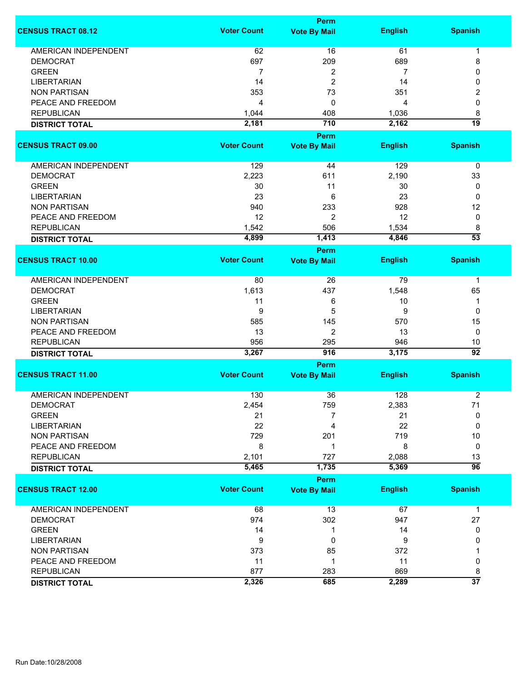|                             |                    | <b>Perm</b>                        |                |                 |
|-----------------------------|--------------------|------------------------------------|----------------|-----------------|
| <b>CENSUS TRACT 08.12</b>   | <b>Voter Count</b> | <b>Vote By Mail</b>                | <b>English</b> | <b>Spanish</b>  |
| <b>AMERICAN INDEPENDENT</b> | 62                 | 16                                 | 61             | 1               |
| <b>DEMOCRAT</b>             | 697                | 209                                | 689            | 8               |
| <b>GREEN</b>                | 7                  | 2                                  | 7              | 0               |
| <b>LIBERTARIAN</b>          | 14                 | 2                                  | 14             | 0               |
| <b>NON PARTISAN</b>         | 353                | 73                                 | 351            |                 |
|                             |                    |                                    |                | 2               |
| PEACE AND FREEDOM           | 4                  | 0                                  | 4              | 0               |
| <b>REPUBLICAN</b>           | 1,044              | 408                                | 1,036          | 8               |
| <b>DISTRICT TOTAL</b>       | 2,181              | 710                                | 2,162          | 19              |
| <b>CENSUS TRACT 09.00</b>   | <b>Voter Count</b> | <b>Perm</b><br><b>Vote By Mail</b> | <b>English</b> | <b>Spanish</b>  |
|                             |                    |                                    |                |                 |
| AMERICAN INDEPENDENT        | 129                | 44                                 | 129            | 0               |
| <b>DEMOCRAT</b>             | 2,223              | 611                                | 2,190          | 33              |
| <b>GREEN</b>                | 30                 | 11                                 | 30             | 0               |
| <b>LIBERTARIAN</b>          | 23                 | 6                                  | 23             | 0               |
| <b>NON PARTISAN</b>         | 940                | 233                                | 928            | 12              |
| PEACE AND FREEDOM           | 12                 | 2                                  | 12             | 0               |
| <b>REPUBLICAN</b>           | 1,542              | 506                                | 1,534          | 8               |
|                             | 4,899              | 1,413                              | 4,846          | $\overline{53}$ |
| <b>DISTRICT TOTAL</b>       |                    | <b>Perm</b>                        |                |                 |
| <b>CENSUS TRACT 10.00</b>   | <b>Voter Count</b> | <b>Vote By Mail</b>                | <b>English</b> | <b>Spanish</b>  |
|                             |                    |                                    |                |                 |
| <b>AMERICAN INDEPENDENT</b> | 80                 | 26                                 | 79             | $\mathbf 1$     |
| <b>DEMOCRAT</b>             | 1,613              | 437                                | 1,548          | 65              |
| <b>GREEN</b>                | 11                 | 6                                  | 10             | 1               |
| <b>LIBERTARIAN</b>          | 9                  | 5                                  | 9              | 0               |
| <b>NON PARTISAN</b>         | 585                | 145                                | 570            | 15              |
| PEACE AND FREEDOM           | 13                 | 2                                  | 13             | 0               |
| <b>REPUBLICAN</b>           | 956                | 295                                | 946            | 10              |
| <b>DISTRICT TOTAL</b>       | 3,267              | 916                                | 3,175          | $\overline{92}$ |
|                             |                    | <b>Perm</b>                        |                |                 |
| <b>CENSUS TRACT 11.00</b>   | <b>Voter Count</b> | <b>Vote By Mail</b>                | <b>English</b> | <b>Spanish</b>  |
|                             |                    |                                    |                |                 |
| <b>AMERICAN INDEPENDENT</b> | 130                | 36                                 | 128            | $\overline{2}$  |
| <b>DEMOCRAT</b>             | 2,454              | 759                                | 2,383          | 71              |
| <b>GREEN</b>                | 21                 | 7                                  | 21             | 0               |
| <b>LIBERTARIAN</b>          | 22                 | 4                                  | 22             | $\Omega$        |
| <b>NON PARTISAN</b>         | 729                | 201                                | 719            | 10              |
| PEACE AND FREEDOM           | 8                  | 1                                  | 8              | 0               |
| <b>REPUBLICAN</b>           | 2,101              | 727                                | 2,088          | 13              |
| <b>DISTRICT TOTAL</b>       | 5,465              | 1,735                              | 5,369          | $\overline{96}$ |
|                             |                    | Perm                               |                |                 |
| <b>CENSUS TRACT 12.00</b>   | <b>Voter Count</b> | <b>Vote By Mail</b>                | <b>English</b> | <b>Spanish</b>  |
| <b>AMERICAN INDEPENDENT</b> | 68                 | 13                                 | 67             | $\mathbf{1}$    |
| <b>DEMOCRAT</b>             | 974                | 302                                | 947            | 27              |
| <b>GREEN</b>                | 14                 | 1                                  | 14             | 0               |
| <b>LIBERTARIAN</b>          | 9                  | 0                                  | 9              | 0               |
| <b>NON PARTISAN</b>         | 373                | 85                                 | 372            |                 |
|                             |                    |                                    |                |                 |
| PEACE AND FREEDOM           | 11                 | 1                                  | 11             | 0               |
| <b>REPUBLICAN</b>           | 877                | 283                                | 869            | 8               |
| <b>DISTRICT TOTAL</b>       | 2,326              | 685                                | 2,289          | $\overline{37}$ |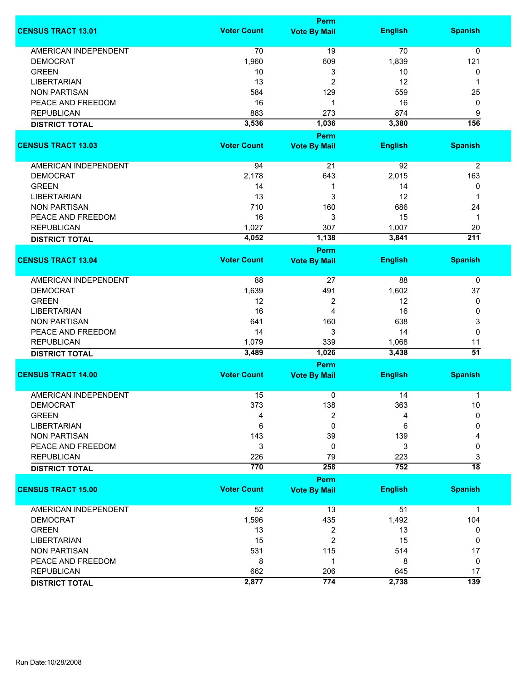| <b>Perm</b>        |                                                                                                                                                      |                                                                                                                 |                                                                                                                                            |  |
|--------------------|------------------------------------------------------------------------------------------------------------------------------------------------------|-----------------------------------------------------------------------------------------------------------------|--------------------------------------------------------------------------------------------------------------------------------------------|--|
| <b>Voter Count</b> | <b>Vote By Mail</b>                                                                                                                                  | <b>English</b>                                                                                                  | <b>Spanish</b>                                                                                                                             |  |
|                    |                                                                                                                                                      |                                                                                                                 | $\mathbf 0$                                                                                                                                |  |
|                    |                                                                                                                                                      |                                                                                                                 | 121                                                                                                                                        |  |
|                    |                                                                                                                                                      |                                                                                                                 | 0                                                                                                                                          |  |
|                    |                                                                                                                                                      |                                                                                                                 | 1                                                                                                                                          |  |
|                    |                                                                                                                                                      |                                                                                                                 | 25                                                                                                                                         |  |
|                    |                                                                                                                                                      |                                                                                                                 | 0                                                                                                                                          |  |
|                    |                                                                                                                                                      |                                                                                                                 | 9                                                                                                                                          |  |
|                    |                                                                                                                                                      |                                                                                                                 | 156                                                                                                                                        |  |
|                    | <b>Perm</b>                                                                                                                                          |                                                                                                                 |                                                                                                                                            |  |
| <b>Voter Count</b> | <b>Vote By Mail</b>                                                                                                                                  | <b>English</b>                                                                                                  | <b>Spanish</b>                                                                                                                             |  |
| 94                 | 21                                                                                                                                                   | 92                                                                                                              | $\overline{2}$                                                                                                                             |  |
|                    |                                                                                                                                                      |                                                                                                                 | 163                                                                                                                                        |  |
|                    | 1                                                                                                                                                    |                                                                                                                 | 0                                                                                                                                          |  |
|                    |                                                                                                                                                      |                                                                                                                 | 1                                                                                                                                          |  |
|                    |                                                                                                                                                      |                                                                                                                 | 24                                                                                                                                         |  |
|                    |                                                                                                                                                      |                                                                                                                 | 1                                                                                                                                          |  |
|                    |                                                                                                                                                      |                                                                                                                 | 20                                                                                                                                         |  |
|                    |                                                                                                                                                      |                                                                                                                 | $\overline{211}$                                                                                                                           |  |
|                    | <b>Perm</b>                                                                                                                                          |                                                                                                                 |                                                                                                                                            |  |
| <b>Voter Count</b> | <b>Vote By Mail</b>                                                                                                                                  | <b>English</b>                                                                                                  | <b>Spanish</b>                                                                                                                             |  |
| 88                 | 27                                                                                                                                                   | 88                                                                                                              | 0                                                                                                                                          |  |
| 1,639              | 491                                                                                                                                                  | 1,602                                                                                                           | 37                                                                                                                                         |  |
| 12                 |                                                                                                                                                      |                                                                                                                 | 0                                                                                                                                          |  |
| 16                 | 4                                                                                                                                                    |                                                                                                                 | 0                                                                                                                                          |  |
|                    |                                                                                                                                                      |                                                                                                                 | 3                                                                                                                                          |  |
|                    |                                                                                                                                                      |                                                                                                                 | $\mathbf 0$                                                                                                                                |  |
|                    |                                                                                                                                                      |                                                                                                                 | 11                                                                                                                                         |  |
| 3,489              | 1,026                                                                                                                                                | 3,438                                                                                                           | $\overline{51}$                                                                                                                            |  |
| <b>Perm</b>        |                                                                                                                                                      |                                                                                                                 |                                                                                                                                            |  |
| <b>Voter Count</b> | <b>Vote By Mail</b>                                                                                                                                  | <b>English</b>                                                                                                  | <b>Spanish</b>                                                                                                                             |  |
| 15                 | 0                                                                                                                                                    | 14                                                                                                              | 1                                                                                                                                          |  |
| 373                | 138                                                                                                                                                  | 363                                                                                                             | 10                                                                                                                                         |  |
| 4                  | 2                                                                                                                                                    | 4                                                                                                               | 0                                                                                                                                          |  |
| 6                  | $\mathbf 0$                                                                                                                                          | 6                                                                                                               | 0                                                                                                                                          |  |
| 143                | 39                                                                                                                                                   | 139                                                                                                             | 4                                                                                                                                          |  |
| 3                  | 0                                                                                                                                                    | 3                                                                                                               | 0                                                                                                                                          |  |
| 226                | 79                                                                                                                                                   | 223                                                                                                             | 3                                                                                                                                          |  |
| 770                | 258                                                                                                                                                  | 752                                                                                                             | $\overline{18}$                                                                                                                            |  |
|                    | <b>Perm</b>                                                                                                                                          |                                                                                                                 |                                                                                                                                            |  |
|                    | <b>Vote By Mail</b>                                                                                                                                  | <b>English</b>                                                                                                  | <b>Spanish</b>                                                                                                                             |  |
| 52                 | 13                                                                                                                                                   | 51                                                                                                              | $\mathbf{1}$                                                                                                                               |  |
| 1,596              | 435                                                                                                                                                  | 1,492                                                                                                           | 104                                                                                                                                        |  |
| 13                 | 2                                                                                                                                                    | 13                                                                                                              | 0                                                                                                                                          |  |
| 15                 | $\overline{2}$                                                                                                                                       | 15                                                                                                              | 0                                                                                                                                          |  |
| 531                | 115                                                                                                                                                  | 514                                                                                                             | 17                                                                                                                                         |  |
| 8                  | 1                                                                                                                                                    | 8                                                                                                               | 0                                                                                                                                          |  |
| 662                | 206                                                                                                                                                  | 645                                                                                                             | 17                                                                                                                                         |  |
| 2,877              | 774                                                                                                                                                  | 2,738                                                                                                           | 139                                                                                                                                        |  |
|                    | 70<br>1,960<br>10<br>13<br>584<br>16<br>883<br>3,536<br>2,178<br>14<br>13<br>710<br>16<br>1,027<br>4,052<br>641<br>14<br>1,079<br><b>Voter Count</b> | 19<br>609<br>3<br>2<br>129<br>1<br>273<br>1,036<br>643<br>3<br>160<br>3<br>307<br>1,138<br>2<br>160<br>3<br>339 | 70<br>1,839<br>10<br>12<br>559<br>16<br>874<br>3,380<br>2,015<br>14<br>12<br>686<br>15<br>1,007<br>3,841<br>12<br>16<br>638<br>14<br>1,068 |  |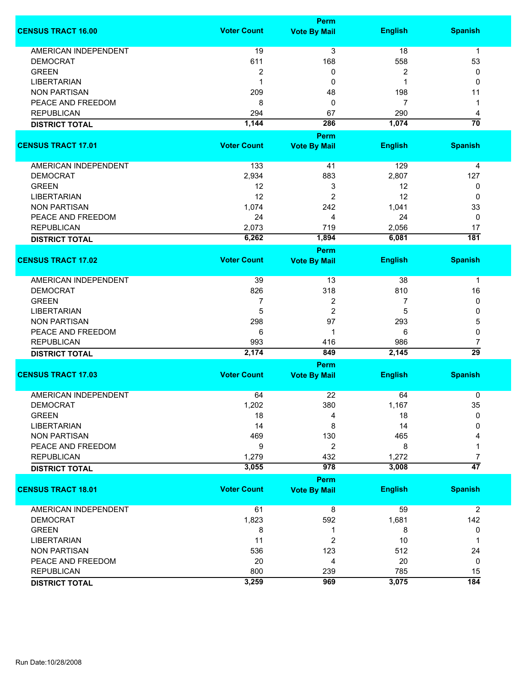|                             |                    | <b>Perm</b>         |                |                 |
|-----------------------------|--------------------|---------------------|----------------|-----------------|
| <b>CENSUS TRACT 16.00</b>   | <b>Voter Count</b> | <b>Vote By Mail</b> | <b>English</b> | <b>Spanish</b>  |
| <b>AMERICAN INDEPENDENT</b> | 19                 | $\overline{3}$      | 18             | $\mathbf{1}$    |
| <b>DEMOCRAT</b>             | 611                | 168                 | 558            | 53              |
| <b>GREEN</b>                | $\boldsymbol{2}$   | 0                   | 2              | 0               |
| <b>LIBERTARIAN</b>          | $\mathbf 1$        | 0                   | 1              | 0               |
| <b>NON PARTISAN</b>         | 209                | 48                  | 198            | 11              |
|                             |                    |                     | 7              |                 |
| PEACE AND FREEDOM           | 8                  | 0                   |                | 1               |
| <b>REPUBLICAN</b>           | 294                | 67                  | 290            | 4               |
| <b>DISTRICT TOTAL</b>       | 1,144              | 286                 | 1,074          | $\overline{70}$ |
|                             |                    | <b>Perm</b>         |                |                 |
| <b>CENSUS TRACT 17.01</b>   | <b>Voter Count</b> | <b>Vote By Mail</b> | <b>English</b> | <b>Spanish</b>  |
| AMERICAN INDEPENDENT        | 133                | 41                  | 129            | 4               |
| <b>DEMOCRAT</b>             | 2,934              | 883                 | 2,807          | 127             |
| <b>GREEN</b>                | 12                 | 3                   | 12             | 0               |
| <b>LIBERTARIAN</b>          | 12                 | $\overline{2}$      | 12             | 0               |
| <b>NON PARTISAN</b>         | 1,074              | 242                 | 1,041          | 33              |
| PEACE AND FREEDOM           | 24                 | 4                   | 24             | 0               |
|                             |                    | 719                 |                |                 |
| <b>REPUBLICAN</b>           | 2,073              |                     | 2,056          | 17              |
| <b>DISTRICT TOTAL</b>       | 6,262              | 1,894               | 6,081          | 181             |
|                             |                    | Perm                |                |                 |
| <b>CENSUS TRACT 17.02</b>   | <b>Voter Count</b> | <b>Vote By Mail</b> | <b>English</b> | <b>Spanish</b>  |
| <b>AMERICAN INDEPENDENT</b> | 39                 | 13                  | 38             | 1               |
| <b>DEMOCRAT</b>             | 826                | 318                 | 810            | 16              |
| <b>GREEN</b>                | 7                  | 2                   | 7              | 0               |
| <b>LIBERTARIAN</b>          | 5                  | $\overline{2}$      | 5              | 0               |
| <b>NON PARTISAN</b>         | 298                | 97                  | 293            | 5               |
| PEACE AND FREEDOM           | 6                  | 1                   | 6              | 0               |
| <b>REPUBLICAN</b>           | 993                | 416                 | 986            | 7               |
| <b>DISTRICT TOTAL</b>       | 2,174              | 849                 | 2,145          | $\overline{29}$ |
|                             |                    | <b>Perm</b>         |                |                 |
| <b>CENSUS TRACT 17.03</b>   | <b>Voter Count</b> | <b>Vote By Mail</b> | <b>English</b> | <b>Spanish</b>  |
|                             |                    |                     |                |                 |
| <b>AMERICAN INDEPENDENT</b> | 64                 | 22                  | 64             | 0               |
| <b>DEMOCRAT</b>             | 1,202              | 380                 | 1,167          | 35              |
| <b>GREEN</b>                | 18                 | 4                   | 18             | 0               |
| <b>LIBERTARIAN</b>          | 14                 | 8                   | 14             | 0               |
| <b>NON PARTISAN</b>         | 469                | 130                 | 465            |                 |
| PEACE AND FREEDOM           | 9                  | $\overline{2}$      | 8              |                 |
| <b>REPUBLICAN</b>           | 1,279              | 432                 | 1,272          | 7               |
| <b>DISTRICT TOTAL</b>       | 3,055              | 978                 | 3,008          | $\overline{47}$ |
|                             |                    | <b>Perm</b>         |                |                 |
| <b>CENSUS TRACT 18.01</b>   | <b>Voter Count</b> | <b>Vote By Mail</b> | <b>English</b> | <b>Spanish</b>  |
| <b>AMERICAN INDEPENDENT</b> | 61                 | 8                   | 59             | $\overline{2}$  |
| <b>DEMOCRAT</b>             | 1,823              | 592                 | 1,681          | 142             |
| <b>GREEN</b>                | 8                  | 1                   | 8              | 0               |
| <b>LIBERTARIAN</b>          | 11                 | 2                   | 10             | 1               |
| <b>NON PARTISAN</b>         | 536                | 123                 | 512            | 24              |
| PEACE AND FREEDOM           | 20                 | 4                   | 20             | 0               |
| <b>REPUBLICAN</b>           | 800                | 239                 | 785            | 15              |
|                             | 3,259              | 969                 | 3,075          | 184             |
| <b>DISTRICT TOTAL</b>       |                    |                     |                |                 |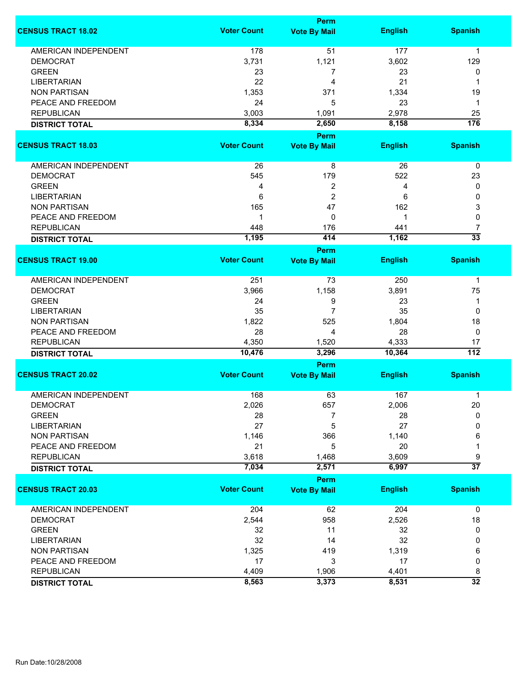|                             |                    | Perm                        |                |                  |  |  |
|-----------------------------|--------------------|-----------------------------|----------------|------------------|--|--|
| <b>CENSUS TRACT 18.02</b>   | <b>Voter Count</b> | <b>Vote By Mail</b>         | <b>English</b> | <b>Spanish</b>   |  |  |
| <b>AMERICAN INDEPENDENT</b> | 178                | 51                          | 177            | 1                |  |  |
| <b>DEMOCRAT</b>             | 3,731              | 1,121                       | 3,602          | 129              |  |  |
| <b>GREEN</b>                | 23                 | 7                           | 23             | 0                |  |  |
| <b>LIBERTARIAN</b>          | 22                 | 4                           | 21             | 1                |  |  |
| <b>NON PARTISAN</b>         | 1,353              | 371                         | 1,334          | 19               |  |  |
| PEACE AND FREEDOM           | 24                 | 5                           | 23             | $\mathbf 1$      |  |  |
| <b>REPUBLICAN</b>           |                    |                             | 2,978          |                  |  |  |
|                             | 3,003              | 1,091                       |                | 25               |  |  |
| <b>DISTRICT TOTAL</b>       | 8,334              | 2,650                       | 8,158          | $\overline{176}$ |  |  |
| <b>CENSUS TRACT 18.03</b>   | <b>Voter Count</b> | Perm<br><b>Vote By Mail</b> | <b>English</b> | <b>Spanish</b>   |  |  |
|                             |                    |                             |                |                  |  |  |
| AMERICAN INDEPENDENT        | 26                 | 8                           | 26             | $\pmb{0}$        |  |  |
| <b>DEMOCRAT</b>             | 545                | 179                         | 522            | 23               |  |  |
| <b>GREEN</b>                | 4                  | $\overline{2}$              | 4              | 0                |  |  |
| <b>LIBERTARIAN</b>          | 6                  | $\overline{2}$              | 6              | 0                |  |  |
| <b>NON PARTISAN</b>         | 165                | 47                          | 162            | 3                |  |  |
| PEACE AND FREEDOM           | 1                  | 0                           | 1              | 0                |  |  |
| <b>REPUBLICAN</b>           | 448                | 176                         | 441            | 7                |  |  |
|                             | 1,195              | 414                         | 1,162          | $\overline{33}$  |  |  |
| <b>DISTRICT TOTAL</b>       |                    | <b>Perm</b>                 |                |                  |  |  |
| <b>CENSUS TRACT 19.00</b>   | <b>Voter Count</b> | <b>Vote By Mail</b>         | <b>English</b> | <b>Spanish</b>   |  |  |
| <b>AMERICAN INDEPENDENT</b> | 251                |                             | 250            | 1                |  |  |
|                             |                    | 73                          |                |                  |  |  |
| <b>DEMOCRAT</b>             | 3,966              | 1,158                       | 3,891          | 75               |  |  |
| <b>GREEN</b>                | 24                 | 9                           | 23             | 1                |  |  |
| <b>LIBERTARIAN</b>          | 35                 | 7                           | 35             | 0                |  |  |
| <b>NON PARTISAN</b>         | 1,822              | 525                         | 1,804          | 18               |  |  |
| PEACE AND FREEDOM           | 28                 | 4                           | 28             | 0                |  |  |
| <b>REPUBLICAN</b>           | 4,350              | 1,520                       | 4,333          | 17               |  |  |
| <b>DISTRICT TOTAL</b>       | 10,476             | 3,296                       | 10,364         | $\overline{112}$ |  |  |
|                             |                    | Perm                        |                |                  |  |  |
| <b>CENSUS TRACT 20.02</b>   | <b>Voter Count</b> | <b>Vote By Mail</b>         | <b>English</b> | <b>Spanish</b>   |  |  |
| <b>AMERICAN INDEPENDENT</b> | 168                | 63                          | 167            | 1                |  |  |
| <b>DEMOCRAT</b>             | 2,026              | 657                         | 2,006          | 20               |  |  |
| <b>GREEN</b>                | 28                 | 7                           | 28             | 0                |  |  |
| <b>LIBERTARIAN</b>          | 27                 | 5                           | 27             | 0                |  |  |
| <b>NON PARTISAN</b>         | 1,146              | 366                         | 1,140          | 6                |  |  |
| PEACE AND FREEDOM           | 21                 | 5                           | 20             | 1                |  |  |
| <b>REPUBLICAN</b>           | 3,618              | 1,468                       | 3,609          | 9                |  |  |
|                             |                    |                             | 6,997          | $\overline{37}$  |  |  |
| <b>DISTRICT TOTAL</b>       | 7,034              | 2,571                       |                |                  |  |  |
| <b>CENSUS TRACT 20.03</b>   | <b>Voter Count</b> | Perm                        | <b>English</b> | <b>Spanish</b>   |  |  |
|                             |                    | <b>Vote By Mail</b>         |                |                  |  |  |
| AMERICAN INDEPENDENT        | 204                | 62                          | 204            | 0                |  |  |
| <b>DEMOCRAT</b>             | 2,544              | 958                         | 2,526          | 18               |  |  |
| <b>GREEN</b>                | 32                 | 11                          | 32             | 0                |  |  |
| <b>LIBERTARIAN</b>          | 32                 | 14                          | 32             | 0                |  |  |
| <b>NON PARTISAN</b>         | 1,325              | 419                         | 1,319          | 6                |  |  |
| PEACE AND FREEDOM           | 17                 | 3                           | 17             | 0                |  |  |
| <b>REPUBLICAN</b>           | 4,409              | 1,906                       | 4,401          | 8                |  |  |
|                             | 8,563              | 3,373                       | 8,531          | $\overline{32}$  |  |  |
| <b>DISTRICT TOTAL</b>       |                    |                             |                |                  |  |  |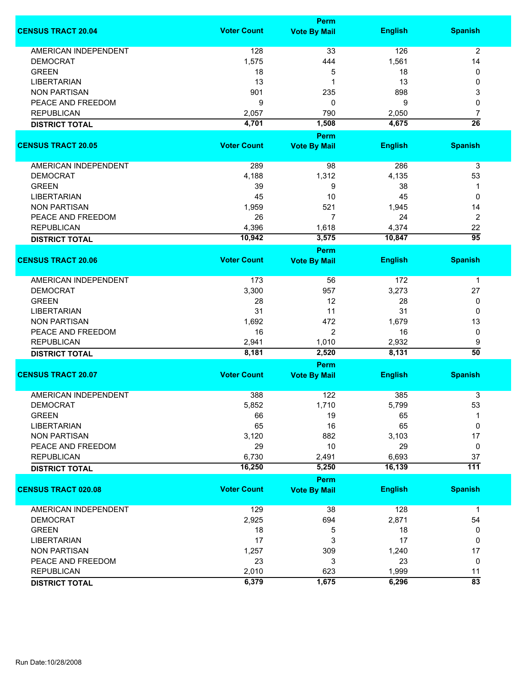|                             |                    | Perm                        |                |                      |
|-----------------------------|--------------------|-----------------------------|----------------|----------------------|
| <b>CENSUS TRACT 20.04</b>   | <b>Voter Count</b> | <b>Vote By Mail</b>         | <b>English</b> | <b>Spanish</b>       |
| <b>AMERICAN INDEPENDENT</b> | 128                | 33                          | 126            | $\overline{2}$       |
| <b>DEMOCRAT</b>             | 1,575              | 444                         | 1,561          | 14                   |
| <b>GREEN</b>                | 18                 | 5                           | 18             | 0                    |
| <b>LIBERTARIAN</b>          | 13                 | 1                           | 13             | 0                    |
| <b>NON PARTISAN</b>         | 901                | 235                         | 898            | 3                    |
| PEACE AND FREEDOM           | 9                  | 0                           | 9              | 0                    |
|                             |                    |                             |                |                      |
| <b>REPUBLICAN</b>           | 2,057              | 790                         | 2,050          | $\overline{7}$       |
| <b>DISTRICT TOTAL</b>       | 4,701              | 1,508                       | 4,675          | $\overline{26}$      |
| <b>CENSUS TRACT 20.05</b>   | <b>Voter Count</b> | Perm<br><b>Vote By Mail</b> | <b>English</b> | <b>Spanish</b>       |
|                             |                    |                             |                |                      |
| <b>AMERICAN INDEPENDENT</b> | 289                | 98                          | 286            | $\mathsf 3$          |
| <b>DEMOCRAT</b>             | 4,188              | 1,312                       | 4,135          | 53                   |
| <b>GREEN</b>                | 39                 | 9                           | 38             | 1                    |
| <b>LIBERTARIAN</b>          | 45                 | 10                          | 45             | 0                    |
| <b>NON PARTISAN</b>         | 1,959              | 521                         | 1,945          | 14                   |
| PEACE AND FREEDOM           | 26                 | 7                           | 24             | $\overline{c}$       |
| <b>REPUBLICAN</b>           | 4,396              | 1,618                       | 4,374          | 22                   |
|                             | 10,942             | 3,575                       | 10,847         | $\overline{95}$      |
| <b>DISTRICT TOTAL</b>       |                    | <b>Perm</b>                 |                |                      |
| <b>CENSUS TRACT 20.06</b>   | <b>Voter Count</b> | <b>Vote By Mail</b>         | <b>English</b> | <b>Spanish</b>       |
| <b>AMERICAN INDEPENDENT</b> | 173                | 56                          | 172            | $\mathbf 1$          |
| <b>DEMOCRAT</b>             | 3,300              | 957                         | 3,273          | 27                   |
| <b>GREEN</b>                | 28                 | 12                          | 28             | 0                    |
| <b>LIBERTARIAN</b>          | 31                 | 11                          | 31             | 0                    |
| <b>NON PARTISAN</b>         | 1,692              | 472                         | 1,679          | 13                   |
|                             |                    |                             |                |                      |
| PEACE AND FREEDOM           | 16                 | $\overline{2}$              | 16             | 0                    |
| <b>REPUBLICAN</b>           | 2,941              | 1,010                       | 2,932          | 9<br>$\overline{50}$ |
| <b>DISTRICT TOTAL</b>       | 8,181              | 2,520                       | 8,131          |                      |
| <b>CENSUS TRACT 20.07</b>   | <b>Voter Count</b> | Perm<br><b>Vote By Mail</b> | <b>English</b> | <b>Spanish</b>       |
|                             |                    |                             |                |                      |
| <b>AMERICAN INDEPENDENT</b> | 388                | 122                         | 385            | 3                    |
| DEMOCRAT                    | 5,852              | 1,710                       | 5,799          | 53                   |
| <b>GREEN</b>                | 66                 | 19                          | 65             | 1                    |
| <b>LIBERTARIAN</b>          | 65                 | 16                          | 65             | 0                    |
| <b>NON PARTISAN</b>         | 3,120              | 882                         | 3,103          | 17                   |
| PEACE AND FREEDOM           | 29                 | 10                          | 29             | 0                    |
| <b>REPUBLICAN</b>           | 6,730              | 2,491                       | 6,693          | 37                   |
| <b>DISTRICT TOTAL</b>       | 16,250             | 5,250                       | 16,139         | $\overline{111}$     |
|                             |                    | Perm                        |                |                      |
| <b>CENSUS TRACT 020.08</b>  | <b>Voter Count</b> | <b>Vote By Mail</b>         | <b>English</b> | <b>Spanish</b>       |
| <b>AMERICAN INDEPENDENT</b> | 129                | 38                          | 128            | $\mathbf{1}$         |
| <b>DEMOCRAT</b>             | 2,925              | 694                         | 2,871          | 54                   |
| <b>GREEN</b>                | 18                 | 5                           | 18             | 0                    |
| <b>LIBERTARIAN</b>          | 17                 | 3                           | 17             | 0                    |
| <b>NON PARTISAN</b>         | 1,257              | 309                         | 1,240          | 17                   |
| PEACE AND FREEDOM           | 23                 | 3                           | 23             | 0                    |
| <b>REPUBLICAN</b>           | 2,010              | 623                         | 1,999          | 11                   |
|                             | 6,379              | 1,675                       | 6,296          | $\overline{83}$      |
| <b>DISTRICT TOTAL</b>       |                    |                             |                |                      |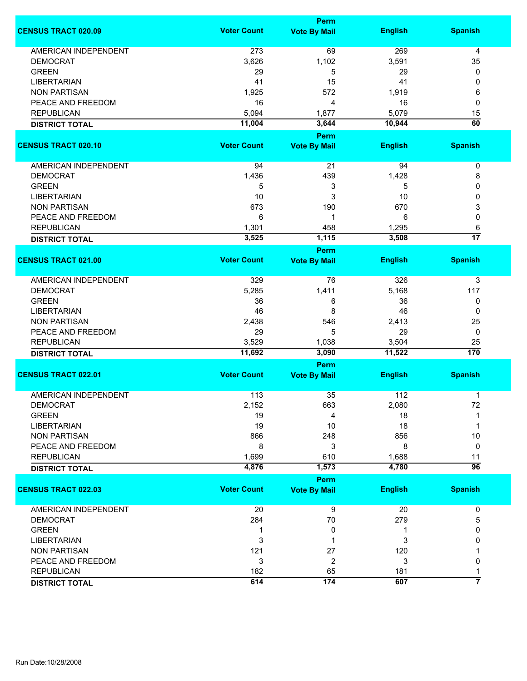|                             | Perm               |                     |                 |                 |
|-----------------------------|--------------------|---------------------|-----------------|-----------------|
| <b>CENSUS TRACT 020.09</b>  | <b>Voter Count</b> | <b>Vote By Mail</b> | <b>English</b>  | <b>Spanish</b>  |
| <b>AMERICAN INDEPENDENT</b> | 273                | 69                  | 269             | 4               |
| <b>DEMOCRAT</b>             | 3,626              | 1,102               | 3,591           | 35              |
| <b>GREEN</b>                | 29                 | 5                   | 29              | 0               |
| <b>LIBERTARIAN</b>          | 41                 | 15                  | 41              | 0               |
| <b>NON PARTISAN</b>         | 1,925              | 572                 | 1,919           | 6               |
| PEACE AND FREEDOM           | 16                 | 4                   | 16              | 0               |
| <b>REPUBLICAN</b>           | 5,094              | 1,877               | 5,079           | 15              |
|                             |                    |                     |                 |                 |
| <b>DISTRICT TOTAL</b>       | 11,004             | 3,644<br>Perm       | 10,944          | 60              |
| <b>CENSUS TRACT 020.10</b>  | <b>Voter Count</b> | <b>Vote By Mail</b> | <b>English</b>  | <b>Spanish</b>  |
|                             |                    |                     |                 |                 |
| AMERICAN INDEPENDENT        | 94                 | 21                  | 94              | 0               |
| <b>DEMOCRAT</b>             | 1,436              | 439                 | 1,428           | 8               |
| <b>GREEN</b>                | 5                  | 3                   | 5               | 0               |
| <b>LIBERTARIAN</b>          | 10                 | 3                   | 10              | 0               |
| <b>NON PARTISAN</b>         | 673                | 190                 | 670             | 3               |
| PEACE AND FREEDOM           | 6                  | 1                   | 6               | 0               |
| <b>REPUBLICAN</b>           | 1,301              | 458                 | 1,295           | 6               |
|                             | 3,525              | 1,115               | 3,508           | $\overline{17}$ |
| <b>DISTRICT TOTAL</b>       |                    | <b>Perm</b>         |                 |                 |
| <b>CENSUS TRACT 021.00</b>  | <b>Voter Count</b> | <b>Vote By Mail</b> | <b>English</b>  | <b>Spanish</b>  |
| <b>AMERICAN INDEPENDENT</b> | 329                | 76                  | 326             | 3               |
| <b>DEMOCRAT</b>             | 5,285              | 1,411               | 5,168           | 117             |
| <b>GREEN</b>                | 36                 | 6                   | 36              | 0               |
| <b>LIBERTARIAN</b>          | 46                 | 8                   | 46              | 0               |
| <b>NON PARTISAN</b>         | 2,438              | 546                 | 2,413           | 25              |
|                             |                    | 5                   | 29              | 0               |
| PEACE AND FREEDOM           | 29                 |                     |                 |                 |
| <b>REPUBLICAN</b>           | 3,529<br>11,692    | 1,038<br>3,090      | 3,504<br>11,522 | 25<br>170       |
| <b>DISTRICT TOTAL</b>       |                    | Perm                |                 |                 |
| <b>CENSUS TRACT 022.01</b>  | <b>Voter Count</b> | <b>Vote By Mail</b> | <b>English</b>  | <b>Spanish</b>  |
|                             |                    |                     |                 |                 |
| <b>AMERICAN INDEPENDENT</b> | 113                | 35                  | 112             | 1               |
| <b>DEMOCRAT</b>             | 2,152              | 663                 | 2,080           | 72              |
| <b>GREEN</b>                | 19                 | 4                   | 18              |                 |
| <b>LIBERTARIAN</b>          | 19                 | 10                  | 18              | 1               |
| <b>NON PARTISAN</b>         | 866                | 248                 | 856             | 10              |
| PEACE AND FREEDOM           | 8                  | 3                   | 8               | 0               |
| <b>REPUBLICAN</b>           | 1,699              | 610                 | 1,688           | 11              |
| <b>DISTRICT TOTAL</b>       | 4,876              | 1,573               | 4,780           | $\overline{96}$ |
|                             |                    | Perm                |                 |                 |
| <b>CENSUS TRACT 022.03</b>  | <b>Voter Count</b> | <b>Vote By Mail</b> | <b>English</b>  | <b>Spanish</b>  |
| AMERICAN INDEPENDENT        | 20                 | 9                   | 20              | 0               |
| <b>DEMOCRAT</b>             | 284                | $70\,$              | 279             | 5               |
| <b>GREEN</b>                | 1                  | 0                   | 1               | 0               |
| <b>LIBERTARIAN</b>          | 3                  |                     | 3               | 0               |
| <b>NON PARTISAN</b>         | 121                | 27                  | 120             |                 |
| PEACE AND FREEDOM           | 3                  | 2                   | 3               | 0               |
| <b>REPUBLICAN</b>           | 182                | 65                  | 181             | 1               |
|                             | 614                | 174                 | 607             | 7               |
| <b>DISTRICT TOTAL</b>       |                    |                     |                 |                 |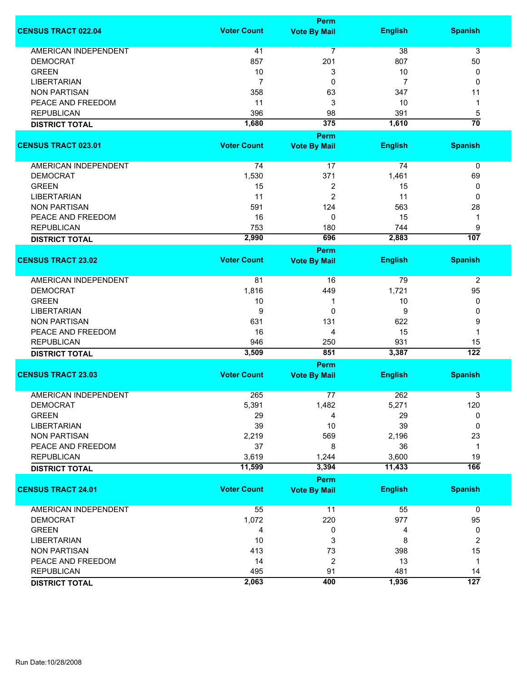|                             |                    | <b>Perm</b>         |                |                  |
|-----------------------------|--------------------|---------------------|----------------|------------------|
| <b>CENSUS TRACT 022.04</b>  | <b>Voter Count</b> | <b>Vote By Mail</b> | <b>English</b> | <b>Spanish</b>   |
| <b>AMERICAN INDEPENDENT</b> | 41                 | 7                   | 38             | 3                |
| <b>DEMOCRAT</b>             | 857                | 201                 | 807            | 50               |
| <b>GREEN</b>                | 10                 | 3                   | 10             | 0                |
| <b>LIBERTARIAN</b>          | $\overline{7}$     | 0                   | 7              | 0                |
| <b>NON PARTISAN</b>         | 358                | 63                  | 347            | 11               |
| PEACE AND FREEDOM           | 11                 | 3                   | 10             | 1                |
| <b>REPUBLICAN</b>           | 396                | 98                  | 391            | 5                |
| <b>DISTRICT TOTAL</b>       | 1,680              | 375                 | 1,610          | $\overline{70}$  |
|                             |                    | Perm                |                |                  |
| <b>CENSUS TRACT 023.01</b>  | <b>Voter Count</b> | <b>Vote By Mail</b> | <b>English</b> | <b>Spanish</b>   |
|                             |                    |                     |                |                  |
| AMERICAN INDEPENDENT        | 74                 | 17                  | 74             | 0                |
| <b>DEMOCRAT</b>             | 1,530              | 371                 | 1,461          | 69               |
| <b>GREEN</b>                | 15                 | 2                   | 15             | 0                |
| <b>LIBERTARIAN</b>          | 11                 | $\overline{2}$      | 11             | 0                |
| <b>NON PARTISAN</b>         | 591                | 124                 | 563            | 28               |
| PEACE AND FREEDOM           | 16                 | 0                   | 15             | 1                |
| <b>REPUBLICAN</b>           | 753                | 180                 | 744            | 9                |
| <b>DISTRICT TOTAL</b>       | 2,990              | 696                 | 2,883          | 107              |
|                             |                    | <b>Perm</b>         |                |                  |
| <b>CENSUS TRACT 23.02</b>   | <b>Voter Count</b> | <b>Vote By Mail</b> | <b>English</b> | <b>Spanish</b>   |
| <b>AMERICAN INDEPENDENT</b> | 81                 | 16                  | 79             | $\overline{2}$   |
| <b>DEMOCRAT</b>             | 1,816              | 449                 | 1,721          | 95               |
| <b>GREEN</b>                | 10                 | 1                   |                | 0                |
|                             |                    |                     | 10             |                  |
| <b>LIBERTARIAN</b>          | 9                  | 0                   | 9              | 0                |
| <b>NON PARTISAN</b>         | 631                | 131                 | 622            | 9                |
| PEACE AND FREEDOM           | 16                 | 4                   | 15             | 1                |
| <b>REPUBLICAN</b>           | 946                | 250                 | 931            | 15               |
| <b>DISTRICT TOTAL</b>       | 3,509              | 851                 | 3,387          | $\overline{122}$ |
|                             |                    | <b>Perm</b>         |                |                  |
| <b>CENSUS TRACT 23.03</b>   | <b>Voter Count</b> | <b>Vote By Mail</b> | <b>English</b> | <b>Spanish</b>   |
| <b>AMERICAN INDEPENDENT</b> | 265                | 77                  | 262            | 3                |
| <b>DEMOCRAT</b>             | 5,391              | 1,482               | 5,271          | 120              |
| <b>GREEN</b>                | 29                 | 4                   | 29             | 0                |
| <b>LIBERTARIAN</b>          | 39                 | 10                  | 39             | 0                |
| <b>NON PARTISAN</b>         | 2,219              | 569                 | 2,196          | 23               |
| PEACE AND FREEDOM           | 37                 | 8                   | 36             | 1                |
| <b>REPUBLICAN</b>           | 3,619              | 1,244               | 3,600          | 19               |
| <b>DISTRICT TOTAL</b>       | 11,599             | 3,394               | 11,433         | 166              |
|                             |                    | <b>Perm</b>         |                |                  |
| <b>CENSUS TRACT 24.01</b>   | <b>Voter Count</b> | <b>Vote By Mail</b> | <b>English</b> | <b>Spanish</b>   |
| <b>AMERICAN INDEPENDENT</b> | 55                 | 11                  | 55             | 0                |
| <b>DEMOCRAT</b>             | 1,072              | 220                 | 977            | 95               |
| <b>GREEN</b>                | 4                  | 0                   | 4              | 0                |
| <b>LIBERTARIAN</b>          | 10                 | 3                   | 8              | $\overline{c}$   |
| <b>NON PARTISAN</b>         | 413                | 73                  | 398            | 15               |
| PEACE AND FREEDOM           | 14                 | $\overline{2}$      | 13             | 1                |
| <b>REPUBLICAN</b>           | 495                | 91                  | 481            | 14               |
|                             | 2,063              | 400                 | 1,936          | $\overline{127}$ |
| <b>DISTRICT TOTAL</b>       |                    |                     |                |                  |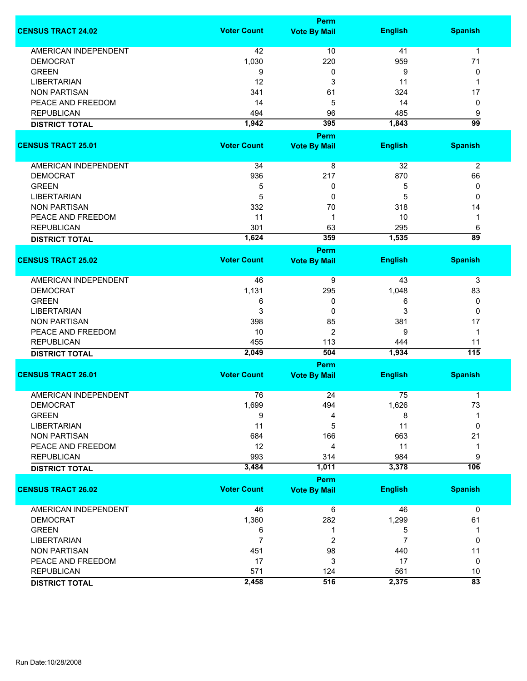|                                            | <b>Perm</b>        |                     |                |                  |  |
|--------------------------------------------|--------------------|---------------------|----------------|------------------|--|
| <b>CENSUS TRACT 24.02</b>                  | <b>Voter Count</b> | <b>Vote By Mail</b> | <b>English</b> | <b>Spanish</b>   |  |
| <b>AMERICAN INDEPENDENT</b>                | 42                 | 10                  | 41             | 1                |  |
| <b>DEMOCRAT</b>                            | 1,030              | 220                 | 959            | 71               |  |
| <b>GREEN</b>                               | 9                  | 0                   | 9              | 0                |  |
| <b>LIBERTARIAN</b>                         | 12                 | 3                   | 11             | 1                |  |
|                                            |                    |                     |                |                  |  |
| <b>NON PARTISAN</b>                        | 341                | 61                  | 324            | 17               |  |
| PEACE AND FREEDOM                          | 14                 | 5                   | 14             | 0                |  |
| <b>REPUBLICAN</b>                          | 494                | 96                  | 485            | 9                |  |
| <b>DISTRICT TOTAL</b>                      | 1,942              | 395                 | 1,843          | $\overline{99}$  |  |
| <b>CENSUS TRACT 25.01</b>                  | <b>Voter Count</b> | <b>Perm</b>         |                | <b>Spanish</b>   |  |
|                                            |                    | <b>Vote By Mail</b> | <b>English</b> |                  |  |
| AMERICAN INDEPENDENT                       | 34                 | 8                   | 32             | $\overline{2}$   |  |
| <b>DEMOCRAT</b>                            | 936                | 217                 | 870            | 66               |  |
| <b>GREEN</b>                               | 5                  | 0                   | 5              | 0                |  |
| <b>LIBERTARIAN</b>                         | 5                  | 0                   | 5              | 0                |  |
| <b>NON PARTISAN</b>                        | 332                | 70                  | 318            | 14               |  |
| PEACE AND FREEDOM                          | 11                 | 1                   | 10             | 1                |  |
| <b>REPUBLICAN</b>                          | 301                | 63                  | 295            | 6                |  |
| <b>DISTRICT TOTAL</b>                      | 1,624              | 359                 | 1,535          | $\overline{89}$  |  |
|                                            |                    | <b>Perm</b>         |                |                  |  |
| <b>CENSUS TRACT 25.02</b>                  | <b>Voter Count</b> | <b>Vote By Mail</b> | <b>English</b> | <b>Spanish</b>   |  |
| <b>AMERICAN INDEPENDENT</b>                | 46                 | 9                   | 43             | 3                |  |
| <b>DEMOCRAT</b>                            | 1,131              | 295                 | 1,048          | 83               |  |
| <b>GREEN</b>                               | 6                  | 0                   | 6              | 0                |  |
| <b>LIBERTARIAN</b>                         | 3                  | 0                   | 3              | 0                |  |
| <b>NON PARTISAN</b>                        | 398                | 85                  | 381            | 17               |  |
| PEACE AND FREEDOM                          | 10                 | $\overline{2}$      | 9              | $\mathbf{1}$     |  |
| <b>REPUBLICAN</b>                          | 455                | 113                 | 444            | 11               |  |
|                                            | 2,049              | 504                 | 1,934          | $\overline{115}$ |  |
| <b>DISTRICT TOTAL</b>                      |                    | <b>Perm</b>         |                |                  |  |
| <b>CENSUS TRACT 26.01</b>                  | <b>Voter Count</b> | <b>Vote By Mail</b> | <b>English</b> | <b>Spanish</b>   |  |
| <b>AMERICAN INDEPENDENT</b>                | 76                 | 24                  | 75             | 1                |  |
| <b>DEMOCRAT</b>                            | 1,699              | 494                 | 1,626          | 73               |  |
| <b>GREEN</b>                               | 9                  | 4                   | 8              |                  |  |
| <b>LIBERTARIAN</b>                         | 11                 | 5                   | 11             | 0                |  |
| <b>NON PARTISAN</b>                        | 684                | 166                 | 663            | 21               |  |
| PEACE AND FREEDOM                          | 12                 | 4                   | 11             | 1                |  |
|                                            |                    |                     | 984            |                  |  |
| <b>REPUBLICAN</b><br><b>DISTRICT TOTAL</b> | 993<br>3,484       | 314<br>1,011        | 3,378          | 9<br>106         |  |
|                                            |                    | Perm                |                |                  |  |
| <b>CENSUS TRACT 26.02</b>                  | <b>Voter Count</b> | <b>Vote By Mail</b> | <b>English</b> | <b>Spanish</b>   |  |
| <b>AMERICAN INDEPENDENT</b>                | 46                 | 6                   | 46             | $\mathbf 0$      |  |
| <b>DEMOCRAT</b>                            | 1,360              | 282                 | 1,299          | 61               |  |
| <b>GREEN</b>                               | 6                  | 1                   | 5              | 1                |  |
| <b>LIBERTARIAN</b>                         | $\overline{7}$     | 2                   | 7              | 0                |  |
| <b>NON PARTISAN</b>                        | 451                | 98                  | 440            | 11               |  |
| PEACE AND FREEDOM                          | 17                 | 3                   | 17             | 0                |  |
| <b>REPUBLICAN</b>                          | 571                | 124                 | 561            | 10               |  |
|                                            | 2,458              | 516                 | 2,375          | $\overline{83}$  |  |
| <b>DISTRICT TOTAL</b>                      |                    |                     |                |                  |  |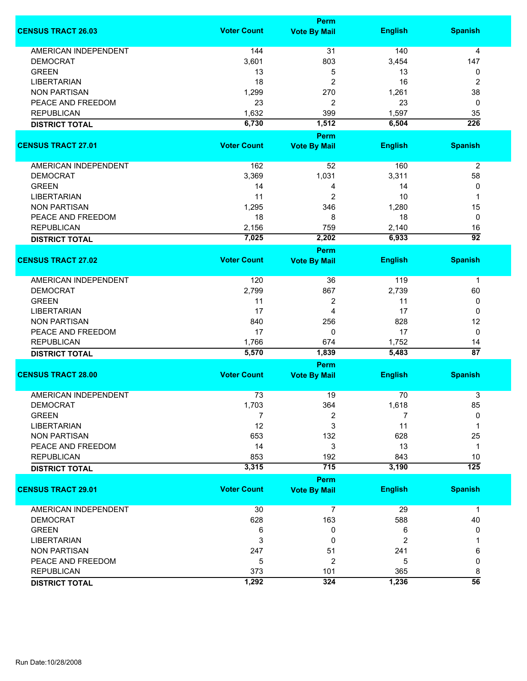|                             |                    | Perm                        |                |                       |  |  |
|-----------------------------|--------------------|-----------------------------|----------------|-----------------------|--|--|
| <b>CENSUS TRACT 26.03</b>   | <b>Voter Count</b> | <b>Vote By Mail</b>         | <b>English</b> | <b>Spanish</b>        |  |  |
| <b>AMERICAN INDEPENDENT</b> | 144                | 31                          | 140            | 4                     |  |  |
| <b>DEMOCRAT</b>             | 3,601              | 803                         | 3,454          | 147                   |  |  |
| <b>GREEN</b>                | 13                 | 5                           | 13             | 0                     |  |  |
| <b>LIBERTARIAN</b>          | 18                 | $\overline{c}$              | 16             | $\overline{2}$        |  |  |
| <b>NON PARTISAN</b>         | 1,299              | 270                         | 1,261          | 38                    |  |  |
| PEACE AND FREEDOM           | 23                 | $\overline{c}$              | 23             | 0                     |  |  |
|                             |                    |                             |                |                       |  |  |
| <b>REPUBLICAN</b>           | 1,632              | 399                         | 1,597          | 35                    |  |  |
| <b>DISTRICT TOTAL</b>       | 6,730              | 1,512                       | 6,504          | $\overline{226}$      |  |  |
| <b>CENSUS TRACT 27.01</b>   | <b>Voter Count</b> | Perm<br><b>Vote By Mail</b> | <b>English</b> | <b>Spanish</b>        |  |  |
|                             |                    |                             |                |                       |  |  |
| <b>AMERICAN INDEPENDENT</b> | 162                | 52                          | 160            | $\overline{2}$        |  |  |
| <b>DEMOCRAT</b>             | 3,369              | 1,031                       | 3,311          | 58                    |  |  |
| <b>GREEN</b>                | 14                 | 4                           | 14             | 0                     |  |  |
| <b>LIBERTARIAN</b>          | 11                 | 2                           | 10             | 1                     |  |  |
| <b>NON PARTISAN</b>         | 1,295              | 346                         | 1,280          | 15                    |  |  |
| PEACE AND FREEDOM           | 18                 | 8                           | 18             | 0                     |  |  |
| <b>REPUBLICAN</b>           | 2,156              | 759                         | 2,140          | 16                    |  |  |
| <b>DISTRICT TOTAL</b>       | 7,025              | 2,202                       | 6,933          | $\overline{92}$       |  |  |
|                             |                    | <b>Perm</b>                 |                |                       |  |  |
| <b>CENSUS TRACT 27.02</b>   | <b>Voter Count</b> | <b>Vote By Mail</b>         | <b>English</b> | <b>Spanish</b>        |  |  |
| AMERICAN INDEPENDENT        | 120                | 36                          | 119            | $\mathbf 1$           |  |  |
| <b>DEMOCRAT</b>             | 2,799              | 867                         | 2,739          | 60                    |  |  |
| <b>GREEN</b>                | 11                 | 2                           | 11             | 0                     |  |  |
| <b>LIBERTARIAN</b>          | 17                 | 4                           | 17             | 0                     |  |  |
| <b>NON PARTISAN</b>         | 840                | 256                         | 828            | 12                    |  |  |
|                             |                    |                             | 17             | $\mathbf 0$           |  |  |
| PEACE AND FREEDOM           | 17                 | 0                           |                |                       |  |  |
| <b>REPUBLICAN</b>           | 1,766              | 674                         | 1,752          | 14<br>$\overline{87}$ |  |  |
| <b>DISTRICT TOTAL</b>       | 5,570              | 1,839                       | 5,483          |                       |  |  |
| <b>CENSUS TRACT 28.00</b>   | <b>Voter Count</b> | Perm<br><b>Vote By Mail</b> | <b>English</b> | <b>Spanish</b>        |  |  |
|                             |                    |                             |                |                       |  |  |
| <b>AMERICAN INDEPENDENT</b> | 73                 | 19                          | 70             | 3                     |  |  |
| DEMOCRAT                    | 1,703              | 364                         | 1,618          | 85                    |  |  |
| <b>GREEN</b>                | 7                  | 2                           | 7              | 0                     |  |  |
| <b>LIBERTARIAN</b>          | 12                 | 3                           | 11             | 1                     |  |  |
| <b>NON PARTISAN</b>         | 653                | 132                         | 628            | 25                    |  |  |
| PEACE AND FREEDOM           | 14                 | 3                           | 13             | $\mathbf 1$           |  |  |
| <b>REPUBLICAN</b>           | 853                | 192                         | 843            | 10                    |  |  |
| <b>DISTRICT TOTAL</b>       | 3,315              | 715                         | 3,190          | $\overline{125}$      |  |  |
|                             |                    | Perm                        |                |                       |  |  |
| <b>CENSUS TRACT 29.01</b>   | <b>Voter Count</b> | <b>Vote By Mail</b>         | <b>English</b> | <b>Spanish</b>        |  |  |
| <b>AMERICAN INDEPENDENT</b> | 30                 | $\overline{7}$              | 29             | $\mathbf 1$           |  |  |
| <b>DEMOCRAT</b>             | 628                | 163                         | 588            | 40                    |  |  |
| <b>GREEN</b>                | 6                  | 0                           | 6              | 0                     |  |  |
| <b>LIBERTARIAN</b>          | 3                  | 0                           | $\overline{2}$ |                       |  |  |
| <b>NON PARTISAN</b>         | 247                | 51                          | 241            | 6                     |  |  |
| PEACE AND FREEDOM           | 5                  | 2                           | 5              | 0                     |  |  |
| <b>REPUBLICAN</b>           | 373                | 101                         | 365            | 8                     |  |  |
| <b>DISTRICT TOTAL</b>       | 1,292              | 324                         | 1,236          | $\overline{56}$       |  |  |
|                             |                    |                             |                |                       |  |  |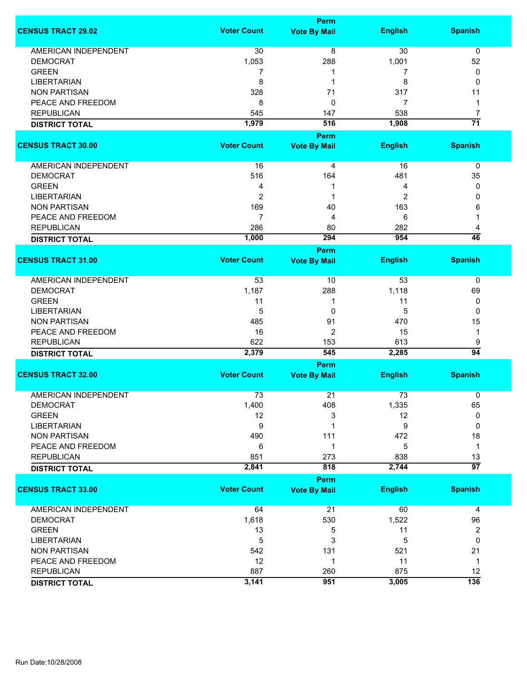|                             |                    | <b>Perm</b>                        |                |                         |
|-----------------------------|--------------------|------------------------------------|----------------|-------------------------|
| <b>CENSUS TRACT 29.02</b>   | <b>Voter Count</b> | <b>Vote By Mail</b>                | <b>English</b> | <b>Spanish</b>          |
| <b>AMERICAN INDEPENDENT</b> | 30                 | $\overline{8}$                     | 30             | 0                       |
| <b>DEMOCRAT</b>             | 1,053              | 288                                | 1,001          | 52                      |
| <b>GREEN</b>                | 7                  | 1                                  | 7              | 0                       |
| <b>LIBERTARIAN</b>          | 8                  | 1                                  | 8              | 0                       |
| <b>NON PARTISAN</b>         | 328                | 71                                 | 317            | 11                      |
|                             |                    |                                    | 7              |                         |
| PEACE AND FREEDOM           | 8                  | 0                                  |                | 1                       |
| <b>REPUBLICAN</b>           | 545                | 147                                | 538            | $\overline{7}$          |
| <b>DISTRICT TOTAL</b>       | 1,979              | 516                                | 1,908          | $\overline{71}$         |
|                             |                    | Perm                               |                |                         |
| <b>CENSUS TRACT 30.00</b>   | <b>Voter Count</b> | <b>Vote By Mail</b>                | <b>English</b> | <b>Spanish</b>          |
| AMERICAN INDEPENDENT        | 16                 | 4                                  | 16             | 0                       |
| <b>DEMOCRAT</b>             | 516                | 164                                | 481            | 35                      |
| <b>GREEN</b>                | 4                  | 1                                  | 4              | 0                       |
| <b>LIBERTARIAN</b>          | $\overline{2}$     | 1                                  | 2              | 0                       |
| <b>NON PARTISAN</b>         | 169                | 40                                 | 163            | 6                       |
| PEACE AND FREEDOM           | $\overline{7}$     | 4                                  | 6              | 1                       |
|                             |                    |                                    | 282            |                         |
| <b>REPUBLICAN</b>           | 286                | 80                                 |                | 4<br>46                 |
| <b>DISTRICT TOTAL</b>       | 1,000              | 294                                | 954            |                         |
| <b>CENSUS TRACT 31.00</b>   | <b>Voter Count</b> | <b>Perm</b><br><b>Vote By Mail</b> | <b>English</b> | <b>Spanish</b>          |
|                             |                    |                                    |                |                         |
| <b>AMERICAN INDEPENDENT</b> | 53                 | 10                                 | 53             | 0                       |
| <b>DEMOCRAT</b>             | 1,187              | 288                                | 1,118          | 69                      |
| <b>GREEN</b>                | 11                 | 1                                  | 11             | 0                       |
| <b>LIBERTARIAN</b>          | 5                  | 0                                  | 5              | 0                       |
| <b>NON PARTISAN</b>         | 485                | 91                                 | 470            | 15                      |
| PEACE AND FREEDOM           | 16                 | $\overline{2}$                     | 15             | 1                       |
| <b>REPUBLICAN</b>           | 622                | 153                                | 613            | 9                       |
| <b>DISTRICT TOTAL</b>       | 2,379              | 545                                | 2,285          | $\overline{94}$         |
|                             |                    | <b>Perm</b>                        |                |                         |
| <b>CENSUS TRACT 32.00</b>   | <b>Voter Count</b> | <b>Vote By Mail</b>                | <b>English</b> | <b>Spanish</b>          |
|                             |                    |                                    |                |                         |
| <b>AMERICAN INDEPENDENT</b> | 73                 | 21                                 | 73             | 0                       |
| <b>DEMOCRAT</b>             | 1,400              | 408                                | 1,335          | 65                      |
| <b>GREEN</b>                | 12                 | 3                                  | 12             | 0                       |
| <b>LIBERTARIAN</b>          | 9                  | 1                                  | 9              | 0                       |
| <b>NON PARTISAN</b>         | 490                | 111                                | 472            | 18                      |
| PEACE AND FREEDOM           | 6                  | 1                                  | 5              | $\mathbf 1$             |
| <b>REPUBLICAN</b>           | 851                | 273                                | 838            | 13                      |
| <b>DISTRICT TOTAL</b>       | 2,841              | 818                                | 2,744          | $\overline{97}$         |
|                             |                    | <b>Perm</b>                        |                |                         |
| <b>CENSUS TRACT 33.00</b>   | <b>Voter Count</b> | <b>Vote By Mail</b>                | <b>English</b> | <b>Spanish</b>          |
| <b>AMERICAN INDEPENDENT</b> | 64                 | 21                                 | 60             | 4                       |
| <b>DEMOCRAT</b>             | 1,618              | 530                                | 1,522          | 96                      |
| <b>GREEN</b>                | 13                 | 5                                  | 11             | $\overline{\mathbf{c}}$ |
| <b>LIBERTARIAN</b>          | 5                  | 3                                  | 5              | 0                       |
| <b>NON PARTISAN</b>         | 542                | 131                                | 521            | 21                      |
| PEACE AND FREEDOM           | 12                 | 1                                  | 11             | 1                       |
|                             | 887                |                                    | 875            |                         |
| <b>REPUBLICAN</b>           |                    | 260                                |                | 12                      |
| <b>DISTRICT TOTAL</b>       | 3,141              | 951                                | 3,005          | 136                     |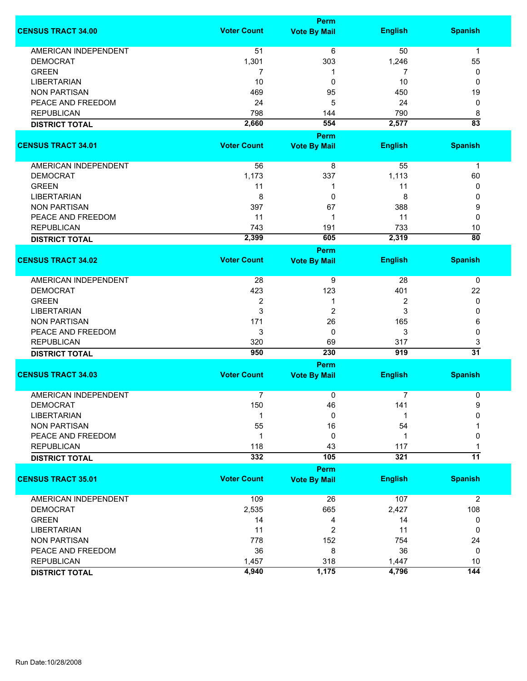|                             | <b>Perm</b>        |                                    |                |                 |  |
|-----------------------------|--------------------|------------------------------------|----------------|-----------------|--|
| <b>CENSUS TRACT 34.00</b>   | <b>Voter Count</b> | <b>Vote By Mail</b>                | <b>English</b> | <b>Spanish</b>  |  |
| <b>AMERICAN INDEPENDENT</b> | 51                 | 6                                  | 50             | $\mathbf{1}$    |  |
| <b>DEMOCRAT</b>             | 1,301              | 303                                | 1,246          | 55              |  |
| <b>GREEN</b>                | 7                  | 1                                  | 7              | 0               |  |
| <b>LIBERTARIAN</b>          | 10                 | 0                                  | 10             | 0               |  |
| <b>NON PARTISAN</b>         | 469                | 95                                 | 450            | 19              |  |
| PEACE AND FREEDOM           | 24                 | 5                                  | 24             | 0               |  |
| <b>REPUBLICAN</b>           | 798                | 144                                | 790            | 8               |  |
|                             | 2,660              | 554                                | 2,577          | $\overline{83}$ |  |
| <b>DISTRICT TOTAL</b>       |                    |                                    |                |                 |  |
|                             |                    | <b>Perm</b>                        |                |                 |  |
| <b>CENSUS TRACT 34.01</b>   | <b>Voter Count</b> | <b>Vote By Mail</b>                | <b>English</b> | <b>Spanish</b>  |  |
| AMERICAN INDEPENDENT        | 56                 | 8                                  | 55             | $\mathbf 1$     |  |
| <b>DEMOCRAT</b>             | 1,173              | 337                                | 1,113          | 60              |  |
| <b>GREEN</b>                | 11                 | 1                                  | 11             | 0               |  |
| <b>LIBERTARIAN</b>          | 8                  | 0                                  | 8              | 0               |  |
| <b>NON PARTISAN</b>         | 397                | 67                                 | 388            | 9               |  |
| PEACE AND FREEDOM           | 11                 | 1                                  | 11             | 0               |  |
| <b>REPUBLICAN</b>           | 743                | 191                                | 733            | 10              |  |
| <b>DISTRICT TOTAL</b>       | 2,399              | 605                                | 2,319          | $\overline{80}$ |  |
|                             |                    | <b>Perm</b>                        |                |                 |  |
| <b>CENSUS TRACT 34.02</b>   | <b>Voter Count</b> | <b>Vote By Mail</b>                | <b>English</b> | <b>Spanish</b>  |  |
| <b>AMERICAN INDEPENDENT</b> | 28                 |                                    | 28             |                 |  |
|                             |                    | 9                                  |                | 0               |  |
| <b>DEMOCRAT</b>             | 423                | 123                                | 401            | 22              |  |
| <b>GREEN</b>                | $\overline{2}$     | 1                                  | $\overline{2}$ | 0               |  |
| <b>LIBERTARIAN</b>          | 3                  | 2                                  | 3              | 0               |  |
| <b>NON PARTISAN</b>         | 171                | 26                                 | 165            | 6               |  |
| PEACE AND FREEDOM           | 3                  | 0                                  | 3              | 0               |  |
| <b>REPUBLICAN</b>           | 320                | 69                                 | 317            | 3               |  |
| <b>DISTRICT TOTAL</b>       | 950                | 230                                | 919            | $\overline{31}$ |  |
| <b>CENSUS TRACT 34.03</b>   | <b>Voter Count</b> | <b>Perm</b><br><b>Vote By Mail</b> | <b>English</b> | <b>Spanish</b>  |  |
|                             |                    |                                    |                |                 |  |
| <b>AMERICAN INDEPENDENT</b> | $\overline{7}$     | 0                                  | 7              | 0               |  |
| <b>DEMOCRAT</b>             | 150                | 46                                 | 141            | 9               |  |
| <b>LIBERTARIAN</b>          | 1                  | 0                                  |                | 0               |  |
| <b>NON PARTISAN</b>         | 55                 | 16                                 | 54             |                 |  |
| PEACE AND FREEDOM           | $\mathbf 1$        | 0                                  | 1              | 0               |  |
| <b>REPUBLICAN</b>           | 118                | 43                                 | 117            |                 |  |
| <b>DISTRICT TOTAL</b>       | 332                | 105                                | 321            | $\overline{11}$ |  |
|                             |                    | Perm                               |                |                 |  |
| <b>CENSUS TRACT 35.01</b>   | <b>Voter Count</b> | <b>Vote By Mail</b>                | <b>English</b> | <b>Spanish</b>  |  |
| <b>AMERICAN INDEPENDENT</b> | 109                | 26                                 | 107            | $\overline{2}$  |  |
|                             |                    | 665                                |                |                 |  |
| <b>DEMOCRAT</b>             | 2,535              |                                    | 2,427          | 108             |  |
| <b>GREEN</b>                | 14                 | 4                                  | 14             | 0               |  |
| <b>LIBERTARIAN</b>          | 11                 | 2                                  | 11             | 0               |  |
| <b>NON PARTISAN</b>         | 778                | 152                                | 754            | 24              |  |
| PEACE AND FREEDOM           | 36                 | 8                                  | 36             | 0               |  |
| <b>REPUBLICAN</b>           | 1,457              | 318                                | 1,447          | 10              |  |
| <b>DISTRICT TOTAL</b>       | 4,940              | 1,175                              | 4,796          | 144             |  |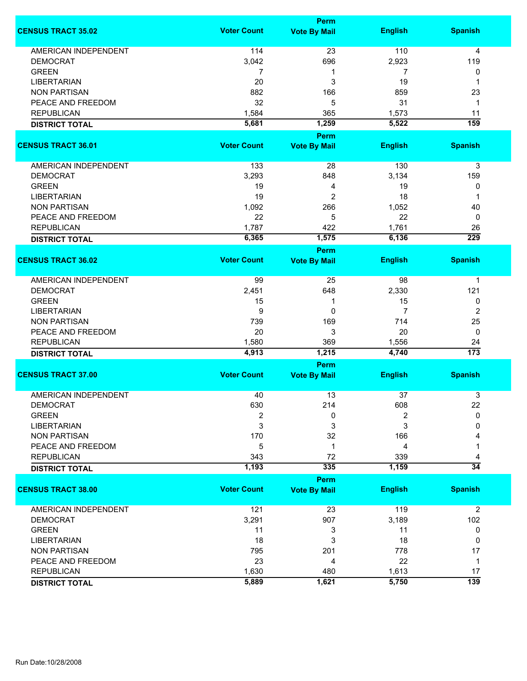|                             |                    | Perm                        |                |                        |  |  |
|-----------------------------|--------------------|-----------------------------|----------------|------------------------|--|--|
| <b>CENSUS TRACT 35.02</b>   | <b>Voter Count</b> | <b>Vote By Mail</b>         | <b>English</b> | <b>Spanish</b>         |  |  |
| <b>AMERICAN INDEPENDENT</b> | 114                | 23                          | 110            | 4                      |  |  |
| <b>DEMOCRAT</b>             | 3,042              | 696                         | 2,923          | 119                    |  |  |
| <b>GREEN</b>                | $\overline{7}$     | 1                           | 7              | 0                      |  |  |
| <b>LIBERTARIAN</b>          | 20                 | 3                           | 19             | 1                      |  |  |
| <b>NON PARTISAN</b>         | 882                | 166                         | 859            | 23                     |  |  |
| PEACE AND FREEDOM           | 32                 |                             |                |                        |  |  |
|                             |                    | 5                           | 31             | $\mathbf 1$            |  |  |
| <b>REPUBLICAN</b>           | 1,584              | 365                         | 1,573          | 11                     |  |  |
| <b>DISTRICT TOTAL</b>       | 5,681              | 1,259                       | 5,522          | 159                    |  |  |
| <b>CENSUS TRACT 36.01</b>   | <b>Voter Count</b> | Perm<br><b>Vote By Mail</b> | <b>English</b> | <b>Spanish</b>         |  |  |
|                             |                    |                             |                |                        |  |  |
| <b>AMERICAN INDEPENDENT</b> | 133                | 28                          | 130            | $\mathsf 3$            |  |  |
| <b>DEMOCRAT</b>             | 3,293              | 848                         | 3,134          | 159                    |  |  |
| <b>GREEN</b>                | 19                 | 4                           | 19             | 0                      |  |  |
| <b>LIBERTARIAN</b>          | 19                 | 2                           | 18             | 1                      |  |  |
| <b>NON PARTISAN</b>         | 1,092              | 266                         | 1,052          | 40                     |  |  |
| PEACE AND FREEDOM           | 22                 | 5                           | 22             | 0                      |  |  |
| <b>REPUBLICAN</b>           | 1,787              | 422                         | 1,761          | 26                     |  |  |
|                             | 6,365              | 1,575                       | 6,136          | $\overline{229}$       |  |  |
| <b>DISTRICT TOTAL</b>       |                    | <b>Perm</b>                 |                |                        |  |  |
| <b>CENSUS TRACT 36.02</b>   | <b>Voter Count</b> | <b>Vote By Mail</b>         | <b>English</b> | <b>Spanish</b>         |  |  |
| AMERICAN INDEPENDENT        | 99                 | 25                          | 98             | $\mathbf 1$            |  |  |
| <b>DEMOCRAT</b>             | 2,451              | 648                         | 2,330          | 121                    |  |  |
| <b>GREEN</b>                | 15                 | 1                           | 15             | 0                      |  |  |
| <b>LIBERTARIAN</b>          | 9                  | 0                           | 7              | $\boldsymbol{2}$       |  |  |
| <b>NON PARTISAN</b>         | 739                | 169                         | 714            | 25                     |  |  |
| PEACE AND FREEDOM           | 20                 | 3                           | 20             | $\mathbf 0$            |  |  |
|                             |                    |                             |                |                        |  |  |
| <b>REPUBLICAN</b>           | 1,580<br>4,913     | 369<br>1,215                | 1,556<br>4,740 | 24<br>$\overline{173}$ |  |  |
| <b>DISTRICT TOTAL</b>       |                    | Perm                        |                |                        |  |  |
| <b>CENSUS TRACT 37.00</b>   | <b>Voter Count</b> | <b>Vote By Mail</b>         | <b>English</b> | <b>Spanish</b>         |  |  |
| <b>AMERICAN INDEPENDENT</b> | 40                 | 13                          | 37             | 3                      |  |  |
| DEMOCRAT                    | 630                | 214                         | 608            | 22                     |  |  |
| <b>GREEN</b>                | 2                  | 0                           | 2              | 0                      |  |  |
| <b>LIBERTARIAN</b>          | 3                  | 3                           | 3              | 0                      |  |  |
|                             |                    |                             |                |                        |  |  |
| <b>NON PARTISAN</b>         | 170                | 32                          | 166            |                        |  |  |
| PEACE AND FREEDOM           | 5                  | 1                           | 4              |                        |  |  |
| <b>REPUBLICAN</b>           | 343                | 72                          | 339            | 4                      |  |  |
| <b>DISTRICT TOTAL</b>       | 1,193              | 335                         | 1,159          | $\overline{34}$        |  |  |
| <b>CENSUS TRACT 38.00</b>   | <b>Voter Count</b> | Perm<br><b>Vote By Mail</b> | <b>English</b> | <b>Spanish</b>         |  |  |
|                             |                    |                             |                |                        |  |  |
| <b>AMERICAN INDEPENDENT</b> | 121                | 23                          | 119            | $\overline{2}$         |  |  |
| <b>DEMOCRAT</b>             | 3,291              | 907                         | 3,189          | 102                    |  |  |
| <b>GREEN</b>                | 11                 | 3                           | 11             | 0                      |  |  |
| <b>LIBERTARIAN</b>          | 18                 | 3                           | 18             | 0                      |  |  |
| <b>NON PARTISAN</b>         | 795                | 201                         | 778            | 17                     |  |  |
| PEACE AND FREEDOM           | 23                 | 4                           | 22             | $\mathbf 1$            |  |  |
| <b>REPUBLICAN</b>           | 1,630              | 480                         | 1,613          | 17                     |  |  |
| <b>DISTRICT TOTAL</b>       | 5,889              | 1,621                       | 5,750          | 139                    |  |  |
|                             |                    |                             |                |                        |  |  |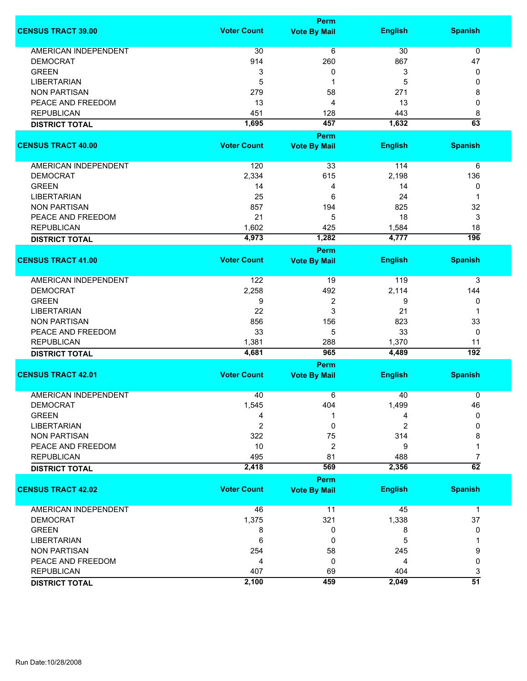|                             |                    | <b>Perm</b>         |                |                        |  |
|-----------------------------|--------------------|---------------------|----------------|------------------------|--|
| <b>CENSUS TRACT 39.00</b>   | <b>Voter Count</b> | <b>Vote By Mail</b> | <b>English</b> | <b>Spanish</b>         |  |
| <b>AMERICAN INDEPENDENT</b> | 30                 | 6                   | 30             | $\mathbf 0$            |  |
| <b>DEMOCRAT</b>             | 914                | 260                 | 867            | 47                     |  |
| <b>GREEN</b>                | 3                  | 0                   | 3              | 0                      |  |
| <b>LIBERTARIAN</b>          | 5                  | 1                   | 5              | 0                      |  |
| <b>NON PARTISAN</b>         | 279                | 58                  | 271            | 8                      |  |
| PEACE AND FREEDOM           | 13                 | 4                   | 13             | 0                      |  |
|                             |                    |                     |                |                        |  |
| <b>REPUBLICAN</b>           | 451                | 128                 | 443            | 8                      |  |
| <b>DISTRICT TOTAL</b>       | 1,695              | 457<br><b>Perm</b>  | 1,632          | 63                     |  |
|                             | <b>Voter Count</b> |                     |                |                        |  |
| <b>CENSUS TRACT 40.00</b>   |                    | <b>Vote By Mail</b> | <b>English</b> | <b>Spanish</b>         |  |
| AMERICAN INDEPENDENT        | 120                | 33                  | 114            | 6                      |  |
| <b>DEMOCRAT</b>             | 2,334              | 615                 | 2,198          | 136                    |  |
| <b>GREEN</b>                | 14                 | 4                   | 14             | 0                      |  |
| <b>LIBERTARIAN</b>          | 25                 | 6                   | 24             | 1                      |  |
| <b>NON PARTISAN</b>         | 857                | 194                 | 825            | 32                     |  |
| PEACE AND FREEDOM           | 21                 | 5                   | 18             | 3                      |  |
| <b>REPUBLICAN</b>           | 1,602              | 425                 | 1,584          | 18                     |  |
|                             | 4,973              | 1,282               | 4,777          | 196                    |  |
| <b>DISTRICT TOTAL</b>       |                    | <b>Perm</b>         |                |                        |  |
| <b>CENSUS TRACT 41.00</b>   | <b>Voter Count</b> | <b>Vote By Mail</b> | <b>English</b> | <b>Spanish</b>         |  |
| <b>AMERICAN INDEPENDENT</b> | 122                | 19                  | 119            | 3                      |  |
| <b>DEMOCRAT</b>             | 2,258              | 492                 | 2,114          | 144                    |  |
| <b>GREEN</b>                | 9                  | 2                   | 9              | 0                      |  |
| <b>LIBERTARIAN</b>          | 22                 | 3                   | 21             | 1                      |  |
| <b>NON PARTISAN</b>         | 856                | 156                 | 823            | 33                     |  |
| PEACE AND FREEDOM           | 33                 | 5                   | 33             | 0                      |  |
|                             |                    |                     |                |                        |  |
| <b>REPUBLICAN</b>           | 1,381<br>4,681     | 288<br>965          | 1,370<br>4,489 | 11<br>$\overline{192}$ |  |
| <b>DISTRICT TOTAL</b>       |                    | <b>Perm</b>         |                |                        |  |
| <b>CENSUS TRACT 42.01</b>   | <b>Voter Count</b> | <b>Vote By Mail</b> | <b>English</b> | <b>Spanish</b>         |  |
|                             |                    |                     |                |                        |  |
| <b>AMERICAN INDEPENDENT</b> | 40                 | 6                   | 40             | 0                      |  |
| <b>DEMOCRAT</b>             | 1,545              | 404                 | 1,499          | 46                     |  |
| <b>GREEN</b>                | 4                  |                     | 4              | $\Omega$               |  |
| <b>LIBERTARIAN</b>          | $\overline{2}$     | 0                   | $\overline{2}$ | 0                      |  |
| <b>NON PARTISAN</b>         | 322                | 75                  | 314            | 8                      |  |
| PEACE AND FREEDOM           | 10                 | 2                   | 9              | 1                      |  |
| <b>REPUBLICAN</b>           | 495                | 81                  | 488            | 7                      |  |
| <b>DISTRICT TOTAL</b>       | 2,418              | 569                 | 2,356          | $\overline{62}$        |  |
|                             |                    | Perm                |                |                        |  |
| <b>CENSUS TRACT 42.02</b>   | <b>Voter Count</b> | <b>Vote By Mail</b> | <b>English</b> | <b>Spanish</b>         |  |
| <b>AMERICAN INDEPENDENT</b> | 46                 | 11                  | 45             | $\mathbf 1$            |  |
| <b>DEMOCRAT</b>             | 1,375              | 321                 | 1,338          | 37                     |  |
| <b>GREEN</b>                | 8                  | 0                   | 8              | 0                      |  |
| <b>LIBERTARIAN</b>          | 6                  | 0                   | 5              |                        |  |
| <b>NON PARTISAN</b>         | 254                | 58                  | 245            | 9                      |  |
| PEACE AND FREEDOM           | 4                  | 0                   | 4              | 0                      |  |
| <b>REPUBLICAN</b>           | 407                | 69                  | 404            | 3                      |  |
| <b>DISTRICT TOTAL</b>       | 2,100              | 459                 | 2,049          | $\overline{51}$        |  |
|                             |                    |                     |                |                        |  |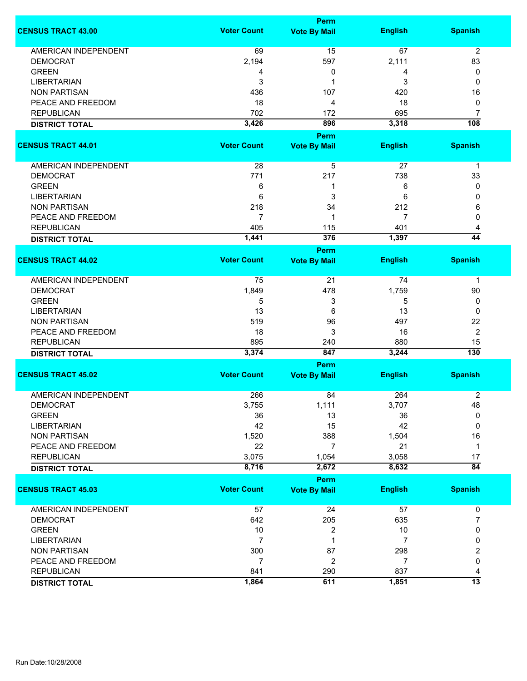|                             | <b>Perm</b>        |                     |                |                 |
|-----------------------------|--------------------|---------------------|----------------|-----------------|
| <b>CENSUS TRACT 43.00</b>   | <b>Voter Count</b> | <b>Vote By Mail</b> | <b>English</b> | <b>Spanish</b>  |
| <b>AMERICAN INDEPENDENT</b> | 69                 | 15                  | 67             | $\overline{2}$  |
| <b>DEMOCRAT</b>             | 2,194              | 597                 | 2,111          | 83              |
| <b>GREEN</b>                | 4                  | 0                   | 4              | 0               |
|                             |                    |                     |                |                 |
| <b>LIBERTARIAN</b>          | 3                  | 1                   | 3              | 0               |
| <b>NON PARTISAN</b>         | 436                | 107                 | 420            | 16              |
| PEACE AND FREEDOM           | 18                 | 4                   | 18             | 0               |
| <b>REPUBLICAN</b>           | 702                | 172                 | 695            | 7               |
| <b>DISTRICT TOTAL</b>       | 3,426              | 896                 | 3,318          | 108             |
| <b>CENSUS TRACT 44.01</b>   | <b>Voter Count</b> | <b>Perm</b>         | <b>English</b> | <b>Spanish</b>  |
|                             |                    | <b>Vote By Mail</b> |                |                 |
| AMERICAN INDEPENDENT        | 28                 | 5                   | 27             | $\mathbf 1$     |
| <b>DEMOCRAT</b>             | 771                | 217                 | 738            | 33              |
| <b>GREEN</b>                | 6                  | 1                   | 6              | 0               |
| <b>LIBERTARIAN</b>          | 6                  | 3                   | 6              | 0               |
| <b>NON PARTISAN</b>         | 218                | 34                  | 212            | 6               |
| PEACE AND FREEDOM           | $\overline{7}$     | 1                   | 7              | 0               |
|                             |                    |                     |                |                 |
| <b>REPUBLICAN</b>           | 405                | 115                 | 401            | 4               |
| <b>DISTRICT TOTAL</b>       | 1,441              | 376                 | 1,397          | $\overline{44}$ |
|                             |                    | Perm                |                |                 |
| <b>CENSUS TRACT 44.02</b>   | <b>Voter Count</b> | <b>Vote By Mail</b> | <b>English</b> | <b>Spanish</b>  |
| AMERICAN INDEPENDENT        | 75                 | 21                  | 74             | 1               |
| <b>DEMOCRAT</b>             | 1,849              | 478                 | 1,759          | 90              |
| <b>GREEN</b>                | 5                  | 3                   | 5              | 0               |
| <b>LIBERTARIAN</b>          | 13                 | 6                   | 13             | 0               |
|                             | 519                |                     |                | 22              |
| <b>NON PARTISAN</b>         |                    | 96                  | 497            |                 |
| PEACE AND FREEDOM           | 18                 | 3                   | 16             | $\overline{2}$  |
| <b>REPUBLICAN</b>           | 895                | 240                 | 880            | 15              |
| <b>DISTRICT TOTAL</b>       | 3,374              | 847                 | 3,244          | 130             |
|                             |                    | Perm                |                |                 |
| <b>CENSUS TRACT 45.02</b>   | <b>Voter Count</b> | <b>Vote By Mail</b> | <b>English</b> | <b>Spanish</b>  |
| <b>AMERICAN INDEPENDENT</b> | 266                | 84                  | 264            | $\overline{2}$  |
| DEMOCRAT                    | 3,755              | 1,111               | 3,707          | 48              |
| <b>GREEN</b>                | 36                 | 13                  | 36             | 0               |
| <b>LIBERTARIAN</b>          | 42                 | 15                  | 42             | 0               |
| <b>NON PARTISAN</b>         | 1,520              | 388                 | 1,504          | 16              |
| PEACE AND FREEDOM           | 22                 | $\overline{7}$      | 21             | $\mathbf 1$     |
| <b>REPUBLICAN</b>           | 3,075              | 1,054               | 3,058          | 17              |
|                             | 8,716              | 2,672               | 8,632          | $\overline{84}$ |
| <b>DISTRICT TOTAL</b>       |                    |                     |                |                 |
|                             |                    | <b>Perm</b>         |                |                 |
| <b>CENSUS TRACT 45.03</b>   | <b>Voter Count</b> | <b>Vote By Mail</b> | <b>English</b> | <b>Spanish</b>  |
| <b>AMERICAN INDEPENDENT</b> | 57                 | 24                  | 57             | 0               |
| <b>DEMOCRAT</b>             | 642                | 205                 | 635            | 7               |
| <b>GREEN</b>                | 10                 | 2                   | 10             | 0               |
| <b>LIBERTARIAN</b>          | $\overline{7}$     | 1                   | 7              | 0               |
| <b>NON PARTISAN</b>         | 300                | 87                  | 298            | 2               |
| PEACE AND FREEDOM           | 7                  | 2                   | $\overline{7}$ | 0               |
|                             |                    |                     |                |                 |
| <b>REPUBLICAN</b>           | 841                | 290                 | 837            | 4               |
| <b>DISTRICT TOTAL</b>       | 1,864              | 611                 | 1,851          | $\overline{13}$ |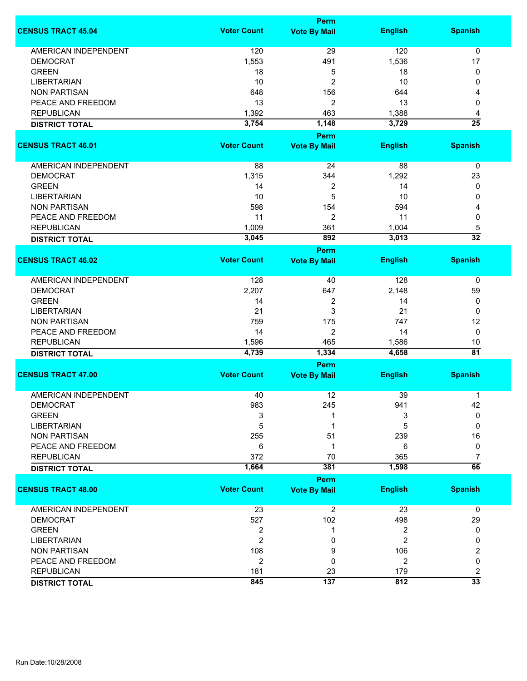|                             | <b>Perm</b>        |                                    |                |                       |  |
|-----------------------------|--------------------|------------------------------------|----------------|-----------------------|--|
| <b>CENSUS TRACT 45.04</b>   | <b>Voter Count</b> | <b>Vote By Mail</b>                | <b>English</b> | <b>Spanish</b>        |  |
| <b>AMERICAN INDEPENDENT</b> | 120                | 29                                 | 120            | $\mathbf 0$           |  |
| <b>DEMOCRAT</b>             | 1,553              | 491                                | 1,536          | 17                    |  |
| <b>GREEN</b>                | 18                 | 5                                  | 18             | 0                     |  |
| <b>LIBERTARIAN</b>          | 10                 | 2                                  | 10             | 0                     |  |
| <b>NON PARTISAN</b>         | 648                | 156                                | 644            | 4                     |  |
|                             |                    |                                    |                |                       |  |
| PEACE AND FREEDOM           | 13                 | 2                                  | 13             | 0                     |  |
| <b>REPUBLICAN</b>           | 1,392              | 463                                | 1,388          | 4                     |  |
| <b>DISTRICT TOTAL</b>       | 3,754              | 1,148                              | 3,729          | $\overline{25}$       |  |
| <b>CENSUS TRACT 46.01</b>   | <b>Voter Count</b> | <b>Perm</b>                        | <b>English</b> | <b>Spanish</b>        |  |
|                             |                    | <b>Vote By Mail</b>                |                |                       |  |
| AMERICAN INDEPENDENT        | 88                 | 24                                 | 88             | $\pmb{0}$             |  |
| <b>DEMOCRAT</b>             | 1,315              | 344                                | 1,292          | 23                    |  |
| <b>GREEN</b>                | 14                 | 2                                  | 14             | 0                     |  |
| <b>LIBERTARIAN</b>          | 10                 | 5                                  | 10             | 0                     |  |
| <b>NON PARTISAN</b>         | 598                | 154                                | 594            | 4                     |  |
| PEACE AND FREEDOM           | 11                 | 2                                  | 11             | 0                     |  |
| <b>REPUBLICAN</b>           | 1,009              | 361                                | 1,004          |                       |  |
|                             |                    | 892                                |                | 5<br>$\overline{32}$  |  |
| <b>DISTRICT TOTAL</b>       | 3,045              |                                    | 3,013          |                       |  |
| <b>CENSUS TRACT 46.02</b>   | <b>Voter Count</b> | <b>Perm</b><br><b>Vote By Mail</b> | <b>English</b> | <b>Spanish</b>        |  |
|                             |                    |                                    |                |                       |  |
| <b>AMERICAN INDEPENDENT</b> | 128                | 40                                 | 128            | 0                     |  |
| <b>DEMOCRAT</b>             | 2,207              | 647                                | 2,148          | 59                    |  |
| <b>GREEN</b>                | 14                 | 2                                  | 14             | 0                     |  |
| <b>LIBERTARIAN</b>          | 21                 | 3                                  | 21             | 0                     |  |
| <b>NON PARTISAN</b>         | 759                | 175                                | 747            | 12                    |  |
| PEACE AND FREEDOM           | 14                 | 2                                  | 14             | $\mathbf 0$           |  |
|                             |                    |                                    |                |                       |  |
| <b>REPUBLICAN</b>           | 1,596<br>4,739     | 465<br>1,334                       | 1,586<br>4,658 | 10<br>$\overline{81}$ |  |
| <b>DISTRICT TOTAL</b>       |                    | Perm                               |                |                       |  |
| <b>CENSUS TRACT 47.00</b>   | <b>Voter Count</b> | <b>Vote By Mail</b>                | <b>English</b> | <b>Spanish</b>        |  |
|                             |                    |                                    |                |                       |  |
| <b>AMERICAN INDEPENDENT</b> | 40                 | 12                                 | 39             | 1                     |  |
| <b>DEMOCRAT</b>             | 983                | 245                                | 941            | 42                    |  |
| <b>GREEN</b>                | 3                  |                                    | 3              | $\mathbf{0}$          |  |
| <b>LIBERTARIAN</b>          | 5                  |                                    | 5              | $\mathbf{0}$          |  |
| <b>NON PARTISAN</b>         | 255                | 51                                 | 239            | 16                    |  |
| PEACE AND FREEDOM           | 6                  | 1                                  | 6              | 0                     |  |
| <b>REPUBLICAN</b>           | 372                | 70                                 | 365            | 7                     |  |
| <b>DISTRICT TOTAL</b>       | 1,664              | 381                                | 1,598          | $\overline{66}$       |  |
|                             |                    | <b>Perm</b>                        |                |                       |  |
| <b>CENSUS TRACT 48.00</b>   | <b>Voter Count</b> | <b>Vote By Mail</b>                | <b>English</b> | <b>Spanish</b>        |  |
| AMERICAN INDEPENDENT        | 23                 | $\overline{c}$                     | 23             | $\mathbf 0$           |  |
| <b>DEMOCRAT</b>             | 527                | 102                                | 498            | 29                    |  |
| <b>GREEN</b>                | $\boldsymbol{2}$   | 1                                  | 2              | 0                     |  |
| <b>LIBERTARIAN</b>          | $\overline{2}$     | 0                                  | $\overline{2}$ | 0                     |  |
| <b>NON PARTISAN</b>         | 108                | 9                                  | 106            | 2                     |  |
| PEACE AND FREEDOM           |                    | 0                                  |                | 0                     |  |
|                             | $\overline{2}$     |                                    | $\overline{2}$ |                       |  |
| <b>REPUBLICAN</b>           | 181                | 23                                 | 179            | 2                     |  |
| <b>DISTRICT TOTAL</b>       | 845                | 137                                | 812            | $\overline{33}$       |  |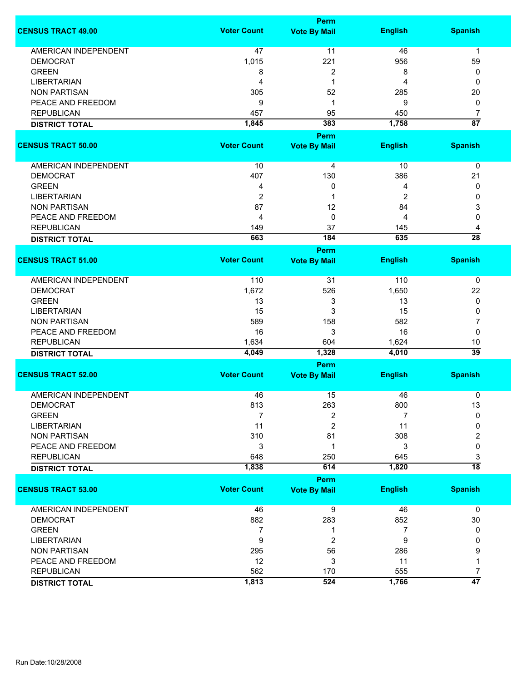|                             |                    | <b>Perm</b>         |                |                 |  |
|-----------------------------|--------------------|---------------------|----------------|-----------------|--|
| <b>CENSUS TRACT 49.00</b>   | <b>Voter Count</b> | <b>Vote By Mail</b> | <b>English</b> | <b>Spanish</b>  |  |
| <b>AMERICAN INDEPENDENT</b> | 47                 | 11                  | 46             | $\mathbf 1$     |  |
| <b>DEMOCRAT</b>             | 1,015              | 221                 | 956            | 59              |  |
| <b>GREEN</b>                | 8                  | 2                   | 8              | 0               |  |
| <b>LIBERTARIAN</b>          | 4                  | 1                   | 4              | 0               |  |
|                             |                    |                     |                |                 |  |
| <b>NON PARTISAN</b>         | 305                | 52                  | 285            | 20              |  |
| PEACE AND FREEDOM           | 9                  | 1                   | 9              | 0               |  |
| <b>REPUBLICAN</b>           | 457                | 95                  | 450            | $\overline{7}$  |  |
| <b>DISTRICT TOTAL</b>       | 1,845              | 383                 | 1,758          | $\overline{87}$ |  |
|                             |                    | Perm                |                |                 |  |
| <b>CENSUS TRACT 50.00</b>   | <b>Voter Count</b> | <b>Vote By Mail</b> | <b>English</b> | <b>Spanish</b>  |  |
|                             |                    |                     |                |                 |  |
| AMERICAN INDEPENDENT        | 10                 | 4                   | 10             | 0               |  |
| <b>DEMOCRAT</b>             | 407                | 130                 | 386            | 21              |  |
| <b>GREEN</b>                | 4                  | 0                   | 4              | 0               |  |
| <b>LIBERTARIAN</b>          | $\overline{2}$     | 1                   | 2              | 0               |  |
| <b>NON PARTISAN</b>         | 87                 | 12                  | 84             | 3               |  |
| PEACE AND FREEDOM           | 4                  | 0                   | 4              | 0               |  |
| <b>REPUBLICAN</b>           | 149                | 37                  | 145            | 4               |  |
| <b>DISTRICT TOTAL</b>       | 663                | 184                 | 635            | $\overline{28}$ |  |
|                             |                    | <b>Perm</b>         |                |                 |  |
| <b>CENSUS TRACT 51.00</b>   | <b>Voter Count</b> | <b>Vote By Mail</b> | <b>English</b> | <b>Spanish</b>  |  |
|                             |                    |                     |                |                 |  |
| <b>AMERICAN INDEPENDENT</b> | 110                | 31                  | 110            | 0               |  |
| <b>DEMOCRAT</b>             | 1,672              | 526                 | 1,650          | 22              |  |
| <b>GREEN</b>                | 13                 | 3                   | 13             | 0               |  |
|                             |                    |                     |                |                 |  |
| <b>LIBERTARIAN</b>          | 15                 | 3                   | 15             | 0               |  |
| <b>NON PARTISAN</b>         | 589                | 158                 | 582            | 7               |  |
| PEACE AND FREEDOM           | 16                 | 3                   | 16             | 0               |  |
| <b>REPUBLICAN</b>           | 1,634              | 604                 | 1,624          | 10              |  |
| <b>DISTRICT TOTAL</b>       | 4,049              | 1,328               | 4,010          | $\overline{39}$ |  |
|                             | Perm               |                     |                |                 |  |
| <b>CENSUS TRACT 52.00</b>   | <b>Voter Count</b> | <b>Vote By Mail</b> | <b>English</b> | <b>Spanish</b>  |  |
|                             |                    |                     |                |                 |  |
| <b>AMERICAN INDEPENDENT</b> | 46                 | 15                  | 46             | 0               |  |
| <b>DEMOCRAT</b>             | 813                | 263                 | 800            | 13              |  |
| <b>GREEN</b>                | $\overline{7}$     | 2                   | 7              | 0               |  |
| <b>LIBERTARIAN</b>          | 11                 | $\overline{2}$      | 11             | 0               |  |
| <b>NON PARTISAN</b>         | 310                | 81                  | 308            | 2               |  |
| PEACE AND FREEDOM           | 3                  | 1                   | 3              | 0               |  |
| <b>REPUBLICAN</b>           | 648                | 250                 | 645            | 3               |  |
| <b>DISTRICT TOTAL</b>       | 1,838              | 614                 | 1,820          | $\overline{18}$ |  |
|                             |                    | <b>Perm</b>         |                |                 |  |
| <b>CENSUS TRACT 53.00</b>   | <b>Voter Count</b> | <b>Vote By Mail</b> | <b>English</b> | <b>Spanish</b>  |  |
|                             |                    |                     |                |                 |  |
| AMERICAN INDEPENDENT        | 46                 | $\overline{9}$      | 46             | 0               |  |
| <b>DEMOCRAT</b>             | 882                | 283                 | 852            | 30              |  |
| <b>GREEN</b>                | $\overline{7}$     | 1                   | 7              | 0               |  |
| <b>LIBERTARIAN</b>          | 9                  | 2                   | 9              | 0               |  |
| <b>NON PARTISAN</b>         | 295                | 56                  | 286            | 9               |  |
| PEACE AND FREEDOM           | 12                 | 3                   | 11             | 1               |  |
| <b>REPUBLICAN</b>           | 562                | 170                 | 555            | $\overline{7}$  |  |
|                             |                    | 524                 |                | $\overline{47}$ |  |
| <b>DISTRICT TOTAL</b>       | 1,813              |                     | 1,766          |                 |  |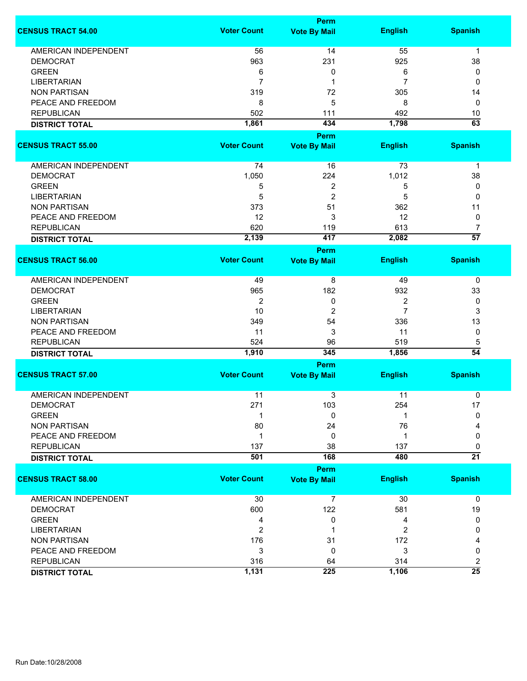|                             |                    | Perm                |                |                 |
|-----------------------------|--------------------|---------------------|----------------|-----------------|
| <b>CENSUS TRACT 54.00</b>   | <b>Voter Count</b> | <b>Vote By Mail</b> | <b>English</b> | <b>Spanish</b>  |
| <b>AMERICAN INDEPENDENT</b> | 56                 | 14                  | 55             | $\mathbf 1$     |
| <b>DEMOCRAT</b>             | 963                | 231                 | 925            | 38              |
| <b>GREEN</b>                | 6                  | 0                   | 6              | 0               |
| <b>LIBERTARIAN</b>          | $\overline{7}$     | 1                   | $\overline{7}$ | 0               |
|                             |                    |                     |                |                 |
| <b>NON PARTISAN</b>         | 319                | 72                  | 305            | 14              |
| PEACE AND FREEDOM           | 8                  | 5                   | 8              | 0               |
| <b>REPUBLICAN</b>           | 502                | 111                 | 492            | 10              |
| <b>DISTRICT TOTAL</b>       | 1,861              | 434                 | 1,798          | $\overline{63}$ |
|                             |                    | Perm                |                |                 |
| <b>CENSUS TRACT 55.00</b>   | <b>Voter Count</b> | <b>Vote By Mail</b> | <b>English</b> | <b>Spanish</b>  |
| AMERICAN INDEPENDENT        | 74                 | 16                  | 73             | $\mathbf 1$     |
| <b>DEMOCRAT</b>             | 1,050              | 224                 | 1,012          | 38              |
| <b>GREEN</b>                | 5                  | 2                   | 5              | 0               |
| <b>LIBERTARIAN</b>          | 5                  | $\overline{c}$      | 5              | 0               |
| <b>NON PARTISAN</b>         | 373                | 51                  | 362            | 11              |
| PEACE AND FREEDOM           | 12                 | 3                   | 12             | 0               |
| <b>REPUBLICAN</b>           | 620                | 119                 | 613            | $\overline{7}$  |
|                             | 2,139              | 417                 | 2,082          | $\overline{57}$ |
| <b>DISTRICT TOTAL</b>       |                    | <b>Perm</b>         |                |                 |
| <b>CENSUS TRACT 56.00</b>   | <b>Voter Count</b> | <b>Vote By Mail</b> | <b>English</b> | <b>Spanish</b>  |
|                             |                    |                     |                |                 |
| AMERICAN INDEPENDENT        | 49                 | 8                   | 49             | 0               |
| <b>DEMOCRAT</b>             | 965                | 182                 | 932            | 33              |
| <b>GREEN</b>                | $\overline{2}$     | 0                   | 2              | 0               |
| <b>LIBERTARIAN</b>          | 10                 | 2                   | $\overline{7}$ | 3               |
| <b>NON PARTISAN</b>         | 349                | 54                  | 336            | 13              |
| PEACE AND FREEDOM           | 11                 | 3                   | 11             | 0               |
| <b>REPUBLICAN</b>           | 524                | 96                  | 519            | 5               |
| <b>DISTRICT TOTAL</b>       | 1,910              | 345                 | 1,856          | $\overline{54}$ |
|                             |                    | Perm                |                |                 |
| <b>CENSUS TRACT 57.00</b>   | <b>Voter Count</b> | <b>Vote By Mail</b> | <b>English</b> | <b>Spanish</b>  |
| <b>AMERICAN INDEPENDENT</b> | 11                 | 3                   | 11             | 0               |
| <b>DEMOCRAT</b>             | 271                | 103                 | 254            | 17              |
| <b>GREEN</b>                | 1                  | 0                   |                | $\Omega$        |
| <b>NON PARTISAN</b>         |                    |                     |                |                 |
|                             | 80                 | 24                  | 76             |                 |
| PEACE AND FREEDOM           | $\mathbf 1$        | 0                   | 1              | 0               |
| <b>REPUBLICAN</b>           | 137                | 38                  | 137            | 0               |
| <b>DISTRICT TOTAL</b>       | 501                | 168                 | 480            | $\overline{21}$ |
|                             |                    | Perm                |                |                 |
| <b>CENSUS TRACT 58.00</b>   | <b>Voter Count</b> | <b>Vote By Mail</b> | <b>English</b> | <b>Spanish</b>  |
| AMERICAN INDEPENDENT        | 30                 | $\overline{7}$      | 30             | $\mathbf 0$     |
| <b>DEMOCRAT</b>             | 600                | 122                 | 581            | 19              |
| <b>GREEN</b>                | 4                  | 0                   | 4              | 0               |
| <b>LIBERTARIAN</b>          | 2                  |                     | $\overline{c}$ | 0               |
| <b>NON PARTISAN</b>         | 176                | 31                  | 172            | 4               |
| PEACE AND FREEDOM           | 3                  | 0                   | 3              | 0               |
| <b>REPUBLICAN</b>           | 316                | 64                  | 314            | $\overline{c}$  |
| <b>DISTRICT TOTAL</b>       | 1,131              | 225                 | 1,106          | $\overline{25}$ |
|                             |                    |                     |                |                 |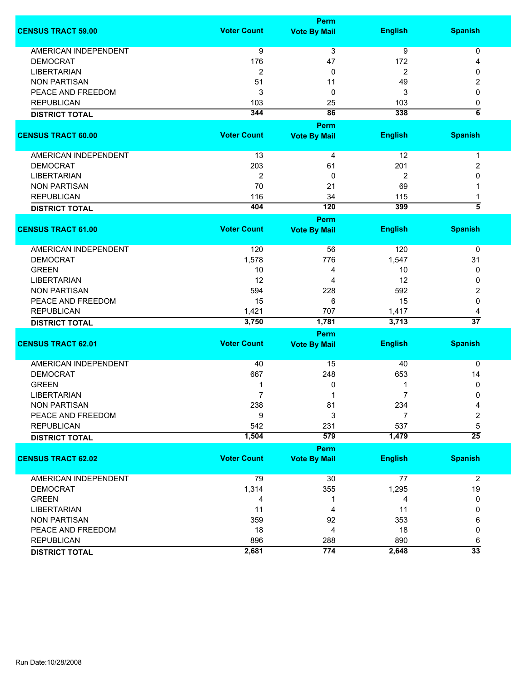|                             |                    | Perm                        |                |                     |
|-----------------------------|--------------------|-----------------------------|----------------|---------------------|
| <b>CENSUS TRACT 59.00</b>   | <b>Voter Count</b> | <b>Vote By Mail</b>         | <b>English</b> | <b>Spanish</b>      |
| AMERICAN INDEPENDENT        | 9                  | $\overline{3}$              | $\overline{9}$ | 0                   |
| <b>DEMOCRAT</b>             | 176                | 47                          | 172            | 4                   |
| <b>LIBERTARIAN</b>          | $\overline{c}$     | 0                           | 2              | 0                   |
| <b>NON PARTISAN</b>         | 51                 | 11                          | 49             | 2                   |
| PEACE AND FREEDOM           | 3                  | 0                           | 3              | 0                   |
| <b>REPUBLICAN</b>           | 103                | 25                          | 103            | 0                   |
|                             | 344                | 86                          | 338            | $\overline{\bf{6}}$ |
| <b>DISTRICT TOTAL</b>       |                    |                             |                |                     |
| <b>CENSUS TRACT 60.00</b>   | <b>Voter Count</b> | Perm<br><b>Vote By Mail</b> | <b>English</b> | <b>Spanish</b>      |
|                             |                    |                             | 12             |                     |
| AMERICAN INDEPENDENT        | 13                 | 4                           |                | 1                   |
| <b>DEMOCRAT</b>             | 203                | 61                          | 201            | 2                   |
| <b>LIBERTARIAN</b>          | 2                  | 0                           | $\overline{2}$ | 0                   |
| <b>NON PARTISAN</b>         | 70                 | 21                          | 69             |                     |
| <b>REPUBLICAN</b>           | 116                | 34                          | 115            | 1                   |
| <b>DISTRICT TOTAL</b>       | 404                | 120                         | 399            | $\overline{\bf{5}}$ |
|                             |                    | <b>Perm</b>                 |                |                     |
| <b>CENSUS TRACT 61.00</b>   | <b>Voter Count</b> | <b>Vote By Mail</b>         | <b>English</b> | <b>Spanish</b>      |
| <b>AMERICAN INDEPENDENT</b> | 120                | 56                          | 120            | 0                   |
| <b>DEMOCRAT</b>             | 1,578              | 776                         | 1,547          | 31                  |
| <b>GREEN</b>                | 10                 |                             |                |                     |
|                             |                    | 4                           | 10             | 0                   |
| <b>LIBERTARIAN</b>          | 12                 | 4                           | 12             | 0                   |
| <b>NON PARTISAN</b>         | 594                | 228                         | 592            | 2                   |
| PEACE AND FREEDOM           | 15                 | 6                           | 15             | 0                   |
| <b>REPUBLICAN</b>           | 1,421              | 707                         | 1,417          | 4                   |
| <b>DISTRICT TOTAL</b>       | 3,750              | 1,781                       | 3,713          | $\overline{37}$     |
|                             |                    | <b>Perm</b>                 |                |                     |
| <b>CENSUS TRACT 62.01</b>   | <b>Voter Count</b> | <b>Vote By Mail</b>         | <b>English</b> | <b>Spanish</b>      |
| <b>AMERICAN INDEPENDENT</b> | 40                 | 15                          | 40             | $\mathbf 0$         |
| <b>DEMOCRAT</b>             | 667                | 248                         | 653            | 14                  |
| <b>GREEN</b>                | 1                  | 0                           | 1              | 0                   |
| <b>LIBERTARIAN</b>          | 7                  | 1                           | $\overline{7}$ | 0                   |
| <b>NON PARTISAN</b>         | 238                | 81                          | 234            | 4                   |
| PEACE AND FREEDOM           | 9                  | 3                           | $\overline{7}$ | $\overline{2}$      |
| <b>REPUBLICAN</b>           | 542                | 231                         | 537            | 5                   |
| <b>DISTRICT TOTAL</b>       | 1,504              | 579                         | 1,479          | $\overline{25}$     |
|                             |                    | Perm                        |                |                     |
| <b>CENSUS TRACT 62.02</b>   | <b>Voter Count</b> | <b>Vote By Mail</b>         | <b>English</b> | <b>Spanish</b>      |
|                             |                    |                             |                |                     |
| AMERICAN INDEPENDENT        | 79                 | 30                          | 77             | $\overline{2}$      |
| <b>DEMOCRAT</b>             | 1,314              | 355                         | 1,295          | 19                  |
| <b>GREEN</b>                | 4                  | 1                           | 4              | 0                   |
| <b>LIBERTARIAN</b>          | 11                 | 4                           | 11             | 0                   |
| <b>NON PARTISAN</b>         | 359                | 92                          | 353            | 6                   |
| PEACE AND FREEDOM           | 18                 | 4                           | 18             | 0                   |
| <b>REPUBLICAN</b>           | 896                | 288                         | 890            | 6                   |
| <b>DISTRICT TOTAL</b>       | 2,681              | 774                         | 2,648          | $\overline{33}$     |
|                             |                    |                             |                |                     |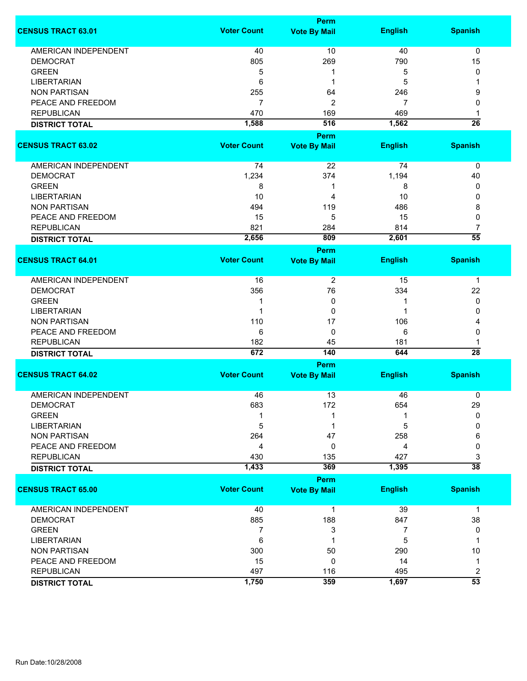|                             |                    | <b>Perm</b>                 |                |                      |
|-----------------------------|--------------------|-----------------------------|----------------|----------------------|
| <b>CENSUS TRACT 63.01</b>   | <b>Voter Count</b> | <b>Vote By Mail</b>         | <b>English</b> | <b>Spanish</b>       |
| <b>AMERICAN INDEPENDENT</b> | 40                 | 10                          | 40             | 0                    |
| <b>DEMOCRAT</b>             | 805                | 269                         | 790            | 15                   |
| <b>GREEN</b>                | 5                  | 1                           | 5              | 0                    |
| <b>LIBERTARIAN</b>          | 6                  | 1                           | 5              | 1                    |
| <b>NON PARTISAN</b>         | 255                | 64                          | 246            | 9                    |
|                             |                    |                             |                |                      |
| PEACE AND FREEDOM           | $\overline{7}$     | $\overline{2}$              | 7              | 0                    |
| <b>REPUBLICAN</b>           | 470                | 169                         | 469            | 1                    |
| <b>DISTRICT TOTAL</b>       | 1,588              | 516                         | 1,562          | $\overline{26}$      |
|                             |                    | <b>Perm</b>                 |                |                      |
| <b>CENSUS TRACT 63.02</b>   | <b>Voter Count</b> | <b>Vote By Mail</b>         | <b>English</b> | <b>Spanish</b>       |
| AMERICAN INDEPENDENT        | 74                 | 22                          | 74             | $\mathbf 0$          |
| <b>DEMOCRAT</b>             | 1,234              | 374                         | 1,194          | 40                   |
| <b>GREEN</b>                | 8                  | 1                           | 8              | 0                    |
| <b>LIBERTARIAN</b>          | 10                 | 4                           | 10             | 0                    |
| <b>NON PARTISAN</b>         | 494                | 119                         | 486            | 8                    |
| PEACE AND FREEDOM           | 15                 | 5                           | 15             | 0                    |
|                             | 821                |                             | 814            | $\overline{7}$       |
| <b>REPUBLICAN</b>           |                    | 284                         |                | $\overline{55}$      |
| <b>DISTRICT TOTAL</b>       | 2,656              | 809                         | 2,601          |                      |
| <b>CENSUS TRACT 64.01</b>   | <b>Voter Count</b> | <b>Perm</b>                 | <b>English</b> | <b>Spanish</b>       |
|                             |                    | <b>Vote By Mail</b>         |                |                      |
| <b>AMERICAN INDEPENDENT</b> | 16                 | 2                           | 15             | 1                    |
| <b>DEMOCRAT</b>             | 356                | 76                          | 334            | 22                   |
| <b>GREEN</b>                | 1                  | 0                           |                | 0                    |
| <b>LIBERTARIAN</b>          | 1                  | 0                           | 1              | 0                    |
| <b>NON PARTISAN</b>         | 110                | 17                          | 106            | 4                    |
| PEACE AND FREEDOM           | 6                  | 0                           | 6              | 0                    |
|                             |                    |                             |                |                      |
| <b>REPUBLICAN</b>           | 182<br>672         | 45<br>140                   | 181<br>644     | 1<br>$\overline{28}$ |
| <b>DISTRICT TOTAL</b>       |                    |                             |                |                      |
| <b>CENSUS TRACT 64.02</b>   | <b>Voter Count</b> | Perm<br><b>Vote By Mail</b> | <b>English</b> | <b>Spanish</b>       |
|                             |                    |                             |                |                      |
| <b>AMERICAN INDEPENDENT</b> | 46                 | 13                          | 46             | 0                    |
| <b>DEMOCRAT</b>             | 683                | 172                         | 654            | 29                   |
| <b>GREEN</b>                |                    |                             |                | 0                    |
| <b>LIBERTARIAN</b>          | 5                  |                             | 5              | $\Omega$             |
| <b>NON PARTISAN</b>         | 264                | 47                          | 258            | 6                    |
| PEACE AND FREEDOM           | 4                  | 0                           | 4              | 0                    |
| <b>REPUBLICAN</b>           | 430                | 135                         | 427            | 3                    |
| <b>DISTRICT TOTAL</b>       | 1,433              | 369                         | 1,395          | $\overline{38}$      |
|                             |                    | Perm                        |                |                      |
| <b>CENSUS TRACT 65.00</b>   | <b>Voter Count</b> | <b>Vote By Mail</b>         | <b>English</b> | <b>Spanish</b>       |
| AMERICAN INDEPENDENT        | 40                 | 1                           | 39             | 1                    |
| <b>DEMOCRAT</b>             | 885                | 188                         | 847            | 38                   |
| <b>GREEN</b>                | 7                  | 3                           | 7              | 0                    |
| <b>LIBERTARIAN</b>          | 6                  | 1                           | 5              | 1                    |
| <b>NON PARTISAN</b>         | 300                | 50                          | 290            | 10                   |
| PEACE AND FREEDOM           | 15                 | 0                           | 14             | 1                    |
| <b>REPUBLICAN</b>           | 497                | 116                         | 495            | 2                    |
|                             | 1,750              | 359                         | 1,697          | $\overline{53}$      |
| <b>DISTRICT TOTAL</b>       |                    |                             |                |                      |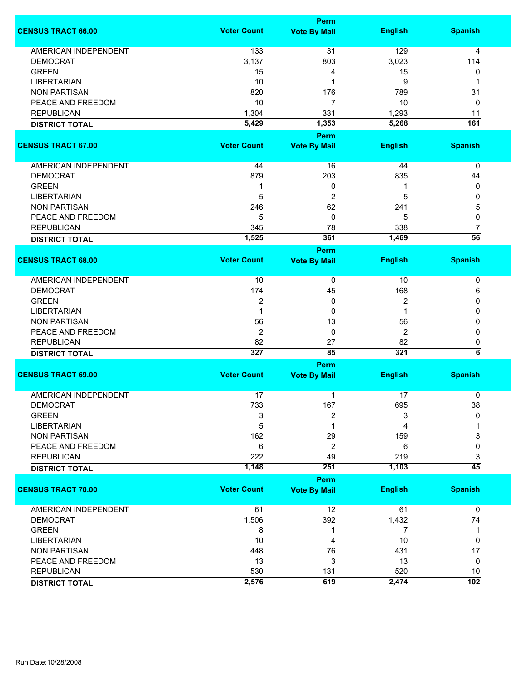|                             | Perm                    |                             |                |                         |  |
|-----------------------------|-------------------------|-----------------------------|----------------|-------------------------|--|
| <b>CENSUS TRACT 66.00</b>   | <b>Voter Count</b>      | <b>Vote By Mail</b>         | <b>English</b> | <b>Spanish</b>          |  |
| <b>AMERICAN INDEPENDENT</b> | 133                     | 31                          | 129            | 4                       |  |
| <b>DEMOCRAT</b>             | 3,137                   | 803                         | 3,023          | 114                     |  |
| <b>GREEN</b>                |                         |                             |                |                         |  |
|                             | 15                      | 4                           | 15             | 0                       |  |
| <b>LIBERTARIAN</b>          | 10                      | 1                           | 9              | -1                      |  |
| <b>NON PARTISAN</b>         | 820                     | 176                         | 789            | 31                      |  |
| PEACE AND FREEDOM           | 10                      | 7                           | 10             | 0                       |  |
| <b>REPUBLICAN</b>           | 1,304                   | 331                         | 1,293          | 11                      |  |
| <b>DISTRICT TOTAL</b>       | 5,429                   | 1,353                       | 5,268          | 161                     |  |
|                             |                         | Perm                        |                |                         |  |
| <b>CENSUS TRACT 67.00</b>   | <b>Voter Count</b>      | <b>Vote By Mail</b>         | <b>English</b> | <b>Spanish</b>          |  |
| AMERICAN INDEPENDENT        | 44                      | 16                          | 44             | 0                       |  |
| <b>DEMOCRAT</b>             | 879                     | 203                         | 835            | 44                      |  |
| <b>GREEN</b>                | 1                       | 0                           |                | 0                       |  |
| <b>LIBERTARIAN</b>          | 5                       | $\overline{c}$              | 5              | 0                       |  |
| <b>NON PARTISAN</b>         | 246                     | 62                          | 241            | 5                       |  |
| PEACE AND FREEDOM           | 5                       | 0                           | 5              | 0                       |  |
| <b>REPUBLICAN</b>           |                         |                             | 338            | $\overline{7}$          |  |
|                             | 345<br>1,525            | 78<br>361                   | 1,469          | $\overline{56}$         |  |
| <b>DISTRICT TOTAL</b>       |                         |                             |                |                         |  |
|                             |                         | Perm                        |                |                         |  |
| <b>CENSUS TRACT 68.00</b>   | <b>Voter Count</b>      | <b>Vote By Mail</b>         | <b>English</b> | <b>Spanish</b>          |  |
| AMERICAN INDEPENDENT        | 10                      | 0                           | 10             | 0                       |  |
| <b>DEMOCRAT</b>             | 174                     | 45                          | 168            | 6                       |  |
| <b>GREEN</b>                | $\overline{\mathbf{c}}$ | 0                           | 2              | 0                       |  |
| <b>LIBERTARIAN</b>          | 1                       | 0                           | -1             | 0                       |  |
| <b>NON PARTISAN</b>         | 56                      | 13                          | 56             | 0                       |  |
|                             |                         |                             |                |                         |  |
| PEACE AND FREEDOM           | $\overline{2}$          | 0                           | 2              | 0                       |  |
| <b>REPUBLICAN</b>           | 82                      | 27                          | 82             | 0                       |  |
| <b>DISTRICT TOTAL</b>       | 327                     | 85                          | 321            | $\overline{\mathbf{6}}$ |  |
|                             |                         | Perm                        |                |                         |  |
| <b>CENSUS TRACT 69.00</b>   | <b>Voter Count</b>      | <b>Vote By Mail</b>         | <b>English</b> | <b>Spanish</b>          |  |
| <b>AMERICAN INDEPENDENT</b> | 17                      | 1                           | 17             | 0                       |  |
| DEMOCRAT                    | 733                     | 167                         | 695            | 38                      |  |
| <b>GREEN</b>                | 3                       | $\overline{c}$              | 3              | $\mathbf{0}$            |  |
| <b>LIBERTARIAN</b>          | 5                       | 1                           | 4              |                         |  |
| <b>NON PARTISAN</b>         | 162                     | 29                          | 159            | 3                       |  |
| PEACE AND FREEDOM           | $6\phantom{1}6$         | $\overline{2}$              | 6              | 0                       |  |
| <b>REPUBLICAN</b>           | 222                     | 49                          | 219            | 3                       |  |
| <b>DISTRICT TOTAL</b>       | 1,148                   | 251                         | 1,103          | $\overline{45}$         |  |
|                             |                         |                             |                |                         |  |
| <b>CENSUS TRACT 70.00</b>   | <b>Voter Count</b>      | Perm<br><b>Vote By Mail</b> | <b>English</b> | <b>Spanish</b>          |  |
|                             |                         |                             |                |                         |  |
| <b>AMERICAN INDEPENDENT</b> | 61                      | 12                          | 61             | $\mathbf 0$             |  |
| <b>DEMOCRAT</b>             | 1,506                   | 392                         | 1,432          | 74                      |  |
| <b>GREEN</b>                | 8                       | 1                           | 7              | 1                       |  |
| <b>LIBERTARIAN</b>          | 10                      | 4                           | 10             | 0                       |  |
| <b>NON PARTISAN</b>         | 448                     | 76                          | 431            | 17                      |  |
| PEACE AND FREEDOM           | 13                      | 3                           | 13             | 0                       |  |
| <b>REPUBLICAN</b>           | 530                     | 131                         | 520            | 10                      |  |
|                             | 2,576                   | 619                         | 2,474          | 102                     |  |
| <b>DISTRICT TOTAL</b>       |                         |                             |                |                         |  |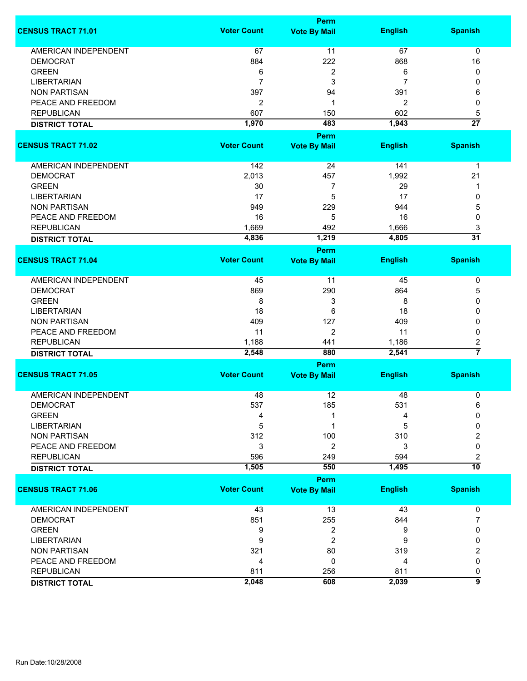|                             | <b>Perm</b>        |                     |                |                     |  |
|-----------------------------|--------------------|---------------------|----------------|---------------------|--|
| <b>CENSUS TRACT 71.01</b>   | <b>Voter Count</b> | <b>Vote By Mail</b> | <b>English</b> | <b>Spanish</b>      |  |
| <b>AMERICAN INDEPENDENT</b> | 67                 | 11                  | 67             | $\mathbf 0$         |  |
| <b>DEMOCRAT</b>             | 884                | 222                 | 868            | 16                  |  |
| <b>GREEN</b>                | 6                  | 2                   | 6              | 0                   |  |
| <b>LIBERTARIAN</b>          | $\overline{7}$     | 3                   | 7              | 0                   |  |
| <b>NON PARTISAN</b>         | 397                | 94                  | 391            | 6                   |  |
|                             |                    |                     |                |                     |  |
| PEACE AND FREEDOM           | $\overline{2}$     | 1                   | 2              | 0                   |  |
| <b>REPUBLICAN</b>           | 607                | 150                 | 602            | 5                   |  |
| <b>DISTRICT TOTAL</b>       | 1,970              | 483                 | 1,943          | $\overline{27}$     |  |
| <b>CENSUS TRACT 71.02</b>   | <b>Voter Count</b> | <b>Perm</b>         |                | <b>Spanish</b>      |  |
|                             |                    | <b>Vote By Mail</b> | <b>English</b> |                     |  |
| AMERICAN INDEPENDENT        | 142                | 24                  | 141            | $\mathbf 1$         |  |
| <b>DEMOCRAT</b>             | 2,013              | 457                 | 1,992          | 21                  |  |
| <b>GREEN</b>                | 30                 | 7                   | 29             | 1                   |  |
| <b>LIBERTARIAN</b>          | 17                 | 5                   | 17             | 0                   |  |
| <b>NON PARTISAN</b>         | 949                | 229                 | 944            | 5                   |  |
| PEACE AND FREEDOM           | 16                 | 5                   | 16             | 0                   |  |
| <b>REPUBLICAN</b>           | 1,669              | 492                 | 1,666          | 3                   |  |
|                             | 4,836              | 1,219               | 4,805          | $\overline{31}$     |  |
| <b>DISTRICT TOTAL</b>       |                    | <b>Perm</b>         |                |                     |  |
| <b>CENSUS TRACT 71.04</b>   | <b>Voter Count</b> | <b>Vote By Mail</b> | <b>English</b> | <b>Spanish</b>      |  |
| <b>AMERICAN INDEPENDENT</b> | 45                 | 11                  | 45             | 0                   |  |
| <b>DEMOCRAT</b>             | 869                | 290                 | 864            | 5                   |  |
| <b>GREEN</b>                | 8                  | 3                   | 8              | 0                   |  |
| <b>LIBERTARIAN</b>          | 18                 | 6                   | 18             | 0                   |  |
| <b>NON PARTISAN</b>         | 409                | 127                 | 409            | 0                   |  |
| PEACE AND FREEDOM           | 11                 | $\overline{2}$      | 11             | 0                   |  |
| <b>REPUBLICAN</b>           |                    |                     | 1,186          |                     |  |
|                             | 1,188<br>2,548     | 441<br>880          | 2,541          | 2<br>$\overline{7}$ |  |
| <b>DISTRICT TOTAL</b>       |                    | <b>Perm</b>         |                |                     |  |
| <b>CENSUS TRACT 71.05</b>   | <b>Voter Count</b> | <b>Vote By Mail</b> | <b>English</b> | <b>Spanish</b>      |  |
| <b>AMERICAN INDEPENDENT</b> | 48                 | 12                  | 48             | 0                   |  |
| <b>DEMOCRAT</b>             | 537                | 185                 | 531            | 6                   |  |
| <b>GREEN</b>                | 4                  |                     | 4              | $\Omega$            |  |
| <b>LIBERTARIAN</b>          | 5                  | 1                   | 5              | 0                   |  |
| <b>NON PARTISAN</b>         | 312                | 100                 | 310            | 2                   |  |
| PEACE AND FREEDOM           | 3                  | 2                   | 3              | 0                   |  |
| <b>REPUBLICAN</b>           | 596                | 249                 | 594            | 2                   |  |
| <b>DISTRICT TOTAL</b>       | 1,505              | 550                 | 1,495          | $\overline{10}$     |  |
|                             |                    | Perm                |                |                     |  |
| <b>CENSUS TRACT 71.06</b>   | <b>Voter Count</b> | <b>Vote By Mail</b> | <b>English</b> | <b>Spanish</b>      |  |
| <b>AMERICAN INDEPENDENT</b> | 43                 | 13                  | 43             | 0                   |  |
| <b>DEMOCRAT</b>             | 851                | 255                 | 844            | 7                   |  |
| <b>GREEN</b>                | 9                  | 2                   | 9              | 0                   |  |
| <b>LIBERTARIAN</b>          | 9                  | 2                   | 9              | 0                   |  |
| <b>NON PARTISAN</b>         | 321                | 80                  | 319            | 2                   |  |
| PEACE AND FREEDOM           | 4                  | 0                   | 4              | 0                   |  |
| <b>REPUBLICAN</b>           | 811                | 256                 | 811            | 0                   |  |
|                             | 2,048              | 608                 | 2,039          | 5                   |  |
| <b>DISTRICT TOTAL</b>       |                    |                     |                |                     |  |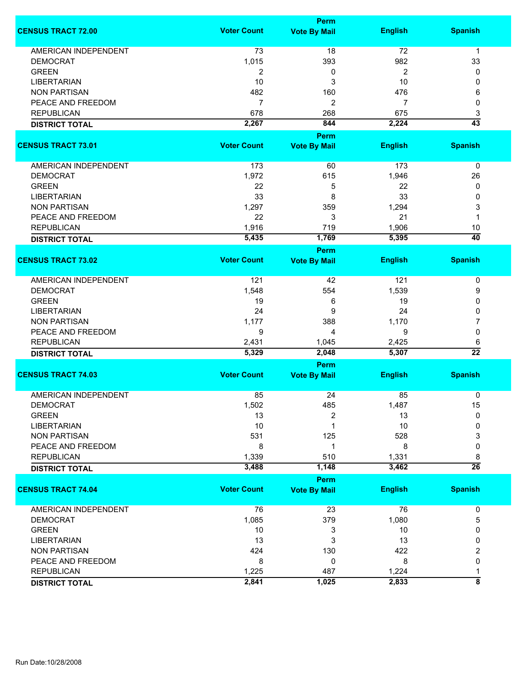|                             | Perm               |                                    |                |                       |
|-----------------------------|--------------------|------------------------------------|----------------|-----------------------|
| <b>CENSUS TRACT 72.00</b>   | <b>Voter Count</b> | <b>Vote By Mail</b>                | <b>English</b> | <b>Spanish</b>        |
| <b>AMERICAN INDEPENDENT</b> | 73                 | 18                                 | 72             | $\mathbf{1}$          |
| <b>DEMOCRAT</b>             | 1,015              | 393                                | 982            | 33                    |
| <b>GREEN</b>                | 2                  | 0                                  | 2              | 0                     |
|                             |                    |                                    |                |                       |
| <b>LIBERTARIAN</b>          | 10                 | 3                                  | 10             | 0                     |
| <b>NON PARTISAN</b>         | 482                | 160                                | 476            | 6                     |
| PEACE AND FREEDOM           | $\overline{7}$     | 2                                  | 7              | 0                     |
| <b>REPUBLICAN</b>           | 678                | 268                                | 675            | 3                     |
| <b>DISTRICT TOTAL</b>       | 2,267              | 844                                | 2,224          | $\overline{43}$       |
| <b>CENSUS TRACT 73.01</b>   | <b>Voter Count</b> | Perm<br><b>Vote By Mail</b>        | <b>English</b> | <b>Spanish</b>        |
|                             |                    |                                    |                |                       |
| <b>AMERICAN INDEPENDENT</b> | 173                | 60                                 | 173            | $\pmb{0}$             |
| <b>DEMOCRAT</b>             | 1,972              | 615                                | 1,946          | 26                    |
| <b>GREEN</b>                | 22                 | 5                                  | 22             | 0                     |
| <b>LIBERTARIAN</b>          | 33                 | 8                                  | 33             | 0                     |
| <b>NON PARTISAN</b>         | 1,297              | 359                                | 1,294          | 3                     |
| PEACE AND FREEDOM           | 22                 | 3                                  | 21             | 1                     |
| <b>REPUBLICAN</b>           |                    |                                    |                |                       |
|                             | 1,916              | 719                                | 1,906          | 10<br>$\overline{40}$ |
| <b>DISTRICT TOTAL</b>       | 5,435              | 1,769                              | 5,395          |                       |
| <b>CENSUS TRACT 73.02</b>   | <b>Voter Count</b> | <b>Perm</b><br><b>Vote By Mail</b> | <b>English</b> | <b>Spanish</b>        |
|                             |                    |                                    |                |                       |
| AMERICAN INDEPENDENT        | 121                | 42                                 | 121            | 0                     |
| <b>DEMOCRAT</b>             | 1,548              | 554                                | 1,539          | 9                     |
| <b>GREEN</b>                | 19                 | 6                                  | 19             | 0                     |
| <b>LIBERTARIAN</b>          | 24                 | 9                                  | 24             | 0                     |
| <b>NON PARTISAN</b>         | 1,177              | 388                                | 1,170          | 7                     |
| PEACE AND FREEDOM           | 9                  | 4                                  | 9              | 0                     |
|                             |                    |                                    |                |                       |
| <b>REPUBLICAN</b>           | 2,431              | 1,045                              | 2,425          | 6<br>$\overline{22}$  |
| <b>DISTRICT TOTAL</b>       | 5,329              | 2,048                              | 5,307          |                       |
| <b>CENSUS TRACT 74.03</b>   | <b>Voter Count</b> | Perm<br><b>Vote By Mail</b>        | <b>English</b> | <b>Spanish</b>        |
|                             |                    |                                    |                |                       |
| <b>AMERICAN INDEPENDENT</b> | 85                 | 24                                 | 85             | 0                     |
| DEMOCRAT                    | 1,502              | 485                                | 1,487          | 15                    |
| <b>GREEN</b>                | 13                 | 2                                  | 13             | 0                     |
| <b>LIBERTARIAN</b>          | 10                 | 1                                  | 10             | 0                     |
| <b>NON PARTISAN</b>         | 531                | 125                                | 528            | 3                     |
| PEACE AND FREEDOM           | 8                  | 1                                  | 8              | 0                     |
| <b>REPUBLICAN</b>           | 1,339              | 510                                | 1,331          | 8                     |
| <b>DISTRICT TOTAL</b>       | 3,488              | 1,148                              | 3,462          | $\overline{26}$       |
|                             |                    | Perm                               |                |                       |
| <b>CENSUS TRACT 74.04</b>   | <b>Voter Count</b> | <b>Vote By Mail</b>                | <b>English</b> | <b>Spanish</b>        |
| <b>AMERICAN INDEPENDENT</b> | 76                 | 23                                 | 76             | 0                     |
| <b>DEMOCRAT</b>             | 1,085              | 379                                | 1,080          | 5                     |
| <b>GREEN</b>                | 10                 | 3                                  | 10             | 0                     |
| <b>LIBERTARIAN</b>          | 13                 | 3                                  | 13             | 0                     |
| <b>NON PARTISAN</b>         | 424                | 130                                | 422            | 2                     |
| PEACE AND FREEDOM           | 8                  | $\mathbf 0$                        | 8              | 0                     |
|                             |                    |                                    |                |                       |
| <b>REPUBLICAN</b>           | 1,225              | 487                                | 1,224          | 1                     |
| <b>DISTRICT TOTAL</b>       | 2,841              | 1,025                              | 2,833          | $\overline{\bf 8}$    |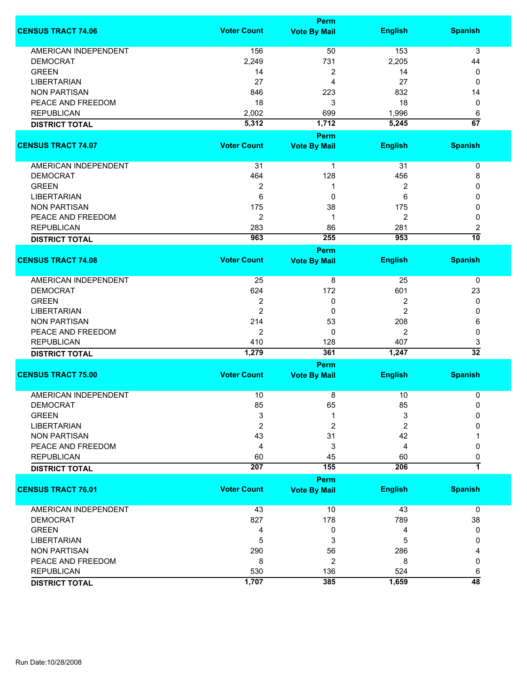|                             | <b>Perm</b>        |                             |                |                      |  |
|-----------------------------|--------------------|-----------------------------|----------------|----------------------|--|
| <b>CENSUS TRACT 74.06</b>   | <b>Voter Count</b> | <b>Vote By Mail</b>         | <b>English</b> | <b>Spanish</b>       |  |
| <b>AMERICAN INDEPENDENT</b> | 156                | 50                          | 153            | 3                    |  |
| <b>DEMOCRAT</b>             | 2,249              | 731                         | 2,205          | 44                   |  |
| <b>GREEN</b>                | 14                 | $\boldsymbol{2}$            | 14             | 0                    |  |
| <b>LIBERTARIAN</b>          | 27                 | 4                           | 27             | 0                    |  |
| <b>NON PARTISAN</b>         | 846                | 223                         | 832            | 14                   |  |
| PEACE AND FREEDOM           | 18                 | 3                           | 18             |                      |  |
|                             |                    |                             |                | 0                    |  |
| <b>REPUBLICAN</b>           | 2,002              | 699                         | 1,996          | 6                    |  |
| <b>DISTRICT TOTAL</b>       | 5,312              | 1,712                       | 5,245          | $\overline{67}$      |  |
| <b>CENSUS TRACT 74.07</b>   | <b>Voter Count</b> | Perm<br><b>Vote By Mail</b> | <b>English</b> | <b>Spanish</b>       |  |
| AMERICAN INDEPENDENT        | 31                 | 1                           | 31             | 0                    |  |
| <b>DEMOCRAT</b>             | 464                | 128                         | 456            | 8                    |  |
| <b>GREEN</b>                | $\boldsymbol{2}$   | 1                           | 2              | 0                    |  |
| <b>LIBERTARIAN</b>          | 6                  | 0                           | 6              | 0                    |  |
| <b>NON PARTISAN</b>         | 175                | 38                          | 175            | 0                    |  |
| PEACE AND FREEDOM           | $\overline{2}$     | 1                           | 2              | 0                    |  |
| <b>REPUBLICAN</b>           | 283                | 86                          | 281            |                      |  |
|                             |                    |                             |                | 2                    |  |
| <b>DISTRICT TOTAL</b>       | 963                | 255<br><b>Perm</b>          | 953            | $\overline{10}$      |  |
| <b>CENSUS TRACT 74.08</b>   | <b>Voter Count</b> | <b>Vote By Mail</b>         | <b>English</b> | <b>Spanish</b>       |  |
| AMERICAN INDEPENDENT        | 25                 | 8                           | 25             | 0                    |  |
| <b>DEMOCRAT</b>             | 624                | 172                         | 601            | 23                   |  |
| <b>GREEN</b>                | $\overline{2}$     | 0                           | 2              | 0                    |  |
| <b>LIBERTARIAN</b>          | $\overline{2}$     | 0                           | 2              | 0                    |  |
| <b>NON PARTISAN</b>         | 214                | 53                          | 208            | 6                    |  |
| PEACE AND FREEDOM           | $\overline{c}$     | 0                           | 2              | 0                    |  |
|                             |                    |                             |                |                      |  |
| <b>REPUBLICAN</b>           | 410                | 128                         | 407            | 3<br>$\overline{32}$ |  |
| <b>DISTRICT TOTAL</b>       | 1,279              | 361                         | 1,247          |                      |  |
| <b>CENSUS TRACT 75.00</b>   | <b>Voter Count</b> | Perm<br><b>Vote By Mail</b> | <b>English</b> | <b>Spanish</b>       |  |
|                             |                    |                             |                |                      |  |
| <b>AMERICAN INDEPENDENT</b> | 10                 | 8                           | 10             | 0                    |  |
| DEMOCRAT                    | 85                 | 65                          | 85             | 0                    |  |
| <b>GREEN</b>                | 3                  | 1                           | 3              | 0                    |  |
| <b>LIBERTARIAN</b>          | 2                  | 2                           | 2              | 0                    |  |
| <b>NON PARTISAN</b>         | 43                 | 31                          | 42             |                      |  |
| PEACE AND FREEDOM           | 4                  | 3                           | 4              | 0                    |  |
| <b>REPUBLICAN</b>           | 60                 | 45                          | 60             | 0                    |  |
| <b>DISTRICT TOTAL</b>       | 207                | 155                         | 206            | 1                    |  |
|                             |                    | <b>Perm</b>                 |                |                      |  |
| <b>CENSUS TRACT 76.01</b>   | <b>Voter Count</b> | <b>Vote By Mail</b>         | <b>English</b> | <b>Spanish</b>       |  |
| <b>AMERICAN INDEPENDENT</b> | 43                 | 10                          | 43             | $\mathbf 0$          |  |
| <b>DEMOCRAT</b>             | 827                | 178                         | 789            | 38                   |  |
| <b>GREEN</b>                | 4                  | 0                           | 4              | 0                    |  |
| <b>LIBERTARIAN</b>          | 5                  | 3                           | 5              | 0                    |  |
| <b>NON PARTISAN</b>         | 290                | 56                          | 286            |                      |  |
| PEACE AND FREEDOM           | 8                  | $\overline{c}$              | 8              | 0                    |  |
| <b>REPUBLICAN</b>           | 530                | 136                         | 524            | 6                    |  |
| <b>DISTRICT TOTAL</b>       | 1,707              | 385                         | 1,659          | $\overline{48}$      |  |
|                             |                    |                             |                |                      |  |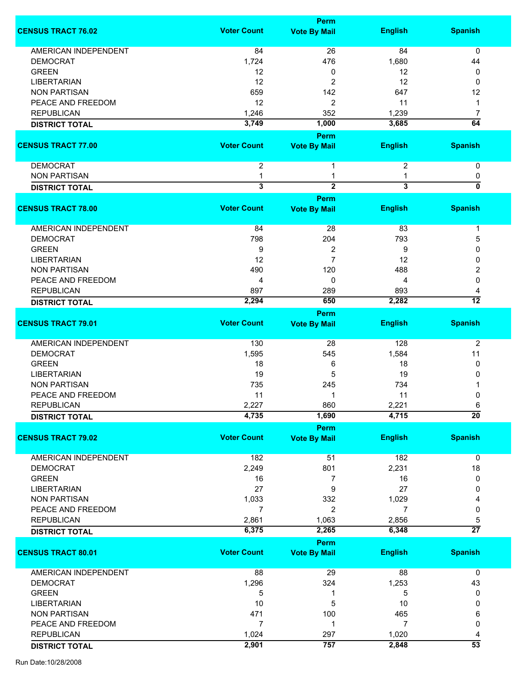|                             |                         | <b>Perm</b>                 |                |                 |
|-----------------------------|-------------------------|-----------------------------|----------------|-----------------|
| <b>CENSUS TRACT 76.02</b>   | <b>Voter Count</b>      | <b>Vote By Mail</b>         | <b>English</b> | <b>Spanish</b>  |
|                             |                         |                             |                |                 |
| <b>AMERICAN INDEPENDENT</b> | 84                      | 26                          | 84             | 0               |
| <b>DEMOCRAT</b>             | 1,724                   | 476                         | 1,680          | 44              |
| <b>GREEN</b>                | 12                      | 0                           | 12             | 0               |
| <b>LIBERTARIAN</b>          | 12                      | 2                           | 12             | 0               |
| <b>NON PARTISAN</b>         | 659                     | 142                         | 647            | 12              |
| PEACE AND FREEDOM           | 12                      | 2                           | 11             | 1               |
| <b>REPUBLICAN</b>           | 1,246                   | 352                         | 1,239          | 7               |
| <b>DISTRICT TOTAL</b>       | 3,749                   | 1,000                       | 3,685          | $\overline{64}$ |
|                             |                         | Perm                        |                |                 |
| <b>CENSUS TRACT 77.00</b>   | <b>Voter Count</b>      | <b>Vote By Mail</b>         | <b>English</b> | <b>Spanish</b>  |
| <b>DEMOCRAT</b>             | $\overline{2}$          | 1                           | 2              | 0               |
| <b>NON PARTISAN</b>         | 1                       | 1                           | 1              | 0               |
| <b>DISTRICT TOTAL</b>       | $\overline{\mathbf{3}}$ | $\overline{2}$              | $\overline{3}$ | $\overline{0}$  |
|                             |                         | Perm                        |                |                 |
| <b>CENSUS TRACT 78.00</b>   | <b>Voter Count</b>      | <b>Vote By Mail</b>         | <b>English</b> | <b>Spanish</b>  |
| AMERICAN INDEPENDENT        | 84                      | 28                          | 83             | 1               |
| <b>DEMOCRAT</b>             | 798                     | 204                         | 793            | 5               |
|                             |                         |                             |                |                 |
| <b>GREEN</b>                | 9                       | $\overline{\mathbf{c}}$     | 9              | 0               |
| <b>LIBERTARIAN</b>          | 12                      | $\overline{7}$              | 12             | $\mathbf{0}$    |
| <b>NON PARTISAN</b>         | 490                     | 120                         | 488            | 2               |
| PEACE AND FREEDOM           | 4                       | 0                           | 4              | $\mathbf{0}$    |
| <b>REPUBLICAN</b>           | 897                     | 289                         | 893            | 4               |
| <b>DISTRICT TOTAL</b>       | 2,294                   | 650                         | 2,282          | $\overline{12}$ |
|                             |                         | <b>Perm</b>                 |                |                 |
| <b>CENSUS TRACT 79.01</b>   | <b>Voter Count</b>      | <b>Vote By Mail</b>         | <b>English</b> | <b>Spanish</b>  |
|                             |                         |                             |                |                 |
| AMERICAN INDEPENDENT        | 130                     | 28                          | 128            | $\overline{2}$  |
| <b>DEMOCRAT</b>             | 1,595                   | 545                         | 1,584          | 11              |
| <b>GREEN</b>                | 18                      | 6                           | 18             | 0               |
| <b>LIBERTARIAN</b>          | 19                      | 5                           | 19             | 0               |
|                             | 735                     |                             | 734            |                 |
| <b>NON PARTISAN</b>         |                         | 245                         |                |                 |
| PEACE AND FREEDOM           | 11                      | 1                           | 11             | 0               |
| <b>REPUBLICAN</b>           | 2,227                   | 860                         | 2,221          | 6               |
| <b>DISTRICT TOTAL</b>       | 4,735                   | 1,690                       | 4,715          | $\overline{20}$ |
| <b>CENSUS TRACT 79.02</b>   | <b>Voter Count</b>      | Perm<br><b>Vote By Mail</b> | <b>English</b> | <b>Spanish</b>  |
|                             |                         |                             |                |                 |
| <b>AMERICAN INDEPENDENT</b> | 182                     | 51                          | 182            | 0               |
| <b>DEMOCRAT</b>             | 2,249                   | 801                         | 2,231          | 18              |
| <b>GREEN</b>                | 16                      | 7                           | 16             | 0               |
| <b>LIBERTARIAN</b>          | 27                      | 9                           | 27             | 0               |
| <b>NON PARTISAN</b>         | 1,033                   | 332                         | 1,029          | 4               |
| PEACE AND FREEDOM           |                         |                             | 7              |                 |
|                             | 7                       | 2                           |                | 0               |
| <b>REPUBLICAN</b>           | 2,861                   | 1,063                       | 2,856          | 5               |
| <b>DISTRICT TOTAL</b>       | 6,375                   | 2,265                       | 6,348          | $\overline{27}$ |
|                             |                         | Perm                        |                |                 |
| <b>CENSUS TRACT 80.01</b>   | <b>Voter Count</b>      | <b>Vote By Mail</b>         | <b>English</b> | <b>Spanish</b>  |
| <b>AMERICAN INDEPENDENT</b> | 88                      | 29                          | 88             | $\mathbf 0$     |
| <b>DEMOCRAT</b>             | 1,296                   | 324                         | 1,253          | 43              |
| <b>GREEN</b>                | 5                       | 1                           | 5              | 0               |
|                             |                         |                             |                |                 |
| <b>LIBERTARIAN</b>          | 10                      | 5                           | 10             | 0               |
| <b>NON PARTISAN</b>         | 471                     | 100                         | 465            | 6               |
| PEACE AND FREEDOM           | $\overline{7}$          | 1                           | 7              | 0               |
| <b>REPUBLICAN</b>           | 1,024                   | 297                         | 1,020          | 4               |
| <b>DISTRICT TOTAL</b>       | 2,901                   | 757                         | 2,848          | $\overline{53}$ |
|                             |                         |                             |                |                 |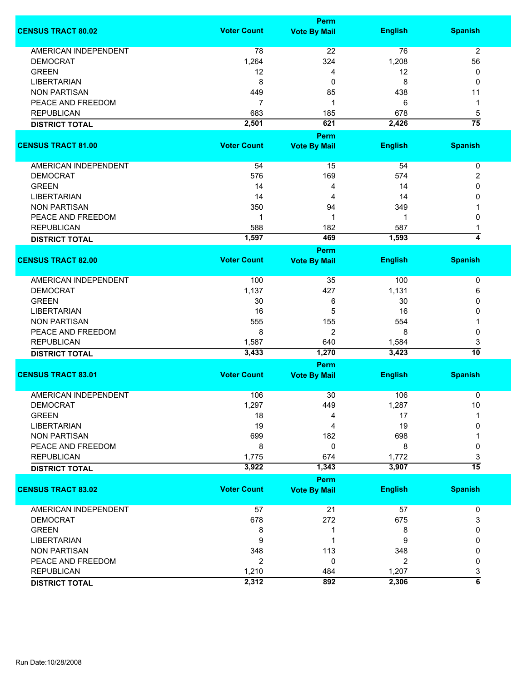|                             | <b>Perm</b>        |                                    |                |                         |  |
|-----------------------------|--------------------|------------------------------------|----------------|-------------------------|--|
| <b>CENSUS TRACT 80.02</b>   | <b>Voter Count</b> | <b>Vote By Mail</b>                | <b>English</b> | <b>Spanish</b>          |  |
| <b>AMERICAN INDEPENDENT</b> | 78                 | 22                                 | 76             | $\overline{2}$          |  |
| <b>DEMOCRAT</b>             | 1,264              | 324                                | 1,208          | 56                      |  |
| <b>GREEN</b>                | 12                 | 4                                  | 12             | 0                       |  |
| <b>LIBERTARIAN</b>          | 8                  | 0                                  | 8              | 0                       |  |
| <b>NON PARTISAN</b>         | 449                | 85                                 | 438            | 11                      |  |
| PEACE AND FREEDOM           | 7                  | 1                                  | 6              |                         |  |
|                             |                    |                                    |                | 1                       |  |
| <b>REPUBLICAN</b>           | 683                | 185                                | 678            | 5                       |  |
| <b>DISTRICT TOTAL</b>       | 2,501              | 621                                | 2,426          | $\overline{75}$         |  |
| <b>CENSUS TRACT 81.00</b>   | <b>Voter Count</b> | <b>Perm</b><br><b>Vote By Mail</b> | <b>English</b> | <b>Spanish</b>          |  |
|                             |                    |                                    |                |                         |  |
| AMERICAN INDEPENDENT        | 54                 | 15                                 | 54             | $\pmb{0}$               |  |
| <b>DEMOCRAT</b>             | 576                | 169                                | 574            | 2                       |  |
| <b>GREEN</b>                | 14                 | 4                                  | 14             | 0                       |  |
| <b>LIBERTARIAN</b>          | 14                 | 4                                  | 14             | 0                       |  |
| <b>NON PARTISAN</b>         | 350                | 94                                 | 349            |                         |  |
| PEACE AND FREEDOM           | 1                  | 1                                  | 1              | 0                       |  |
| <b>REPUBLICAN</b>           | 588                | 182                                | 587            |                         |  |
|                             | 1,597              | 469                                | 1,593          | $\overline{4}$          |  |
| <b>DISTRICT TOTAL</b>       |                    | <b>Perm</b>                        |                |                         |  |
| <b>CENSUS TRACT 82.00</b>   | <b>Voter Count</b> | <b>Vote By Mail</b>                | <b>English</b> | <b>Spanish</b>          |  |
|                             |                    |                                    |                |                         |  |
| <b>AMERICAN INDEPENDENT</b> | 100                | 35                                 | 100            | 0                       |  |
| <b>DEMOCRAT</b>             | 1,137              | 427                                | 1,131          | 6                       |  |
| <b>GREEN</b>                | 30                 | 6                                  | 30             | 0                       |  |
| <b>LIBERTARIAN</b>          | 16                 | 5                                  | 16             | 0                       |  |
| <b>NON PARTISAN</b>         | 555                | 155                                | 554            |                         |  |
| PEACE AND FREEDOM           | 8                  | 2                                  | 8              | 0                       |  |
|                             |                    |                                    |                |                         |  |
| <b>REPUBLICAN</b>           | 1,587<br>3,433     | 640<br>1,270                       | 1,584<br>3,423 | 3<br>$\overline{10}$    |  |
| <b>DISTRICT TOTAL</b>       |                    |                                    |                |                         |  |
| <b>CENSUS TRACT 83.01</b>   | <b>Voter Count</b> | Perm<br><b>Vote By Mail</b>        | <b>English</b> | <b>Spanish</b>          |  |
|                             |                    |                                    |                |                         |  |
| <b>AMERICAN INDEPENDENT</b> | 106                | 30                                 | 106            | 0                       |  |
| <b>DEMOCRAT</b>             | 1,297              | 449                                | 1,287          | 10                      |  |
| <b>GREEN</b>                | 18                 | 4                                  | 17             |                         |  |
| <b>LIBERTARIAN</b>          | 19                 | 4                                  | 19             | 0                       |  |
| <b>NON PARTISAN</b>         | 699                | 182                                | 698            |                         |  |
| PEACE AND FREEDOM           | 8                  | $\mathbf 0$                        | 8              | 0                       |  |
| <b>REPUBLICAN</b>           | 1,775              | 674                                | 1,772          | 3                       |  |
| <b>DISTRICT TOTAL</b>       | 3,922              | 1,343                              | 3,907          | $\overline{15}$         |  |
|                             |                    | Perm                               |                |                         |  |
| <b>CENSUS TRACT 83.02</b>   | <b>Voter Count</b> | <b>Vote By Mail</b>                | <b>English</b> | <b>Spanish</b>          |  |
| AMERICAN INDEPENDENT        | 57                 | 21                                 | 57             | 0                       |  |
| <b>DEMOCRAT</b>             | 678                | 272                                | 675            | 3                       |  |
| <b>GREEN</b>                | 8                  | 1                                  | 8              | 0                       |  |
| <b>LIBERTARIAN</b>          | 9                  | 1                                  | 9              | 0                       |  |
| <b>NON PARTISAN</b>         | 348                | 113                                | 348            | 0                       |  |
| PEACE AND FREEDOM           | $\overline{2}$     | 0                                  | 2              | 0                       |  |
|                             |                    |                                    |                |                         |  |
| <b>REPUBLICAN</b>           | 1,210              | 484                                | 1,207          | 3                       |  |
| <b>DISTRICT TOTAL</b>       | 2,312              | 892                                | 2,306          | $\overline{\mathbf{6}}$ |  |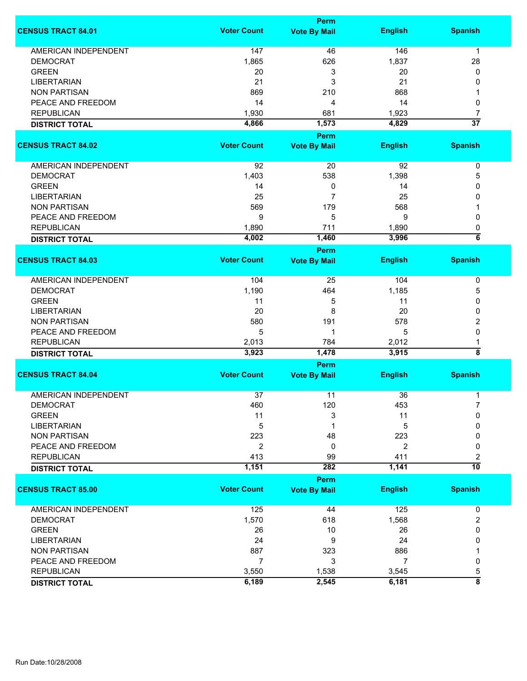|                             | <b>Perm</b>        |                                    |                |                         |
|-----------------------------|--------------------|------------------------------------|----------------|-------------------------|
| <b>CENSUS TRACT 84.01</b>   | <b>Voter Count</b> | <b>Vote By Mail</b>                | <b>English</b> | <b>Spanish</b>          |
| <b>AMERICAN INDEPENDENT</b> | 147                | 46                                 | 146            | $\mathbf 1$             |
| <b>DEMOCRAT</b>             | 1,865              | 626                                | 1,837          | 28                      |
| <b>GREEN</b>                | 20                 | 3                                  | 20             | 0                       |
| <b>LIBERTARIAN</b>          | 21                 | 3                                  | 21             | 0                       |
| <b>NON PARTISAN</b>         | 869                | 210                                | 868            |                         |
|                             | 14                 |                                    |                |                         |
| PEACE AND FREEDOM           |                    | 4                                  | 14             | 0                       |
| <b>REPUBLICAN</b>           | 1,930              | 681                                | 1,923          | 7                       |
| <b>DISTRICT TOTAL</b>       | 4,866              | 1,573<br><b>Perm</b>               | 4,829          | $\overline{37}$         |
| <b>CENSUS TRACT 84.02</b>   | <b>Voter Count</b> | <b>Vote By Mail</b>                | <b>English</b> | <b>Spanish</b>          |
| AMERICAN INDEPENDENT        | 92                 | 20                                 | 92             | $\pmb{0}$               |
| <b>DEMOCRAT</b>             | 1,403              | 538                                | 1,398          | 5                       |
| <b>GREEN</b>                | 14                 | 0                                  | 14             | 0                       |
| <b>LIBERTARIAN</b>          | 25                 | 7                                  | 25             | 0                       |
| <b>NON PARTISAN</b>         | 569                | 179                                | 568            |                         |
| PEACE AND FREEDOM           | 9                  | 5                                  | 9              | 0                       |
| <b>REPUBLICAN</b>           |                    |                                    |                |                         |
|                             | 1,890              | 711                                | 1,890          | 0<br>$\overline{\bf 6}$ |
| <b>DISTRICT TOTAL</b>       | 4,002              | 1,460<br><b>Perm</b>               | 3,996          |                         |
| <b>CENSUS TRACT 84.03</b>   | <b>Voter Count</b> | <b>Vote By Mail</b>                | <b>English</b> | <b>Spanish</b>          |
| <b>AMERICAN INDEPENDENT</b> | 104                | 25                                 | 104            | $\pmb{0}$               |
| <b>DEMOCRAT</b>             | 1,190              | 464                                | 1,185          | 5                       |
| <b>GREEN</b>                | 11                 | 5                                  | 11             | 0                       |
| <b>LIBERTARIAN</b>          | 20                 | 8                                  | 20             | 0                       |
|                             |                    |                                    |                |                         |
| <b>NON PARTISAN</b>         | 580                | 191                                | 578            | 2                       |
| PEACE AND FREEDOM           | 5                  | 1                                  | 5              | 0                       |
| <b>REPUBLICAN</b>           | 2,013              | 784                                | 2,012          | 1                       |
| <b>DISTRICT TOTAL</b>       | 3,923              | 1,478                              | 3,915          | $\overline{\bf 8}$      |
| <b>CENSUS TRACT 84.04</b>   | <b>Voter Count</b> | <b>Perm</b><br><b>Vote By Mail</b> | <b>English</b> | <b>Spanish</b>          |
|                             |                    |                                    |                |                         |
| <b>AMERICAN INDEPENDENT</b> | 37                 | 11                                 | 36             | 1                       |
| DEMOCRAT                    | 460                | 120                                | 453            |                         |
| <b>GREEN</b>                | 11                 | 3                                  | 11             | 0                       |
| <b>LIBERTARIAN</b>          | 5                  | 1                                  | 5              | 0                       |
| <b>NON PARTISAN</b>         | 223                | 48                                 | 223            | 0                       |
| PEACE AND FREEDOM           | $\overline{2}$     | 0                                  | 2              | 0                       |
| <b>REPUBLICAN</b>           | 413                | 99                                 | 411            | 2                       |
| <b>DISTRICT TOTAL</b>       | 1,151              | 282                                | 1,141          | $\overline{10}$         |
|                             |                    | <b>Perm</b>                        |                |                         |
| <b>CENSUS TRACT 85.00</b>   | <b>Voter Count</b> | <b>Vote By Mail</b>                | <b>English</b> | <b>Spanish</b>          |
| <b>AMERICAN INDEPENDENT</b> | 125                | 44                                 | 125            | 0                       |
| <b>DEMOCRAT</b>             | 1,570              | 618                                | 1,568          | 2                       |
| <b>GREEN</b>                | 26                 | 10                                 | 26             | 0                       |
| <b>LIBERTARIAN</b>          | 24                 | 9                                  | 24             | 0                       |
| <b>NON PARTISAN</b>         | 887                | 323                                | 886            |                         |
| PEACE AND FREEDOM           | $\overline{7}$     | 3                                  | 7              | 0                       |
| <b>REPUBLICAN</b>           | 3,550              | 1,538                              | 3,545          | 5                       |
| <b>DISTRICT TOTAL</b>       | 6,189              | 2,545                              | 6,181          | $\overline{\bf 8}$      |
|                             |                    |                                    |                |                         |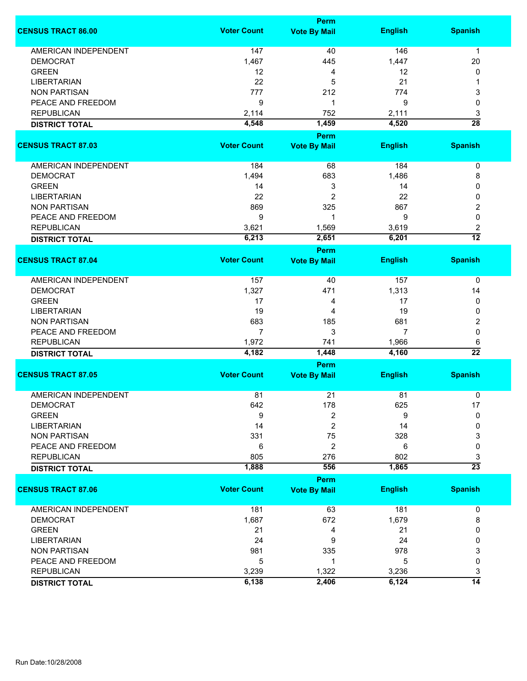|                             | <b>Perm</b>        |                                    |                |                 |
|-----------------------------|--------------------|------------------------------------|----------------|-----------------|
| <b>CENSUS TRACT 86.00</b>   | <b>Voter Count</b> | <b>Vote By Mail</b>                | <b>English</b> | <b>Spanish</b>  |
| <b>AMERICAN INDEPENDENT</b> | 147                | 40                                 | 146            | $\mathbf{1}$    |
| <b>DEMOCRAT</b>             | 1,467              | 445                                | 1,447          | 20              |
| <b>GREEN</b>                | 12                 | 4                                  | 12             | 0               |
| <b>LIBERTARIAN</b>          | 22                 | 5                                  | 21             | 1               |
| <b>NON PARTISAN</b>         | 777                | 212                                | 774            | 3               |
| PEACE AND FREEDOM           | 9                  | 1                                  | 9              | 0               |
|                             |                    |                                    |                |                 |
| <b>REPUBLICAN</b>           | 2,114              | 752                                | 2,111          | 3               |
| <b>DISTRICT TOTAL</b>       | 4,548              | 1,459                              | 4,520          | $\overline{28}$ |
| <b>CENSUS TRACT 87.03</b>   | <b>Voter Count</b> | <b>Perm</b><br><b>Vote By Mail</b> | <b>English</b> | <b>Spanish</b>  |
|                             |                    |                                    |                |                 |
| AMERICAN INDEPENDENT        | 184                | 68                                 | 184            | $\pmb{0}$       |
| <b>DEMOCRAT</b>             | 1,494              | 683                                | 1,486          | 8               |
| <b>GREEN</b>                | 14                 | 3                                  | 14             | 0               |
| <b>LIBERTARIAN</b>          | 22                 | 2                                  | 22             | 0               |
| <b>NON PARTISAN</b>         | 869                | 325                                | 867            | 2               |
| PEACE AND FREEDOM           | 9                  | 1                                  | 9              | 0               |
| <b>REPUBLICAN</b>           | 3,621              | 1,569                              | 3,619          | 2               |
|                             | 6,213              | 2,651                              | 6,201          | $\overline{12}$ |
| <b>DISTRICT TOTAL</b>       |                    | <b>Perm</b>                        |                |                 |
| <b>CENSUS TRACT 87.04</b>   | <b>Voter Count</b> | <b>Vote By Mail</b>                | <b>English</b> | <b>Spanish</b>  |
| AMERICAN INDEPENDENT        | 157                | 40                                 | 157            | 0               |
| <b>DEMOCRAT</b>             | 1,327              | 471                                | 1,313          | 14              |
| <b>GREEN</b>                | 17                 | 4                                  | 17             | 0               |
| <b>LIBERTARIAN</b>          | 19                 | 4                                  | 19             | 0               |
|                             | 683                |                                    |                |                 |
| <b>NON PARTISAN</b>         |                    | 185                                | 681            | 2               |
| PEACE AND FREEDOM           | $\overline{7}$     | 3                                  | 7              | $\mathbf 0$     |
| <b>REPUBLICAN</b>           | 1,972              | 741                                | 1,966          | 6               |
| <b>DISTRICT TOTAL</b>       | 4,182              | 1,448                              | 4,160          | $\overline{22}$ |
| <b>CENSUS TRACT 87.05</b>   | <b>Voter Count</b> | Perm                               | <b>English</b> | <b>Spanish</b>  |
|                             |                    | <b>Vote By Mail</b>                |                |                 |
| <b>AMERICAN INDEPENDENT</b> | 81                 | 21                                 | 81             | 0               |
| DEMOCRAT                    | 642                | 178                                | 625            | 17              |
| <b>GREEN</b>                | 9                  | 2                                  | 9              | 0               |
| <b>LIBERTARIAN</b>          | 14                 | $\overline{c}$                     | 14             | 0               |
| <b>NON PARTISAN</b>         | 331                | 75                                 | 328            | 3               |
| PEACE AND FREEDOM           | 6                  | $\overline{c}$                     | 6              | 0               |
| <b>REPUBLICAN</b>           | 805                | 276                                | 802            | 3               |
| <b>DISTRICT TOTAL</b>       | 1,888              | 556                                | 1,865          | $\overline{23}$ |
|                             |                    | <b>Perm</b>                        |                |                 |
| <b>CENSUS TRACT 87.06</b>   | <b>Voter Count</b> | <b>Vote By Mail</b>                | <b>English</b> | <b>Spanish</b>  |
| <b>AMERICAN INDEPENDENT</b> | 181                | 63                                 | 181            | 0               |
| <b>DEMOCRAT</b>             | 1,687              | 672                                | 1,679          | 8               |
| <b>GREEN</b>                | 21                 | 4                                  | 21             | 0               |
| <b>LIBERTARIAN</b>          | 24                 | 9                                  | 24             | 0               |
| <b>NON PARTISAN</b>         | 981                | 335                                | 978            | 3               |
| PEACE AND FREEDOM           | 5                  | 1                                  | 5              | 0               |
| <b>REPUBLICAN</b>           | 3,239              | 1,322                              | 3,236          | 3               |
|                             | 6,138              | 2,406                              | 6,124          | $\overline{14}$ |
| <b>DISTRICT TOTAL</b>       |                    |                                    |                |                 |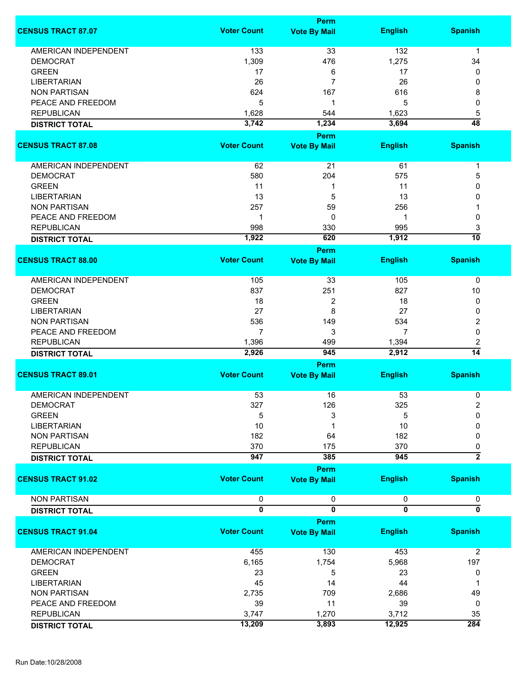|                             |                    | Perm                         |                |                         |
|-----------------------------|--------------------|------------------------------|----------------|-------------------------|
| <b>CENSUS TRACT 87.07</b>   | <b>Voter Count</b> | <b>Vote By Mail</b>          | <b>English</b> | <b>Spanish</b>          |
|                             |                    |                              |                |                         |
| <b>AMERICAN INDEPENDENT</b> | 133                | 33                           | 132            | 1                       |
| <b>DEMOCRAT</b>             | 1,309              | 476                          | 1,275          | 34                      |
| <b>GREEN</b>                | 17                 | 6                            | 17             | 0                       |
| <b>LIBERTARIAN</b>          | 26                 | 7                            | 26             | 0                       |
| <b>NON PARTISAN</b>         | 624                | 167                          | 616            | 8                       |
| PEACE AND FREEDOM           | 5                  | 1                            | 5              | 0                       |
| <b>REPUBLICAN</b>           | 1,628              | 544                          | 1,623          | 5                       |
| <b>DISTRICT TOTAL</b>       | 3,742              | 1,234                        | 3,694          | $\overline{48}$         |
|                             |                    | Perm                         |                |                         |
| <b>CENSUS TRACT 87.08</b>   | <b>Voter Count</b> | <b>Vote By Mail</b>          | <b>English</b> | <b>Spanish</b>          |
| <b>AMERICAN INDEPENDENT</b> | 62                 | 21                           | 61             | 1                       |
| <b>DEMOCRAT</b>             | 580                | 204                          | 575            | 5                       |
|                             |                    |                              |                |                         |
| <b>GREEN</b>                | 11                 | 1                            | 11             | 0                       |
| <b>LIBERTARIAN</b>          | 13                 | 5                            | 13             | 0                       |
| <b>NON PARTISAN</b>         | 257                | 59                           | 256            |                         |
| PEACE AND FREEDOM           | $\mathbf 1$        | 0                            | 1              | $\mathbf{0}$            |
| <b>REPUBLICAN</b>           | 998                | 330                          | 995            | 3                       |
| <b>DISTRICT TOTAL</b>       | 1,922              | 620                          | 1,912          | $\overline{10}$         |
|                             |                    | Perm                         |                |                         |
| <b>CENSUS TRACT 88.00</b>   | <b>Voter Count</b> | <b>Vote By Mail</b>          | <b>English</b> | <b>Spanish</b>          |
|                             |                    |                              |                |                         |
| AMERICAN INDEPENDENT        | 105                | 33                           | 105            | $\pmb{0}$               |
| <b>DEMOCRAT</b>             | 837                | 251                          | 827            | 10                      |
| <b>GREEN</b>                | 18                 | 2                            | 18             | 0                       |
| <b>LIBERTARIAN</b>          | 27                 | 8                            | 27             | 0                       |
|                             | 536                |                              | 534            |                         |
| <b>NON PARTISAN</b>         |                    | 149                          |                | 2                       |
| PEACE AND FREEDOM           | 7                  | 3                            | 7              | 0                       |
| <b>REPUBLICAN</b>           | 1,396              | 499                          | 1,394          | 2                       |
| <b>DISTRICT TOTAL</b>       | 2,926              | 945                          | 2,912          | $\overline{14}$         |
|                             |                    | Perm                         |                |                         |
| <b>CENSUS TRACT 89.01</b>   | <b>Voter Count</b> | <b>Vote By Mail</b>          | <b>English</b> | <b>Spanish</b>          |
| <b>AMERICAN INDEPENDENT</b> | 53                 | 16                           | 53             | 0                       |
| <b>DEMOCRAT</b>             | 327                | 126                          | 325            | $\boldsymbol{2}$        |
| <b>GREEN</b>                | 5                  | 3                            | 5              | 0                       |
| <b>LIBERTARIAN</b>          | 10                 | 1                            | 10             | 0                       |
| <b>NON PARTISAN</b>         | 182                | 64                           | 182            | 0                       |
| <b>REPUBLICAN</b>           | 370                | 175                          | 370            | 0                       |
|                             | 947                | 385                          | 945            | $\overline{\mathbf{2}}$ |
| <b>DISTRICT TOTAL</b>       |                    |                              |                |                         |
| <b>CENSUS TRACT 91.02</b>   | <b>Voter Count</b> | Perm<br><b>Vote By Mail</b>  | <b>English</b> | <b>Spanish</b>          |
| <b>NON PARTISAN</b>         |                    |                              |                |                         |
|                             | 0<br>0             | 0<br>$\overline{\mathbf{0}}$ | 0<br>0         | 0<br>0                  |
| <b>DISTRICT TOTAL</b>       |                    | Perm                         |                |                         |
| <b>CENSUS TRACT 91.04</b>   | <b>Voter Count</b> | <b>Vote By Mail</b>          | <b>English</b> | <b>Spanish</b>          |
| <b>AMERICAN INDEPENDENT</b> | 455                | 130                          | 453            | $\overline{2}$          |
| <b>DEMOCRAT</b>             | 6,165              | 1,754                        | 5,968          | 197                     |
| <b>GREEN</b>                | 23                 | 5                            | 23             | 0                       |
| <b>LIBERTARIAN</b>          | 45                 | 14                           | 44             | 1                       |
|                             |                    |                              |                |                         |
| <b>NON PARTISAN</b>         | 2,735              | 709                          | 2,686          | 49                      |
| PEACE AND FREEDOM           | 39                 | 11                           | 39             | 0                       |
| <b>REPUBLICAN</b>           | 3,747              | 1,270                        | 3,712          | 35                      |
| <b>DISTRICT TOTAL</b>       | 13,209             | 3,893                        | 12,925         | 284                     |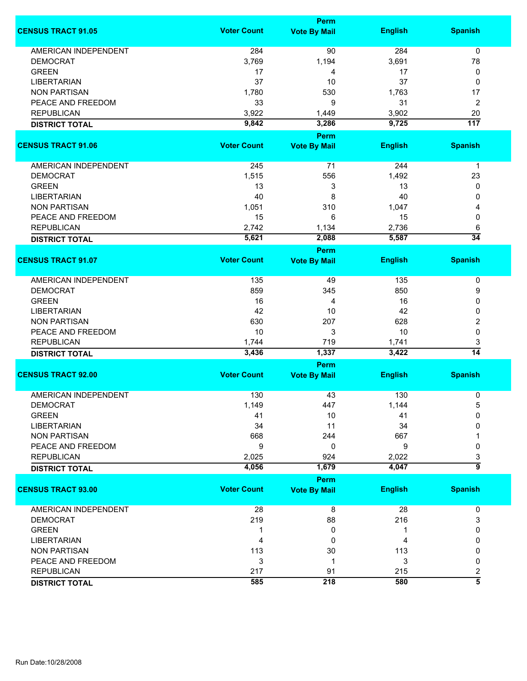|                             |                    | Perm                        |                |                     |  |
|-----------------------------|--------------------|-----------------------------|----------------|---------------------|--|
| <b>CENSUS TRACT 91.05</b>   | <b>Voter Count</b> | <b>Vote By Mail</b>         | <b>English</b> | <b>Spanish</b>      |  |
| <b>AMERICAN INDEPENDENT</b> | 284                | 90                          | 284            | $\mathbf 0$         |  |
| <b>DEMOCRAT</b>             | 3,769              | 1,194                       | 3,691          | 78                  |  |
| <b>GREEN</b>                | 17                 | 4                           | 17             | 0                   |  |
| <b>LIBERTARIAN</b>          | 37                 | 10                          | 37             | 0                   |  |
| <b>NON PARTISAN</b>         | 1,780              | 530                         | 1,763          | 17                  |  |
| PEACE AND FREEDOM           | 33                 | 9                           | 31             |                     |  |
|                             |                    |                             |                | 2                   |  |
| <b>REPUBLICAN</b>           | 3,922              | 1,449                       | 3,902          | 20                  |  |
| <b>DISTRICT TOTAL</b>       | 9,842              | 3,286<br>Perm               | 9,725          | $\overline{117}$    |  |
| <b>CENSUS TRACT 91.06</b>   | <b>Voter Count</b> | <b>Vote By Mail</b>         | <b>English</b> | <b>Spanish</b>      |  |
|                             |                    |                             |                |                     |  |
| <b>AMERICAN INDEPENDENT</b> | 245                | 71                          | 244            | $\mathbf{1}$        |  |
| <b>DEMOCRAT</b>             | 1,515              | 556                         | 1,492          | 23                  |  |
| <b>GREEN</b>                | 13                 | 3                           | 13             | 0                   |  |
| <b>LIBERTARIAN</b>          | 40                 | 8                           | 40             | 0                   |  |
| <b>NON PARTISAN</b>         | 1,051              | 310                         | 1,047          | 4                   |  |
| PEACE AND FREEDOM           | 15                 | 6                           | 15             | 0                   |  |
| <b>REPUBLICAN</b>           | 2,742              | 1,134                       | 2,736          | 6                   |  |
| <b>DISTRICT TOTAL</b>       | 5,621              | 2,088                       | 5,587          | $\overline{34}$     |  |
|                             |                    | <b>Perm</b>                 |                |                     |  |
| <b>CENSUS TRACT 91.07</b>   | <b>Voter Count</b> | <b>Vote By Mail</b>         | <b>English</b> | <b>Spanish</b>      |  |
| AMERICAN INDEPENDENT        | 135                | 49                          | 135            | 0                   |  |
| <b>DEMOCRAT</b>             | 859                | 345                         | 850            | 9                   |  |
| <b>GREEN</b>                | 16                 | 4                           | 16             | 0                   |  |
| <b>LIBERTARIAN</b>          | 42                 | 10                          | 42             | 0                   |  |
| <b>NON PARTISAN</b>         | 630                | 207                         | 628            | 2                   |  |
| PEACE AND FREEDOM           | 10                 | 3                           | 10             | 0                   |  |
| <b>REPUBLICAN</b>           | 1,744              | 719                         | 1,741          | 3                   |  |
| <b>DISTRICT TOTAL</b>       | 3,436              | 1,337                       | 3,422          | $\overline{14}$     |  |
|                             | Perm               |                             |                |                     |  |
| <b>CENSUS TRACT 92.00</b>   | <b>Voter Count</b> | <b>Vote By Mail</b>         | <b>English</b> | <b>Spanish</b>      |  |
| <b>AMERICAN INDEPENDENT</b> | 130                | 43                          | 130            | 0                   |  |
| DEMOCRAT                    | 1,149              | 447                         | 1,144          | 5                   |  |
| <b>GREEN</b>                | 41                 | 10                          | 41             | 0                   |  |
| <b>LIBERTARIAN</b>          | 34                 | 11                          | 34             | 0                   |  |
| <b>NON PARTISAN</b>         | 668                | 244                         | 667            |                     |  |
| PEACE AND FREEDOM           | 9                  | 0                           | 9              | 0                   |  |
|                             |                    | 924                         |                |                     |  |
| <b>REPUBLICAN</b>           | 2,025<br>4,056     |                             | 2,022<br>4,047 | 3<br>៑៑             |  |
| <b>DISTRICT TOTAL</b>       |                    | 1,679                       |                |                     |  |
| <b>CENSUS TRACT 93.00</b>   | <b>Voter Count</b> | Perm<br><b>Vote By Mail</b> | <b>English</b> | <b>Spanish</b>      |  |
| <b>AMERICAN INDEPENDENT</b> | 28                 | 8                           | 28             | 0                   |  |
| <b>DEMOCRAT</b>             | 219                | 88                          | 216            | 3                   |  |
| <b>GREEN</b>                | 1                  | 0                           | 1              | 0                   |  |
| <b>LIBERTARIAN</b>          | 4                  | 0                           | 4              | 0                   |  |
| <b>NON PARTISAN</b>         |                    |                             |                |                     |  |
|                             | 113                | 30                          | 113            | 0                   |  |
| PEACE AND FREEDOM           | 3                  | 1                           | 3              | 0                   |  |
| <b>REPUBLICAN</b>           | 217                | 91                          | 215            | 2<br>$\overline{5}$ |  |
| <b>DISTRICT TOTAL</b>       | 585                | 218                         | 580            |                     |  |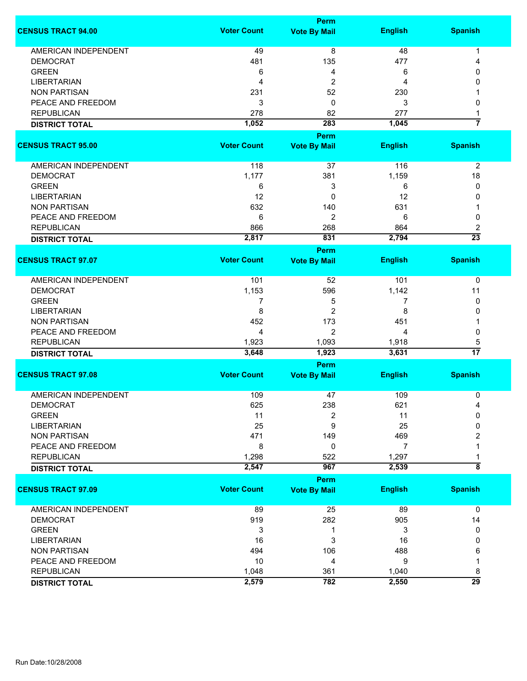|                             |                    | <b>Perm</b>         |                |                    |  |
|-----------------------------|--------------------|---------------------|----------------|--------------------|--|
| <b>CENSUS TRACT 94.00</b>   | <b>Voter Count</b> | <b>Vote By Mail</b> | <b>English</b> | <b>Spanish</b>     |  |
| <b>AMERICAN INDEPENDENT</b> | 49                 | $\overline{8}$      | 48             | 1                  |  |
| <b>DEMOCRAT</b>             | 481                | 135                 | 477            | 4                  |  |
| <b>GREEN</b>                | 6                  | 4                   | 6              | 0                  |  |
| <b>LIBERTARIAN</b>          | 4                  | 2                   | 4              | 0                  |  |
| <b>NON PARTISAN</b>         | 231                | 52                  | 230            |                    |  |
| PEACE AND FREEDOM           |                    | $\mathbf 0$         |                |                    |  |
|                             | 3                  |                     | 3              | 0                  |  |
| <b>REPUBLICAN</b>           | 278                | 82                  | 277            | 1                  |  |
| <b>DISTRICT TOTAL</b>       | 1,052              | 283                 | 1,045          | 7                  |  |
|                             |                    | <b>Perm</b>         |                |                    |  |
| <b>CENSUS TRACT 95.00</b>   | <b>Voter Count</b> | <b>Vote By Mail</b> | <b>English</b> | <b>Spanish</b>     |  |
| AMERICAN INDEPENDENT        | 118                | 37                  | 116            | $\overline{2}$     |  |
| <b>DEMOCRAT</b>             | 1,177              | 381                 | 1,159          | 18                 |  |
| <b>GREEN</b>                | 6                  | 3                   | 6              | 0                  |  |
| <b>LIBERTARIAN</b>          | 12                 | $\mathbf 0$         | 12             | 0                  |  |
| <b>NON PARTISAN</b>         | 632                | 140                 | 631            | 1                  |  |
| PEACE AND FREEDOM           | 6                  | $\overline{2}$      | 6              | 0                  |  |
| <b>REPUBLICAN</b>           | 866                | 268                 | 864            | 2                  |  |
|                             | 2,817              | 831                 | 2,794          | $\overline{23}$    |  |
| <b>DISTRICT TOTAL</b>       |                    | Perm                |                |                    |  |
| <b>CENSUS TRACT 97.07</b>   | <b>Voter Count</b> | <b>Vote By Mail</b> | <b>English</b> | <b>Spanish</b>     |  |
| <b>AMERICAN INDEPENDENT</b> | 101                | 52                  | 101            | 0                  |  |
| <b>DEMOCRAT</b>             | 1,153              | 596                 | 1,142          | 11                 |  |
| <b>GREEN</b>                | 7                  | 5                   | 7              | 0                  |  |
| <b>LIBERTARIAN</b>          | 8                  | $\overline{2}$      | 8              | 0                  |  |
| <b>NON PARTISAN</b>         | 452                | 173                 | 451            |                    |  |
| PEACE AND FREEDOM           | 4                  | $\overline{2}$      | 4              | 0                  |  |
| <b>REPUBLICAN</b>           | 1,923              | 1,093               | 1,918          | 5                  |  |
| <b>DISTRICT TOTAL</b>       | 3,648              | 1,923               | 3,631          | $\overline{17}$    |  |
|                             | <b>Perm</b>        |                     |                |                    |  |
| <b>CENSUS TRACT 97.08</b>   | <b>Voter Count</b> | <b>Vote By Mail</b> | <b>English</b> | <b>Spanish</b>     |  |
| <b>AMERICAN INDEPENDENT</b> | 109                |                     | 109            |                    |  |
|                             |                    | 47                  |                | 0                  |  |
| <b>DEMOCRAT</b>             | 625                | 238                 | 621            | 4                  |  |
| <b>GREEN</b>                | 11                 | 2                   | 11             | 0                  |  |
| <b>LIBERTARIAN</b>          | 25                 | 9                   | 25             | 0                  |  |
| <b>NON PARTISAN</b>         | 471                | 149                 | 469            | 2                  |  |
| PEACE AND FREEDOM           | 8                  | 0                   | 7              |                    |  |
| <b>REPUBLICAN</b>           | 1,298              | 522                 | 1,297          |                    |  |
| <b>DISTRICT TOTAL</b>       | 2,547              | 967                 | 2,539          | $\overline{\bf 8}$ |  |
| <b>CENSUS TRACT 97.09</b>   | <b>Voter Count</b> | <b>Perm</b>         |                |                    |  |
|                             |                    | <b>Vote By Mail</b> | <b>English</b> | <b>Spanish</b>     |  |
| <b>AMERICAN INDEPENDENT</b> | 89                 | 25                  | 89             | 0                  |  |
| <b>DEMOCRAT</b>             | 919                | 282                 | 905            | 14                 |  |
| <b>GREEN</b>                | 3                  | 1                   | 3              | 0                  |  |
| <b>LIBERTARIAN</b>          | 16                 | 3                   | 16             | 0                  |  |
| <b>NON PARTISAN</b>         | 494                | 106                 | 488            | 6                  |  |
| PEACE AND FREEDOM           | 10                 | 4                   | 9              | 1                  |  |
| <b>REPUBLICAN</b>           | 1,048              | 361                 | 1,040          | 8                  |  |
| <b>DISTRICT TOTAL</b>       | 2,579              | 782                 | 2,550          | $\overline{29}$    |  |
|                             |                    |                     |                |                    |  |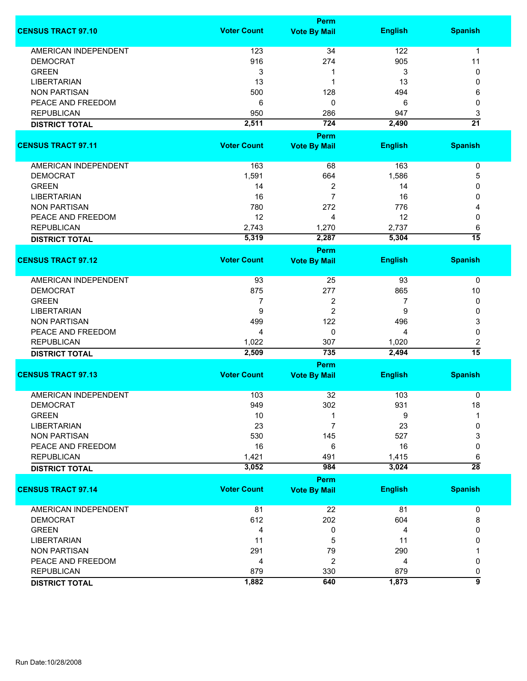|                             | Perm               |                     |                |                      |  |
|-----------------------------|--------------------|---------------------|----------------|----------------------|--|
| <b>CENSUS TRACT 97.10</b>   | <b>Voter Count</b> | <b>Vote By Mail</b> | <b>English</b> | <b>Spanish</b>       |  |
| <b>AMERICAN INDEPENDENT</b> | 123                | 34                  | 122            | 1                    |  |
| <b>DEMOCRAT</b>             | 916                | 274                 | 905            | 11                   |  |
| <b>GREEN</b>                | 3                  | 1                   | 3              | 0                    |  |
| <b>LIBERTARIAN</b>          | 13                 | 1                   | 13             | 0                    |  |
| <b>NON PARTISAN</b>         | 500                | 128                 | 494            | 6                    |  |
| PEACE AND FREEDOM           |                    | 0                   | 6              | 0                    |  |
|                             | 6                  |                     |                |                      |  |
| <b>REPUBLICAN</b>           | 950                | 286                 | 947            | 3                    |  |
| <b>DISTRICT TOTAL</b>       | 2,511              | 724                 | 2,490          | $\overline{21}$      |  |
| <b>CENSUS TRACT 97.11</b>   | <b>Voter Count</b> | <b>Perm</b>         |                | <b>Spanish</b>       |  |
|                             |                    | <b>Vote By Mail</b> | <b>English</b> |                      |  |
| AMERICAN INDEPENDENT        | 163                | 68                  | 163            | $\pmb{0}$            |  |
| <b>DEMOCRAT</b>             | 1,591              | 664                 | 1,586          | 5                    |  |
| <b>GREEN</b>                | 14                 | $\overline{c}$      | 14             | 0                    |  |
| <b>LIBERTARIAN</b>          | 16                 | $\overline{7}$      | 16             | 0                    |  |
| <b>NON PARTISAN</b>         | 780                | 272                 | 776            | 4                    |  |
| PEACE AND FREEDOM           | 12                 | 4                   | 12             | 0                    |  |
| <b>REPUBLICAN</b>           | 2,743              | 1,270               | 2,737          |                      |  |
|                             |                    | 2,287               | 5,304          | 6<br>$\overline{15}$ |  |
| <b>DISTRICT TOTAL</b>       | 5,319              | <b>Perm</b>         |                |                      |  |
| <b>CENSUS TRACT 97.12</b>   | <b>Voter Count</b> | <b>Vote By Mail</b> | <b>English</b> | <b>Spanish</b>       |  |
|                             |                    |                     |                |                      |  |
| <b>AMERICAN INDEPENDENT</b> | 93                 | 25                  | 93             | 0                    |  |
| <b>DEMOCRAT</b>             | 875                | 277                 | 865            | 10                   |  |
| <b>GREEN</b>                | 7                  | 2                   | 7              | 0                    |  |
| <b>LIBERTARIAN</b>          | 9                  | $\overline{2}$      | 9              | 0                    |  |
| <b>NON PARTISAN</b>         | 499                | 122                 | 496            | 3                    |  |
| PEACE AND FREEDOM           | 4                  | 0                   | 4              | 0                    |  |
| <b>REPUBLICAN</b>           | 1,022              | 307                 | 1,020          | 2                    |  |
| <b>DISTRICT TOTAL</b>       | 2,509              | 735                 | 2,494          | $\overline{15}$      |  |
|                             |                    | Perm                |                |                      |  |
| <b>CENSUS TRACT 97.13</b>   | <b>Voter Count</b> | <b>Vote By Mail</b> | <b>English</b> | <b>Spanish</b>       |  |
| AMERICAN INDEPENDENT        | 103                | 32                  | 103            | 0                    |  |
| <b>DEMOCRAT</b>             |                    |                     |                |                      |  |
|                             | 949                | 302                 | 931            | 18<br>1              |  |
| <b>GREEN</b>                | 10                 | 1                   | 9              |                      |  |
| <b>LIBERTARIAN</b>          | 23                 | $\overline{7}$      | 23             | 0                    |  |
| <b>NON PARTISAN</b>         | 530                | 145                 | 527            | 3                    |  |
| PEACE AND FREEDOM           | 16                 | 6                   | 16             | 0                    |  |
| <b>REPUBLICAN</b>           | 1,421              | 491                 | 1,415          | 6                    |  |
| <b>DISTRICT TOTAL</b>       | 3,052              | 984                 | 3,024          | $\overline{28}$      |  |
|                             |                    | Perm                |                |                      |  |
| <b>CENSUS TRACT 97.14</b>   | <b>Voter Count</b> | <b>Vote By Mail</b> | <b>English</b> | <b>Spanish</b>       |  |
| <b>AMERICAN INDEPENDENT</b> | 81                 | 22                  | 81             | 0                    |  |
| <b>DEMOCRAT</b>             | 612                | 202                 | 604            | 8                    |  |
| <b>GREEN</b>                | 4                  | 0                   | 4              | 0                    |  |
| <b>LIBERTARIAN</b>          | 11                 | 5                   | 11             | 0                    |  |
| <b>NON PARTISAN</b>         | 291                | 79                  | 290            |                      |  |
| PEACE AND FREEDOM           | 4                  | 2                   | 4              | 0                    |  |
| <b>REPUBLICAN</b>           | 879                | 330                 | 879            |                      |  |
|                             |                    |                     |                | 0<br>$\overline{9}$  |  |
| <b>DISTRICT TOTAL</b>       | 1,882              | 640                 | 1,873          |                      |  |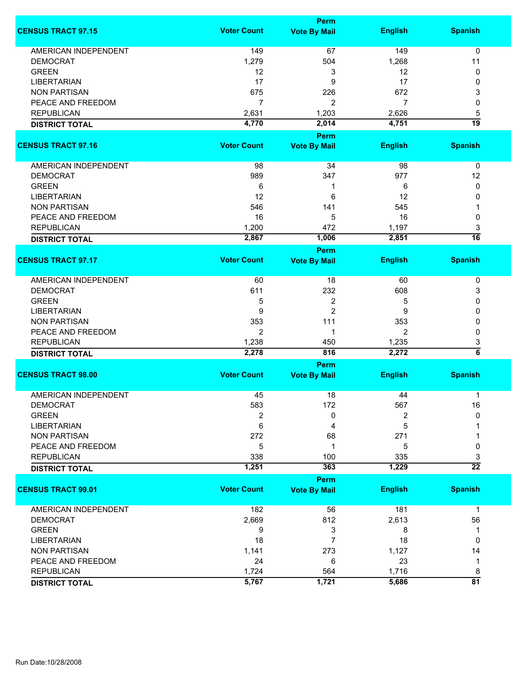|                             |                    | <b>Perm</b>          |                |                     |
|-----------------------------|--------------------|----------------------|----------------|---------------------|
| <b>CENSUS TRACT 97.15</b>   | <b>Voter Count</b> | <b>Vote By Mail</b>  | <b>English</b> | <b>Spanish</b>      |
| <b>AMERICAN INDEPENDENT</b> | 149                | 67                   | 149            | 0                   |
| <b>DEMOCRAT</b>             | 1,279              | 504                  | 1,268          | 11                  |
| <b>GREEN</b>                | 12                 | 3                    | 12             | 0                   |
| <b>LIBERTARIAN</b>          | 17                 | 9                    | 17             | 0                   |
| <b>NON PARTISAN</b>         | 675                | 226                  | 672            | 3                   |
| PEACE AND FREEDOM           | $\overline{7}$     | $\overline{2}$       | 7              | 0                   |
| <b>REPUBLICAN</b>           |                    |                      |                |                     |
|                             | 2,631              | 1,203                | 2,626          | 5<br>19             |
| <b>DISTRICT TOTAL</b>       | 4,770              | 2,014<br><b>Perm</b> | 4,751          |                     |
| <b>CENSUS TRACT 97.16</b>   | <b>Voter Count</b> | <b>Vote By Mail</b>  | <b>English</b> | <b>Spanish</b>      |
|                             |                    |                      |                |                     |
| AMERICAN INDEPENDENT        | 98                 | 34                   | 98             | 0                   |
| <b>DEMOCRAT</b>             | 989                | 347                  | 977            | 12                  |
| <b>GREEN</b>                | 6                  | 1                    | 6              | 0                   |
| <b>LIBERTARIAN</b>          | 12                 | 6                    | 12             | 0                   |
| <b>NON PARTISAN</b>         | 546                | 141                  | 545            |                     |
| PEACE AND FREEDOM           | 16                 | 5                    | 16             | 0                   |
| <b>REPUBLICAN</b>           | 1,200              | 472                  | 1,197          | 3                   |
| <b>DISTRICT TOTAL</b>       | 2,867              | 1,006                | 2,851          | $\overline{16}$     |
|                             |                    | <b>Perm</b>          |                |                     |
| <b>CENSUS TRACT 97.17</b>   | <b>Voter Count</b> | <b>Vote By Mail</b>  | <b>English</b> | <b>Spanish</b>      |
| <b>AMERICAN INDEPENDENT</b> | 60                 | 18                   | 60             | 0                   |
| <b>DEMOCRAT</b>             | 611                | 232                  | 608            | 3                   |
| <b>GREEN</b>                | 5                  | 2                    | 5              | 0                   |
| <b>LIBERTARIAN</b>          | 9                  | $\overline{c}$       | 9              | 0                   |
| <b>NON PARTISAN</b>         | 353                | 111                  | 353            | 0                   |
| PEACE AND FREEDOM           | $\overline{2}$     | 1                    | $\overline{2}$ | 0                   |
| <b>REPUBLICAN</b>           | 1,238              | 450                  | 1,235          | 3                   |
| <b>DISTRICT TOTAL</b>       | 2,278              | 816                  | 2,272          | $\overline{\bf{6}}$ |
|                             |                    | <b>Perm</b>          |                |                     |
| <b>CENSUS TRACT 98.00</b>   | <b>Voter Count</b> | <b>Vote By Mail</b>  | <b>English</b> | <b>Spanish</b>      |
| <b>AMERICAN INDEPENDENT</b> | 45                 | 18                   | 44             | 1                   |
| <b>DEMOCRAT</b>             | 583                | 172                  | 567            | 16                  |
| <b>GREEN</b>                | $\overline{2}$     | 0                    | 2              | $\mathbf{0}$        |
| <b>LIBERTARIAN</b>          | 6                  | 4                    | 5              |                     |
| <b>NON PARTISAN</b>         | 272                | 68                   | 271            |                     |
| PEACE AND FREEDOM           | 5                  | 1                    | 5              | 0                   |
| <b>REPUBLICAN</b>           | 338                | 100                  | 335            | 3                   |
| <b>DISTRICT TOTAL</b>       | 1,251              | 363                  | 1,229          | $\overline{22}$     |
|                             |                    | Perm                 |                |                     |
| <b>CENSUS TRACT 99.01</b>   | <b>Voter Count</b> | <b>Vote By Mail</b>  | <b>English</b> | <b>Spanish</b>      |
| AMERICAN INDEPENDENT        | 182                | 56                   | 181            | $\mathbf 1$         |
| <b>DEMOCRAT</b>             | 2,669              | 812                  | 2,613          | 56                  |
| <b>GREEN</b>                | 9                  | 3                    | 8              | 1                   |
| <b>LIBERTARIAN</b>          | 18                 | 7                    | 18             | 0                   |
| <b>NON PARTISAN</b>         | 1,141              | 273                  | 1,127          | 14                  |
| PEACE AND FREEDOM           | 24                 | 6                    | 23             | 1                   |
| <b>REPUBLICAN</b>           | 1,724              | 564                  | 1,716          | 8                   |
| <b>DISTRICT TOTAL</b>       | 5,767              | 1,721                | 5,686          | $\overline{81}$     |
|                             |                    |                      |                |                     |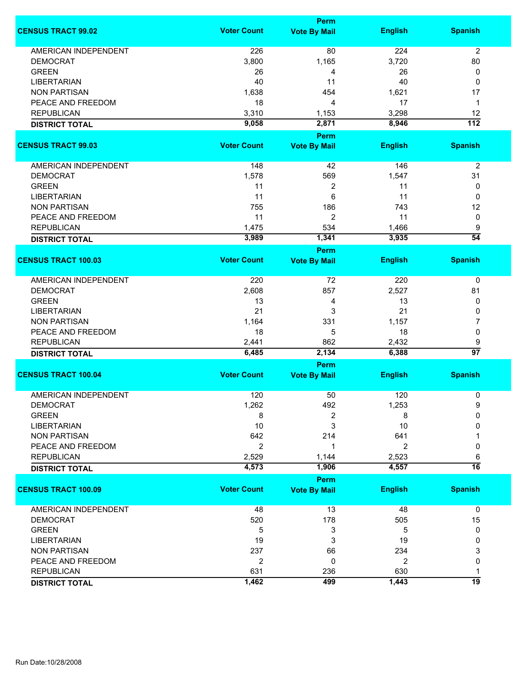|                             | Perm               |                                    |                |                  |
|-----------------------------|--------------------|------------------------------------|----------------|------------------|
| <b>CENSUS TRACT 99.02</b>   | <b>Voter Count</b> | <b>Vote By Mail</b>                | <b>English</b> | <b>Spanish</b>   |
| <b>AMERICAN INDEPENDENT</b> | 226                | 80                                 | 224            | $\overline{2}$   |
| <b>DEMOCRAT</b>             | 3,800              | 1,165                              | 3,720          | 80               |
| <b>GREEN</b>                | 26                 | 4                                  | 26             | 0                |
| <b>LIBERTARIAN</b>          | 40                 | 11                                 | 40             | 0                |
| <b>NON PARTISAN</b>         | 1,638              | 454                                | 1,621          | 17               |
| PEACE AND FREEDOM           | 18                 | 4                                  | 17             | $\mathbf 1$      |
| <b>REPUBLICAN</b>           | 3,310              | 1,153                              | 3,298          | 12               |
|                             | 9,058              | 2,871                              | 8,946          | $\overline{112}$ |
| <b>DISTRICT TOTAL</b>       |                    | Perm                               |                |                  |
| <b>CENSUS TRACT 99.03</b>   | <b>Voter Count</b> | <b>Vote By Mail</b>                | <b>English</b> | <b>Spanish</b>   |
| <b>AMERICAN INDEPENDENT</b> | 148                | 42                                 | 146            | $\overline{2}$   |
| <b>DEMOCRAT</b>             | 1,578              | 569                                | 1,547          | 31               |
| <b>GREEN</b>                | 11                 | 2                                  | 11             | 0                |
| <b>LIBERTARIAN</b>          | 11                 | 6                                  | 11             | 0                |
| <b>NON PARTISAN</b>         | 755                | 186                                | 743            | 12               |
|                             |                    |                                    |                |                  |
| PEACE AND FREEDOM           | 11                 | $\overline{c}$                     | 11             | 0                |
| <b>REPUBLICAN</b>           | 1,475              | 534                                | 1,466          | 9                |
| <b>DISTRICT TOTAL</b>       | 3,989              | 1,341                              | 3,935          | $\overline{54}$  |
| <b>CENSUS TRACT 100.03</b>  | <b>Voter Count</b> | <b>Perm</b><br><b>Vote By Mail</b> | <b>English</b> | <b>Spanish</b>   |
|                             |                    |                                    |                |                  |
| AMERICAN INDEPENDENT        | 220                | 72                                 | 220            | 0                |
| <b>DEMOCRAT</b>             | 2,608              | 857                                | 2,527          | 81               |
| <b>GREEN</b>                | 13                 | 4                                  | 13             | 0                |
| <b>LIBERTARIAN</b>          | 21                 | 3                                  | 21             | 0                |
| <b>NON PARTISAN</b>         | 1,164              | 331                                | 1,157          | 7                |
| PEACE AND FREEDOM           | 18                 | 5                                  | 18             | 0                |
| <b>REPUBLICAN</b>           | 2,441              | 862                                | 2,432          | 9                |
| <b>DISTRICT TOTAL</b>       | 6,485              | 2,134                              | 6,388          | $\overline{97}$  |
|                             |                    | <b>Perm</b>                        |                |                  |
| <b>CENSUS TRACT 100.04</b>  | <b>Voter Count</b> | <b>Vote By Mail</b>                | <b>English</b> | <b>Spanish</b>   |
| <b>AMERICAN INDEPENDENT</b> | 120                | 50                                 | 120            | 0                |
| DEMOCRAT                    | 1,262              | 492                                | 1,253          | 9                |
| <b>GREEN</b>                | 8                  | 2                                  | 8              | 0                |
| <b>LIBERTARIAN</b>          | 10                 | 3                                  | 10             | 0                |
| <b>NON PARTISAN</b>         | 642                | 214                                | 641            |                  |
| PEACE AND FREEDOM           |                    |                                    |                |                  |
|                             | $\overline{2}$     | 1                                  | $\overline{2}$ | 0                |
| <b>REPUBLICAN</b>           | 2,529              | 1,144                              | 2,523          | 6                |
| <b>DISTRICT TOTAL</b>       | 4,573              | 1,906                              | 4,557          | $\overline{16}$  |
| <b>CENSUS TRACT 100.09</b>  | <b>Voter Count</b> | Perm<br><b>Vote By Mail</b>        | <b>English</b> | <b>Spanish</b>   |
|                             |                    |                                    |                |                  |
| <b>AMERICAN INDEPENDENT</b> | 48                 | 13                                 | 48             | $\mathbf 0$      |
| <b>DEMOCRAT</b>             | 520                | 178                                | 505            | 15               |
| <b>GREEN</b>                | 5                  | 3                                  | 5              | 0                |
| <b>LIBERTARIAN</b>          | 19                 | 3                                  | 19             | 0                |
| <b>NON PARTISAN</b>         | 237                | 66                                 | 234            | 3                |
| PEACE AND FREEDOM           | 2                  | 0                                  | $\overline{2}$ | 0                |
| <b>REPUBLICAN</b>           | 631                | 236                                | 630            | 1                |
| <b>DISTRICT TOTAL</b>       | 1,462              | 499                                | 1,443          | 19               |
|                             |                    |                                    |                |                  |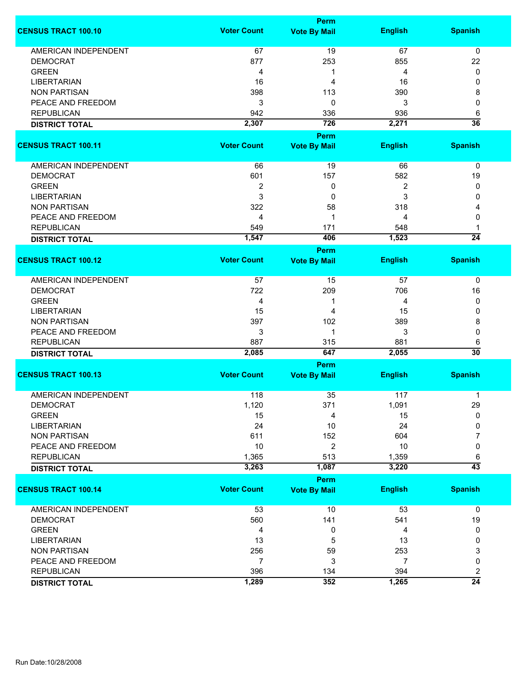|                             |                    | <b>Perm</b>                 |                |                 |
|-----------------------------|--------------------|-----------------------------|----------------|-----------------|
| <b>CENSUS TRACT 100.10</b>  | <b>Voter Count</b> | <b>Vote By Mail</b>         | <b>English</b> | <b>Spanish</b>  |
| <b>AMERICAN INDEPENDENT</b> | 67                 | 19                          | 67             | 0               |
| <b>DEMOCRAT</b>             | 877                | 253                         | 855            | 22              |
| <b>GREEN</b>                | 4                  | 1                           | 4              | 0               |
| <b>LIBERTARIAN</b>          | 16                 | 4                           | 16             | 0               |
| <b>NON PARTISAN</b>         |                    |                             |                |                 |
| PEACE AND FREEDOM           | 398                | 113                         | 390            | 8               |
|                             | 3                  | 0                           | 3              | 0               |
| <b>REPUBLICAN</b>           | 942                | 336                         | 936            | 6               |
| <b>DISTRICT TOTAL</b>       | 2,307              | 726                         | 2,271          | $\overline{36}$ |
|                             |                    | <b>Perm</b>                 |                |                 |
| <b>CENSUS TRACT 100.11</b>  | <b>Voter Count</b> | <b>Vote By Mail</b>         | <b>English</b> | <b>Spanish</b>  |
| AMERICAN INDEPENDENT        | 66                 | 19                          | 66             | 0               |
| <b>DEMOCRAT</b>             | 601                | 157                         | 582            | 19              |
| <b>GREEN</b>                | 2                  | 0                           | 2              | 0               |
| <b>LIBERTARIAN</b>          | 3                  | 0                           | 3              | 0               |
| <b>NON PARTISAN</b>         | 322                | 58                          | 318            | 4               |
| PEACE AND FREEDOM           | 4                  | 1                           | 4              | 0               |
| <b>REPUBLICAN</b>           | 549                | 171                         | 548            | 1               |
|                             | 1,547              | 406                         | 1,523          | $\overline{24}$ |
| <b>DISTRICT TOTAL</b>       |                    | <b>Perm</b>                 |                |                 |
| <b>CENSUS TRACT 100.12</b>  | <b>Voter Count</b> | <b>Vote By Mail</b>         | <b>English</b> | <b>Spanish</b>  |
| <b>AMERICAN INDEPENDENT</b> | 57                 | 15                          | 57             | 0               |
| <b>DEMOCRAT</b>             | 722                | 209                         | 706            | 16              |
| <b>GREEN</b>                | 4                  | 1                           | 4              | 0               |
| <b>LIBERTARIAN</b>          | 15                 | 4                           | 15             | 0               |
| <b>NON PARTISAN</b>         | 397                | 102                         | 389            | 8               |
| PEACE AND FREEDOM           | 3                  | 1                           | 3              | 0               |
| <b>REPUBLICAN</b>           | 887                | 315                         | 881            | 6               |
| <b>DISTRICT TOTAL</b>       | 2,085              | 647                         | 2,055          | $\overline{30}$ |
|                             |                    | Perm                        |                |                 |
| <b>CENSUS TRACT 100.13</b>  | <b>Voter Count</b> | <b>Vote By Mail</b>         | <b>English</b> | <b>Spanish</b>  |
| <b>AMERICAN INDEPENDENT</b> | 118                | 35                          | 117            | 1               |
| <b>DEMOCRAT</b>             | 1,120              | 371                         | 1,091          | 29              |
| <b>GREEN</b>                | 15                 | 4                           | 15             | 0               |
| <b>LIBERTARIAN</b>          | 24                 | 10                          | 24             | 0               |
|                             |                    |                             |                |                 |
| <b>NON PARTISAN</b>         | 611                | 152                         | 604            | 7               |
| PEACE AND FREEDOM           | 10                 | 2                           | 10             | 0               |
| <b>REPUBLICAN</b>           | 1,365              | 513                         | 1,359          | 6               |
| <b>DISTRICT TOTAL</b>       | 3,263              | 1,087                       | 3,220          | $\overline{43}$ |
| <b>CENSUS TRACT 100.14</b>  | <b>Voter Count</b> | Perm<br><b>Vote By Mail</b> | <b>English</b> | <b>Spanish</b>  |
| <b>AMERICAN INDEPENDENT</b> | 53                 | 10                          | 53             | 0               |
| <b>DEMOCRAT</b>             | 560                | 141                         | 541            | 19              |
| <b>GREEN</b>                | 4                  | 0                           | 4              | 0               |
| <b>LIBERTARIAN</b>          | 13                 | 5                           | 13             | 0               |
| <b>NON PARTISAN</b>         | 256                | 59                          | 253            | 3               |
| PEACE AND FREEDOM           | 7                  | 3                           | 7              | 0               |
| <b>REPUBLICAN</b>           | 396                | 134                         | 394            | 2               |
|                             | 1,289              | 352                         | 1,265          | $\overline{24}$ |
| <b>DISTRICT TOTAL</b>       |                    |                             |                |                 |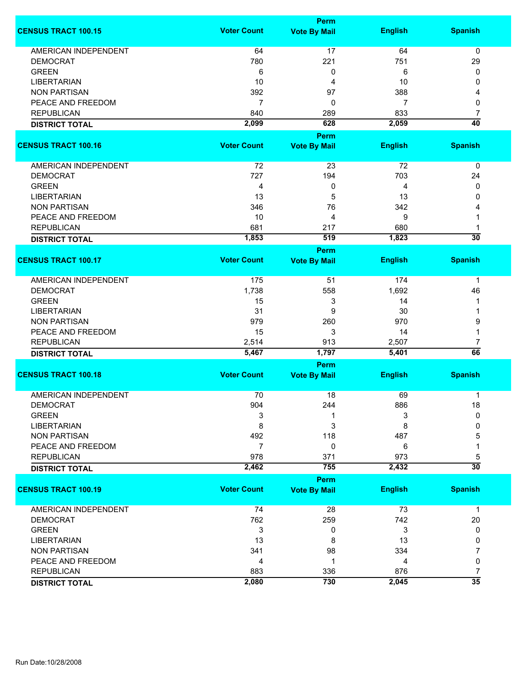|                             |                    | <b>Perm</b>         |                |                 |
|-----------------------------|--------------------|---------------------|----------------|-----------------|
| <b>CENSUS TRACT 100.15</b>  | <b>Voter Count</b> | <b>Vote By Mail</b> | <b>English</b> | <b>Spanish</b>  |
| <b>AMERICAN INDEPENDENT</b> | 64                 | 17                  | 64             | $\mathbf 0$     |
| <b>DEMOCRAT</b>             | 780                | 221                 | 751            | 29              |
| <b>GREEN</b>                | 6                  | 0                   | 6              | 0               |
| <b>LIBERTARIAN</b>          | 10                 | 4                   | 10             | 0               |
| <b>NON PARTISAN</b>         | 392                | 97                  | 388            | 4               |
| PEACE AND FREEDOM           | $\overline{7}$     | 0                   | 7              | 0               |
| <b>REPUBLICAN</b>           | 840                | 289                 | 833            |                 |
|                             |                    |                     |                | 7               |
| <b>DISTRICT TOTAL</b>       | 2,099              | 628                 | 2,059          | $\overline{40}$ |
| <b>CENSUS TRACT 100.16</b>  | <b>Voter Count</b> | <b>Perm</b>         |                | <b>Spanish</b>  |
|                             |                    | <b>Vote By Mail</b> | <b>English</b> |                 |
| AMERICAN INDEPENDENT        | 72                 | 23                  | 72             | 0               |
| <b>DEMOCRAT</b>             | 727                | 194                 | 703            | 24              |
| <b>GREEN</b>                | 4                  | 0                   | 4              | 0               |
| <b>LIBERTARIAN</b>          | 13                 | 5                   | 13             | 0               |
| <b>NON PARTISAN</b>         | 346                | 76                  | 342            |                 |
| PEACE AND FREEDOM           | 10                 | 4                   | 9              |                 |
| <b>REPUBLICAN</b>           | 681                | 217                 | 680            |                 |
| <b>DISTRICT TOTAL</b>       | 1,853              | 519                 | 1,823          | $\overline{30}$ |
|                             |                    | <b>Perm</b>         |                |                 |
| <b>CENSUS TRACT 100.17</b>  | <b>Voter Count</b> | <b>Vote By Mail</b> | <b>English</b> | <b>Spanish</b>  |
| <b>AMERICAN INDEPENDENT</b> | 175                | 51                  | 174            | 1               |
| <b>DEMOCRAT</b>             | 1,738              | 558                 | 1,692          | 46              |
| <b>GREEN</b>                | 15                 | 3                   | 14             |                 |
| <b>LIBERTARIAN</b>          | 31                 | 9                   | 30             |                 |
| <b>NON PARTISAN</b>         | 979                | 260                 | 970            | 9               |
| PEACE AND FREEDOM           | 15                 | 3                   | 14             | 1               |
| <b>REPUBLICAN</b>           | 2,514              | 913                 | 2,507          | 7               |
| <b>DISTRICT TOTAL</b>       | 5,467              | 1,797               | 5,401          | 66              |
|                             |                    | Perm                |                |                 |
| <b>CENSUS TRACT 100.18</b>  | <b>Voter Count</b> | <b>Vote By Mail</b> | <b>English</b> | <b>Spanish</b>  |
|                             |                    |                     |                |                 |
| <b>AMERICAN INDEPENDENT</b> | 70                 | 18                  | 69             | 1               |
| <b>DEMOCRAT</b>             | 904                | 244                 | 886            | 18              |
| <b>GREEN</b>                | 3                  |                     | 3              | $\mathbf{0}$    |
| <b>LIBERTARIAN</b>          | 8                  | 3                   | 8              | 0               |
| <b>NON PARTISAN</b>         | 492                | 118                 | 487            | 5               |
| PEACE AND FREEDOM           | 7                  | 0                   | 6              | 1               |
| <b>REPUBLICAN</b>           | 978                | 371                 | 973            | 5               |
| <b>DISTRICT TOTAL</b>       | 2,462              | 755                 | 2,432          | $\overline{30}$ |
|                             |                    | <b>Perm</b>         |                |                 |
| <b>CENSUS TRACT 100.19</b>  | <b>Voter Count</b> | <b>Vote By Mail</b> | <b>English</b> | <b>Spanish</b>  |
| <b>AMERICAN INDEPENDENT</b> | 74                 | 28                  | 73             | $\mathbf 1$     |
| <b>DEMOCRAT</b>             | 762                | 259                 | 742            | 20              |
| <b>GREEN</b>                | 3                  | 0                   | 3              | 0               |
| <b>LIBERTARIAN</b>          | 13                 | 8                   | 13             | 0               |
| <b>NON PARTISAN</b>         | 341                | 98                  | 334            | 7               |
| PEACE AND FREEDOM           | 4                  | 1                   | 4              | 0               |
| <b>REPUBLICAN</b>           | 883                | 336                 | 876            | 7               |
| <b>DISTRICT TOTAL</b>       | 2,080              | 730                 | 2,045          | $\overline{35}$ |
|                             |                    |                     |                |                 |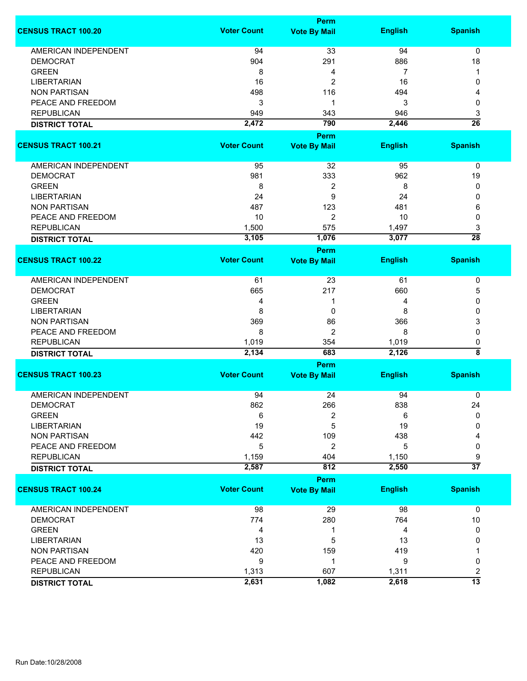|                             |                    | <b>Perm</b>                 |                |                         |
|-----------------------------|--------------------|-----------------------------|----------------|-------------------------|
| <b>CENSUS TRACT 100.20</b>  | <b>Voter Count</b> | <b>Vote By Mail</b>         | <b>English</b> | <b>Spanish</b>          |
| <b>AMERICAN INDEPENDENT</b> | 94                 | 33                          | 94             | 0                       |
| <b>DEMOCRAT</b>             | 904                | 291                         | 886            | 18                      |
| <b>GREEN</b>                | 8                  | 4                           | 7              | 1                       |
| <b>LIBERTARIAN</b>          | 16                 | 2                           | 16             | 0                       |
| <b>NON PARTISAN</b>         | 498                | 116                         | 494            | 4                       |
| PEACE AND FREEDOM           | 3                  | 1                           | 3              | 0                       |
|                             |                    |                             |                |                         |
| <b>REPUBLICAN</b>           | 949                | 343                         | 946            | 3                       |
| <b>DISTRICT TOTAL</b>       | 2,472              | 790                         | 2,446          | $\overline{26}$         |
|                             |                    | <b>Perm</b>                 |                |                         |
| <b>CENSUS TRACT 100.21</b>  | <b>Voter Count</b> | <b>Vote By Mail</b>         | <b>English</b> | <b>Spanish</b>          |
| <b>AMERICAN INDEPENDENT</b> | 95                 | 32                          | 95             | 0                       |
| <b>DEMOCRAT</b>             | 981                | 333                         | 962            | 19                      |
| <b>GREEN</b>                | 8                  | $\boldsymbol{2}$            | 8              | 0                       |
| <b>LIBERTARIAN</b>          | 24                 | 9                           | 24             | 0                       |
| <b>NON PARTISAN</b>         | 487                | 123                         | 481            | 6                       |
| PEACE AND FREEDOM           | 10                 | $\overline{2}$              | 10             | 0                       |
| <b>REPUBLICAN</b>           | 1,500              | 575                         | 1,497          | 3                       |
|                             | 3,105              | 1,076                       | 3,077          | $\overline{28}$         |
| <b>DISTRICT TOTAL</b>       |                    |                             |                |                         |
| <b>CENSUS TRACT 100.22</b>  | <b>Voter Count</b> | Perm<br><b>Vote By Mail</b> | <b>English</b> | <b>Spanish</b>          |
|                             |                    |                             |                |                         |
| <b>AMERICAN INDEPENDENT</b> | 61                 | 23                          | 61             | 0                       |
| <b>DEMOCRAT</b>             | 665                | 217                         | 660            | 5                       |
| <b>GREEN</b>                | 4                  | 1                           | 4              | 0                       |
| <b>LIBERTARIAN</b>          | 8                  | 0                           | 8              | 0                       |
| <b>NON PARTISAN</b>         | 369                | 86                          | 366            | 3                       |
| PEACE AND FREEDOM           | 8                  | 2                           | 8              | 0                       |
| <b>REPUBLICAN</b>           | 1,019              | 354                         | 1,019          | 0                       |
| <b>DISTRICT TOTAL</b>       | 2,134              | 683                         | 2,126          | ह                       |
|                             |                    | <b>Perm</b>                 |                |                         |
| <b>CENSUS TRACT 100.23</b>  | <b>Voter Count</b> | <b>Vote By Mail</b>         | <b>English</b> | <b>Spanish</b>          |
| <b>AMERICAN INDEPENDENT</b> | 94                 | 24                          | 94             | 0                       |
| <b>DEMOCRAT</b>             | 862                | 266                         | 838            | 24                      |
| <b>GREEN</b>                |                    |                             |                | 0                       |
| <b>LIBERTARIAN</b>          | 6                  | 2                           | 6              |                         |
|                             | 19                 | 5                           | 19             | 0                       |
| <b>NON PARTISAN</b>         | 442                | 109                         | 438            |                         |
| PEACE AND FREEDOM           | 5                  | 2                           | 5              | 0                       |
| <b>REPUBLICAN</b>           | 1,159              | 404                         | 1,150          | 9                       |
| <b>DISTRICT TOTAL</b>       | 2,587              | 812                         | 2,550          | $\overline{37}$         |
|                             |                    | <b>Perm</b>                 |                |                         |
| <b>CENSUS TRACT 100.24</b>  | <b>Voter Count</b> | <b>Vote By Mail</b>         | <b>English</b> | <b>Spanish</b>          |
| <b>AMERICAN INDEPENDENT</b> | 98                 | 29                          | 98             | 0                       |
| <b>DEMOCRAT</b>             | 774                | 280                         | 764            | $10$                    |
| <b>GREEN</b>                | 4                  | 1                           | 4              | 0                       |
| <b>LIBERTARIAN</b>          | 13                 | 5                           | 13             | 0                       |
| <b>NON PARTISAN</b>         | 420                | 159                         | 419            |                         |
| PEACE AND FREEDOM           | 9                  | 1                           | 9              | 0                       |
| <b>REPUBLICAN</b>           | 1,313              | 607                         | 1,311          | $\overline{\mathbf{c}}$ |
|                             | 2,631              | 1,082                       | 2,618          | $\overline{13}$         |
| <b>DISTRICT TOTAL</b>       |                    |                             |                |                         |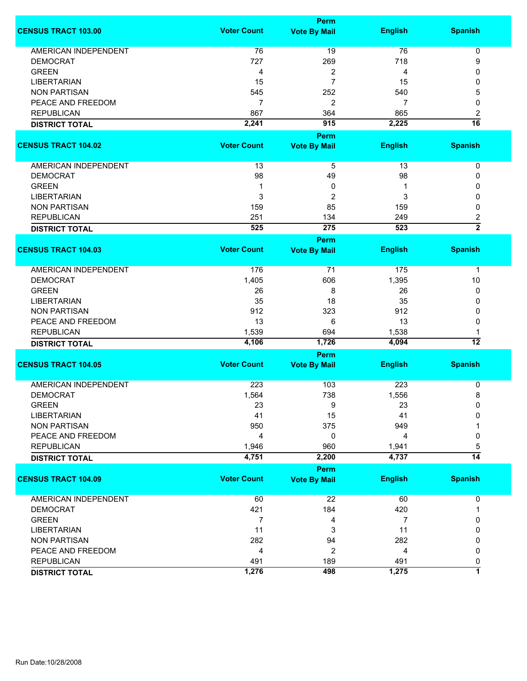|                             |                    | Perm                |                |                 |
|-----------------------------|--------------------|---------------------|----------------|-----------------|
| <b>CENSUS TRACT 103.00</b>  | <b>Voter Count</b> | <b>Vote By Mail</b> | <b>English</b> | <b>Spanish</b>  |
| AMERICAN INDEPENDENT        | 76                 | 19                  | 76             | 0               |
| <b>DEMOCRAT</b>             | 727                | 269                 | 718            | 9               |
| <b>GREEN</b>                | 4                  | 2                   | 4              | 0               |
| <b>LIBERTARIAN</b>          | 15                 | $\overline{7}$      | 15             | 0               |
| <b>NON PARTISAN</b>         | 545                | 252                 | 540            | 5               |
| PEACE AND FREEDOM           | $\overline{7}$     |                     | 7              |                 |
| <b>REPUBLICAN</b>           |                    | 2                   |                | 0               |
|                             | 867                | 364                 | 865            | 2               |
| <b>DISTRICT TOTAL</b>       | 2,241              | 915                 | 2,225          | $\overline{16}$ |
|                             |                    | <b>Perm</b>         |                |                 |
| <b>CENSUS TRACT 104.02</b>  | <b>Voter Count</b> | <b>Vote By Mail</b> | <b>English</b> | <b>Spanish</b>  |
| AMERICAN INDEPENDENT        | 13                 | 5                   | 13             | $\pmb{0}$       |
| <b>DEMOCRAT</b>             | 98                 | 49                  | 98             | 0               |
| <b>GREEN</b>                | 1                  | 0                   | 1              | 0               |
| <b>LIBERTARIAN</b>          | 3                  | 2                   | 3              | 0               |
| <b>NON PARTISAN</b>         | 159                | 85                  | 159            | 0               |
| <b>REPUBLICAN</b>           | 251                | 134                 | 249            | 2               |
|                             | 525                | 275                 | 523            | $\overline{2}$  |
| <b>DISTRICT TOTAL</b>       |                    |                     |                |                 |
|                             |                    | Perm                |                |                 |
| <b>CENSUS TRACT 104.03</b>  | <b>Voter Count</b> | <b>Vote By Mail</b> | <b>English</b> | <b>Spanish</b>  |
| <b>AMERICAN INDEPENDENT</b> | 176                | 71                  | 175            | 1               |
| <b>DEMOCRAT</b>             | 1,405              | 606                 | 1,395          | 10              |
| <b>GREEN</b>                | 26                 | 8                   | 26             | 0               |
| <b>LIBERTARIAN</b>          | 35                 | 18                  | 35             | 0               |
| <b>NON PARTISAN</b>         | 912                | 323                 | 912            | 0               |
| PEACE AND FREEDOM           | 13                 | 6                   | 13             | 0               |
| <b>REPUBLICAN</b>           | 1,539              | 694                 | 1,538          | 1               |
| <b>DISTRICT TOTAL</b>       | 4,106              | 1,726               | 4,094          | 12              |
|                             |                    |                     |                |                 |
|                             |                    | Perm                |                |                 |
| <b>CENSUS TRACT 104.05</b>  | <b>Voter Count</b> | <b>Vote By Mail</b> | <b>English</b> | <b>Spanish</b>  |
| <b>AMERICAN INDEPENDENT</b> | 223                | 103                 | 223            | 0               |
| <b>DEMOCRAT</b>             | 1,564              | 738                 | 1,556          | 8               |
| <b>GREEN</b>                | 23                 | 9                   | 23             | 0               |
| <b>LIBERTARIAN</b>          | 41                 | 15                  | 41             | O               |
| <b>NON PARTISAN</b>         | 950                | 375                 | 949            |                 |
| PEACE AND FREEDOM           | 4                  | 0                   | 4              | 0               |
| <b>REPUBLICAN</b>           | 1,946              | 960                 | 1,941          | 5               |
| <b>DISTRICT TOTAL</b>       | 4,751              | 2,200               | 4,737          | $\overline{14}$ |
|                             |                    |                     |                |                 |
| <b>CENSUS TRACT 104.09</b>  | <b>Voter Count</b> | Perm                |                | <b>Spanish</b>  |
|                             |                    | <b>Vote By Mail</b> | <b>English</b> |                 |
| <b>AMERICAN INDEPENDENT</b> | 60                 | 22                  | 60             | 0               |
| <b>DEMOCRAT</b>             | 421                | 184                 | 420            | 1               |
| <b>GREEN</b>                | 7                  | 4                   | 7              | 0               |
| <b>LIBERTARIAN</b>          | 11                 | 3                   | 11             | 0               |
| <b>NON PARTISAN</b>         | 282                | 94                  | 282            | 0               |
| PEACE AND FREEDOM           | 4                  | $\overline{c}$      | 4              | 0               |
| <b>REPUBLICAN</b>           | 491                | 189                 | 491            | 0               |
| <b>DISTRICT TOTAL</b>       | 1,276              | 498                 | 1,275          | 7               |
|                             |                    |                     |                |                 |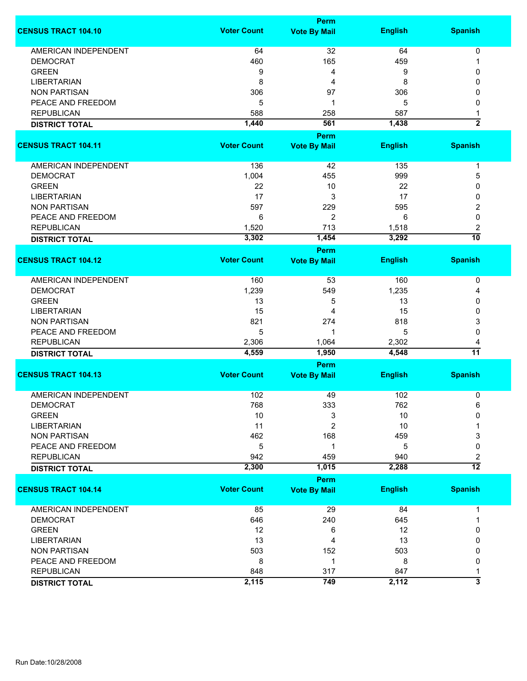|                             |                    | <b>Perm</b>         |                |                         |
|-----------------------------|--------------------|---------------------|----------------|-------------------------|
| <b>CENSUS TRACT 104.10</b>  | <b>Voter Count</b> | <b>Vote By Mail</b> | <b>English</b> | <b>Spanish</b>          |
| <b>AMERICAN INDEPENDENT</b> | 64                 | 32                  | 64             | 0                       |
| <b>DEMOCRAT</b>             | 460                | 165                 | 459            | 1                       |
| <b>GREEN</b>                | 9                  | 4                   | 9              | 0                       |
| <b>LIBERTARIAN</b>          | 8                  | 4                   | 8              | 0                       |
| <b>NON PARTISAN</b>         | 306                | 97                  | 306            | 0                       |
| PEACE AND FREEDOM           | 5                  | 1                   | 5              | 0                       |
| <b>REPUBLICAN</b>           | 588                | 258                 | 587            |                         |
|                             |                    | 561                 | 1,438          | 1<br>$\overline{2}$     |
| <b>DISTRICT TOTAL</b>       | 1,440              | <b>Perm</b>         |                |                         |
| <b>CENSUS TRACT 104.11</b>  | <b>Voter Count</b> | <b>Vote By Mail</b> | <b>English</b> | <b>Spanish</b>          |
|                             |                    |                     |                |                         |
| AMERICAN INDEPENDENT        | 136                | 42                  | 135            | 1                       |
| <b>DEMOCRAT</b>             | 1,004              | 455                 | 999            | 5                       |
| <b>GREEN</b>                | 22                 | 10                  | 22             | 0                       |
| <b>LIBERTARIAN</b>          | 17                 | 3                   | 17             | 0                       |
| <b>NON PARTISAN</b>         | 597                | 229                 | 595            | 2                       |
| PEACE AND FREEDOM           | 6                  | 2                   | 6              | 0                       |
| <b>REPUBLICAN</b>           | 1,520              | 713                 | 1,518          | 2                       |
| <b>DISTRICT TOTAL</b>       | 3,302              | 1,454               | 3,292          | $\overline{10}$         |
|                             |                    | <b>Perm</b>         |                |                         |
| <b>CENSUS TRACT 104.12</b>  | <b>Voter Count</b> | <b>Vote By Mail</b> | <b>English</b> | <b>Spanish</b>          |
| <b>AMERICAN INDEPENDENT</b> | 160                | 53                  | 160            | 0                       |
| <b>DEMOCRAT</b>             | 1,239              | 549                 | 1,235          | 4                       |
| <b>GREEN</b>                | 13                 | 5                   | 13             | 0                       |
| <b>LIBERTARIAN</b>          | 15                 | 4                   | 15             | 0                       |
| <b>NON PARTISAN</b>         | 821                | 274                 | 818            | 3                       |
| PEACE AND FREEDOM           | 5                  | 1                   | 5              | 0                       |
| <b>REPUBLICAN</b>           | 2,306              | 1,064               | 2,302          | 4                       |
| <b>DISTRICT TOTAL</b>       | 4,559              | 1,950               | 4,548          | $\overline{11}$         |
|                             |                    | Perm                |                |                         |
| <b>CENSUS TRACT 104.13</b>  | <b>Voter Count</b> | <b>Vote By Mail</b> | <b>English</b> | <b>Spanish</b>          |
| <b>AMERICAN INDEPENDENT</b> | 102                | 49                  | 102            | 0                       |
| <b>DEMOCRAT</b>             |                    |                     |                | 6                       |
| <b>GREEN</b>                | 768<br>10          | 333<br>3            | 762<br>10      | 0                       |
| <b>LIBERTARIAN</b>          |                    | $\overline{c}$      | 10             |                         |
|                             | 11                 |                     |                |                         |
| <b>NON PARTISAN</b>         | 462                | 168                 | 459            | 3                       |
| PEACE AND FREEDOM           | 5                  | 1                   | 5              | 0                       |
| <b>REPUBLICAN</b>           | 942                | 459                 | 940            | 2<br>$\overline{12}$    |
| <b>DISTRICT TOTAL</b>       | 2,300              | 1,015               | 2,288          |                         |
|                             | <b>Voter Count</b> | Perm                |                |                         |
| <b>CENSUS TRACT 104.14</b>  |                    | <b>Vote By Mail</b> | <b>English</b> | <b>Spanish</b>          |
| AMERICAN INDEPENDENT        | 85                 | 29                  | 84             | 1                       |
| <b>DEMOCRAT</b>             | 646                | 240                 | 645            | 1                       |
| <b>GREEN</b>                | 12                 | 6                   | 12             | 0                       |
| <b>LIBERTARIAN</b>          | 13                 | 4                   | 13             | 0                       |
| <b>NON PARTISAN</b>         | 503                | 152                 | 503            | 0                       |
| PEACE AND FREEDOM           | 8                  | 1                   | 8              | 0                       |
| <b>REPUBLICAN</b>           | 848                | 317                 | 847            | 1                       |
| <b>DISTRICT TOTAL</b>       | 2,115              | 749                 | 2,112          | $\overline{\mathbf{3}}$ |
|                             |                    |                     |                |                         |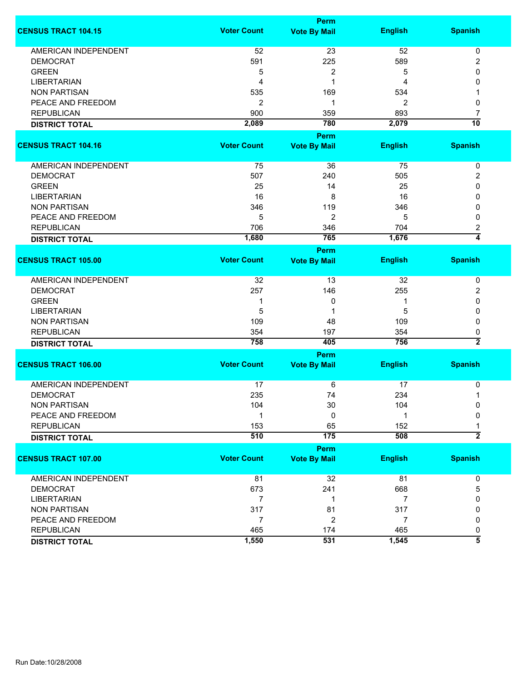|                             |                    | Perm                               |                |                    |
|-----------------------------|--------------------|------------------------------------|----------------|--------------------|
| <b>CENSUS TRACT 104.15</b>  | <b>Voter Count</b> | <b>Vote By Mail</b>                | <b>English</b> | <b>Spanish</b>     |
| <b>AMERICAN INDEPENDENT</b> | 52                 | 23                                 | 52             | 0                  |
| <b>DEMOCRAT</b>             | 591                | 225                                | 589            | 2                  |
| <b>GREEN</b>                | 5                  | 2                                  | 5              | 0                  |
| <b>LIBERTARIAN</b>          | 4                  | 1                                  | 4              | 0                  |
| <b>NON PARTISAN</b>         | 535                | 169                                | 534            |                    |
| PEACE AND FREEDOM           | 2                  | 1                                  | 2              | 0                  |
| <b>REPUBLICAN</b>           | 900                | 359                                | 893            | 7                  |
| <b>DISTRICT TOTAL</b>       | 2,089              | 780                                | 2,079          | $\overline{10}$    |
|                             |                    |                                    |                |                    |
| <b>CENSUS TRACT 104.16</b>  | <b>Voter Count</b> | <b>Perm</b><br><b>Vote By Mail</b> | <b>English</b> | <b>Spanish</b>     |
| AMERICAN INDEPENDENT        | 75                 | 36                                 | 75             | 0                  |
| <b>DEMOCRAT</b>             | 507                | 240                                | 505            | 2                  |
| <b>GREEN</b>                | 25                 | 14                                 | 25             | 0                  |
| <b>LIBERTARIAN</b>          | 16                 | 8                                  | 16             | 0                  |
| <b>NON PARTISAN</b>         | 346                | 119                                | 346            | 0                  |
| PEACE AND FREEDOM           | 5                  | $\overline{2}$                     | 5              | 0                  |
| <b>REPUBLICAN</b>           | 706                | 346                                | 704            | 2                  |
| <b>DISTRICT TOTAL</b>       | 1,680              | 765                                | 1,676          | $\overline{4}$     |
|                             |                    |                                    |                |                    |
| <b>CENSUS TRACT 105.00</b>  | <b>Voter Count</b> | <b>Perm</b><br><b>Vote By Mail</b> | <b>English</b> | <b>Spanish</b>     |
| <b>AMERICAN INDEPENDENT</b> | 32                 | 13                                 | 32             | 0                  |
| <b>DEMOCRAT</b>             | 257                | 146                                | 255            | 2                  |
| <b>GREEN</b>                | 1                  | 0                                  |                | 0                  |
| <b>LIBERTARIAN</b>          | 5                  | 1                                  | 5              | 0                  |
| <b>NON PARTISAN</b>         | 109                | 48                                 | 109            | 0                  |
| <b>REPUBLICAN</b>           | 354                | 197                                | 354            | 0                  |
|                             | 758                | 405                                | 756            | $\overline{2}$     |
| <b>DISTRICT TOTAL</b>       |                    |                                    |                |                    |
|                             |                    | Perm                               |                |                    |
| <b>CENSUS TRACT 106.00</b>  | <b>Voter Count</b> | <b>Vote By Mail</b>                | <b>English</b> | <b>Spanish</b>     |
| <b>AMERICAN INDEPENDENT</b> | 17                 | 6                                  | 17             | 0                  |
| <b>DEMOCRAT</b>             | 235                | 74                                 | 234            | 1                  |
| <b>NON PARTISAN</b>         | 104                | 30                                 | 104            | 0                  |
| PEACE AND FREEDOM           | 1                  | 0                                  | 1              | 0                  |
| <b>REPUBLICAN</b>           | 153                | 65                                 | 152            | 1                  |
| <b>DISTRICT TOTAL</b>       | 510                | $\overline{175}$                   | 508            | $\overline{2}$     |
|                             |                    | Perm                               |                |                    |
| <b>CENSUS TRACT 107.00</b>  | <b>Voter Count</b> | <b>Vote By Mail</b>                | <b>English</b> | <b>Spanish</b>     |
|                             |                    |                                    |                |                    |
| AMERICAN INDEPENDENT        | 81                 | 32                                 | 81             | 0                  |
| <b>DEMOCRAT</b>             | 673                | 241                                | 668            | 5                  |
| <b>LIBERTARIAN</b>          | $\overline{7}$     | -1                                 | $\overline{7}$ | 0                  |
| <b>NON PARTISAN</b>         | 317                | 81                                 | 317            | 0                  |
| PEACE AND FREEDOM           | $\overline{7}$     | 2                                  | $\overline{7}$ | 0                  |
| <b>REPUBLICAN</b>           | 465                | 174                                | 465            | 0                  |
| <b>DISTRICT TOTAL</b>       | 1,550              | 531                                | 1,545          | $\overline{\bf 5}$ |
|                             |                    |                                    |                |                    |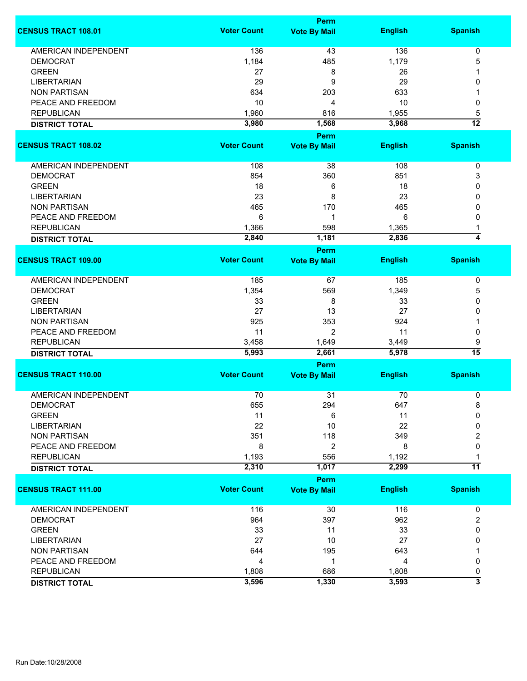|                                            |                    | <b>Perm</b>          |                |                     |
|--------------------------------------------|--------------------|----------------------|----------------|---------------------|
| <b>CENSUS TRACT 108.01</b>                 | <b>Voter Count</b> | <b>Vote By Mail</b>  | <b>English</b> | <b>Spanish</b>      |
| <b>AMERICAN INDEPENDENT</b>                | 136                | 43                   | 136            | 0                   |
| <b>DEMOCRAT</b>                            | 1,184              | 485                  | 1,179          | 5                   |
| <b>GREEN</b>                               | 27                 | 8                    | 26             |                     |
| <b>LIBERTARIAN</b>                         | 29                 | 9                    | 29             | 0                   |
| <b>NON PARTISAN</b>                        | 634                | 203                  | 633            |                     |
| PEACE AND FREEDOM                          | 10                 | 4                    | 10             | 0                   |
|                                            |                    |                      |                |                     |
| <b>REPUBLICAN</b>                          | 1,960              | 816                  | 1,955          | 5                   |
| <b>DISTRICT TOTAL</b>                      | 3,980              | 1,568<br><b>Perm</b> | 3,968          | $\overline{12}$     |
| <b>CENSUS TRACT 108.02</b>                 | <b>Voter Count</b> | <b>Vote By Mail</b>  | <b>English</b> | <b>Spanish</b>      |
| AMERICAN INDEPENDENT                       | 108                | 38                   | 108            | $\pmb{0}$           |
| <b>DEMOCRAT</b>                            | 854                | 360                  | 851            |                     |
|                                            |                    |                      |                | 3                   |
| <b>GREEN</b>                               | 18                 | 6                    | 18             | 0                   |
| <b>LIBERTARIAN</b>                         | 23                 | 8                    | 23             | 0                   |
| <b>NON PARTISAN</b>                        | 465                | 170                  | 465            | 0                   |
| PEACE AND FREEDOM                          | 6                  | 1                    | 6              | 0                   |
| <b>REPUBLICAN</b>                          | 1,366              | 598                  | 1,365          |                     |
| <b>DISTRICT TOTAL</b>                      | 2,840              | 1,181                | 2,836          | $\overline{\bf{4}}$ |
|                                            |                    | <b>Perm</b>          |                |                     |
| <b>CENSUS TRACT 109.00</b>                 | <b>Voter Count</b> | <b>Vote By Mail</b>  | <b>English</b> | <b>Spanish</b>      |
| AMERICAN INDEPENDENT                       | 185                | 67                   | 185            | 0                   |
| <b>DEMOCRAT</b>                            | 1,354              | 569                  | 1,349          | 5                   |
| <b>GREEN</b>                               | 33                 | 8                    | 33             | 0                   |
| <b>LIBERTARIAN</b>                         | 27                 | 13                   | 27             | 0                   |
| <b>NON PARTISAN</b>                        | 925                | 353                  | 924            | 1                   |
| PEACE AND FREEDOM                          | 11                 | $\overline{2}$       | 11             | 0                   |
| <b>REPUBLICAN</b>                          | 3,458              | 1,649                | 3,449          | 9                   |
| <b>DISTRICT TOTAL</b>                      | 5,993              | 2,661                | 5,978          | $\overline{15}$     |
|                                            |                    | <b>Perm</b>          |                |                     |
| <b>CENSUS TRACT 110.00</b>                 | <b>Voter Count</b> | <b>Vote By Mail</b>  | <b>English</b> | <b>Spanish</b>      |
| <b>AMERICAN INDEPENDENT</b>                | 70                 | 31                   | 70             | 0                   |
| DEMOCRAT                                   | 655                | 294                  | 647            | 8                   |
| <b>GREEN</b>                               | 11                 | 6                    | 11             | 0                   |
| <b>LIBERTARIAN</b>                         | 22                 | 10                   | 22             | 0                   |
| <b>NON PARTISAN</b>                        | 351                | 118                  | 349            | 2                   |
| PEACE AND FREEDOM                          | 8                  | $\overline{2}$       | 8              | 0                   |
|                                            |                    |                      |                |                     |
| <b>REPUBLICAN</b><br><b>DISTRICT TOTAL</b> | 1,193<br>2,310     | 556<br>1,017         | 1,192<br>2,299 | $\overline{11}$     |
|                                            |                    | <b>Perm</b>          |                |                     |
| <b>CENSUS TRACT 111.00</b>                 | <b>Voter Count</b> | <b>Vote By Mail</b>  | <b>English</b> | <b>Spanish</b>      |
| <b>AMERICAN INDEPENDENT</b>                | 116                | 30                   | 116            | 0                   |
| <b>DEMOCRAT</b>                            | 964                | 397                  | 962            | 2                   |
| <b>GREEN</b>                               | 33                 | 11                   | 33             | 0                   |
|                                            |                    |                      |                |                     |
| <b>LIBERTARIAN</b>                         | 27                 | 10                   | 27             | 0                   |
| <b>NON PARTISAN</b>                        | 644                | 195                  | 643            |                     |
| PEACE AND FREEDOM                          | 4                  | 1                    | 4              | 0                   |
| <b>REPUBLICAN</b>                          | 1,808              | 686                  | 1,808          | 0                   |
| <b>DISTRICT TOTAL</b>                      | 3,596              | 1,330                | 3,593          | 3                   |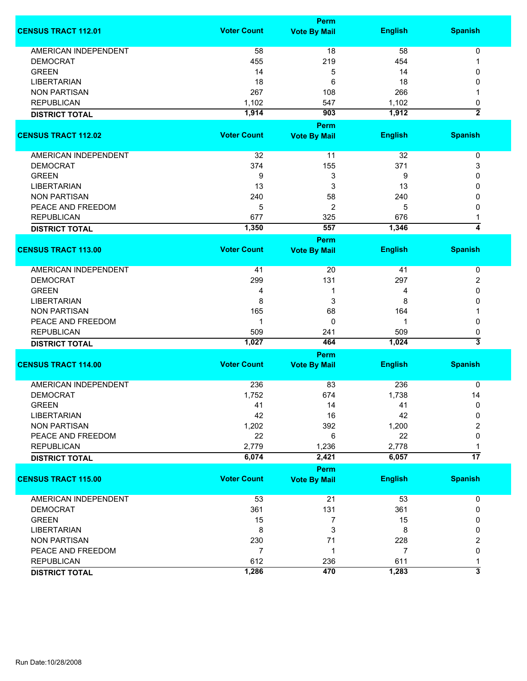|                             |                    | Perm                |                |                           |
|-----------------------------|--------------------|---------------------|----------------|---------------------------|
| <b>CENSUS TRACT 112.01</b>  | <b>Voter Count</b> | <b>Vote By Mail</b> | <b>English</b> | <b>Spanish</b>            |
| <b>AMERICAN INDEPENDENT</b> | 58                 | 18                  | 58             | $\pmb{0}$                 |
| <b>DEMOCRAT</b>             | 455                | 219                 | 454            |                           |
| <b>GREEN</b>                | 14                 | 5                   | 14             | 0                         |
| <b>LIBERTARIAN</b>          | 18                 | 6                   | 18             | 0                         |
|                             | 267                |                     | 266            |                           |
| <b>NON PARTISAN</b>         |                    | 108                 |                |                           |
| <b>REPUBLICAN</b>           | 1,102              | 547                 | 1,102          | 0<br>$\overline{2}$       |
| <b>DISTRICT TOTAL</b>       | 1,914              | 903                 | 1,912          |                           |
|                             |                    | Perm                |                |                           |
| <b>CENSUS TRACT 112.02</b>  | <b>Voter Count</b> | <b>Vote By Mail</b> | <b>English</b> | <b>Spanish</b>            |
|                             |                    |                     |                |                           |
| AMERICAN INDEPENDENT        | 32                 | 11                  | 32             | 0                         |
| <b>DEMOCRAT</b>             | 374                | 155                 | 371            | 3                         |
| <b>GREEN</b>                | 9                  | 3                   | 9              | 0                         |
| <b>LIBERTARIAN</b>          | 13                 | 3                   | 13             | 0                         |
| <b>NON PARTISAN</b>         | 240                | 58                  | 240            | 0                         |
| PEACE AND FREEDOM           | 5                  | 2                   | 5              | 0                         |
| <b>REPUBLICAN</b>           | 677                | 325                 | 676            | 1                         |
| <b>DISTRICT TOTAL</b>       | 1,350              | 557                 | 1,346          | 4                         |
|                             |                    | Perm                |                |                           |
| <b>CENSUS TRACT 113.00</b>  | <b>Voter Count</b> | <b>Vote By Mail</b> | <b>English</b> | <b>Spanish</b>            |
| AMERICAN INDEPENDENT        | 41                 | 20                  | 41             | 0                         |
| <b>DEMOCRAT</b>             | 299                | 131                 | 297            | 2                         |
| <b>GREEN</b>                | 4                  | 1                   | 4              | 0                         |
| <b>LIBERTARIAN</b>          | 8                  | 3                   | 8              | 0                         |
| <b>NON PARTISAN</b>         | 165                | 68                  | 164            |                           |
| PEACE AND FREEDOM           | 1                  | $\Omega$            | 1              | 0                         |
| <b>REPUBLICAN</b>           | 509                | 241                 | 509            | 0                         |
|                             | 1,027              | 464                 | 1,024          | $\overline{\overline{3}}$ |
| <b>DISTRICT TOTAL</b>       |                    |                     |                |                           |
|                             |                    | Perm                |                |                           |
| <b>CENSUS TRACT 114.00</b>  | <b>Voter Count</b> | <b>Vote By Mail</b> | <b>English</b> | <b>Spanish</b>            |
| <b>AMERICAN INDEPENDENT</b> | 236                | 83                  | 236            | 0                         |
| <b>DEMOCRAT</b>             | 1,752              | 674                 | 1,738          | 14                        |
| <b>GREEN</b>                | 41                 | 14                  | 41             | 0                         |
| <b>LIBERTARIAN</b>          | 42                 | 16                  | 42             | 0                         |
| <b>NON PARTISAN</b>         | 1,202              | 392                 | 1,200          | 2                         |
| PEACE AND FREEDOM           | 22                 | 6                   | 22             | 0                         |
|                             | 2,779              |                     | 2,778          |                           |
| <b>REPUBLICAN</b>           |                    | 1,236               |                | 1<br>$\overline{17}$      |
| <b>DISTRICT TOTAL</b>       | 6,074              | 2,421               | 6,057          |                           |
|                             |                    | Perm                |                |                           |
| <b>CENSUS TRACT 115.00</b>  | <b>Voter Count</b> | <b>Vote By Mail</b> | <b>English</b> | <b>Spanish</b>            |
| <b>AMERICAN INDEPENDENT</b> | 53                 | 21                  | 53             | 0                         |
| <b>DEMOCRAT</b>             | 361                | 131                 | 361            | 0                         |
| <b>GREEN</b>                | 15                 | $\overline{7}$      | 15             | 0                         |
| <b>LIBERTARIAN</b>          | 8                  | 3                   | 8              | 0                         |
| <b>NON PARTISAN</b>         | 230                | 71                  | 228            | 2                         |
| PEACE AND FREEDOM           | $\overline{7}$     | 1                   | 7              | 0                         |
| <b>REPUBLICAN</b>           | 612                | 236                 | 611            | 1                         |
| <b>DISTRICT TOTAL</b>       | 1,286              | 470                 | 1,283          | 3                         |
|                             |                    |                     |                |                           |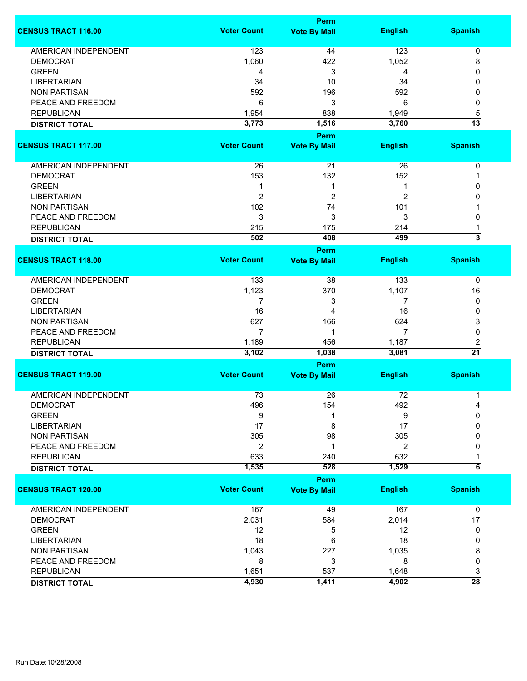|                             | <b>Perm</b>        |                                    |                |                         |  |
|-----------------------------|--------------------|------------------------------------|----------------|-------------------------|--|
| <b>CENSUS TRACT 116.00</b>  | <b>Voter Count</b> | <b>Vote By Mail</b>                | <b>English</b> | <b>Spanish</b>          |  |
| <b>AMERICAN INDEPENDENT</b> | 123                | 44                                 | 123            | 0                       |  |
| <b>DEMOCRAT</b>             | 1,060              | 422                                | 1,052          | 8                       |  |
| <b>GREEN</b>                | 4                  | 3                                  | 4              | 0                       |  |
| <b>LIBERTARIAN</b>          | 34                 | 10                                 | 34             | 0                       |  |
| <b>NON PARTISAN</b>         | 592                | 196                                | 592            | 0                       |  |
|                             |                    |                                    |                |                         |  |
| PEACE AND FREEDOM           | 6                  | 3                                  | 6              | 0                       |  |
| <b>REPUBLICAN</b>           | 1,954              | 838                                | 1,949          | 5                       |  |
| <b>DISTRICT TOTAL</b>       | 3,773              | 1,516                              | 3,760          | $\overline{13}$         |  |
| <b>CENSUS TRACT 117.00</b>  | <b>Voter Count</b> | <b>Perm</b><br><b>Vote By Mail</b> | <b>English</b> | <b>Spanish</b>          |  |
|                             |                    |                                    |                |                         |  |
| AMERICAN INDEPENDENT        | 26                 | 21                                 | 26             | 0                       |  |
| <b>DEMOCRAT</b>             | 153                | 132                                | 152            | 1                       |  |
| <b>GREEN</b>                | 1                  | 1                                  | 1              | 0                       |  |
| <b>LIBERTARIAN</b>          | $\overline{2}$     | 2                                  | 2              | 0                       |  |
| <b>NON PARTISAN</b>         | 102                | 74                                 | 101            |                         |  |
| PEACE AND FREEDOM           | 3                  | 3                                  | 3              | 0                       |  |
| <b>REPUBLICAN</b>           | 215                | 175                                | 214            |                         |  |
|                             | 502                | 408                                | 499            | $\overline{\mathbf{3}}$ |  |
| <b>DISTRICT TOTAL</b>       |                    | <b>Perm</b>                        |                |                         |  |
| <b>CENSUS TRACT 118.00</b>  | <b>Voter Count</b> | <b>Vote By Mail</b>                | <b>English</b> | <b>Spanish</b>          |  |
| <b>AMERICAN INDEPENDENT</b> | 133                | 38                                 | 133            | 0                       |  |
| <b>DEMOCRAT</b>             | 1,123              | 370                                | 1,107          | 16                      |  |
| <b>GREEN</b>                | 7                  | 3                                  | 7              | 0                       |  |
| <b>LIBERTARIAN</b>          | 16                 | 4                                  | 16             | 0                       |  |
| <b>NON PARTISAN</b>         | 627                | 166                                | 624            | 3                       |  |
| PEACE AND FREEDOM           | 7                  | 1                                  | 7              | 0                       |  |
|                             |                    |                                    |                |                         |  |
| <b>REPUBLICAN</b>           | 1,189<br>3,102     | 456<br>1,038                       | 1,187<br>3,081 | 2<br>$\overline{21}$    |  |
| <b>DISTRICT TOTAL</b>       |                    | Perm                               |                |                         |  |
| <b>CENSUS TRACT 119.00</b>  | <b>Voter Count</b> | <b>Vote By Mail</b>                | <b>English</b> | <b>Spanish</b>          |  |
|                             |                    |                                    |                |                         |  |
| <b>AMERICAN INDEPENDENT</b> | 73                 | 26                                 | 72             | 1                       |  |
| <b>DEMOCRAT</b>             | 496                | 154                                | 492            | 4                       |  |
| <b>GREEN</b>                | 9                  | 1                                  | 9              | 0                       |  |
| <b>LIBERTARIAN</b>          | 17                 | 8                                  | 17             | 0                       |  |
| <b>NON PARTISAN</b>         | 305                | 98                                 | 305            | 0                       |  |
| PEACE AND FREEDOM           | $\overline{2}$     | 1                                  | 2              | 0                       |  |
| <b>REPUBLICAN</b>           | 633                | 240                                | 632            |                         |  |
| <b>DISTRICT TOTAL</b>       | 1,535              | 528                                | 1,529          | $6\overline{6}$         |  |
|                             |                    | Perm                               |                |                         |  |
| <b>CENSUS TRACT 120.00</b>  | <b>Voter Count</b> | <b>Vote By Mail</b>                | <b>English</b> | <b>Spanish</b>          |  |
| AMERICAN INDEPENDENT        | 167                | 49                                 | 167            | 0                       |  |
| <b>DEMOCRAT</b>             | 2,031              | 584                                | 2,014          | 17                      |  |
| <b>GREEN</b>                | 12                 | 5                                  | 12             | 0                       |  |
| <b>LIBERTARIAN</b>          | 18                 | 6                                  | 18             | 0                       |  |
| <b>NON PARTISAN</b>         | 1,043              | 227                                | 1,035          | 8                       |  |
| PEACE AND FREEDOM           | 8                  | 3                                  | 8              | 0                       |  |
| <b>REPUBLICAN</b>           | 1,651              | 537                                | 1,648          | 3                       |  |
| <b>DISTRICT TOTAL</b>       | 4,930              | 1,411                              | 4,902          | $\overline{28}$         |  |
|                             |                    |                                    |                |                         |  |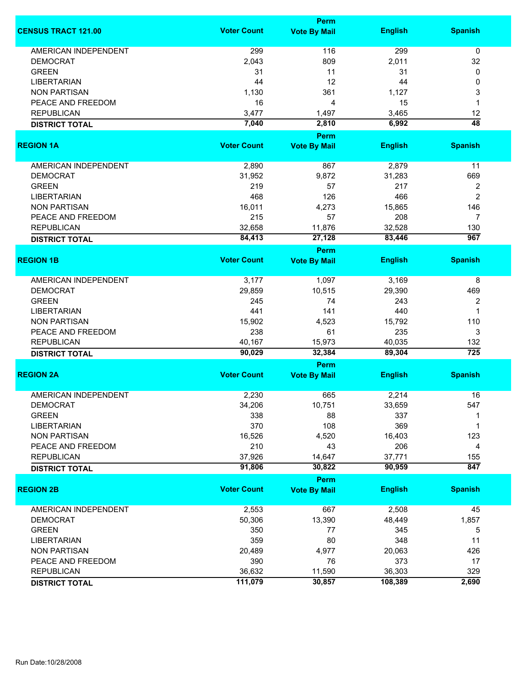|                             | <b>Perm</b>        |                     |                |                         |
|-----------------------------|--------------------|---------------------|----------------|-------------------------|
| <b>CENSUS TRACT 121.00</b>  | <b>Voter Count</b> | <b>Vote By Mail</b> | <b>English</b> | <b>Spanish</b>          |
| <b>AMERICAN INDEPENDENT</b> | 299                | 116                 | 299            | $\mathbf 0$             |
| <b>DEMOCRAT</b>             | 2,043              | 809                 | 2,011          | 32                      |
| <b>GREEN</b>                | 31                 | 11                  | 31             | 0                       |
| <b>LIBERTARIAN</b>          | 44                 | 12                  | 44             | 0                       |
| <b>NON PARTISAN</b>         | 1,130              | 361                 | 1,127          | 3                       |
| PEACE AND FREEDOM           | 16                 | 4                   | 15             | 1                       |
| <b>REPUBLICAN</b>           | 3,477              | 1,497               | 3,465          | 12                      |
|                             | 7,040              | 2,810               | 6,992          | $\overline{48}$         |
| <b>DISTRICT TOTAL</b>       |                    | Perm                |                |                         |
| <b>REGION 1A</b>            | <b>Voter Count</b> | <b>Vote By Mail</b> | <b>English</b> | <b>Spanish</b>          |
| AMERICAN INDEPENDENT        | 2,890              | 867                 | 2,879          | 11                      |
|                             |                    |                     |                |                         |
| <b>DEMOCRAT</b>             | 31,952             | 9,872               | 31,283         | 669                     |
| <b>GREEN</b>                | 219                | 57                  | 217            | $\overline{\mathbf{c}}$ |
| <b>LIBERTARIAN</b>          | 468                | 126                 | 466            | $\overline{c}$          |
| <b>NON PARTISAN</b>         | 16,011             | 4,273               | 15,865         | 146                     |
| PEACE AND FREEDOM           | 215                | 57                  | 208            | $\overline{7}$          |
| <b>REPUBLICAN</b>           | 32,658             | 11,876              | 32,528         | 130                     |
| <b>DISTRICT TOTAL</b>       | 84,413             | 27,128              | 83,446         | $\overline{967}$        |
|                             |                    | <b>Perm</b>         |                |                         |
| <b>REGION 1B</b>            | <b>Voter Count</b> | <b>Vote By Mail</b> | <b>English</b> | <b>Spanish</b>          |
| <b>AMERICAN INDEPENDENT</b> | 3,177              | 1,097               | 3,169          | 8                       |
| <b>DEMOCRAT</b>             | 29,859             | 10,515              | 29,390         | 469                     |
| <b>GREEN</b>                | 245                | 74                  | 243            | 2                       |
| <b>LIBERTARIAN</b>          | 441                | 141                 | 440            | 1                       |
| <b>NON PARTISAN</b>         | 15,902             | 4,523               | 15,792         | 110                     |
| PEACE AND FREEDOM           | 238                | 61                  | 235            | 3                       |
| <b>REPUBLICAN</b>           | 40,167             | 15,973              | 40,035         | 132                     |
| <b>DISTRICT TOTAL</b>       | 90,029             | 32,384              | 89,304         | $\overline{725}$        |
|                             |                    | Perm                |                |                         |
| <b>REGION 2A</b>            | <b>Voter Count</b> | <b>Vote By Mail</b> | <b>English</b> | <b>Spanish</b>          |
| <b>AMERICAN INDEPENDENT</b> | 2,230              | 665                 | 2,214          | 16                      |
| DEMOCRAT                    | 34,206             | 10,751              | 33,659         | 547                     |
| <b>GREEN</b>                | 338                | 88                  | 337            |                         |
| <b>LIBERTARIAN</b>          | 370                | 108                 | 369            | 1                       |
| <b>NON PARTISAN</b>         | 16,526             | 4,520               | 16,403         | 123                     |
| PEACE AND FREEDOM           | 210                | 43                  | 206            | 4                       |
| <b>REPUBLICAN</b>           | 37,926             | 14,647              | 37,771         | 155                     |
| <b>DISTRICT TOTAL</b>       | 91,806             | 30,822              | 90,959         | 847                     |
|                             |                    | Perm                |                |                         |
| <b>REGION 2B</b>            | <b>Voter Count</b> | <b>Vote By Mail</b> | <b>English</b> | <b>Spanish</b>          |
| <b>AMERICAN INDEPENDENT</b> | 2,553              | 667                 | 2,508          | 45                      |
| <b>DEMOCRAT</b>             | 50,306             | 13,390              | 48,449         | 1,857                   |
| <b>GREEN</b>                | 350                | 77                  | 345            | 5                       |
| <b>LIBERTARIAN</b>          | 359                | 80                  | 348            | 11                      |
| <b>NON PARTISAN</b>         | 20,489             | 4,977               | 20,063         | 426                     |
|                             |                    |                     | 373            |                         |
| PEACE AND FREEDOM           | 390                | 76                  |                | 17                      |
| <b>REPUBLICAN</b>           | 36,632             | 11,590              | 36,303         | 329                     |
| <b>DISTRICT TOTAL</b>       | 111,079            | 30,857              | 108,389        | 2,690                   |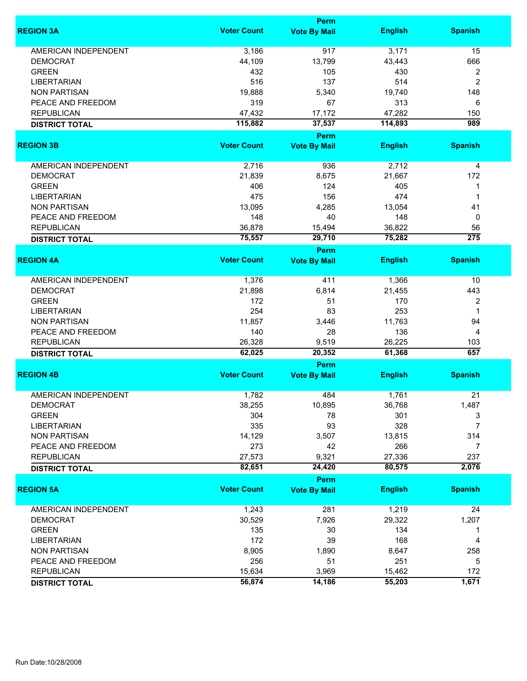|                             |                    | Perm                               |                  |                  |
|-----------------------------|--------------------|------------------------------------|------------------|------------------|
| <b>REGION 3A</b>            | <b>Voter Count</b> | <b>Vote By Mail</b>                | <b>English</b>   | <b>Spanish</b>   |
| <b>AMERICAN INDEPENDENT</b> | 3,186              | 917                                | 3,171            | 15               |
| <b>DEMOCRAT</b>             | 44,109             | 13,799                             | 43,443           | 666              |
| <b>GREEN</b>                | 432                | 105                                | 430              | 2                |
| <b>LIBERTARIAN</b>          | 516                | 137                                | 514              | $\overline{c}$   |
| <b>NON PARTISAN</b>         |                    |                                    |                  | 148              |
|                             | 19,888             | 5,340                              | 19,740           |                  |
| PEACE AND FREEDOM           | 319                | 67                                 | 313              | 6                |
| <b>REPUBLICAN</b>           | 47,432             | 17,172                             | 47,282           | 150              |
| <b>DISTRICT TOTAL</b>       | 115,882            | 37,537                             | 114,893          | 989              |
| <b>REGION 3B</b>            | <b>Voter Count</b> | Perm<br><b>Vote By Mail</b>        | <b>English</b>   | <b>Spanish</b>   |
|                             |                    |                                    |                  |                  |
| AMERICAN INDEPENDENT        | 2,716              | 936                                | 2,712            | 4                |
| <b>DEMOCRAT</b>             | 21,839             | 8,675                              | 21,667           | 172              |
| <b>GREEN</b>                | 406                | 124                                | 405              | 1                |
| <b>LIBERTARIAN</b>          | 475                | 156                                | 474              | 1                |
| <b>NON PARTISAN</b>         | 13,095             | 4,285                              | 13,054           | 41               |
| PEACE AND FREEDOM           | 148                | 40                                 | 148              | 0                |
| <b>REPUBLICAN</b>           | 36,878             | 15,494                             | 36,822           | 56               |
|                             |                    |                                    |                  | $\overline{275}$ |
| <b>DISTRICT TOTAL</b>       | 75,557             | 29,710                             | 75,282           |                  |
| <b>REGION 4A</b>            | <b>Voter Count</b> | <b>Perm</b><br><b>Vote By Mail</b> | <b>English</b>   | <b>Spanish</b>   |
|                             |                    |                                    |                  |                  |
| <b>AMERICAN INDEPENDENT</b> | 1,376              | 411                                | 1,366            | 10               |
| <b>DEMOCRAT</b>             | 21,898             | 6,814                              | 21,455           | 443              |
| <b>GREEN</b>                | 172                | 51                                 | 170              | 2                |
| LIBERTARIAN                 | 254                | 83                                 | 253              | $\mathbf 1$      |
| <b>NON PARTISAN</b>         | 11,857             | 3,446                              | 11,763           | 94               |
|                             |                    |                                    |                  |                  |
| PEACE AND FREEDOM           | 140                | 28                                 | 136              | 4                |
| <b>REPUBLICAN</b>           | 26,328<br>62,025   | 9,519<br>20,352                    | 26,225<br>61,368 | 103<br>657       |
| <b>DISTRICT TOTAL</b>       |                    | <b>Perm</b>                        |                  |                  |
| <b>REGION 4B</b>            | <b>Voter Count</b> | <b>Vote By Mail</b>                | <b>English</b>   | <b>Spanish</b>   |
|                             |                    |                                    |                  |                  |
| <b>AMERICAN INDEPENDENT</b> | 1,782              | 484                                | 1,761            | 21               |
| <b>DEMOCRAT</b>             | 38,255             | 10,895                             | 36,768           | 1,487            |
| <b>GREEN</b>                | 304                | 78                                 | 301              | 3                |
| <b>LIBERTARIAN</b>          | 335                | 93                                 | 328              | 7                |
| <b>NON PARTISAN</b>         | 14,129             | 3,507                              | 13,815           | 314              |
| PEACE AND FREEDOM           | 273                | 42                                 | 266              | 7                |
| <b>REPUBLICAN</b>           | 27,573             | 9,321                              | 27,336           | 237              |
| <b>DISTRICT TOTAL</b>       | 82,651             | 24,420                             | 80,575           | 2,076            |
|                             |                    | <b>Perm</b>                        |                  |                  |
| <b>REGION 5A</b>            | <b>Voter Count</b> | <b>Vote By Mail</b>                | <b>English</b>   | <b>Spanish</b>   |
| <b>AMERICAN INDEPENDENT</b> | 1,243              | 281                                | 1,219            | 24               |
| <b>DEMOCRAT</b>             | 30,529             | 7,926                              | 29,322           | 1,207            |
| <b>GREEN</b>                | 135                | 30                                 | 134              | 1                |
| <b>LIBERTARIAN</b>          | 172                | 39                                 | 168              | 4                |
| <b>NON PARTISAN</b>         | 8,905              | 1,890                              | 8,647            | 258              |
| PEACE AND FREEDOM           | 256                | 51                                 | 251              | 5                |
|                             |                    |                                    |                  |                  |
| <b>REPUBLICAN</b>           | 15,634             | 3,969                              | 15,462           | 172              |
| <b>DISTRICT TOTAL</b>       | 56,874             | 14,186                             | 55,203           | 1,671            |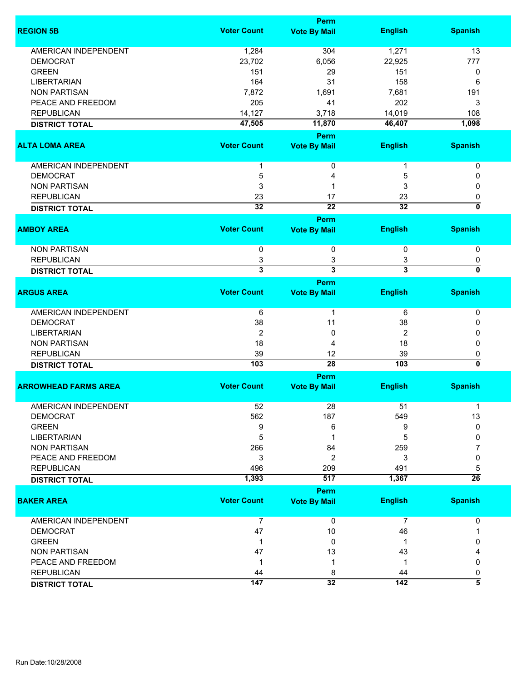|                             |                         | <b>Perm</b>             |                         |                           |
|-----------------------------|-------------------------|-------------------------|-------------------------|---------------------------|
| <b>REGION 5B</b>            | <b>Voter Count</b>      | <b>Vote By Mail</b>     | <b>English</b>          | <b>Spanish</b>            |
| AMERICAN INDEPENDENT        | 1,284                   | 304                     | 1,271                   | 13                        |
| <b>DEMOCRAT</b>             | 23,702                  | 6,056                   | 22,925                  | 777                       |
| <b>GREEN</b>                | 151                     | 29                      | 151                     | 0                         |
| <b>LIBERTARIAN</b>          | 164                     | 31                      | 158                     | 6                         |
| <b>NON PARTISAN</b>         | 7,872                   | 1,691                   | 7,681                   | 191                       |
| PEACE AND FREEDOM           | 205                     | 41                      | 202                     | 3                         |
| <b>REPUBLICAN</b>           | 14,127                  | 3,718                   | 14,019                  | 108                       |
|                             |                         | 11,870                  | 46,407                  | 1,098                     |
| <b>DISTRICT TOTAL</b>       | 47,505                  |                         |                         |                           |
|                             |                         | Perm                    |                         |                           |
| <b>ALTA LOMA AREA</b>       | <b>Voter Count</b>      | <b>Vote By Mail</b>     | <b>English</b>          | <b>Spanish</b>            |
| AMERICAN INDEPENDENT        |                         | 0                       |                         | 0                         |
| <b>DEMOCRAT</b>             | 5                       | 4                       | 5                       | 0                         |
| <b>NON PARTISAN</b>         | 3                       | 1                       | 3                       | 0                         |
| <b>REPUBLICAN</b>           | 23                      | 17                      | 23                      | 0                         |
| <b>DISTRICT TOTAL</b>       | $\overline{32}$         | $\overline{22}$         | $\overline{32}$         | 0                         |
|                             |                         | Perm                    |                         |                           |
| <b>AMBOY AREA</b>           | <b>Voter Count</b>      | <b>Vote By Mail</b>     | <b>English</b>          | <b>Spanish</b>            |
| <b>NON PARTISAN</b>         | 0                       | 0                       | 0                       | 0                         |
| <b>REPUBLICAN</b>           | 3                       | 3                       | 3                       | 0                         |
| <b>DISTRICT TOTAL</b>       | $\overline{\mathbf{3}}$ | $\overline{\mathbf{3}}$ | $\overline{\mathbf{3}}$ | 0                         |
|                             |                         | <b>Perm</b>             |                         |                           |
| <b>ARGUS AREA</b>           | <b>Voter Count</b>      | <b>Vote By Mail</b>     | <b>English</b>          | <b>Spanish</b>            |
| <b>AMERICAN INDEPENDENT</b> | 6                       | 1                       | 6                       | 0                         |
| <b>DEMOCRAT</b>             | 38                      | 11                      | 38                      | 0                         |
| <b>LIBERTARIAN</b>          | $\overline{2}$          | 0                       | 2                       | 0                         |
| <b>NON PARTISAN</b>         | 18                      | 4                       | 18                      | 0                         |
| <b>REPUBLICAN</b>           | 39                      | 12                      | 39                      | 0                         |
| <b>DISTRICT TOTAL</b>       | 103                     | $\overline{28}$         | 103                     | $\overline{\mathfrak{o}}$ |
|                             |                         |                         |                         |                           |
| <b>ARROWHEAD FARMS AREA</b> | <b>Voter Count</b>      | <b>Perm</b>             |                         |                           |
|                             |                         | <b>Vote By Mail</b>     | <b>English</b>          | <b>Spanish</b>            |
| <b>AMERICAN INDEPENDENT</b> | 52                      | 28                      | 51                      | 1                         |
| <b>DEMOCRAT</b>             | 562                     | 187                     | 549                     | 13                        |
| <b>GREEN</b>                | 9                       | 6                       | 9                       | 0                         |
| <b>LIBERTARIAN</b>          | 5                       | 1                       | 5                       | 0                         |
| <b>NON PARTISAN</b>         | 266                     | 84                      | 259                     | 7                         |
| PEACE AND FREEDOM           | 3                       | $\overline{2}$          | 3                       | 0                         |
| <b>REPUBLICAN</b>           | 496                     | 209                     | 491                     | 5                         |
| <b>DISTRICT TOTAL</b>       | 1,393                   | 517                     | 1,367                   | $\overline{26}$           |
|                             |                         | <b>Perm</b>             |                         |                           |
| <b>BAKER AREA</b>           | <b>Voter Count</b>      | <b>Vote By Mail</b>     | <b>English</b>          | <b>Spanish</b>            |
| AMERICAN INDEPENDENT        | $\overline{7}$          | $\overline{0}$          | $\overline{7}$          | 0                         |
| <b>DEMOCRAT</b>             | 47                      | 10                      | 46                      | 1                         |
| <b>GREEN</b>                | 1                       | 0                       | -1                      | 0                         |
| <b>NON PARTISAN</b>         | 47                      | 13                      | 43                      |                           |
| PEACE AND FREEDOM           | -1                      | 1                       | 1                       | 0                         |
| <b>REPUBLICAN</b>           | 44                      | 8                       | 44                      | 0                         |
| <b>DISTRICT TOTAL</b>       | 147                     | 32                      | 142                     | $\overline{\bf 5}$        |
|                             |                         |                         |                         |                           |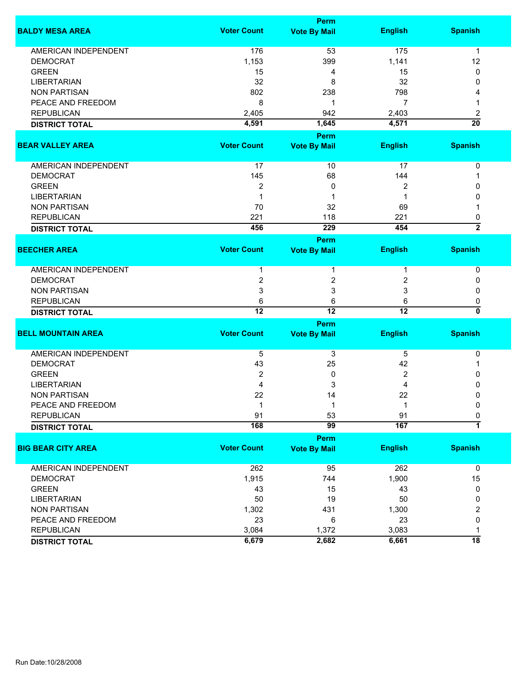|                             |                    | Perm                |                 |                 |
|-----------------------------|--------------------|---------------------|-----------------|-----------------|
| <b>BALDY MESA AREA</b>      | <b>Voter Count</b> | <b>Vote By Mail</b> | <b>English</b>  | <b>Spanish</b>  |
| <b>AMERICAN INDEPENDENT</b> | 176                | 53                  | 175             | 1               |
| <b>DEMOCRAT</b>             | 1,153              | 399                 | 1,141           | 12              |
| <b>GREEN</b>                | 15                 | 4                   | 15              | 0               |
| <b>LIBERTARIAN</b>          | 32                 | 8                   | 32              | 0               |
| <b>NON PARTISAN</b>         | 802                | 238                 | 798             |                 |
| PEACE AND FREEDOM           | 8                  | 1                   | 7               |                 |
| <b>REPUBLICAN</b>           | 2,405              | 942                 | 2,403           | 2               |
| <b>DISTRICT TOTAL</b>       | 4,591              | 1,645               | 4,571           | $\overline{20}$ |
|                             |                    |                     |                 |                 |
|                             |                    | <b>Perm</b>         |                 |                 |
| <b>BEAR VALLEY AREA</b>     | <b>Voter Count</b> | <b>Vote By Mail</b> | <b>English</b>  | <b>Spanish</b>  |
| AMERICAN INDEPENDENT        | 17                 | 10                  | 17              | $\pmb{0}$       |
| <b>DEMOCRAT</b>             | 145                | 68                  | 144             | 1               |
| <b>GREEN</b>                | $\overline{2}$     | 0                   | 2               | 0               |
| <b>LIBERTARIAN</b>          | -1                 | 1                   |                 | 0               |
| <b>NON PARTISAN</b>         | 70                 | 32                  | 69              |                 |
| <b>REPUBLICAN</b>           | 221                | 118                 | 221             | 0               |
| <b>DISTRICT TOTAL</b>       | 456                | 229                 | 454             | $\overline{2}$  |
|                             |                    | Perm                |                 |                 |
| <b>BEECHER AREA</b>         | <b>Voter Count</b> | <b>Vote By Mail</b> | <b>English</b>  | <b>Spanish</b>  |
|                             |                    |                     |                 |                 |
| AMERICAN INDEPENDENT        |                    | 1                   |                 | 0               |
| <b>DEMOCRAT</b>             | 2                  | 2                   | 2               | 0               |
| <b>NON PARTISAN</b>         | 3                  | 3                   | 3               | 0               |
| <b>REPUBLICAN</b>           | 6                  | 6                   | 6               | 0               |
| <b>DISTRICT TOTAL</b>       | $\overline{12}$    | $\overline{12}$     | $\overline{12}$ | 0               |
|                             |                    | <b>Perm</b>         |                 |                 |
| <b>BELL MOUNTAIN AREA</b>   | <b>Voter Count</b> | <b>Vote By Mail</b> | <b>English</b>  | <b>Spanish</b>  |
| AMERICAN INDEPENDENT        | 5                  | 3                   | 5               | 0               |
| <b>DEMOCRAT</b>             | 43                 | 25                  | 42              | 1               |
| <b>GREEN</b>                | 2                  | 0                   | 2               | 0               |
| <b>LIBERTARIAN</b>          | 4                  | 3                   | 4               | 0               |
| <b>NON PARTISAN</b>         | 22                 | 14                  | 22              | 0               |
| PEACE AND FREEDOM           | 1                  | 1                   | 1               | 0               |
| <b>REPUBLICAN</b>           | 91                 | 53                  | 91              | 0               |
| <b>DISTRICT TOTAL</b>       | 168                | 99                  | 167             | 7               |
|                             |                    | Perm                |                 |                 |
| <b>BIG BEAR CITY AREA</b>   | <b>Voter Count</b> | <b>Vote By Mail</b> | <b>English</b>  | <b>Spanish</b>  |
| AMERICAN INDEPENDENT        | 262                | 95                  | 262             | $\mathbf 0$     |
| <b>DEMOCRAT</b>             | 1,915              |                     |                 |                 |
|                             |                    | 744                 | 1,900           | 15              |
| <b>GREEN</b>                | 43                 | 15                  | 43              | 0               |
| <b>LIBERTARIAN</b>          | 50                 | 19                  | 50              | 0               |
| <b>NON PARTISAN</b>         | 1,302              | 431                 | 1,300           | 2               |
| PEACE AND FREEDOM           | 23                 | 6                   | 23              | 0               |
| <b>REPUBLICAN</b>           | 3,084              | 1,372               | 3,083           | 1               |
| <b>DISTRICT TOTAL</b>       | 6,679              | 2,682               | 6,661           | $\overline{18}$ |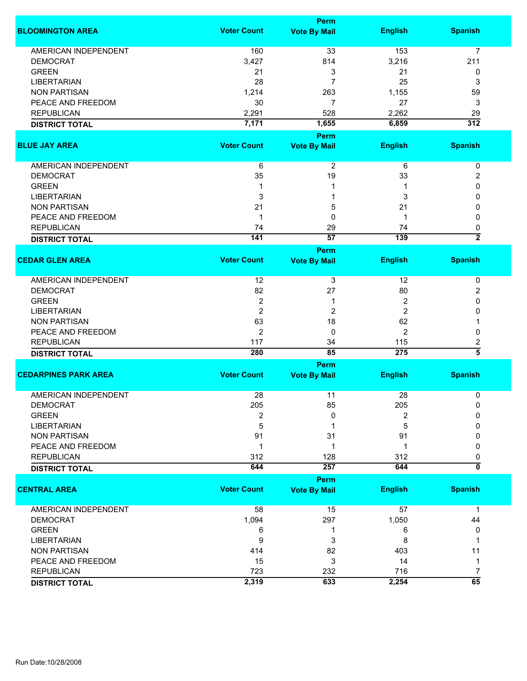|                             |                    | Perm                        |                |                     |
|-----------------------------|--------------------|-----------------------------|----------------|---------------------|
| <b>BLOOMINGTON AREA</b>     | <b>Voter Count</b> | <b>Vote By Mail</b>         | <b>English</b> | <b>Spanish</b>      |
| <b>AMERICAN INDEPENDENT</b> | 160                | 33                          | 153            | $\overline{7}$      |
| <b>DEMOCRAT</b>             | 3,427              | 814                         | 3,216          | 211                 |
| <b>GREEN</b>                | 21                 | 3                           | 21             | 0                   |
| <b>LIBERTARIAN</b>          | 28                 | $\overline{7}$              | 25             | 3                   |
|                             |                    |                             |                |                     |
| <b>NON PARTISAN</b>         | 1,214              | 263                         | 1,155          | 59                  |
| PEACE AND FREEDOM           | 30                 | $\overline{7}$              | 27             | 3                   |
| <b>REPUBLICAN</b>           | 2,291              | 528                         | 2,262          | 29                  |
| <b>DISTRICT TOTAL</b>       | 7,171              | 1,655                       | 6,859          | $\overline{312}$    |
|                             | <b>Voter Count</b> | Perm                        |                |                     |
| <b>BLUE JAY AREA</b>        |                    | <b>Vote By Mail</b>         | <b>English</b> | <b>Spanish</b>      |
| AMERICAN INDEPENDENT        | 6                  | $\overline{c}$              | 6              | 0                   |
| <b>DEMOCRAT</b>             | 35                 | 19                          | 33             | 2                   |
| <b>GREEN</b>                | 1                  | 1                           | 1              | 0                   |
| <b>LIBERTARIAN</b>          | 3                  | 1                           | 3              | 0                   |
| <b>NON PARTISAN</b>         | 21                 | 5                           | 21             | 0                   |
| PEACE AND FREEDOM           | 1                  | 0                           | -1             | 0                   |
| <b>REPUBLICAN</b>           | 74                 | 29                          | 74             | 0                   |
|                             | 141                | $\overline{57}$             | 139            | $\overline{2}$      |
| <b>DISTRICT TOTAL</b>       |                    | Perm                        |                |                     |
| <b>CEDAR GLEN AREA</b>      | <b>Voter Count</b> | <b>Vote By Mail</b>         | <b>English</b> | <b>Spanish</b>      |
| <b>AMERICAN INDEPENDENT</b> | 12                 | 3                           | 12             | 0                   |
| <b>DEMOCRAT</b>             | 82                 | 27                          | 80             | 2                   |
| <b>GREEN</b>                | 2                  | 1                           | 2              | 0                   |
| <b>LIBERTARIAN</b>          | $\overline{2}$     | 2                           | $\overline{2}$ | 0                   |
| <b>NON PARTISAN</b>         | 63                 | 18                          | 62             | 1                   |
| PEACE AND FREEDOM           | 2                  | 0                           | 2              | 0                   |
| <b>REPUBLICAN</b>           | 117                | 34                          | 115            | 2                   |
| <b>DISTRICT TOTAL</b>       | 280                | 85                          | 275            | $\overline{\bf{5}}$ |
|                             |                    | Perm                        |                |                     |
| <b>CEDARPINES PARK AREA</b> | <b>Voter Count</b> | <b>Vote By Mail</b>         | <b>English</b> | <b>Spanish</b>      |
| <b>AMERICAN INDEPENDENT</b> | 28                 | 11                          | 28             | 0                   |
| <b>DEMOCRAT</b>             | 205                | 85                          | 205            | 0                   |
| <b>GREEN</b>                | 2                  | 0                           | $\overline{2}$ | $\Omega$            |
| <b>LIBERTARIAN</b>          | 5                  |                             | 5              | 0                   |
| <b>NON PARTISAN</b>         | 91                 | 31                          | 91             | 0                   |
| PEACE AND FREEDOM           | $\mathbf 1$        | 1                           | 1              | 0                   |
|                             |                    |                             |                |                     |
| <b>REPUBLICAN</b>           | 312                | 128                         | 312            | 0<br>0              |
| <b>DISTRICT TOTAL</b>       | 644                | 257                         | 644            |                     |
| <b>CENTRAL AREA</b>         | <b>Voter Count</b> | Perm<br><b>Vote By Mail</b> | <b>English</b> | <b>Spanish</b>      |
| <b>AMERICAN INDEPENDENT</b> | 58                 | 15                          | 57             | 1                   |
| <b>DEMOCRAT</b>             | 1,094              | 297                         | 1,050          | 44                  |
| <b>GREEN</b>                | 6                  | 1                           | 6              | 0                   |
| <b>LIBERTARIAN</b>          | 9                  | 3                           | 8              | 1                   |
| <b>NON PARTISAN</b>         | 414                | 82                          | 403            | 11                  |
| PEACE AND FREEDOM           | 15                 | 3                           | 14             | $\mathbf 1$         |
| <b>REPUBLICAN</b>           | 723                | 232                         | 716            | 7                   |
| <b>DISTRICT TOTAL</b>       | 2,319              | 633                         | 2,254          | $\overline{65}$     |
|                             |                    |                             |                |                     |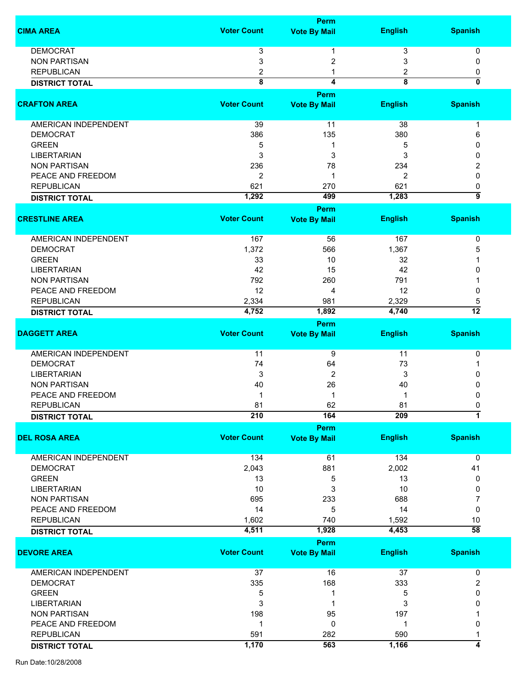|                             |                         | Perm                        |                         |                         |
|-----------------------------|-------------------------|-----------------------------|-------------------------|-------------------------|
| <b>CIMA AREA</b>            | <b>Voter Count</b>      | <b>Vote By Mail</b>         | <b>English</b>          | <b>Spanish</b>          |
| <b>DEMOCRAT</b>             | 3                       | 1                           | 3                       | 0                       |
| <b>NON PARTISAN</b>         | 3                       | 2                           | 3                       | 0                       |
| <b>REPUBLICAN</b>           | 2                       |                             | 2                       | 0                       |
| <b>DISTRICT TOTAL</b>       | $\overline{\mathbf{8}}$ | 4                           | $\overline{\mathbf{8}}$ | $\overline{\mathbf{0}}$ |
|                             |                         | Perm                        |                         |                         |
| <b>CRAFTON AREA</b>         | <b>Voter Count</b>      | <b>Vote By Mail</b>         | <b>English</b>          | <b>Spanish</b>          |
| <b>AMERICAN INDEPENDENT</b> | 39                      | 11                          | 38                      | 1                       |
| <b>DEMOCRAT</b>             | 386                     | 135                         | 380                     | 6                       |
| <b>GREEN</b>                | 5                       | 1                           | 5                       | 0                       |
| <b>LIBERTARIAN</b>          | 3                       | 3                           | 3                       | 0                       |
| <b>NON PARTISAN</b>         | 236                     | 78                          | 234                     | 2                       |
| PEACE AND FREEDOM           | 2                       | 1                           | 2                       | $\Omega$                |
| <b>REPUBLICAN</b>           | 621                     | 270                         | 621                     | 0                       |
| <b>DISTRICT TOTAL</b>       | 1,292                   | 499                         | 1,283                   | 9                       |
|                             |                         | Perm                        |                         |                         |
| <b>CRESTLINE AREA</b>       | <b>Voter Count</b>      | <b>Vote By Mail</b>         | <b>English</b>          | <b>Spanish</b>          |
| <b>AMERICAN INDEPENDENT</b> | 167                     | 56                          | 167                     | 0                       |
| <b>DEMOCRAT</b>             | 1,372                   | 566                         | 1,367                   | 5                       |
| <b>GREEN</b>                | 33                      | 10                          | 32                      |                         |
| <b>LIBERTARIAN</b>          | 42                      | 15                          | 42                      | 0                       |
| <b>NON PARTISAN</b>         | 792                     | 260                         | 791                     |                         |
| PEACE AND FREEDOM           | 12                      | 4                           | 12                      | 0                       |
| <b>REPUBLICAN</b>           | 2,334                   | 981                         | 2,329                   | 5                       |
|                             | 4,752                   | 1,892                       | 4,740                   | $\overline{12}$         |
| <b>DISTRICT TOTAL</b>       |                         |                             |                         |                         |
| <b>DAGGETT AREA</b>         | <b>Voter Count</b>      | Perm<br><b>Vote By Mail</b> | <b>English</b>          | <b>Spanish</b>          |
| AMERICAN INDEPENDENT        | 11                      | 9                           | 11                      | 0                       |
| <b>DEMOCRAT</b>             | 74                      | 64                          | 73                      |                         |
| <b>LIBERTARIAN</b>          | 3                       | 2                           | 3                       | 0                       |
| <b>NON PARTISAN</b>         | 40                      | 26                          | 40                      | 0                       |
| PEACE AND FREEDOM           |                         | 1                           | 1                       | 0                       |
| <b>REPUBLICAN</b>           | 81                      | 62                          | 81                      | 0                       |
| <b>DISTRICT TOTAL</b>       | 210                     | 164                         | 209                     | $\overline{1}$          |
|                             |                         | Perm                        |                         |                         |
| <b>DEL ROSA AREA</b>        | <b>Voter Count</b>      | <b>Vote By Mail</b>         | <b>English</b>          | <b>Spanish</b>          |
| AMERICAN INDEPENDENT        | $134$                   | 61                          | 134                     | 0                       |
| <b>DEMOCRAT</b>             | 2,043                   | 881                         | 2,002                   | 41                      |
| <b>GREEN</b>                | 13                      | 5                           | 13                      | 0                       |
| <b>LIBERTARIAN</b>          | 10                      | 3                           | 10                      | 0                       |
| <b>NON PARTISAN</b>         | 695                     | 233                         | 688                     | 7                       |
| PEACE AND FREEDOM           | 14                      | 5                           | 14                      | 0                       |
| <b>REPUBLICAN</b>           | 1,602                   | 740                         | 1,592                   | 10                      |
| <b>DISTRICT TOTAL</b>       | 4,511                   | 1,928                       | 4,453                   | $\overline{58}$         |
|                             |                         | Perm                        |                         |                         |
| <b>DEVORE AREA</b>          | <b>Voter Count</b>      | <b>Vote By Mail</b>         | <b>English</b>          | <b>Spanish</b>          |
| AMERICAN INDEPENDENT        | 37                      | 16                          | 37                      | $\pmb{0}$               |
| <b>DEMOCRAT</b>             | 335                     | 168                         | 333                     | $\overline{2}$          |
| <b>GREEN</b>                | 5                       | 1                           | 5                       | 0                       |
| <b>LIBERTARIAN</b>          | 3                       | 1                           | 3                       | 0                       |
| <b>NON PARTISAN</b>         | 198                     | 95                          | 197                     |                         |
| PEACE AND FREEDOM           | 1                       | 0                           | -1                      | 0                       |
| <b>REPUBLICAN</b>           | 591                     | 282                         | 590                     |                         |
| <b>DISTRICT TOTAL</b>       | 1,170                   | 563                         | 1,166                   | 4                       |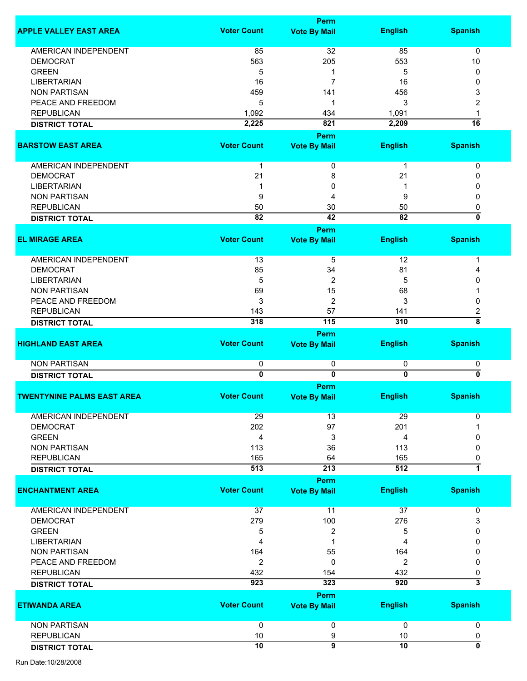|                                   |                              | Perm                        |                     |                              |
|-----------------------------------|------------------------------|-----------------------------|---------------------|------------------------------|
| <b>APPLE VALLEY EAST AREA</b>     | <b>Voter Count</b>           | <b>Vote By Mail</b>         | <b>English</b>      | <b>Spanish</b>               |
| <b>AMERICAN INDEPENDENT</b>       |                              | 32                          | 85                  | $\mathbf 0$                  |
|                                   | 85                           |                             |                     |                              |
| <b>DEMOCRAT</b>                   | 563                          | 205                         | 553                 | 10                           |
| <b>GREEN</b>                      | 5                            | 1                           | 5                   | 0                            |
| <b>LIBERTARIAN</b>                | 16                           | 7                           | 16                  | 0                            |
| <b>NON PARTISAN</b>               | 459                          | 141                         | 456                 | 3                            |
| PEACE AND FREEDOM                 | 5                            | 1                           | 3                   | 2                            |
| <b>REPUBLICAN</b>                 | 1,092                        | 434                         | 1,091               | 1                            |
| <b>DISTRICT TOTAL</b>             | 2,225                        | 821                         | 2,209               | $\overline{16}$              |
|                                   |                              | Perm                        |                     |                              |
| <b>BARSTOW EAST AREA</b>          | <b>Voter Count</b>           | <b>Vote By Mail</b>         | <b>English</b>      | <b>Spanish</b>               |
| AMERICAN INDEPENDENT              | $\mathbf 1$                  | 0                           | 1                   | 0                            |
| <b>DEMOCRAT</b>                   | 21                           | 8                           | 21                  | 0                            |
| <b>LIBERTARIAN</b>                |                              | 0                           |                     | 0                            |
| <b>NON PARTISAN</b>               | 9                            | 4                           | 9                   | 0                            |
| <b>REPUBLICAN</b>                 | 50                           | 30                          | 50                  | 0                            |
| <b>DISTRICT TOTAL</b>             | $\overline{82}$              | 42                          | $\overline{82}$     | 0                            |
|                                   |                              | Perm                        |                     |                              |
| <b>EL MIRAGE AREA</b>             | <b>Voter Count</b>           | <b>Vote By Mail</b>         | <b>English</b>      | <b>Spanish</b>               |
|                                   |                              |                             |                     |                              |
| AMERICAN INDEPENDENT              | 13                           | 5                           | 12                  | 1                            |
| <b>DEMOCRAT</b>                   | 85                           | 34                          | 81                  | 4                            |
| <b>LIBERTARIAN</b>                | 5                            | 2                           | 5                   | 0                            |
| <b>NON PARTISAN</b>               | 69                           | 15                          | 68                  |                              |
| PEACE AND FREEDOM                 | 3                            | $\overline{2}$              | 3                   | 0                            |
| <b>REPUBLICAN</b>                 | 143                          | 57                          | 141                 | $\overline{\mathbf{c}}$      |
| <b>DISTRICT TOTAL</b>             | 318                          | 115                         | 310                 | $\overline{\bf 8}$           |
|                                   |                              | Perm                        |                     |                              |
| <b>HIGHLAND EAST AREA</b>         | <b>Voter Count</b>           | <b>Vote By Mail</b>         | <b>English</b>      | <b>Spanish</b>               |
|                                   |                              |                             |                     |                              |
| <b>NON PARTISAN</b>               | 0<br>$\overline{\mathbf{0}}$ | 0<br>$\overline{0}$         | 0<br>$\overline{0}$ | 0<br>$\overline{\mathbf{0}}$ |
| <b>DISTRICT TOTAL</b>             |                              |                             |                     |                              |
| <b>TWENTYNINE PALMS EAST AREA</b> | <b>Voter Count</b>           | Perm<br><b>Vote By Mail</b> | <b>English</b>      | <b>Spanish</b>               |
|                                   |                              |                             |                     |                              |
| <b>AMERICAN INDEPENDENT</b>       | 29                           | 13                          | 29                  | 0                            |
| <b>DEMOCRAT</b>                   | 202                          | 97                          | 201                 |                              |
| <b>GREEN</b>                      | 4                            | 3                           | 4                   | 0                            |
| <b>NON PARTISAN</b>               | 113                          | 36                          | 113                 | 0                            |
| <b>REPUBLICAN</b>                 | 165                          | 64                          | 165                 | 0                            |
| <b>DISTRICT TOTAL</b>             | 513                          | 213                         | 512                 | $\overline{\mathbf{1}}$      |
|                                   |                              | Perm                        |                     |                              |
| <b>ENCHANTMENT AREA</b>           | <b>Voter Count</b>           | <b>Vote By Mail</b>         | <b>English</b>      | <b>Spanish</b>               |
|                                   |                              |                             |                     |                              |
| <b>AMERICAN INDEPENDENT</b>       | 37                           | 11                          | 37                  | 0                            |
| <b>DEMOCRAT</b>                   | 279                          | 100                         | 276                 | 3                            |
| <b>GREEN</b>                      | 5                            | 2                           | 5                   | 0                            |
| <b>LIBERTARIAN</b>                | 4                            | 1                           | 4                   | $\mathbf{0}$                 |
| <b>NON PARTISAN</b>               | 164                          | 55                          | 164                 | 0                            |
| PEACE AND FREEDOM                 | 2                            | 0                           | 2                   | 0                            |
| <b>REPUBLICAN</b>                 | 432                          | 154                         | 432                 | 0                            |
| <b>DISTRICT TOTAL</b>             | 923                          | 323                         | 920                 | $\overline{\mathbf{3}}$      |
|                                   |                              | Perm                        |                     |                              |
| <b>ETIWANDA AREA</b>              | <b>Voter Count</b>           | <b>Vote By Mail</b>         | <b>English</b>      | <b>Spanish</b>               |
| <b>NON PARTISAN</b>               |                              |                             |                     |                              |
|                                   | 0                            | 0                           | 0                   | $\mathbf 0$                  |
| <b>REPUBLICAN</b>                 | 10                           | 9                           | 10                  | 0                            |
| <b>DISTRICT TOTAL</b>             | $\overline{10}$              | $\overline{9}$              | 10                  | 0                            |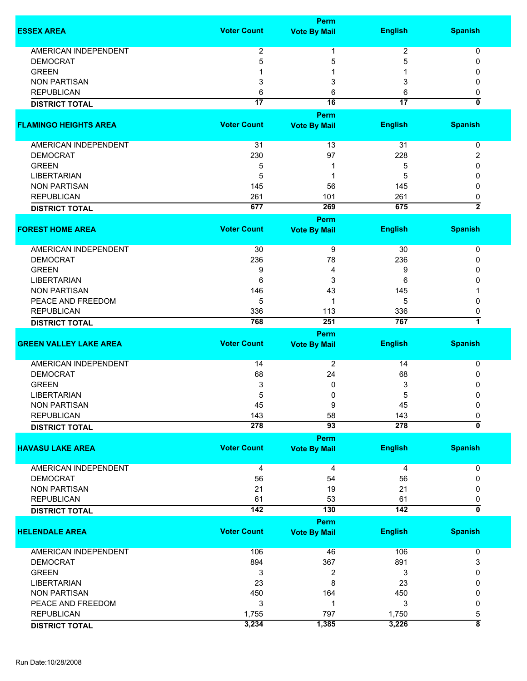|                                        |                    | <b>Perm</b>         |                 |                                |
|----------------------------------------|--------------------|---------------------|-----------------|--------------------------------|
| <b>ESSEX AREA</b>                      | <b>Voter Count</b> | <b>Vote By Mail</b> | <b>English</b>  | <b>Spanish</b>                 |
| <b>AMERICAN INDEPENDENT</b>            | $\overline{2}$     | 1                   | 2               | 0                              |
|                                        |                    |                     |                 |                                |
| <b>DEMOCRAT</b>                        | 5                  | 5                   | 5               | 0                              |
| <b>GREEN</b>                           |                    |                     |                 | 0                              |
| <b>NON PARTISAN</b>                    | 3                  | 3                   | 3               | 0                              |
| <b>REPUBLICAN</b>                      | 6                  | 6                   | 6               | 0                              |
| <b>DISTRICT TOTAL</b>                  | $\overline{17}$    | $\overline{16}$     | $\overline{17}$ | $\overline{\mathbf{0}}$        |
|                                        |                    | Perm                |                 |                                |
| <b>FLAMINGO HEIGHTS AREA</b>           | <b>Voter Count</b> | <b>Vote By Mail</b> | <b>English</b>  | <b>Spanish</b>                 |
| AMERICAN INDEPENDENT                   | 31                 | 13                  | 31              | 0                              |
| <b>DEMOCRAT</b>                        | 230                | 97                  | 228             | 2                              |
| <b>GREEN</b>                           | 5                  | 1                   | 5               | 0                              |
| <b>LIBERTARIAN</b>                     |                    | 1                   |                 | 0                              |
|                                        | 5                  |                     | 5               |                                |
| <b>NON PARTISAN</b>                    | 145                | 56                  | 145             | 0                              |
| <b>REPUBLICAN</b>                      | 261                | 101                 | 261             | 0                              |
| <b>DISTRICT TOTAL</b>                  | 677                | 269                 | 675             | $\overline{2}$                 |
|                                        | <b>Voter Count</b> | Perm                |                 |                                |
| <b>FOREST HOME AREA</b>                |                    | <b>Vote By Mail</b> | <b>English</b>  | <b>Spanish</b>                 |
| AMERICAN INDEPENDENT                   | 30                 | 9                   | 30              | 0                              |
| <b>DEMOCRAT</b>                        | 236                | 78                  | 236             | 0                              |
| <b>GREEN</b>                           | 9                  | 4                   | 9               | 0                              |
| <b>LIBERTARIAN</b>                     | 6                  | 3                   | 6               | 0                              |
| <b>NON PARTISAN</b>                    | 146                | 43                  | 145             |                                |
| PEACE AND FREEDOM                      | 5                  | 1                   | 5               | 0                              |
| <b>REPUBLICAN</b>                      | 336                | 113                 | 336             |                                |
|                                        | 768                | 251                 | 767             | 0<br>7                         |
| <b>DISTRICT TOTAL</b>                  |                    | <b>Perm</b>         |                 |                                |
| <b>GREEN VALLEY LAKE AREA</b>          | <b>Voter Count</b> | <b>Vote By Mail</b> | <b>English</b>  | <b>Spanish</b>                 |
|                                        |                    |                     |                 |                                |
| <b>AMERICAN INDEPENDENT</b>            | 14                 | 2                   | 14              | 0                              |
| <b>DEMOCRAT</b>                        | 68                 | 24                  | 68              | 0                              |
| <b>GREEN</b>                           | 3                  | 0                   | 3               | 0                              |
| <b>LIBERTARIAN</b>                     | 5                  | 0                   | 5               | 0                              |
| <b>NON PARTISAN</b>                    | 45                 | 9                   | 45              | 0                              |
| <b>REPUBLICAN</b>                      | 143                | 58                  | 143             | 0                              |
| <b>DISTRICT TOTAL</b>                  | 278                | $\overline{93}$     | 278             | 0                              |
|                                        |                    | <b>Perm</b>         |                 |                                |
| <b>HAVASU LAKE AREA</b>                | <b>Voter Count</b> | <b>Vote By Mail</b> | <b>English</b>  | <b>Spanish</b>                 |
| AMERICAN INDEPENDENT                   | 4                  | 4                   | 4               | 0                              |
|                                        |                    |                     |                 | 0                              |
| <b>DEMOCRAT</b><br><b>NON PARTISAN</b> | 56                 | 54                  | 56              |                                |
|                                        | 21                 | 19                  | 21              | 0                              |
| <b>REPUBLICAN</b>                      | 61                 | 53                  | 61              | 0<br>$\overline{\mathfrak{o}}$ |
| <b>DISTRICT TOTAL</b>                  | 142                | 130                 | 142             |                                |
|                                        |                    | Perm                |                 |                                |
| <b>HELENDALE AREA</b>                  | <b>Voter Count</b> | <b>Vote By Mail</b> | <b>English</b>  | <b>Spanish</b>                 |
| <b>AMERICAN INDEPENDENT</b>            | 106                | 46                  | 106             | 0                              |
| <b>DEMOCRAT</b>                        | 894                | 367                 | 891             | 3                              |
| <b>GREEN</b>                           | 3                  | 2                   | 3               | 0                              |
| <b>LIBERTARIAN</b>                     | 23                 | 8                   | 23              | 0                              |
| <b>NON PARTISAN</b>                    | 450                | 164                 | 450             | 0                              |
|                                        |                    |                     |                 |                                |
| PEACE AND FREEDOM                      | 3                  | 1                   | 3               | 0                              |
| <b>REPUBLICAN</b>                      | 1,755              | 797                 | 1,750           | 5                              |
| <b>DISTRICT TOTAL</b>                  | 3,234              | 1,385               | 3,226           | $\overline{\bf 8}$             |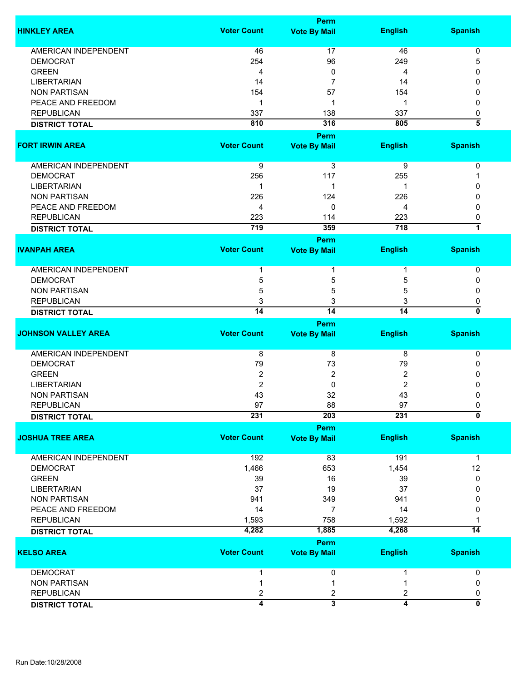|                             |                    | <b>Perm</b>             |                  |                                |
|-----------------------------|--------------------|-------------------------|------------------|--------------------------------|
| <b>HINKLEY AREA</b>         | <b>Voter Count</b> | <b>Vote By Mail</b>     | <b>English</b>   | <b>Spanish</b>                 |
| AMERICAN INDEPENDENT        | 46                 | 17                      | 46               | 0                              |
| <b>DEMOCRAT</b>             | 254                | 96                      | 249              | 5                              |
| <b>GREEN</b>                | 4                  | 0                       | 4                | 0                              |
|                             |                    |                         |                  | 0                              |
| <b>LIBERTARIAN</b>          | 14                 | 7                       | 14               |                                |
| <b>NON PARTISAN</b>         | 154                | 57                      | 154              | 0                              |
| PEACE AND FREEDOM           | 1                  | 1                       | 1                | 0                              |
| <b>REPUBLICAN</b>           | 337                | 138                     | 337              | 0                              |
| <b>DISTRICT TOTAL</b>       | 810                | 316                     | 805              | 3                              |
|                             |                    | Perm                    |                  |                                |
| <b>FORT IRWIN AREA</b>      | <b>Voter Count</b> | <b>Vote By Mail</b>     | <b>English</b>   | <b>Spanish</b>                 |
|                             |                    |                         |                  |                                |
| AMERICAN INDEPENDENT        | 9                  | 3                       | 9                | 0                              |
| <b>DEMOCRAT</b>             | 256                | 117                     | 255              |                                |
| <b>LIBERTARIAN</b>          | 1                  | 1                       | 1                | O                              |
| <b>NON PARTISAN</b>         | 226                | 124                     | 226              | 0                              |
| PEACE AND FREEDOM           | 4                  | 0                       | 4                | 0                              |
| <b>REPUBLICAN</b>           | 223                | 114                     | 223              | 0                              |
| <b>DISTRICT TOTAL</b>       | 719                | 359                     | $\overline{718}$ | $\overline{1}$                 |
|                             |                    | <b>Perm</b>             |                  |                                |
| <b>IVANPAH AREA</b>         | <b>Voter Count</b> | <b>Vote By Mail</b>     | <b>English</b>   | <b>Spanish</b>                 |
|                             |                    |                         |                  |                                |
| <b>AMERICAN INDEPENDENT</b> | 1                  | 1                       |                  | 0                              |
| <b>DEMOCRAT</b>             | 5                  | 5                       | 5                | 0                              |
| <b>NON PARTISAN</b>         | 5                  | 5                       | 5                | 0                              |
| <b>REPUBLICAN</b>           | 3                  | 3                       | 3                | 0                              |
|                             | $\overline{14}$    | $\overline{14}$         | 14               | 0                              |
| <b>DISTRICT TOTAL</b>       |                    |                         |                  |                                |
| <b>JOHNSON VALLEY AREA</b>  | <b>Voter Count</b> | Perm                    |                  |                                |
|                             |                    | <b>Vote By Mail</b>     | <b>English</b>   | <b>Spanish</b>                 |
| <b>AMERICAN INDEPENDENT</b> | 8                  | 8                       | 8                | 0                              |
| <b>DEMOCRAT</b>             | 79                 | 73                      | 79               | 0                              |
| <b>GREEN</b>                | $\boldsymbol{2}$   | 2                       | 2                | 0                              |
| <b>LIBERTARIAN</b>          | $\overline{2}$     | 0                       | 2                | 0                              |
| <b>NON PARTISAN</b>         | 43                 | 32                      | 43               | 0                              |
| <b>REPUBLICAN</b>           | 97                 | 88                      | 97               | 0                              |
| <b>DISTRICT TOTAL</b>       | 231                | 203                     | 231              | $\overline{\mathfrak{o}}$      |
|                             |                    | Perm                    |                  |                                |
| <b>JOSHUA TREE AREA</b>     | <b>Voter Count</b> | <b>Vote By Mail</b>     | <b>English</b>   | <b>Spanish</b>                 |
|                             |                    |                         |                  |                                |
| <b>AMERICAN INDEPENDENT</b> | 192                | 83                      | 191              | 1                              |
| <b>DEMOCRAT</b>             | 1,466              | 653                     | 1,454            | 12                             |
| <b>GREEN</b>                | 39                 | 16                      | 39               | 0                              |
| <b>LIBERTARIAN</b>          | 37                 | 19                      | 37               | 0                              |
| <b>NON PARTISAN</b>         | 941                | 349                     | 941              | 0                              |
|                             |                    |                         |                  |                                |
| PEACE AND FREEDOM           | 14                 | $\overline{7}$          | 14               | 0                              |
| <b>REPUBLICAN</b>           | 1,593              | 758                     | 1,592            |                                |
| <b>DISTRICT TOTAL</b>       | 4,282              | 1,885                   | 4,268            | 14                             |
|                             |                    | Perm                    |                  |                                |
| <b>KELSO AREA</b>           | <b>Voter Count</b> | <b>Vote By Mail</b>     | <b>English</b>   | <b>Spanish</b>                 |
| <b>DEMOCRAT</b>             | 1                  | 0                       |                  | 0                              |
| <b>NON PARTISAN</b>         |                    |                         |                  | 0                              |
|                             | 1                  | 1                       |                  |                                |
| <b>REPUBLICAN</b>           | 2                  | 2                       | 2                | 0<br>$\overline{\mathfrak{o}}$ |
| <b>DISTRICT TOTAL</b>       | 4                  | $\overline{\mathbf{3}}$ | 4                |                                |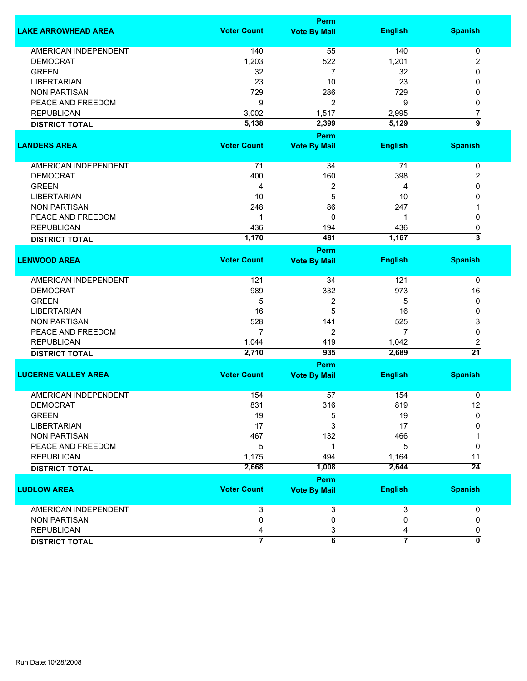|                             |                    | <b>Perm</b>             |                         |                           |
|-----------------------------|--------------------|-------------------------|-------------------------|---------------------------|
| <b>LAKE ARROWHEAD AREA</b>  | <b>Voter Count</b> | <b>Vote By Mail</b>     | <b>English</b>          | <b>Spanish</b>            |
| <b>AMERICAN INDEPENDENT</b> | 140                | 55                      | 140                     | 0                         |
| <b>DEMOCRAT</b>             | 1,203              | 522                     | 1,201                   | 2                         |
| <b>GREEN</b>                | 32                 | $\overline{7}$          | 32                      | 0                         |
| <b>LIBERTARIAN</b>          | 23                 | 10                      | 23                      | 0                         |
| <b>NON PARTISAN</b>         | 729                | 286                     | 729                     | 0                         |
| PEACE AND FREEDOM           | 9                  | 2                       | 9                       | 0                         |
| <b>REPUBLICAN</b>           | 3,002              | 1,517                   | 2,995                   | 7                         |
|                             |                    |                         |                         | 5                         |
| <b>DISTRICT TOTAL</b>       | 5,138              | 2,399                   | 5,129                   |                           |
|                             |                    | Perm                    |                         |                           |
| <b>LANDERS AREA</b>         | <b>Voter Count</b> | <b>Vote By Mail</b>     | <b>English</b>          | <b>Spanish</b>            |
| AMERICAN INDEPENDENT        | 71                 | 34                      | 71                      | 0                         |
| <b>DEMOCRAT</b>             | 400                | 160                     | 398                     | 2                         |
| <b>GREEN</b>                | 4                  | 2                       | 4                       | 0                         |
| <b>LIBERTARIAN</b>          | 10                 | 5                       | 10                      | 0                         |
| <b>NON PARTISAN</b>         |                    | 86                      |                         |                           |
|                             | 248                |                         | 247                     |                           |
| PEACE AND FREEDOM           | 1                  | 0                       | 1                       | 0                         |
| <b>REPUBLICAN</b>           | 436                | 194                     | 436                     | 0                         |
| <b>DISTRICT TOTAL</b>       | 1,170              | 481                     | 1,167                   | $\overline{\overline{3}}$ |
|                             |                    | <b>Perm</b>             |                         |                           |
| <b>LENWOOD AREA</b>         | <b>Voter Count</b> | <b>Vote By Mail</b>     | <b>English</b>          | <b>Spanish</b>            |
| <b>AMERICAN INDEPENDENT</b> | 121                | 34                      | 121                     | 0                         |
| <b>DEMOCRAT</b>             | 989                | 332                     | 973                     | 16                        |
| <b>GREEN</b>                | 5                  | 2                       | 5                       | 0                         |
| <b>LIBERTARIAN</b>          | 16                 | 5                       | 16                      | 0                         |
|                             |                    |                         |                         |                           |
| <b>NON PARTISAN</b>         | 528                | 141                     | 525                     | 3                         |
| PEACE AND FREEDOM           | $\overline{7}$     | 2                       | $\overline{7}$          | 0                         |
| <b>REPUBLICAN</b>           | 1,044              | 419                     | 1,042                   | 2                         |
| <b>DISTRICT TOTAL</b>       | 2,710              | 935                     | 2,689                   | $\overline{21}$           |
|                             |                    | Perm                    |                         |                           |
| <b>LUCERNE VALLEY AREA</b>  | <b>Voter Count</b> | <b>Vote By Mail</b>     | <b>English</b>          | <b>Spanish</b>            |
| <b>AMERICAN INDEPENDENT</b> | 154                | 57                      | 154                     | 0                         |
| <b>DEMOCRAT</b>             | 831                | 316                     | 819                     | 12                        |
| <b>GREEN</b>                | 19                 | 5                       | 19                      | $\Omega$                  |
| <b>LIBERTARIAN</b>          | 17                 | 3                       | 17                      | 0                         |
| <b>NON PARTISAN</b>         | 467                | 132                     | 466                     |                           |
| PEACE AND FREEDOM           |                    | -1                      |                         | 0                         |
|                             | 5                  |                         | 5                       |                           |
| <b>REPUBLICAN</b>           | 1,175              | 494                     | 1,164                   | 11                        |
| <b>DISTRICT TOTAL</b>       | 2,668              | 1,008                   | 2,644                   | $\overline{24}$           |
|                             |                    | Perm                    |                         |                           |
| <b>LUDLOW AREA</b>          | <b>Voter Count</b> | <b>Vote By Mail</b>     | <b>English</b>          | <b>Spanish</b>            |
| AMERICAN INDEPENDENT        | 3                  | 3                       | 3                       | 0                         |
| <b>NON PARTISAN</b>         | 0                  | 0                       | 0                       | 0                         |
| <b>REPUBLICAN</b>           | 4                  | 3                       | 4                       | 0                         |
| <b>DISTRICT TOTAL</b>       | $\overline{\tau}$  | $\overline{\mathbf{6}}$ | $\overline{\mathbf{7}}$ | 0                         |
|                             |                    |                         |                         |                           |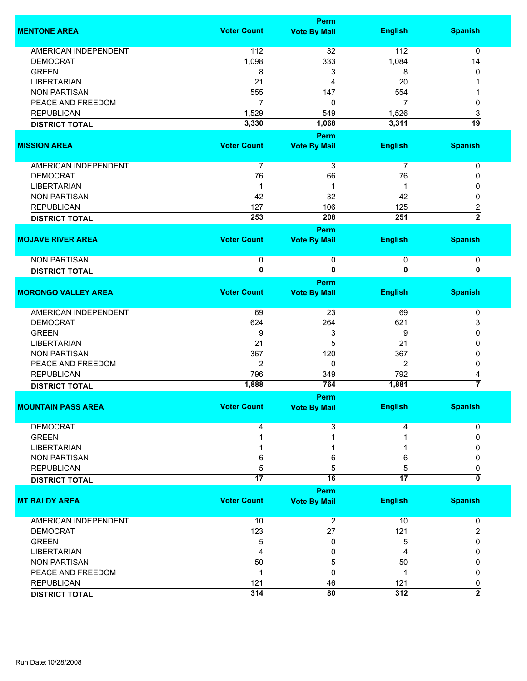|                             |                         | Perm                    |                         |                         |
|-----------------------------|-------------------------|-------------------------|-------------------------|-------------------------|
| <b>MENTONE AREA</b>         | <b>Voter Count</b>      | <b>Vote By Mail</b>     | <b>English</b>          | <b>Spanish</b>          |
|                             |                         |                         |                         |                         |
| <b>AMERICAN INDEPENDENT</b> | 112                     | 32                      | 112                     | $\mathbf 0$             |
| <b>DEMOCRAT</b>             | 1,098                   | 333                     | 1,084                   | 14                      |
| <b>GREEN</b>                | 8                       | 3                       | 8                       | 0                       |
| <b>LIBERTARIAN</b>          | 21                      | 4                       | 20                      |                         |
| <b>NON PARTISAN</b>         | 555                     | 147                     | 554                     |                         |
| PEACE AND FREEDOM           | $\overline{7}$          | 0                       | $\overline{7}$          | 0                       |
| <b>REPUBLICAN</b>           | 1,529                   | 549                     | 1,526                   | 3                       |
| <b>DISTRICT TOTAL</b>       | 3,330                   | 1,068                   | 3,311                   | $\overline{19}$         |
|                             |                         | Perm                    |                         |                         |
| <b>MISSION AREA</b>         | <b>Voter Count</b>      | <b>Vote By Mail</b>     | <b>English</b>          | <b>Spanish</b>          |
|                             |                         |                         |                         |                         |
| <b>AMERICAN INDEPENDENT</b> | $\overline{7}$          | 3                       | $\overline{7}$          | 0                       |
| <b>DEMOCRAT</b>             | 76                      | 66                      | 76                      | 0                       |
| <b>LIBERTARIAN</b>          | 1                       | 1                       | -1                      | 0                       |
| <b>NON PARTISAN</b>         | 42                      | 32                      | 42                      | 0                       |
| <b>REPUBLICAN</b>           | 127                     | 106                     | 125                     | $\overline{\mathbf{c}}$ |
| <b>DISTRICT TOTAL</b>       | 253                     | 208                     | 251                     | $\overline{2}$          |
|                             |                         | Perm                    |                         |                         |
| <b>MOJAVE RIVER AREA</b>    | <b>Voter Count</b>      | <b>Vote By Mail</b>     | <b>English</b>          | <b>Spanish</b>          |
|                             |                         |                         |                         |                         |
| <b>NON PARTISAN</b>         | 0                       | 0                       | 0                       | 0                       |
| <b>DISTRICT TOTAL</b>       | $\overline{\mathbf{0}}$ | $\overline{\mathbf{0}}$ | $\overline{\mathbf{0}}$ | 0                       |
|                             |                         | Perm                    |                         |                         |
| <b>MORONGO VALLEY AREA</b>  | <b>Voter Count</b>      | <b>Vote By Mail</b>     | <b>English</b>          | <b>Spanish</b>          |
| <b>AMERICAN INDEPENDENT</b> | 69                      | 23                      | 69                      | 0                       |
|                             |                         |                         |                         |                         |
| <b>DEMOCRAT</b>             | 624                     | 264                     | 621                     | 3                       |
| <b>GREEN</b>                | 9                       | 3                       | 9                       | 0                       |
| <b>LIBERTARIAN</b>          | 21                      | 5                       | 21                      | 0                       |
| <b>NON PARTISAN</b>         | 367                     | 120                     | 367                     | 0                       |
| PEACE AND FREEDOM           | $\overline{2}$          | 0                       | 2                       | 0                       |
| <b>REPUBLICAN</b>           | 796                     | 349                     | 792                     | 4                       |
| <b>DISTRICT TOTAL</b>       | 1,888                   | 764                     | 1,881                   | 7                       |
|                             |                         | Perm                    |                         |                         |
| <b>MOUNTAIN PASS AREA</b>   | <b>Voter Count</b>      | <b>Vote By Mail</b>     | <b>English</b>          | <b>Spanish</b>          |
| <b>DEMOCRAT</b>             |                         |                         |                         |                         |
|                             | 4                       | 3                       | 4                       | 0                       |
| <b>GREEN</b>                |                         |                         |                         | 0                       |
| <b>LIBERTARIAN</b>          |                         |                         |                         | <sup>0</sup>            |
| <b>NON PARTISAN</b>         | 6                       | 6                       | 6                       | 0                       |
| <b>REPUBLICAN</b>           | 5                       | 5                       | 5                       | 0                       |
| <b>DISTRICT TOTAL</b>       | $\overline{17}$         | 16                      | $\overline{17}$         | 0                       |
|                             |                         | Perm                    |                         |                         |
| <b>MT BALDY AREA</b>        | <b>Voter Count</b>      | <b>Vote By Mail</b>     | <b>English</b>          | <b>Spanish</b>          |
| AMERICAN INDEPENDENT        | 10                      | $\overline{c}$          | 10                      | 0                       |
| <b>DEMOCRAT</b>             | 123                     | 27                      | 121                     |                         |
|                             |                         |                         |                         | 2                       |
| <b>GREEN</b>                | 5                       | 0                       | 5                       | 0                       |
| <b>LIBERTARIAN</b>          | 4                       | 0                       | 4                       | 0                       |
| <b>NON PARTISAN</b>         | 50                      | 5                       | 50                      | 0                       |
| PEACE AND FREEDOM           | 1                       | 0                       | 1                       | 0                       |
| <b>REPUBLICAN</b>           | 121                     | 46                      | 121                     | 0                       |
| <b>DISTRICT TOTAL</b>       | 314                     | 80                      | 312                     | $\overline{2}$          |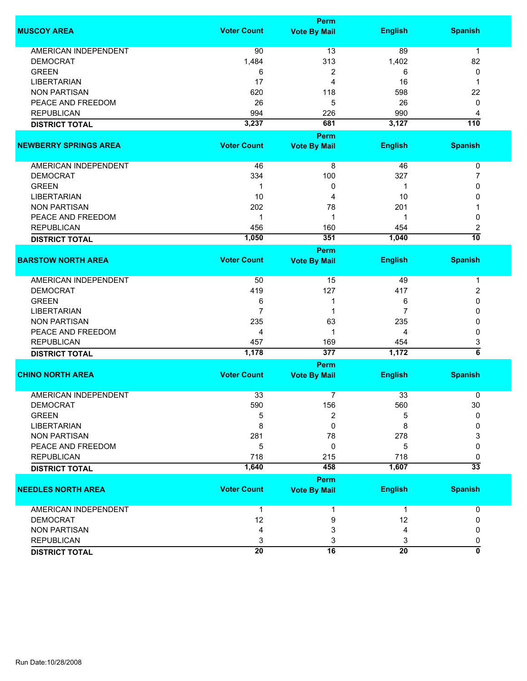|                              |                      | <b>Perm</b>         |                      |                      |
|------------------------------|----------------------|---------------------|----------------------|----------------------|
| <b>MUSCOY AREA</b>           | <b>Voter Count</b>   | <b>Vote By Mail</b> | <b>English</b>       | <b>Spanish</b>       |
| <b>AMERICAN INDEPENDENT</b>  | 90                   | 13                  | 89                   | $\mathbf 1$          |
| <b>DEMOCRAT</b>              | 1,484                | 313                 | 1,402                | 82                   |
| <b>GREEN</b>                 | 6                    | 2                   | 6                    | 0                    |
| <b>LIBERTARIAN</b>           | 17                   | 4                   | 16                   | 1                    |
| <b>NON PARTISAN</b>          | 620                  | 118                 | 598                  | 22                   |
| PEACE AND FREEDOM            | 26                   | 5                   | 26                   | 0                    |
| <b>REPUBLICAN</b>            | 994                  | 226                 | 990                  | 4                    |
|                              | 3,237                | 681                 | 3,127                | $\overline{110}$     |
| <b>DISTRICT TOTAL</b>        |                      |                     |                      |                      |
|                              |                      | Perm                |                      |                      |
| <b>NEWBERRY SPRINGS AREA</b> | <b>Voter Count</b>   | <b>Vote By Mail</b> | <b>English</b>       | <b>Spanish</b>       |
| AMERICAN INDEPENDENT         | 46                   | 8                   | 46                   | 0                    |
| <b>DEMOCRAT</b>              | 334                  | 100                 | 327                  | 7                    |
| <b>GREEN</b>                 | 1                    | 0                   | 1                    | 0                    |
| <b>LIBERTARIAN</b>           | 10                   | 4                   | 10                   | 0                    |
| <b>NON PARTISAN</b>          | 202                  | 78                  | 201                  |                      |
| PEACE AND FREEDOM            | 1                    | 1                   | 1                    | 0                    |
| <b>REPUBLICAN</b>            | 456                  | 160                 | 454                  |                      |
|                              |                      | 351                 | 1,040                | 2<br>$\overline{10}$ |
| <b>DISTRICT TOTAL</b>        | 1,050                |                     |                      |                      |
|                              |                      | <b>Perm</b>         |                      |                      |
| <b>BARSTOW NORTH AREA</b>    | <b>Voter Count</b>   | <b>Vote By Mail</b> | <b>English</b>       | <b>Spanish</b>       |
| <b>AMERICAN INDEPENDENT</b>  | 50                   | 15                  | 49                   | 1                    |
| <b>DEMOCRAT</b>              | 419                  | 127                 | 417                  | 2                    |
| <b>GREEN</b>                 | 6                    | 1                   | 6                    | 0                    |
| <b>LIBERTARIAN</b>           | $\overline{7}$       | 1                   | 7                    | 0                    |
| <b>NON PARTISAN</b>          | 235                  | 63                  | 235                  | 0                    |
| PEACE AND FREEDOM            | 4                    | 1                   | 4                    | 0                    |
| <b>REPUBLICAN</b>            | 457                  | 169                 | 454                  | 3                    |
|                              | 1,178                | 377                 | 1,172                | $\overline{6}$       |
| <b>DISTRICT TOTAL</b>        |                      |                     |                      |                      |
|                              |                      | Perm                |                      |                      |
| <b>CHINO NORTH AREA</b>      | <b>Voter Count</b>   | <b>Vote By Mail</b> | <b>English</b>       | <b>Spanish</b>       |
| <b>AMERICAN INDEPENDENT</b>  | 33                   | 7                   | 33                   | 0                    |
| <b>DEMOCRAT</b>              | 590                  | 156                 | 560                  | 30                   |
| <b>GREEN</b>                 | 5                    | 2                   | 5                    | $\Omega$             |
| <b>LIBERTARIAN</b>           | 8                    | 0                   | 8                    | 0                    |
| <b>NON PARTISAN</b>          | 281                  | 78                  | 278                  | 3                    |
| PEACE AND FREEDOM            | 5                    | 0                   | 5                    | 0                    |
| <b>REPUBLICAN</b>            | 718                  | 215                 | 718                  | 0                    |
| <b>DISTRICT TOTAL</b>        | 1,640                | 458                 | 1,607                | $\overline{33}$      |
|                              |                      | <b>Perm</b>         |                      |                      |
| <b>NEEDLES NORTH AREA</b>    | <b>Voter Count</b>   | <b>Vote By Mail</b> | <b>English</b>       | <b>Spanish</b>       |
| AMERICAN INDEPENDENT         | $\mathbf{1}$         | 1                   | $\mathbf{1}$         | 0                    |
| <b>DEMOCRAT</b>              | 12                   | 9                   | 12                   | 0                    |
| <b>NON PARTISAN</b>          | 4                    | 3                   | 4                    | 0                    |
| <b>REPUBLICAN</b>            |                      |                     |                      |                      |
|                              | 3<br>$\overline{20}$ | 3<br>16             | 3<br>$\overline{20}$ | 0<br>0               |
| <b>DISTRICT TOTAL</b>        |                      |                     |                      |                      |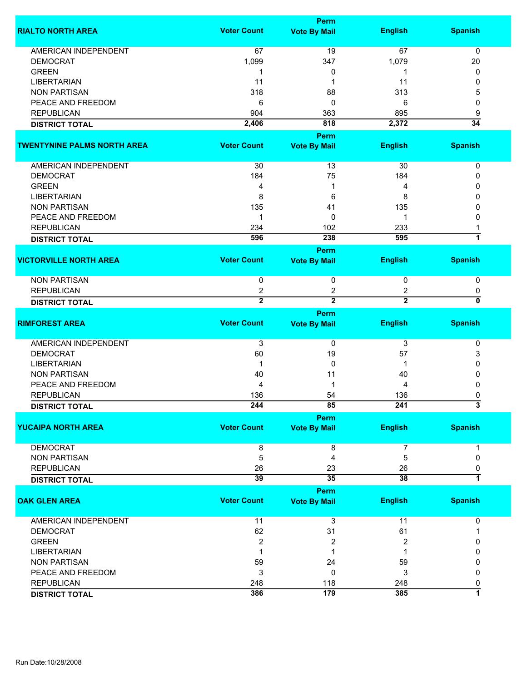|                                    |                    | Perm                               |                |                              |
|------------------------------------|--------------------|------------------------------------|----------------|------------------------------|
| <b>RIALTO NORTH AREA</b>           | <b>Voter Count</b> | <b>Vote By Mail</b>                | <b>English</b> | <b>Spanish</b>               |
| <b>AMERICAN INDEPENDENT</b>        | 67                 | 19                                 | 67             | 0                            |
| <b>DEMOCRAT</b>                    | 1,099              | 347                                | 1,079          | 20                           |
| <b>GREEN</b>                       | 1                  |                                    | 1              | 0                            |
| <b>LIBERTARIAN</b>                 | 11                 | 0<br>1                             |                |                              |
| <b>NON PARTISAN</b>                |                    |                                    | 11             | 0                            |
|                                    | 318                | 88                                 | 313            | 5                            |
| PEACE AND FREEDOM                  | 6                  | 0                                  | 6              | 0                            |
| <b>REPUBLICAN</b>                  | 904                | 363                                | 895            | 9                            |
| <b>DISTRICT TOTAL</b>              | 2,406              | 818                                | 2,372          | $\overline{34}$              |
| <b>TWENTYNINE PALMS NORTH AREA</b> | <b>Voter Count</b> | <b>Perm</b><br><b>Vote By Mail</b> | <b>English</b> | <b>Spanish</b>               |
|                                    |                    |                                    |                |                              |
| AMERICAN INDEPENDENT               | 30                 | 13                                 | 30             | 0                            |
| <b>DEMOCRAT</b>                    | 184                | 75                                 | 184            | 0                            |
| <b>GREEN</b>                       | 4                  | 1                                  | 4              | 0                            |
| <b>LIBERTARIAN</b>                 | 8                  | 6                                  | 8              | 0                            |
| <b>NON PARTISAN</b>                | 135                | 41                                 | 135            | 0                            |
| PEACE AND FREEDOM                  | 1                  | 0                                  | 1              | 0                            |
| <b>REPUBLICAN</b>                  | 234                | 102                                | 233            |                              |
| <b>DISTRICT TOTAL</b>              | 596                | 238                                | 595            | 1                            |
|                                    |                    | <b>Perm</b>                        |                |                              |
| <b>VICTORVILLE NORTH AREA</b>      | <b>Voter Count</b> | <b>Vote By Mail</b>                | <b>English</b> | <b>Spanish</b>               |
|                                    |                    |                                    |                |                              |
| <b>NON PARTISAN</b>                | 0                  | 0                                  | 0              | 0                            |
| <b>REPUBLICAN</b>                  | $\overline{c}$     | 2                                  | 2              | 0                            |
| <b>DISTRICT TOTAL</b>              | $\overline{2}$     | $\overline{2}$                     | $\overline{2}$ | 0                            |
|                                    |                    | Perm                               |                |                              |
| <b>RIMFOREST AREA</b>              | <b>Voter Count</b> | <b>Vote By Mail</b>                | <b>English</b> | <b>Spanish</b>               |
|                                    |                    |                                    |                |                              |
| AMERICAN INDEPENDENT               | 3                  | 0                                  | 3              | 0                            |
| <b>DEMOCRAT</b>                    | 60                 | 19                                 | 57             | 3                            |
| <b>LIBERTARIAN</b>                 | -1                 | 0                                  | 1              | 0                            |
| <b>NON PARTISAN</b>                | 40                 | 11                                 | 40             | 0                            |
| PEACE AND FREEDOM                  | 4                  | 1                                  | 4              | 0                            |
| <b>REPUBLICAN</b>                  | 136                | 54                                 | 136            | 0                            |
| <b>DISTRICT TOTAL</b>              | 244                | 85                                 | 241            | 3                            |
| <b>YUCAIPA NORTH AREA</b>          | <b>Voter Count</b> | <b>Perm</b><br><b>Vote By Mail</b> | <b>English</b> | <b>Spanish</b>               |
|                                    |                    |                                    |                |                              |
| <b>DEMOCRAT</b>                    | 8                  | 8                                  | 7              | 1                            |
| <b>NON PARTISAN</b>                | 5                  | 4                                  | 5              | 0                            |
| <b>REPUBLICAN</b>                  | 26                 | 23                                 | 26             | 0                            |
| <b>DISTRICT TOTAL</b>              | 39                 | $\overline{35}$                    | 38             | 7                            |
|                                    |                    | <b>Perm</b>                        |                |                              |
| <b>OAK GLEN AREA</b>               | <b>Voter Count</b> | <b>Vote By Mail</b>                | <b>English</b> | <b>Spanish</b>               |
| <b>AMERICAN INDEPENDENT</b>        | 11                 | 3                                  | 11             | 0                            |
| <b>DEMOCRAT</b>                    | 62                 | 31                                 | 61             |                              |
| <b>GREEN</b>                       | $\overline{2}$     | 2                                  | $\overline{2}$ | 0                            |
| <b>LIBERTARIAN</b>                 | 1                  | 1                                  |                |                              |
| <b>NON PARTISAN</b>                |                    |                                    |                | 0                            |
| PEACE AND FREEDOM                  | 59                 | 24                                 | 59             | 0                            |
| <b>REPUBLICAN</b>                  | 3                  | 0                                  | 3              | 0                            |
|                                    | 248                | 118<br>179                         | 248<br>385     | 0<br>$\overline{\mathbf{1}}$ |
| <b>DISTRICT TOTAL</b>              | 386                |                                    |                |                              |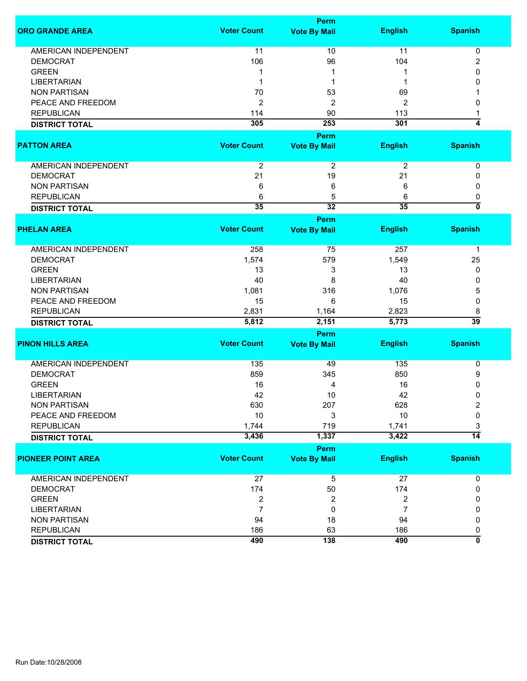|                             |                         | <b>Perm</b>                 |                |                           |
|-----------------------------|-------------------------|-----------------------------|----------------|---------------------------|
| <b>ORO GRANDE AREA</b>      | <b>Voter Count</b>      | <b>Vote By Mail</b>         | <b>English</b> | <b>Spanish</b>            |
| <b>AMERICAN INDEPENDENT</b> | 11                      | 10                          | 11             | 0                         |
| <b>DEMOCRAT</b>             | 106                     | 96                          | 104            | $\overline{\mathbf{c}}$   |
| <b>GREEN</b>                | 1                       |                             |                | 0                         |
| <b>LIBERTARIAN</b>          | 1                       | 1                           | 1              | 0                         |
| <b>NON PARTISAN</b>         | 70                      | 53                          | 69             |                           |
| PEACE AND FREEDOM           | $\boldsymbol{2}$        | 2                           | $\overline{c}$ | 0                         |
| <b>REPUBLICAN</b>           | 114                     | 90                          | 113            | 1                         |
| <b>DISTRICT TOTAL</b>       | 305                     | 253                         | 301            | $\overline{4}$            |
|                             |                         |                             |                |                           |
| <b>PATTON AREA</b>          | <b>Voter Count</b>      | Perm<br><b>Vote By Mail</b> | <b>English</b> | <b>Spanish</b>            |
| <b>AMERICAN INDEPENDENT</b> | $\boldsymbol{2}$        | $\boldsymbol{2}$            | $\overline{2}$ | 0                         |
| <b>DEMOCRAT</b>             | 21                      | 19                          | 21             | 0                         |
| <b>NON PARTISAN</b>         | 6                       | 6                           | 6              | 0                         |
| <b>REPUBLICAN</b>           | 6                       | 5                           | 6              | 0                         |
| <b>DISTRICT TOTAL</b>       | 35                      | $\overline{32}$             | 35             | $\overline{\mathfrak{o}}$ |
|                             |                         | Perm                        |                |                           |
| <b>PHELAN AREA</b>          | <b>Voter Count</b>      | <b>Vote By Mail</b>         | <b>English</b> | <b>Spanish</b>            |
|                             |                         |                             |                |                           |
| <b>AMERICAN INDEPENDENT</b> | 258                     | 75                          | 257            | 1                         |
| <b>DEMOCRAT</b>             | 1,574                   | 579                         | 1,549          | 25                        |
| <b>GREEN</b>                | 13                      | 3                           | 13             | 0                         |
| <b>LIBERTARIAN</b>          | 40                      | 8                           | 40             | 0                         |
| <b>NON PARTISAN</b>         | 1,081                   | 316                         | 1,076          | 5                         |
| PEACE AND FREEDOM           | 15                      | 6                           | 15             | 0                         |
| <b>REPUBLICAN</b>           | 2,831                   | 1,164                       | 2,823          | 8                         |
| <b>DISTRICT TOTAL</b>       | 5,812                   | 2,151                       | 5,773          | $\overline{39}$           |
|                             |                         | Perm                        |                |                           |
| <b>PINON HILLS AREA</b>     | <b>Voter Count</b>      | <b>Vote By Mail</b>         | <b>English</b> | <b>Spanish</b>            |
| <b>AMERICAN INDEPENDENT</b> | 135                     | 49                          | 135            | 0                         |
| <b>DEMOCRAT</b>             | 859                     | 345                         | 850            | 9                         |
| <b>GREEN</b>                | 16                      | 4                           | 16             | 0                         |
| <b>LIBERTARIAN</b>          | 42                      | 10                          | 42             | 0                         |
| <b>NON PARTISAN</b>         | 630                     | 207                         | 628            | 2                         |
| PEACE AND FREEDOM           | 10                      | 3                           | 10             | 0                         |
| <b>REPUBLICAN</b>           | 1,744                   | 719                         | 1,741          | 3                         |
| <b>DISTRICT TOTAL</b>       | 3,436                   | 1,337                       | 3,422          | $\overline{14}$           |
|                             |                         | Perm                        |                |                           |
| <b>PIONEER POINT AREA</b>   | <b>Voter Count</b>      | <b>Vote By Mail</b>         | <b>English</b> | <b>Spanish</b>            |
| <b>AMERICAN INDEPENDENT</b> | 27                      | 5                           | 27             | 0                         |
| <b>DEMOCRAT</b>             | 174                     | 50                          | 174            | 0                         |
| <b>GREEN</b>                | $\overline{\mathbf{c}}$ | 2                           | 2              | 0                         |
| <b>LIBERTARIAN</b>          | $\overline{7}$          | 0                           | $\overline{7}$ | 0                         |
| <b>NON PARTISAN</b>         | 94                      | 18                          | 94             | 0                         |
| <b>REPUBLICAN</b>           | 186                     | 63                          | 186            | 0                         |
|                             | 490                     | 138                         | 490            | ō                         |
| <b>DISTRICT TOTAL</b>       |                         |                             |                |                           |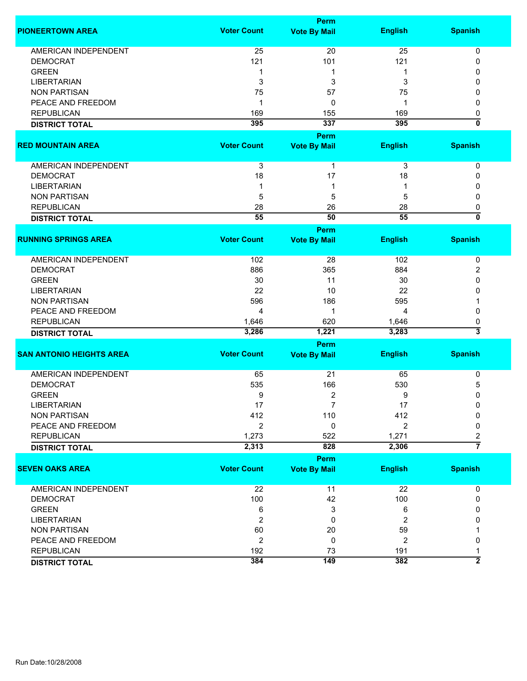|                                 |                           | <b>Perm</b>         |                |                                |
|---------------------------------|---------------------------|---------------------|----------------|--------------------------------|
| <b>PIONEERTOWN AREA</b>         | <b>Voter Count</b>        | <b>Vote By Mail</b> | <b>English</b> | <b>Spanish</b>                 |
| <b>AMERICAN INDEPENDENT</b>     | 25                        | 20                  | 25             | 0                              |
| <b>DEMOCRAT</b>                 | 121                       | 101                 | 121            | 0                              |
| <b>GREEN</b>                    | 1                         | 1                   | 1              | 0                              |
|                                 |                           |                     |                | 0                              |
| <b>LIBERTARIAN</b>              | 3                         | 3                   | 3              |                                |
| <b>NON PARTISAN</b>             | 75                        | 57                  | 75             | 0                              |
| PEACE AND FREEDOM               | 1                         | 0                   | 1              | 0                              |
| <b>REPUBLICAN</b>               | 169                       | 155                 | 169            | 0                              |
| <b>DISTRICT TOTAL</b>           | 395                       | 337                 | 395            | ō                              |
|                                 |                           | <b>Perm</b>         |                |                                |
| <b>RED MOUNTAIN AREA</b>        | <b>Voter Count</b>        | <b>Vote By Mail</b> | <b>English</b> | <b>Spanish</b>                 |
| AMERICAN INDEPENDENT            | $\ensuremath{\mathsf{3}}$ | $\mathbf{1}$        | 3              | 0                              |
| <b>DEMOCRAT</b>                 | 18                        | 17                  | 18             | 0                              |
| <b>LIBERTARIAN</b>              | 1                         | 1                   |                | 0                              |
| <b>NON PARTISAN</b>             | 5                         | 5                   | 5              | 0                              |
|                                 | 28                        | 26                  |                |                                |
| <b>REPUBLICAN</b>               |                           |                     | 28             | 0<br>$\overline{\mathfrak{o}}$ |
| <b>DISTRICT TOTAL</b>           | 55                        | 50                  | 55             |                                |
|                                 |                           | <b>Perm</b>         |                |                                |
| <b>RUNNING SPRINGS AREA</b>     | <b>Voter Count</b>        | <b>Vote By Mail</b> | <b>English</b> | <b>Spanish</b>                 |
| <b>AMERICAN INDEPENDENT</b>     | 102                       | 28                  | 102            | 0                              |
| <b>DEMOCRAT</b>                 | 886                       | 365                 | 884            | 2                              |
| <b>GREEN</b>                    | 30                        | 11                  | 30             | 0                              |
| <b>LIBERTARIAN</b>              | 22                        | 10                  | 22             | 0                              |
| <b>NON PARTISAN</b>             | 596                       | 186                 | 595            |                                |
| PEACE AND FREEDOM               | 4                         | 1                   | 4              | 0                              |
| <b>REPUBLICAN</b>               | 1,646                     | 620                 | 1,646          | 0                              |
|                                 | 3,286                     | 1,221               | 3,283          | $\overline{\mathbf{3}}$        |
| <b>DISTRICT TOTAL</b>           |                           |                     |                |                                |
|                                 |                           | <b>Perm</b>         |                |                                |
| <b>SAN ANTONIO HEIGHTS AREA</b> | <b>Voter Count</b>        | <b>Vote By Mail</b> | <b>English</b> | <b>Spanish</b>                 |
| <b>AMERICAN INDEPENDENT</b>     | 65                        | 21                  | 65             | 0                              |
| <b>DEMOCRAT</b>                 | 535                       | 166                 | 530            | 5                              |
| <b>GREEN</b>                    | 9                         | 2                   | 9              | 0                              |
| <b>LIBERTARIAN</b>              | 17                        | 7                   | 17             | 0                              |
| <b>NON PARTISAN</b>             | 412                       | 110                 | 412            | $\Omega$                       |
| PEACE AND FREEDOM               | 2                         | 0                   | 2              | 0                              |
| <b>REPUBLICAN</b>               | 1,273                     | 522                 | 1,271          | 2                              |
| <b>DISTRICT TOTAL</b>           | 2,313                     | 828                 | 2,306          | $\overline{7}$                 |
|                                 |                           |                     |                |                                |
|                                 |                           | Perm                |                |                                |
| <b>SEVEN OAKS AREA</b>          | <b>Voter Count</b>        | <b>Vote By Mail</b> | <b>English</b> | <b>Spanish</b>                 |
| <b>AMERICAN INDEPENDENT</b>     | 22                        | 11                  | 22             | 0                              |
| <b>DEMOCRAT</b>                 | 100                       | 42                  | 100            | 0                              |
| <b>GREEN</b>                    | 6                         | 3                   | 6              | 0                              |
| <b>LIBERTARIAN</b>              | $\overline{2}$            | 0                   | 2              | 0                              |
| <b>NON PARTISAN</b>             | 60                        | 20                  | 59             |                                |
| PEACE AND FREEDOM               | $\overline{2}$            | 0                   | 2              | 0                              |
| <b>REPUBLICAN</b>               | 192                       | 73                  | 191            |                                |
| <b>DISTRICT TOTAL</b>           | 384                       | 149                 | 382            | $\overline{2}$                 |
|                                 |                           |                     |                |                                |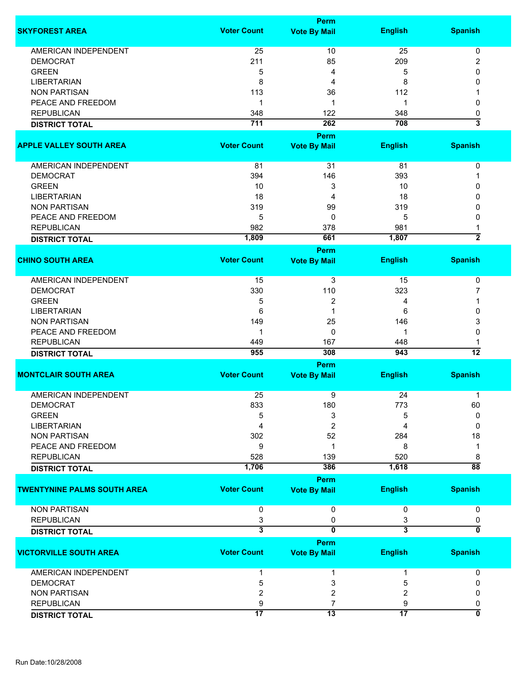|                                    |                         | Perm                    |                         |                         |
|------------------------------------|-------------------------|-------------------------|-------------------------|-------------------------|
| <b>SKYFOREST AREA</b>              | <b>Voter Count</b>      | <b>Vote By Mail</b>     | <b>English</b>          | <b>Spanish</b>          |
| <b>AMERICAN INDEPENDENT</b>        | 25                      | 10                      | 25                      |                         |
| <b>DEMOCRAT</b>                    | 211                     | 85                      | 209                     | 0<br>2                  |
| <b>GREEN</b>                       |                         |                         | 5                       | 0                       |
|                                    | 5                       | 4                       |                         |                         |
| <b>LIBERTARIAN</b>                 | 8                       | 4                       | 8                       | 0                       |
| <b>NON PARTISAN</b>                | 113                     | 36                      | 112                     |                         |
| PEACE AND FREEDOM                  | 1                       | 1                       | 1                       | 0                       |
| <b>REPUBLICAN</b>                  | 348                     | 122                     | 348                     | 0                       |
| <b>DISTRICT TOTAL</b>              | 711                     | 262                     | 708                     | $\overline{\mathbf{3}}$ |
|                                    |                         | <b>Perm</b>             |                         |                         |
| <b>APPLE VALLEY SOUTH AREA</b>     | <b>Voter Count</b>      | <b>Vote By Mail</b>     | <b>English</b>          | <b>Spanish</b>          |
|                                    |                         |                         |                         |                         |
| AMERICAN INDEPENDENT               | 81                      | 31                      | 81                      | 0                       |
| <b>DEMOCRAT</b>                    | 394                     | 146                     | 393                     | 1                       |
| <b>GREEN</b>                       | 10                      | 3                       | 10                      | 0                       |
| <b>LIBERTARIAN</b>                 | 18                      | 4                       | 18                      | 0                       |
| <b>NON PARTISAN</b>                | 319                     | 99                      | 319                     | 0                       |
| PEACE AND FREEDOM                  | 5                       | 0                       | 5                       | 0                       |
| <b>REPUBLICAN</b>                  | 982                     | 378                     | 981                     |                         |
| <b>DISTRICT TOTAL</b>              | 1,809                   | 661                     | 1,807                   | $\overline{2}$          |
|                                    |                         | <b>Perm</b>             |                         |                         |
| <b>CHINO SOUTH AREA</b>            | <b>Voter Count</b>      | <b>Vote By Mail</b>     | <b>English</b>          | <b>Spanish</b>          |
|                                    |                         |                         |                         |                         |
| <b>AMERICAN INDEPENDENT</b>        | 15                      | 3                       | 15                      | 0                       |
| <b>DEMOCRAT</b>                    | 330                     | 110                     | 323                     | 7                       |
| <b>GREEN</b>                       | 5                       | $\overline{2}$          | 4                       | 1                       |
| <b>LIBERTARIAN</b>                 | 6                       | $\mathbf 1$             | 6                       | 0                       |
| <b>NON PARTISAN</b>                | 149                     | 25                      | 146                     | 3                       |
| PEACE AND FREEDOM                  | 1                       | $\mathbf{0}$            | 1                       | 0                       |
|                                    |                         |                         |                         |                         |
| <b>REPUBLICAN</b>                  | 449                     | 167                     | 448                     |                         |
| <b>DISTRICT TOTAL</b>              | 955                     | 308                     | 943                     | $\overline{12}$         |
| <b>MONTCLAIR SOUTH AREA</b>        | <b>Voter Count</b>      | <b>Perm</b>             |                         |                         |
|                                    |                         | <b>Vote By Mail</b>     | <b>English</b>          | <b>Spanish</b>          |
| <b>AMERICAN INDEPENDENT</b>        | 25                      | 9                       | 24                      | 1                       |
| <b>DEMOCRAT</b>                    | 833                     | 180                     | 773                     | 60                      |
| <b>GREEN</b>                       | 5                       | 3                       | 5                       | 0                       |
| <b>LIBERTARIAN</b>                 | 4                       | 2                       | 4                       | 0                       |
| <b>NON PARTISAN</b>                | 302                     | 52                      | 284                     | 18                      |
| PEACE AND FREEDOM                  | 9                       | 1                       | 8                       | 1                       |
| <b>REPUBLICAN</b>                  |                         |                         |                         |                         |
|                                    | 528                     | 139                     | 520                     | 8                       |
| <b>DISTRICT TOTAL</b>              | 1,706                   | 386                     | 1,618                   | $\overline{88}$         |
|                                    |                         | <b>Perm</b>             |                         |                         |
| <b>TWENTYNINE PALMS SOUTH AREA</b> | <b>Voter Count</b>      | <b>Vote By Mail</b>     | <b>English</b>          | <b>Spanish</b>          |
| <b>NON PARTISAN</b>                | 0                       | 0                       | 0                       | 0                       |
| <b>REPUBLICAN</b>                  | 3                       | 0                       | 3                       | 0                       |
| <b>DISTRICT TOTAL</b>              | $\overline{\mathbf{3}}$ | $\overline{\mathbf{0}}$ | $\overline{\mathbf{3}}$ | $\overline{0}$          |
|                                    |                         | Perm                    |                         |                         |
| <b>VICTORVILLE SOUTH AREA</b>      | <b>Voter Count</b>      | <b>Vote By Mail</b>     | <b>English</b>          | <b>Spanish</b>          |
| AMERICAN INDEPENDENT               | 1                       | 1                       | 1                       | 0                       |
| <b>DEMOCRAT</b>                    | 5                       | 3                       | 5                       | 0                       |
| <b>NON PARTISAN</b>                | 2                       | $\overline{\mathbf{c}}$ |                         | 0                       |
|                                    |                         |                         | 2                       |                         |
| <b>REPUBLICAN</b>                  | 9                       | $\overline{7}$          | 9                       | 0                       |
| <b>DISTRICT TOTAL</b>              | $\overline{17}$         | $\overline{13}$         | $\overline{17}$         | $\overline{0}$          |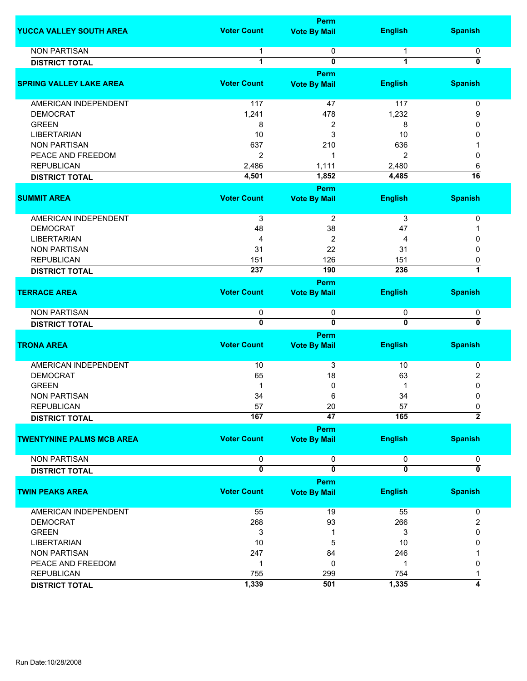|                                  |                    | <b>Perm</b>                        |                         |                           |
|----------------------------------|--------------------|------------------------------------|-------------------------|---------------------------|
| YUCCA VALLEY SOUTH AREA          | <b>Voter Count</b> | <b>Vote By Mail</b>                | <b>English</b>          | <b>Spanish</b>            |
| <b>NON PARTISAN</b>              | 1                  | 0                                  | 1                       | 0                         |
| <b>DISTRICT TOTAL</b>            | 1                  | 0                                  | $\mathbf{1}$            | 0                         |
|                                  |                    | Perm                               |                         |                           |
| <b>SPRING VALLEY LAKE AREA</b>   | <b>Voter Count</b> | <b>Vote By Mail</b>                | <b>English</b>          | <b>Spanish</b>            |
|                                  |                    |                                    |                         |                           |
| AMERICAN INDEPENDENT             | 117                | 47                                 | 117                     | 0                         |
| <b>DEMOCRAT</b>                  | 1,241              | 478                                | 1,232                   | 9                         |
| <b>GREEN</b>                     | 8                  | 2                                  | 8                       | $\Omega$                  |
| <b>LIBERTARIAN</b>               | 10                 | 3                                  | 10                      | 0                         |
| <b>NON PARTISAN</b>              | 637                | 210                                | 636                     |                           |
| PEACE AND FREEDOM                | $\overline{2}$     | 1                                  | 2                       | 0                         |
| <b>REPUBLICAN</b>                | 2,486              | 1,111                              | 2,480                   | 6                         |
| <b>DISTRICT TOTAL</b>            | 4,501              | 1,852                              | 4,485                   | $\overline{16}$           |
|                                  |                    | Perm                               |                         |                           |
| <b>SUMMIT AREA</b>               | <b>Voter Count</b> | <b>Vote By Mail</b>                | <b>English</b>          | <b>Spanish</b>            |
|                                  |                    |                                    |                         |                           |
| AMERICAN INDEPENDENT             | $\overline{3}$     | $\overline{2}$                     | 3                       | 0                         |
| <b>DEMOCRAT</b>                  | 48                 | 38                                 | 47                      | 1                         |
| <b>LIBERTARIAN</b>               | 4                  | $\overline{\mathbf{c}}$            | 4                       | 0                         |
| <b>NON PARTISAN</b>              | 31                 | 22                                 | 31                      | $\mathbf{0}$              |
| <b>REPUBLICAN</b>                | 151                | 126                                | 151                     | 0                         |
| <b>DISTRICT TOTAL</b>            | 237                | 190                                | 236                     | 7                         |
|                                  |                    |                                    |                         |                           |
| <b>TERRACE AREA</b>              | <b>Voter Count</b> | <b>Perm</b><br><b>Vote By Mail</b> | <b>English</b>          | <b>Spanish</b>            |
|                                  |                    |                                    |                         |                           |
| <b>NON PARTISAN</b>              | 0                  | 0                                  | 0                       | 0                         |
| <b>DISTRICT TOTAL</b>            | $\overline{0}$     | $\overline{\mathbf{0}}$            | $\overline{0}$          | $\overline{\mathfrak{o}}$ |
|                                  |                    | Perm                               |                         |                           |
| <b>TRONA AREA</b>                | <b>Voter Count</b> | <b>Vote By Mail</b>                | <b>English</b>          | <b>Spanish</b>            |
|                                  |                    |                                    |                         |                           |
| AMERICAN INDEPENDENT             | 10                 | 3                                  | 10                      | 0                         |
| <b>DEMOCRAT</b>                  | 65                 | 18                                 | 63                      | 2                         |
| <b>GREEN</b>                     | 1                  | 0                                  |                         | 0                         |
| <b>NON PARTISAN</b>              | 34                 | 6                                  | 34                      | 0                         |
| REPUBLICAN                       | 57                 | 20                                 | 57                      | 0                         |
| <b>DISTRICT TOTAL</b>            | 167                | $\overline{47}$                    | 165                     | $\overline{2}$            |
|                                  |                    | Perm                               |                         |                           |
| <b>TWENTYNINE PALMS MCB AREA</b> | <b>Voter Count</b> | <b>Vote By Mail</b>                | <b>English</b>          | <b>Spanish</b>            |
|                                  |                    |                                    |                         |                           |
| <b>NON PARTISAN</b>              | 0                  | 0                                  | 0                       | 0                         |
| <b>DISTRICT TOTAL</b>            | $\mathbf{0}$       | $\overline{\mathbf{0}}$            | $\overline{\mathbf{0}}$ | $\overline{\mathfrak{o}}$ |
|                                  |                    | Perm                               |                         |                           |
| <b>TWIN PEAKS AREA</b>           | <b>Voter Count</b> | <b>Vote By Mail</b>                | <b>English</b>          | <b>Spanish</b>            |
|                                  |                    |                                    |                         |                           |
| AMERICAN INDEPENDENT             | 55                 | 19                                 | 55                      | 0                         |
| <b>DEMOCRAT</b>                  | 268                | 93                                 | 266                     | 2                         |
| <b>GREEN</b>                     | 3                  | 1                                  | 3                       | 0                         |
| <b>LIBERTARIAN</b>               | 10                 | 5                                  | 10                      | 0                         |
| <b>NON PARTISAN</b>              | 247                | 84                                 | 246                     |                           |
| PEACE AND FREEDOM                | 1                  | 0                                  | 1                       | 0                         |
| <b>REPUBLICAN</b>                | 755                | 299                                | 754                     | 1                         |
|                                  | 1,339              | 501                                | 1,335                   | $\overline{4}$            |
| <b>DISTRICT TOTAL</b>            |                    |                                    |                         |                           |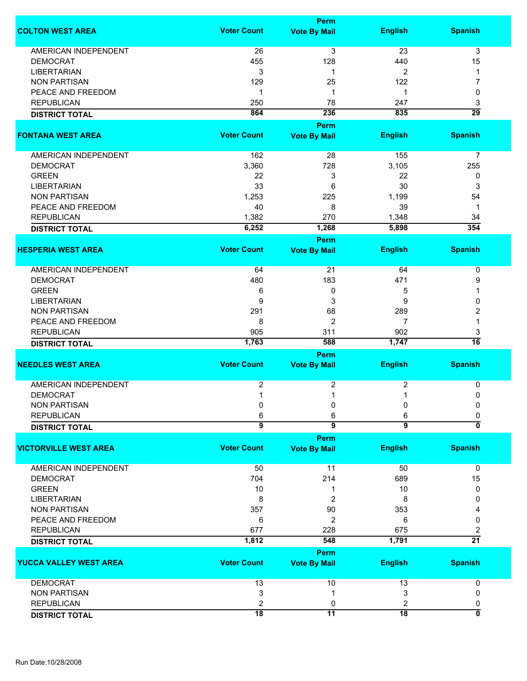|                              |                    | Perm                               |                 |                           |
|------------------------------|--------------------|------------------------------------|-----------------|---------------------------|
| <b>COLTON WEST AREA</b>      | <b>Voter Count</b> | <b>Vote By Mail</b>                | <b>English</b>  | <b>Spanish</b>            |
| <b>AMERICAN INDEPENDENT</b>  | 26                 | 3                                  | 23              | 3                         |
| <b>DEMOCRAT</b>              | 455                | 128                                | 440             | 15                        |
| <b>LIBERTARIAN</b>           | 3                  | 1                                  | 2               | 1                         |
| <b>NON PARTISAN</b>          | 129                | 25                                 | 122             | 7                         |
|                              |                    |                                    |                 |                           |
| PEACE AND FREEDOM            | 1                  | 1                                  | 1               | 0                         |
| <b>REPUBLICAN</b>            | 250                | 78                                 | 247             | 3                         |
| <b>DISTRICT TOTAL</b>        | 864                | 236                                | 835             | $\overline{29}$           |
|                              |                    | Perm                               |                 |                           |
| <b>FONTANA WEST AREA</b>     | <b>Voter Count</b> | <b>Vote By Mail</b>                | <b>English</b>  | <b>Spanish</b>            |
| AMERICAN INDEPENDENT         | 162                | 28                                 | 155             | $\overline{7}$            |
| <b>DEMOCRAT</b>              | 3,360              | 728                                | 3,105           | 255                       |
| <b>GREEN</b>                 | 22                 | 3                                  | 22              | 0                         |
| <b>LIBERTARIAN</b>           | 33                 | 6                                  | 30              | 3                         |
| <b>NON PARTISAN</b>          | 1,253              | 225                                | 1,199           | 54                        |
|                              | 40                 |                                    |                 |                           |
| PEACE AND FREEDOM            |                    | 8                                  | 39              | 1                         |
| <b>REPUBLICAN</b>            | 1,382              | 270                                | 1,348           | 34                        |
| <b>DISTRICT TOTAL</b>        | 6,252              | 1,268                              | 5,898           | 354                       |
| <b>HESPERIA WEST AREA</b>    | <b>Voter Count</b> | <b>Perm</b><br><b>Vote By Mail</b> | <b>English</b>  | <b>Spanish</b>            |
|                              |                    |                                    |                 |                           |
| AMERICAN INDEPENDENT         | 64                 | 21                                 | 64              | 0                         |
| <b>DEMOCRAT</b>              | 480                | 183                                | 471             | 9                         |
| <b>GREEN</b>                 | 6                  | 0                                  | 5               | 1                         |
| <b>LIBERTARIAN</b>           | 9                  | 3                                  | 9               | 0                         |
| <b>NON PARTISAN</b>          | 291                | 68                                 | 289             | 2                         |
| PEACE AND FREEDOM            | 8                  | 2                                  | 7               | 1                         |
| <b>REPUBLICAN</b>            | 905                | 311                                | 902             | 3                         |
|                              | 1,763              | 588                                | 1,747           | $\overline{16}$           |
| <b>DISTRICT TOTAL</b>        |                    | Perm                               |                 |                           |
| <b>NEEDLES WEST AREA</b>     | <b>Voter Count</b> | <b>Vote By Mail</b>                | <b>English</b>  | <b>Spanish</b>            |
|                              |                    |                                    |                 |                           |
| <b>AMERICAN INDEPENDENT</b>  | 2                  | 2                                  | 2               | 0                         |
| <b>DEMOCRAT</b>              | 1                  | 1                                  | 1               | 0                         |
| <b>NON PARTISAN</b>          | 0                  | 0                                  | 0               | 0                         |
| <b>REPUBLICAN</b>            | 6                  | 6                                  | 6               | 0                         |
| <b>DISTRICT TOTAL</b>        | $\overline{9}$     | $\overline{9}$                     | $\overline{9}$  | $\overline{\mathfrak{o}}$ |
|                              |                    | Perm                               |                 |                           |
| <b>VICTORVILLE WEST AREA</b> | <b>Voter Count</b> | <b>Vote By Mail</b>                | <b>English</b>  | <b>Spanish</b>            |
| <b>AMERICAN INDEPENDENT</b>  | 50                 | 11                                 | 50              | $\mathbf 0$               |
| <b>DEMOCRAT</b>              | 704                | 214                                | 689             | 15                        |
| <b>GREEN</b>                 | 10                 | 1                                  | 10              | 0                         |
| <b>LIBERTARIAN</b>           | 8                  | 2                                  | 8               | 0                         |
| <b>NON PARTISAN</b>          | 357                | 90                                 | 353             |                           |
|                              |                    |                                    |                 |                           |
| PEACE AND FREEDOM            | 6                  | 2                                  | 6               | 0                         |
| <b>REPUBLICAN</b>            | 677                | 228                                | 675             | 2                         |
| <b>DISTRICT TOTAL</b>        | 1,812              | 548                                | 1,791           | $\overline{21}$           |
|                              |                    | Perm                               |                 |                           |
| YUCCA VALLEY WEST AREA       | <b>Voter Count</b> | <b>Vote By Mail</b>                | <b>English</b>  | <b>Spanish</b>            |
| <b>DEMOCRAT</b>              | 13                 | 10                                 | 13              | 0                         |
| <b>NON PARTISAN</b>          | 3                  |                                    | 3               | 0                         |
| <b>REPUBLICAN</b>            | 2                  | 0                                  | 2               | 0                         |
| <b>DISTRICT TOTAL</b>        | $\overline{18}$    | $\overline{11}$                    | $\overline{18}$ | 0                         |
|                              |                    |                                    |                 |                           |